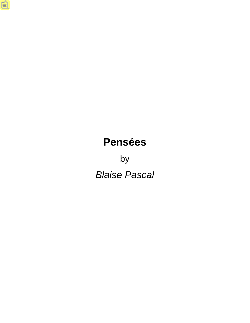# **Pensées**

by *Blaise Pascal*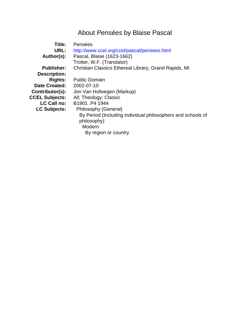## About *Pensées* by Blaise Pascal

<span id="page-1-0"></span>

| Title:                | Pensées                                                     |
|-----------------------|-------------------------------------------------------------|
| URL:                  | http://www.ccel.org/ccel/pascal/pensees.html                |
| Author(s):            | Pascal, Blaise (1623-1662)                                  |
|                       | Trotter, W.F. (Translator)                                  |
| <b>Publisher:</b>     | Christian Classics Ethereal Library, Grand Rapids, MI       |
| <b>Description:</b>   |                                                             |
| <b>Rights:</b>        | <b>Public Domain</b>                                        |
| <b>Date Created:</b>  | 2002-07-10                                                  |
| Contributor(s):       | Jon Van Hofwegen (Markup)                                   |
| <b>CCEL Subjects:</b> | All; Theology; Classic                                      |
| <b>LC Call no:</b>    | B1901.P4 1944                                               |
| <b>LC Subjects:</b>   | Philosophy (General)                                        |
|                       | By Period (Including individual philosophers and schools of |
|                       | philosophy)                                                 |
|                       | Modern                                                      |
|                       | By region or country                                        |
|                       |                                                             |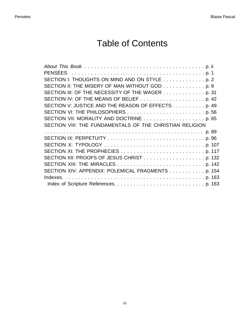# Table of Contents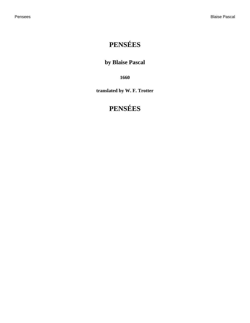## <span id="page-4-0"></span>**PENSÉES**

### **by Blaise Pascal**

**1660**

**translated by W. F. Trotter**

## **PENSÉES**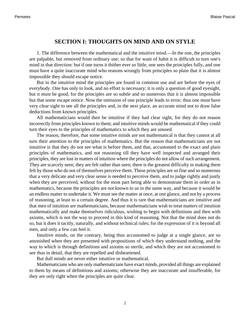### **SECTION I: THOUGHTS ON MIND AND ON STYLE**

<span id="page-5-0"></span>1. The difference between the mathematical and the intuitive mind.—In the one, the principles are palpable, but removed from ordinary use; so that for want of habit it is difficult to turn one's mind in that direction: but if one turns it thither ever so little, one sees the principles fully, and one must have a quite inaccurate mind who reasons wrongly from principles so plain that it is almost impossible they should escape notice.

But in the intuitive mind the principles are found in common use and are before the eyes of everybody. One has only to look, and no effort is necessary; it is only a question of good eyesight, but it must be good, for the principles are so subtle and so numerous that it is almost impossible but that some escape notice. Now the omission of one principle leads to error; thus one must have very clear sight to see all the principles and, in the next place, an accurate mind not to draw false deductions from known principles.

All mathematicians would then be intuitive if they had clear sight, for they do not reason incorrectly from principles known to them; and intuitive minds would be mathematical if they could turn their eyes to the principles of mathematics to which they are unused.

The reason, therefore, that some intuitive minds are not mathematical is that they cannot at all turn their attention to the principles of mathematics. But the reason that mathematicians are not intuitive is that they do not see what is before them, and that, accustomed to the exact and plain principles of mathematics, and not reasoning till they have well inspected and arranged their principles, they are lost in matters of intuition where the principles do not allow of such arrangement. They are scarcely seen; they are felt rather than seen; there is the greatest difficulty in making them felt by those who do not of themselves perceive them. These principles are so fine and so numerous that a very delicate and very clear sense is needed to perceive them, and to judge rightly and justly when they are perceived, without for the most part being able to demonstrate them in order as in mathematics, because the principles are not known to us in the same way, and because it would be an endless matter to undertake it. We must see the matter at once, at one glance, and not by a process of reasoning, at least to a certain degree. And thus it is rare that mathematicians are intuitive and that men of intuition are mathematicians, because mathematicians wish to treat matters of intuition mathematically and make themselves ridiculous, wishing to begin with definitions and then with axioms, which is not the way to proceed in this kind of reasoning. Not that the mind does not do so, but it does it tacitly, naturally, and without technical rules; for the expression of it is beyond all men, and only a few can feel it.

Intuitive minds, on the contrary, being thus accustomed to judge at a single glance, are so astonished when they are presented with propositions of which they understand nothing, and the way to which is through definitions and axioms so sterile, and which they are not accustomed to see thus in detail, that they are repelled and disheartened.

But dull minds are never either intuitive or mathematical.

Mathematicians who are only mathematicians have exact minds, provided all things are explained to them by means of definitions and axioms; otherwise they are inaccurate and insufferable, for they are only right when the principles are quite clear.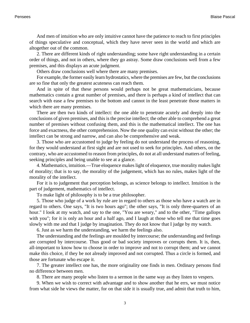And men of intuition who are only intuitive cannot have the patience to reach to first principles of things speculative and conceptual, which they have never seen in the world and which are altogether out of the common.

2. There are different kinds of right understanding; some have right understanding in a certain order of things, and not in others, where they go astray. Some draw conclusions well from a few premises, and this displays an acute judgment.

Others draw conclusions well where there are many premises.

For example, the former easily learn hydrostatics, where the premises are few, but the conclusions are so fine that only the greatest acuteness can reach them.

And in spite of that these persons would perhaps not be great mathematicians, because mathematics contain a great number of premises, and there is perhaps a kind of intellect that can search with ease a few premises to the bottom and cannot in the least penetrate those matters in which there are many premises.

There are then two kinds of intellect: the one able to penetrate acutely and deeply into the conclusions of given premises, and this is the precise intellect; the other able to comprehend a great number of premises without confusing them, and this is the mathematical intellect. The one has force and exactness, the other comprehension. Now the one quality can exist without the other; the intellect can be strong and narrow, and can also be comprehensive and weak.

3. Those who are accustomed to judge by feeling do not understand the process of reasoning, for they would understand at first sight and are not used to seek for principles. And others, on the contrary, who are accustomed to reason from principles, do not at all understand matters of feeling, seeking principles and being unable to see at a glance.

4. Mathematics, intuition.—True eloquence makes light of eloquence, true morality makes light of morality; that is to say, the morality of the judgement, which has no rules, makes light of the morality of the intellect.

For it is to judgement that perception belongs, as science belongs to intellect. Intuition is the part of judgement, mathematics of intellect.

To make light of philosophy is to be a true philosopher.

5. Those who judge of a work by rule are in regard to others as those who have a watch are in regard to others. One says, "It is two hours ago"; the other says, "It is only three-quarters of an hour." I look at my watch, and say to the one, "You are weary," and to the other, "Time gallops with you"; for it is only an hour and a half ago, and I laugh at those who tell me that time goes slowly with me and that I judge by imagination. They do not know that I judge by my watch.

6. Just as we harm the understanding, we harm the feelings also.

The understanding and the feelings are moulded by intercourse; the understanding and feelings are corrupted by intercourse. Thus good or bad society improves or corrupts them. It is, then, all-important to know how to choose in order to improve and not to corrupt them; and we cannot make this choice, if they be not already improved and not corrupted. Thus a circle is formed, and those are fortunate who escape it.

7. The greater intellect one has, the more originality one finds in men. Ordinary persons find no difference between men.

8. There are many people who listen to a sermon in the same way as they listen to vespers.

9. When we wish to correct with advantage and to show another that he errs, we must notice from what side he views the matter, for on that side it is usually true, and admit that truth to him,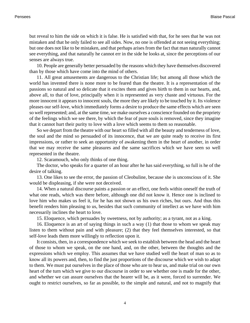but reveal to him the side on which it is false. He is satisfied with that, for he sees that he was not mistaken and that he only failed to see all sides. Now, no one is offended at not seeing everything; but one does not like to be mistaken, and that perhaps arises from the fact that man naturally cannot see everything, and that naturally he cannot err in the side he looks at, since the perceptions of our senses are always true.

10. People are generally better persuaded by the reasons which they have themselves discovered than by those which have come into the mind of others.

11. All great amusements are dangerous to the Christian life; but among all those which the world has invented there is none more to be feared than the theatre. It is a representation of the passions so natural and so delicate that it excites them and gives birth to them in our hearts, and, above all, to that of love, principally when it is represented as very chaste and virtuous. For the more innocent it appears to innocent souls, the more they are likely to be touched by it. Its violence pleases our self-love, which immediately forms a desire to produce the same effects which are seen so well represented; and, at the same time, we make ourselves a conscience founded on the propriety of the feelings which we see there, by which the fear of pure souls is removed, since they imagine that it cannot hurt their purity to love with a love which seems to them so reasonable.

So we depart from the theatre with our heart so filled with all the beauty and tenderness of love, the soul and the mind so persuaded of its innocence, that we are quite ready to receive its first impressions, or rather to seek an opportunity of awakening them in the heart of another, in order that we may receive the same pleasures and the same sacrifices which we have seen so well represented in the theatre.

12. Scaramouch, who only thinks of one thing.

The doctor, who speaks for a quarter of an hour after he has said everything, so full is he of the desire of talking.

13. One likes to see the error, the passion of Cleobuline, because she is unconscious of it. She would be displeasing, if she were not deceived.

14. When a natural discourse paints a passion or an effect, one feels within oneself the truth of what one reads, which was there before, although one did not know it. Hence one is inclined to love him who makes us feel it, for he has not shown us his own riches, but ours. And thus this benefit renders him pleasing to us, besides that such community of intellect as we have with him necessarily inclines the heart to love.

15. Eloquence, which persuades by sweetness, not by authority; as a tyrant, not as a king.

16. Eloquence is an art of saying things in such a way (1) that those to whom we speak may listen to them without pain and with pleasure; (2) that they feel themselves interested, so that self-love leads them more willingly to reflection upon it.

It consists, then, in a correspondence which we seek to establish between the head and the heart of those to whom we speak, on the one hand, and, on the other, between the thoughts and the expressions which we employ. This assumes that we have studied well the heart of man so as to know all its powers and, then, to find the just proportions of the discourse which we wish to adapt to them. We must put ourselves in the place of those who are to hear us, and make trial on our own heart of the turn which we give to our discourse in order to see whether one is made for the other, and whether we can assure ourselves that the hearer will be, as it were, forced to surrender. We ought to restrict ourselves, so far as possible, to the simple and natural, and not to magnify that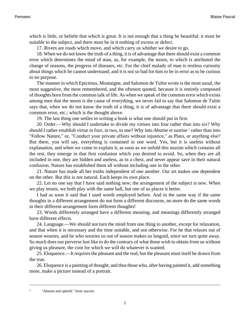which is little, or belittle that which is great. It is not enough that a thing be beautiful; it must be suitable to the subject, and there must be in it nothing of excess or defect.

17. Rivers are roads which move, and which carry us whither we desire to go.

18. When we do not know the truth of a thing, it is of advantage that there should exist a common error which determines the mind of man, as, for example, the moon, to which is attributed the change of seasons, the progress of diseases, etc. For the chief malady of man is restless curiosity about things which he cannot understand; and it is not so bad for him to be in error as to be curious to no purpose.

The manner in which Epictetus, Montaigne, and Salomon de Tultie wrote is the most usual, the most suggestive, the most remembered, and the oftenest quoted, because it is entirely composed of thoughts born from the common talk of life. As when we speak of the common error which exists among men that the moon is the cause of everything, we never fail to say that Salomon de Tultie says that, when we do not know the truth of a thing, it is of advantage that there should exist a common error, etc.; which is the thought above.

19. The last thing one settles in writing a book is what one should put in first.

20. Order.—Why should I undertake to divide my virtues into four rather than into six? Why should I rather establish virtue in four, in two, in one? Why into *Abstine et sustine* <sup>1</sup> rather than into "Follow Nature," or, "Conduct your private affairs without injustice," as Plato, or anything else? But there, you will say, everything is contained in one word. Yes, but it is useless without explanation, and when we come to explain it, as soon as we unfold this maxim which contains all the rest, they emerge in that first confusion which you desired to avoid. So, when they are all included in one, they are hidden and useless, as in a chest, and never appear save in their natural confusion. Nature has established them all without including one in the other.

21. Nature has made all her truths independent of one another. Our art makes one dependent on the other. But this is not natural. Each keeps its own place.

22. Let no one say that I have said nothing new; the arrangement of the subject is new. When we play tennis, we both play with the same ball, but one of us places it better.

I had as soon it said that I used words employed before. And in the same way if the same thoughts in a different arrangement do not form a different discourse, no more do the same words in their different arrangement form different thoughts!

23. Words differently arranged have a different meaning, and meanings differently arranged have different effects.

24. Language.—We should not turn the mind from one thing to another, except for relaxation, and that when it is necessary and the time suitable, and not otherwise. For he that relaxes out of season wearies, and he who wearies us out of season makes us languid, since we turn quite away. So much does our perverse lust like to do the contrary of what those wish to obtain from us without giving us pleasure, the coin for which we will do whatever is wanted.

25. Eloquence.—It requires the pleasant and the real; but the pleasant must itself be drawn from the true.

26. Eloquence is a painting of thought; and thus those who, after having painted it, add something more, make a picture instead of a portrait.

<sup>&</sup>lt;sup>1</sup> "Abstain and uphold." Stoic maxim.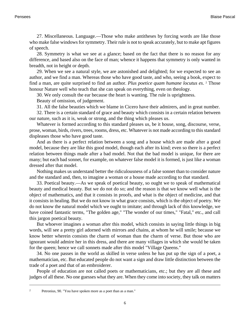27. Miscellaneous. Language.—Those who make antitheses by forcing words are like those who make false windows for symmetry. Their rule is not to speak accurately, but to make apt figures of speech.

28. Symmetry is what we see at a glance; based on the fact that there is no reason for any difference, and based also on the face of man; whence it happens that symmetry is only wanted in breadth, not in height or depth.

29. When we see a natural style, we are astonished and delighted; for we expected to see an author, and we find a man. Whereas those who have good taste, and who, seeing a book, expect to find a man, are quite surprised to find an author. Plus poetice quam humane locutus es. <sup>2</sup> Those honour Nature well who teach that she can speak on everything, even on theology.

30. We only consult the ear because the heart is wanting. The rule is uprightness.

Beauty of omission, of judgement.

31. All the false beauties which we blame in Cicero have their admirers, and in great number.

32. There is a certain standard of grace and beauty which consists in a certain relation between our nature, such as it is, weak or strong, and the thing which pleases us.

Whatever is formed according to this standard pleases us, be it house, song, discourse, verse, prose, woman, birds, rivers, trees, rooms, dress, etc. Whatever is not made according to this standard displeases those who have good taste.

And as there is a perfect relation between a song and a house which are made after a good model, because they are like this good model, though each after its kind; even so there is a perfect relation between things made after a bad model. Not that the bad model is unique, for there are many; but each bad sonnet, for example, on whatever false model it is formed, is just like a woman dressed after that model.

Nothing makes us understand better the ridiculousness of a false sonnet than to consider nature and the standard and, then, to imagine a woman or a house made according to that standard.

33. Poetical beauty.—As we speak of poetical beauty, so ought we to speak of mathematical beauty and medical beauty. But we do not do so; and the reason is that we know well what is the object of mathematics, and that it consists in proofs, and what is the object of medicine, and that it consists in healing. But we do not know in what grace consists, which is the object of poetry. We do not know the natural model which we ought to imitate; and through lack of this knowledge, we have coined fantastic terms, "The golden age," "The wonder of our times," "Fatal," etc., and call this jargon poetical beauty.

But whoever imagines a woman after this model, which consists in saying little things in big words, will see a pretty girl adorned with mirrors and chains, at whom he will smile; because we know better wherein consists the charm of woman than the charm of verse. But those who are ignorant would admire her in this dress, and there are many villages in which she would be taken for the queen; hence we call sonnets made after this model "Village Queens."

34. No one passes in the world as skilled in verse unless he has put up the sign of a poet, a mathematician, etc. But educated people do not want a sign and draw little distinction between the trade of a poet and that of an embroiderer.

People of education are not called poets or mathematicians, etc.; but they are all these and judges of all these. No one guesses what they are. When they come into society, they talk on matters

<sup>2</sup> Petronius, 90. "You have spoken more as a poet than as a man."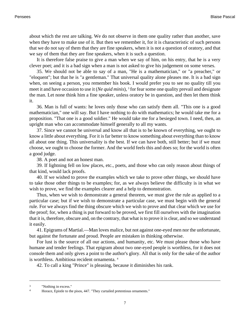about which the rest are talking. We do not observe in them one quality rather than another, save when they have to make use of it. But then we remember it, for it is characteristic of such persons that we do not say of them that they are fine speakers, when it is not a question of oratory, and that we say of them that they are fine speakers, when it is such a question.

It is therefore false praise to give a man when we say of him, on his entry, that he is a very clever poet; and it is a bad sign when a man is not asked to give his judgement on some verses.

35. We should not be able to say of a man, "He is a mathematician," or "a preacher," or "eloquent"; but that he is "a gentleman." That universal quality alone pleases me. It is a bad sign when, on seeing a person, you remember his book. I would prefer you to see no quality till you meet it and have occasion to use it (*Ne quid minis*), <sup>3</sup> for fear some one quality prevail and designate the man. Let none think him a fine speaker, unless oratory be in question, and then let them think it.

36. Man is full of wants: he loves only those who can satisfy them all. "This one is a good mathematician," one will say. But I have nothing to do with mathematics; he would take me for a proposition. "That one is a good soldier." He would take me for a besieged town. I need, then, an upright man who can accommodate himself generally to all my wants.

37. Since we cannot be universal and know all that is to be known of everything, we ought to know a little about everything. For it is far better to know something about everything than to know all about one thing. This universality is the best. If we can have both, still better; but if we must choose, we ought to choose the former. And the world feels this and does so; for the world is often a good judge.

38. A poet and not an honest man.

39. If lightning fell on low places, etc., poets, and those who can only reason about things of that kind, would lack proofs.

40. If we wished to prove the examples which we take to prove other things, we should have to take those other things to be examples; for, as we always believe the difficulty is in what we wish to prove, we find the examples clearer and a help to demonstration.

Thus, when we wish to demonstrate a general theorem, we must give the rule as applied to a particular case; but if we wish to demonstrate a particular case, we must begin with the general rule. For we always find the thing obscure which we wish to prove and that clear which we use for the proof; for, when a thing is put forward to be proved, we first fill ourselves with the imagination that it is, therefore, obscure and, on the contrary, that what is to prove it is clear, and so we understand it easily.

41. Epigrams of Martial.—Man loves malice, but not against one-eyed men nor the unfortunate, but against the fortunate and proud. People are mistaken in thinking otherwise.

For lust is the source of all our actions, and humanity, etc. We must please those who have humane and tender feelings. That epigram about two one-eyed people is worthless, for it does not console them and only gives a point to the author's glory. All that is only for the sake of the author is worthless. Ambitiosa recident ornamenta. <sup>4</sup>

42. To call a king "Prince" is pleasing, because it diminishes his rank.

<sup>3</sup> "Nothing in excess."

<sup>4</sup> Horace, Epistle to the pisos, 447. "They curtailed pretentious ornaments."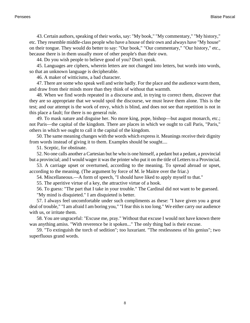43. Certain authors, speaking of their works, say: "My book," "My commentary," "My history," etc. They resemble middle-class people who have a house of their own and always have "My house" on their tongue. They would do better to say: "Our book," "Our commentary," "Our history," etc., because there is in them usually more of other people's than their own.

44. Do you wish people to believe good of you? Don't speak.

45. Languages are ciphers, wherein letters are not changed into letters, but words into words, so that an unknown language is decipherable.

46. A maker of witticisms, a bad character.

47. There are some who speak well and write badly. For the place and the audience warm them, and draw from their minds more than they think of without that warmth.

48. When we find words repeated in a discourse and, in trying to correct them, discover that they are so appropriate that we would spoil the discourse, we must leave them alone. This is the test; and our attempt is the work of envy, which is blind, and does not see that repetition is not in this place a fault; for there is no general rule.

49. To mask nature and disguise her. No more king, pope, bishop—but august monarch, etc.; not Paris—the capital of the kingdom. There are places in which we ought to call Paris, "Paris," others in which we ought to call it the capital of the kingdom.

50. The same meaning changes with the words which express it. Meanings receive their dignity from words instead of giving it to them. Examples should be sought....

51. Sceptic, for obstinate.

52. No one calls another a Cartesian but he who is one himself, a pedant but a pedant, a provincial but a provincial; and I would wager it was the printer who put it on the title of Letters to a Provincial.

53. A carriage upset or overturned, according to the meaning. To spread abroad or upset, according to the meaning. (The argument by force of M. le Maitre over the friar.)

54. Miscellaneous.—A form of speech, "I should have liked to apply myself to that."

55. The aperitive virtue of a key, the attractive virtue of a hook.

56. To guess: "The part that I take in your trouble." The Cardinal did not want to be guessed.

"My mind is disquieted." I am disquieted is better.

57. I always feel uncomfortable under such compliments as these: "I have given you a great deal of trouble," "I am afraid I am boring you," "I fear this is too long." We either carry our audience with us, or irritate them.

58. You are ungraceful: "Excuse me, pray." Without that excuse I would not have known there was anything amiss. "With reverence be it spoken..." The only thing bad is their excuse.

59. "To extinguish the torch of sedition"; too luxuriant. "The restlessness of his genius"; two superfluous grand words.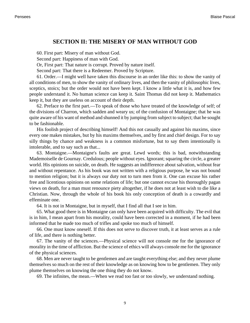### **SECTION II: THE MISERY OF MAN WITHOUT GOD**

<span id="page-12-0"></span>60. First part: Misery of man without God.

Second part: Happiness of man with God.

Or, First part: That nature is corrupt. Proved by nature itself.

Second part: That there is a Redeemer. Proved by Scripture.

61. Order.—I might well have taken this discourse in an order like this: to show the vanity of all conditions of men, to show the vanity of ordinary lives, and then the vanity of philosophic lives, sceptics, stoics; but the order would not have been kept. I know a little what it is, and how few people understand it. No human science can keep it. Saint Thomas did not keep it. Mathematics keep it, but they are useless on account of their depth.

62. Preface to the first part.—To speak of those who have treated of the knowledge of self; of the divisions of Charron, which sadden and weary us; of the confusion of Montaigne; that he was quite aware of his want of method and shunned it by jumping from subject to subject; that he sought to be fashionable.

His foolish project of describing himself! And this not casually and against his maxims, since every one makes mistakes, but by his maxims themselves, and by first and chief design. For to say silly things by chance and weakness is a common misfortune, but to say them intentionally is intolerable, and to say such as that...

63. Montaigne.—Montaigne's faults are great. Lewd words; this is bad, notwithstanding Mademoiselle de Gournay. Credulous; people without eyes. Ignorant; squaring the circle, a greater world. His opinions on suicide, on death. He suggests an indifference about salvation, without fear and without repentance. As his book was not written with a religious purpose, he was not bound to mention religion; but it is always our duty not to turn men from it. One can excuse his rather free and licentious opinions on some relations of life; but one cannot excuse his thoroughly pagan views on death, for a man must renounce piety altogether, if he does not at least wish to die like a Christian. Now, through the whole of his book his only conception of death is a cowardly and effeminate one.

64. It is not in Montaigne, but in myself, that I find all that I see in him.

65. What good there is in Montaigne can only have been acquired with difficulty. The evil that is in him, I mean apart from his morality, could have been corrected in a moment, if he had been informed that he made too much of trifles and spoke too much of himself.

66. One must know oneself. If this does not serve to discover truth, it at least serves as a rule of life, and there is nothing better.

67. The vanity of the sciences.—Physical science will not console me for the ignorance of morality in the time of affliction. But the science of ethics will always console me for the ignorance of the physical sciences.

68. Men are never taught to be gentlemen and are taught everything else; and they never plume themselves so much on the rest of their knowledge as on knowing how to be gentlemen. They only plume themselves on knowing the one thing they do not know.

69. The infinites, the mean.—When we read too fast or too slowly, we understand nothing.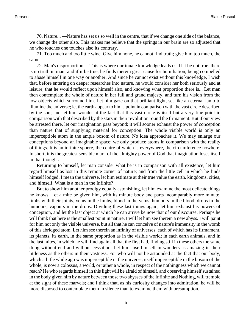70. Nature... —Nature has set us so well in the centre, that if we change one side of the balance, we change the other also. This makes me believe that the springs in our brain are so adjusted that he who touches one touches also its contrary.

71. Too much and too little wine. Give him none, he cannot find truth; give him too much, the same.

72. Man's disproportion.—This is where our innate knowledge leads us. If it be not true, there is no truth in man; and if it be true, he finds therein great cause for humiliation, being compelled to abase himself in one way or another. And since he cannot exist without this knowledge, I wish that, before entering on deeper researches into nature, he would consider her both seriously and at leisure, that he would reflect upon himself also, and knowing what proportion there is... Let man then contemplate the whole of nature in her full and grand majesty, and turn his vision from the low objects which surround him. Let him gaze on that brilliant light, set like an eternal lamp to illumine the universe; let the earth appear to him a point in comparison with the vast circle described by the sun; and let him wonder at the fact that this vast circle is itself but a very fine point in comparison with that described by the stars in their revolution round the firmament. But if our view be arrested there, let our imagination pass beyond; it will sooner exhaust the power of conception than nature that of supplying material for conception. The whole visible world is only an imperceptible atom in the ample bosom of nature. No idea approaches it. We may enlarge our conceptions beyond an imaginable space; we only produce atoms in comparison with the reality of things. It is an infinite sphere, the centre of which is everywhere, the circumference nowhere. In short, it is the greatest sensible mark of the almighty power of God that imagination loses itself in that thought.

Returning to himself, let man consider what he is in comparison with all existence; let him regard himself as lost in this remote corner of nature; and from the little cell in which he finds himself lodged, I mean the universe, let him estimate at their true value the earth, kingdoms, cities, and himself. What is a man in the Infinite?

But to show him another prodigy equally astonishing, let him examine the most delicate things he knows. Let a mite be given him, with its minute body and parts incomparably more minute, limbs with their joints, veins in the limbs, blood in the veins, humours in the blood, drops in the humours, vapours in the drops. Dividing these last things again, let him exhaust his powers of conception, and let the last object at which he can arrive be now that of our discourse. Perhaps he will think that here is the smallest point in nature. I will let him see therein a new abyss. I will paint for him not only the visible universe, but all that he can conceive of nature's immensity in the womb of this abridged atom. Let him see therein an infinity of universes, each of which has its firmament, its planets, its earth, in the same proportion as in the visible world; in each earth animals, and in the last mites, in which he will find again all that the first had, finding still in these others the same thing without end and without cessation. Let him lose himself in wonders as amazing in their littleness as the others in their vastness. For who will not be astounded at the fact that our body, which a little while ago was imperceptible in the universe, itself imperceptible in the bosom of the whole, is now a colossus, a world, or rather a whole, in respect of the nothingness which we cannot reach? He who regards himself in this light will be afraid of himself, and observing himself sustained in the body given him by nature between those two abysses of the Infinite and Nothing, will tremble at the sight of these marvels; and I think that, as his curiosity changes into admiration, he will be more disposed to contemplate them in silence than to examine them with presumption.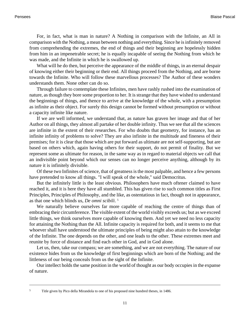For, in fact, what is man in nature? A Nothing in comparison with the Infinite, an All in comparison with the Nothing, a mean between nothing and everything. Since he is infinitely removed from comprehending the extremes, the end of things and their beginning are hopelessly hidden from him in an impenetrable secret; he is equally incapable of seeing the Nothing from which he was made, and the Infinite in which he is swallowed up.

What will he do then, but perceive the appearance of the middle of things, in an eternal despair of knowing either their beginning or their end. All things proceed from the Nothing, and are borne towards the Infinite. Who will follow these marvellous processes? The Author of these wonders understands them. None other can do so.

Through failure to contemplate these Infinites, men have rashly rushed into the examination of nature, as though they bore some proportion to her. It is strange that they have wished to understand the beginnings of things, and thence to arrive at the knowledge of the whole, with a presumption as infinite as their object. For surely this design cannot be formed without presumption or without a capacity infinite like nature.

If we are well informed, we understand that, as nature has graven her image and that of her Author on all things, they almost all partake of her double infinity. Thus we see that all the sciences are infinite in the extent of their researches. For who doubts that geometry, for instance, has an infinite infinity of problems to solve? They are also infinite in the multitude and fineness of their premises; for it is clear that those which are put forward as ultimate are not self-supporting, but are based on others which, again having others for their support, do not permit of finality. But we represent some as ultimate for reason, in the same way as in regard to material objects we call that an indivisible point beyond which our senses can no longer perceive anything, although by its nature it is infinitely divisible.

Of these two Infinites of science, that of greatness is the most palpable, and hence a few persons have pretended to know all things. "I will speak of the whole," said Democritus.

But the infinitely little is the least obvious. Philosophers have much oftener claimed to have reached it, and it is here they have all stumbled. This has given rise to such common titles as First Principles, Principles of Philosophy, and the like, as ostentatious in fact, though not in appearance, as that one which blinds us, *De omni scibili*. 5

We naturally believe ourselves far more capable of reaching the centre of things than of embracing their circumference. The visible extent of the world visibly exceeds us; but as we exceed little things, we think ourselves more capable of knowing them. And yet we need no less capacity for attaining the Nothing than the All. Infinite capacity is required for both, and it seems to me that whoever shall have understood the ultimate principles of being might also attain to the knowledge of the Infinite. The one depends on the other, and one leads to the other. These extremes meet and reunite by force of distance and find each other in God, and in God alone.

Let us, then, take our compass; we are something, and we are not everything. The nature of our existence hides from us the knowledge of first beginnings which are born of the Nothing; and the littleness of our being conceals from us the sight of the Infinite.

Our intellect holds the same position in the world of thought as our body occupies in the expanse of nature.

<sup>5</sup> Title given by Pico della Mirandola to one of his proposed nine hundred theses, in 1486.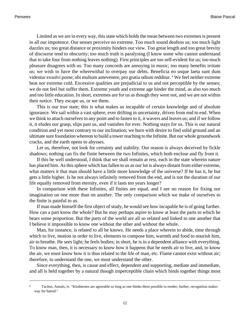Limited as we are in every way, this state which holds the mean between two extremes is present in all our impotence. Our senses perceive no extreme. Too much sound deafens us; too much light dazzles us; too great distance or proximity hinders our view. Too great length and too great brevity of discourse tend to obscurity; too much truth is paralysing (I know some who cannot understand that to take four from nothing leaves nothing). First principles are too self-evident for us; too much pleasure disagrees with us. Too many concords are annoying in music; too many benefits irritate us; we wish to have the wherewithal to overpay our debts. Beneficia eo usque laeta sunt dum videntur exsolvi posse; ubi multum antevenere, pro gratia odium redditur. <sup>6</sup> We feel neither extreme heat nor extreme cold. Excessive qualities are prejudicial to us and not perceptible by the senses; we do not feel but suffer them. Extreme youth and extreme age hinder the mind, as also too much and too little education. In short, extremes are for us as though they were not, and we are not within their notice. They escape us, or we them.

This is our true state; this is what makes us incapable of certain knowledge and of absolute ignorance. We sail within a vast sphere, ever drifting in uncertainty, driven from end to end. When we think to attach ourselves to any point and to fasten to it, it wavers and leaves us; and if we follow it, it eludes our grasp, slips past us, and vanishes for ever. Nothing stays for us. This is our natural condition and yet most contrary to our inclination; we burn with desire to find solid ground and an ultimate sure foundation whereon to build a tower reaching to the Infinite. But our whole groundwork cracks, and the earth opens to abysses.

Let us, therefore, not look for certainty and stability. Our reason is always deceived by fickle shadows; nothing can fix the finite between the two Infinites, which both enclose and fly from it.

If this be well understood, I think that we shall remain at rest, each in the state wherein nature has placed him. As this sphere which has fallen to us as our lot is always distant from either extreme, what matters it that man should have a little more knowledge of the universe? If he has it, he but gets a little higher. Is he not always infinitely removed from the end, and is not the duration of our life equally removed from eternity, even if it lasts ten years longer?

In comparison with these Infinites, all finites are equal, and I see no reason for fixing our imagination on one more than on another. The only comparison which we make of ourselves to the finite is painful to us.

If man made himself the first object of study, he would see how incapable he is of going further. How can a part know the whole? But he may perhaps aspire to know at least the parts to which he bears some proportion. But the parts of the world are all so related and linked to one another that I believe it impossible to know one without the other and without the whole.

Man, for instance, is related to all he knows. He needs a place wherein to abide, time through which to live, motion in order to live, elements to compose him, warmth and food to nourish him, air to breathe. He sees light; he feels bodies; in short, he is in a dependent alliance with everything. To know man, then, it is necessary to know how it happens that he needs air to live, and, to know the air, we must know how it is thus related to the life of man, etc. Flame cannot exist without air; therefore, to understand the one, we must understand the other.

Since everything, then, is cause and effect, dependent and supporting, mediate and immediate, and all is held together by a natural though imperceptible chain which binds together things most

<sup>6</sup> Tacitus, Annals, iv. "Kindnesses are agreeable so long as one thinks them possible to render; further, recognition makes way for hatred."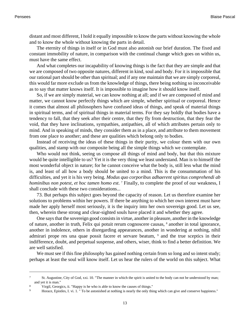distant and most different, I hold it equally impossible to know the parts without knowing the whole and to know the whole without knowing the parts in detail.

The eternity of things in itself or in God must also astonish our brief duration. The fixed and constant immobility of nature, in comparison with the continual change which goes on within us, must have the same effect.

And what completes our incapability of knowing things is the fact that they are simple and that we are composed of two opposite natures, different in kind, soul and body. For it is impossible that our rational part should be other than spiritual; and if any one maintain that we are simply corporeal, this would far more exclude us from the knowledge of things, there being nothing so inconceivable as to say that matter knows itself. It is impossible to imagine how it should know itself.

So, if we are simply material, we can know nothing at all; and if we are composed of mind and matter, we cannot know perfectly things which are simple, whether spiritual or corporeal. Hence it comes that almost all philosophers have confused ideas of things, and speak of material things in spiritual terms, and of spiritual things in material terms. For they say boldly that bodies have a tendency to fall, that they seek after their centre, that they fly from destruction, that they fear the void, that they have inclinations, sympathies, antipathies, all of which attributes pertain only to mind. And in speaking of minds, they consider them as in a place, and attribute to them movement from one place to another; and these are qualities which belong only to bodies.

Instead of receiving the ideas of these things in their purity, we colour them with our own qualities, and stamp with our composite being all the simple things which we contemplate.

Who would not think, seeing us compose all things of mind and body, but that this mixture would be quite intelligible to us? Yet it is the very thing we least understand. Man is to himself the most wonderful object in nature; for he cannot conceive what the body is, still less what the mind is, and least of all how a body should be united to a mind. This is the consummation of his difficulties, and yet it is his very being. *Modus quo corporibus adhaerent spiritus comprehendi ab hominibus non potest, et hoc tamen homo est*. 7 Finally, to complete the proof of our weakness, I shall conclude with these two considerations...

73. But perhaps this subject goes beyond the capacity of reason. Let us therefore examine her solutions to problems within her powers. If there be anything to which her own interest must have made her apply herself most seriously, it is the inquiry into her own sovereign good. Let us see, then, wherein these strong and clear-sighted souls have placed it and whether they agree.

One says that the sovereign good consists in virtue, another in pleasure, another in the knowledge of nature, another in truth, Felix qui potuit rerum cognoscere causas, <sup>8</sup> another in total ignorance, another in indolence, others in disregarding appearances, another in wondering at nothing, nihil admirari prope res una quae possit facere et servare beatum, <sup>9</sup> and the true sceptics in their indifference, doubt, and perpetual suspense, and others, wiser, think to find a better definition. We are well satisfied.

We must see if this fine philosophy has gained nothing certain from so long and so intent study; perhaps at least the soul will know itself. Let us hear the rulers of the world on this subject. What

<sup>7</sup> St. Augustine, City of God, xxi. 10. "The manner in which the spirit is united to the body can not be understood by man; and yet it is man."

<sup>8</sup> Virgil, Georgics, ii. "Happy is he who is able to know the causes of things."

<sup>9</sup> Horace, Epistles, I. vi. 1. " To be astonished at nothing is nearly the only thing which can give and conserve happiness."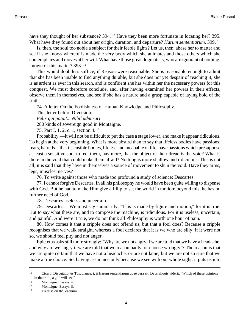have they thought of her substance? 394. <sup>10</sup> Have they been more fortunate in locating her? 395. What have they found out about her origin, duration, and departure? *Harum sententiarum*, 399. <sup>11</sup>

Is, then, the soul too noble a subject for their feeble lights? Let us, then, abase her to matter and see if she knows whereof is made the very body which she animates and those others which she contemplates and moves at her will. What have those great dogmatists, who are ignorant of nothing, known of this matter? 393. <sup>12</sup>

This would doubtless suffice, if Reason were reasonable. She is reasonable enough to admit that she has been unable to find anything durable, but she does not yet despair of reaching it; she is as ardent as ever in this search, and is confident she has within her the necessary powers for this conquest. We must therefore conclude, and, after having examined her powers in their effects, observe them in themselves, and see if she has a nature and a grasp capable of laying hold of the truth.

74. A letter On the Foolishness of Human Knowledge and Philosophy.

This letter before Diversion.

*Felix qui potuit... Nihil admirari*.

280 kinds of sovereign good in Montaigne.

75. Part I, 1, 2, c. 1, section 4. <sup>13</sup>

Probability.—It will not be difficult to put the case a stage lower, and make it appear ridiculous. To begin at the very beginning. What is more absurd than to say that lifeless bodies have passions, fears, hatreds—that insensible bodies, lifeless and incapable of life, have passions which presuppose at least a sensitive soul to feel them, nay more, that the object of their dread is the void? What is there in the void that could make them afraid? Nothing is more shallow and ridiculous. This is not all; it is said that they have in themselves a source of movement to shun the void. Have they arms, legs, muscles, nerves?

76. To write against those who made too profound a study of science: Descartes.

77. I cannot forgive Descartes. In all his philosophy he would have been quite willing to dispense with God. But he had to make Him give a fillip to set the world in motion; beyond this, he has no further need of God.

78. Descartes useless and uncertain.

79. Descartes.—We must say summarily: "This is made by figure and motion," for it is true. But to say what these are, and to compose the machine, is ridiculous. For it is useless, uncertain, and painful. And were it true, we do not think all Philosophy is worth one hour of pain.

80. How comes it that a cripple does not offend us, but that a fool does? Because a cripple recognises that we walk straight, whereas a fool declares that it is we who are silly; if it were not so, we should feel pity and not anger.

Epictetus asks still more strongly: "Why are we not angry if we are told that we have a headache, and why are we angry if we are told that we reason badly, or choose wrongly"? The reason is that we are quite certain that we have not a headache, or are not lame, but we are not so sure that we make a true choice. So, having assurance only because we see with our whole sight, it puts us into

<sup>10</sup> Cicero, Disputationes Tusculanae, i, ii Harum sententiarum quae vera sit, Deus aliquis viderit. "Which of these opinions in the truth, a god will see."

<sup>11</sup> Montaigne, Essays, ii.

<sup>12</sup> Montaigne, Essays, ii.

<sup>13</sup> Treatise on the Vacuum.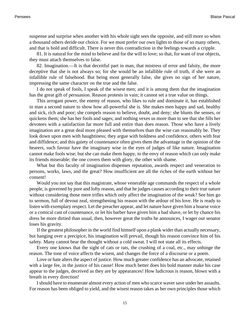suspense and surprise when another with his whole sight sees the opposite, and still more so when a thousand others deride our choice. For we must prefer our own lights to those of so many others, and that is bold and difficult. There is never this contradiction in the feelings towards a cripple.

81. It is natural for the mind to believe and for the will to love; so that, for want of true objects, they must attach themselves to false.

82. Imagination.—It is that deceitful part in man, that mistress of error and falsity, the more deceptive that she is not always so; for she would be an infallible rule of truth, if she were an infallible rule of falsehood. But being most generally false, she gives no sign of her nature, impressing the same character on the true and the false.

I do not speak of fools, I speak of the wisest men; and it is among them that the imagination has the great gift of persuasion. Reason protests in vain; it cannot set a true value on things.

This arrogant power, the enemy of reason, who likes to rule and dominate it, has established in man a second nature to show how all-powerful she is. She makes men happy and sad, healthy and sick, rich and poor; she compels reason to believe, doubt, and deny; she blunts the senses, or quickens them; she has her fools and sages; and nothing vexes us more than to see that she fills her devotees with a satisfaction far more full and entire than does reason. Those who have a lively imagination are a great deal more pleased with themselves than the wise can reasonably be. They look down upon men with haughtiness; they argue with boldness and confidence, others with fear and diffidence; and this gaiety of countenance often gives them the advantage in the opinion of the hearers, such favour have the imaginary wise in the eyes of judges of like nature. Imagination cannot make fools wise; but she can make them happy, to the envy of reason which can only make its friends miserable; the one covers them with glory, the other with shame.

What but this faculty of imagination dispenses reputation, awards respect and veneration to persons, works, laws, and the great? How insufficient are all the riches of the earth without her consent!

Would you not say that this magistrate, whose venerable age commands the respect of a whole people, is governed by pure and lofty reason, and that he judges causes according to their true nature without considering those mere trifles which only affect the imagination of the weak? See him go to sermon, full of devout zeal, strengthening his reason with the ardour of his love. He is ready to listen with exemplary respect. Let the preacher appear, and let nature have given him a hoarse voice or a comical cast of countenance, or let his barber have given him a bad shave, or let by chance his dress be more dirtied than usual, then, however great the truths he announces, I wager our senator loses his gravity.

If the greatest philosopher in the world find himself upon a plank wider than actually necessary, but hanging over a precipice, his imagination will prevail, though his reason convince him of his safety. Many cannot bear the thought without a cold sweat. I will not state all its effects.

Every one knows that the sight of cats or rats, the crushing of a coal, etc., may unhinge the reason. The tone of voice affects the wisest, and changes the force of a discourse or a poem.

Love or hate alters the aspect of justice. How much greater confidence has an advocate, retained with a large fee, in the justice of his cause! How much better does his bold manner make his case appear to the judges, deceived as they are by appearances! How ludicrous is reason, blown with a breath in every direction!

I should have to enumerate almost every action of men who scarce waver save under her assaults. For reason has been obliged to yield, and the wisest reason takes as her own principles those which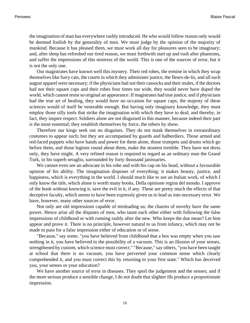the imagination of man has everywhere rashly introduced. He who would follow reason only would be deemed foolish by the generality of men. We must judge by the opinion of the majority of mankind. Because it has pleased them, we must work all day for pleasures seen to be imaginary; and, after sleep has refreshed our tired reason, we must forthwith start up and rush after phantoms, and suffer the impressions of this mistress of the world. This is one of the sources of error, but it is not the only one.

Our magistrates have known well this mystery. Their red robes, the ermine in which they wrap themselves like furry cats, the courts in which they administer justice, the fleurs-de-lis, and all such august apparel were necessary; if the physicians had not their cassocks and their mules, if the doctors had not their square caps and their robes four times too wide, they would never have duped the world, which cannot resist so original an appearance. If magistrates had true justice, and if physicians had the true art of healing, they would have no occasion for square caps; the majesty of these sciences would of itself be venerable enough. But having only imaginary knowledge, they must employ those silly tools that strike the imagination with which they have to deal; and thereby, in fact, they inspire respect. Soldiers alone are not disguised in this manner, because indeed their part is the most essential; they establish themselves by force, the others by show.

Therefore our kings seek out no disguises. They do not mask themselves in extraordinary costumes to appear such; but they are accompanied by guards and halberdiers. Those armed and red-faced puppets who have hands and power for them alone, those trumpets and drums which go before them, and those legions round about them, make the stoutest tremble. They have not dress only, they have might. A very refined reason is required to regard as an ordinary man the Grand Turk, in his superb seraglio, surrounded by forty thousand janissaries.

We cannot even see an advocate in his robe and with his cap on his head, without a favourable opinion of his ability. The imagination disposes of everything; it makes beauty, justice, and happiness, which is everything in the world. I should much like to see an Italian work, of which I only know the title, which alone is worth many books, Della opinione regina del mondo. I approve of the book without knowing it, save the evil in it, if any. These are pretty much the effects of that deceptive faculty, which seems to have been expressly given us to lead us into necessary error. We have, however, many other sources of error.

Not only are old impressions capable of misleading us; the charms of novelty have the same power. Hence arise all the disputes of men, who taunt each other either with following the false impressions of childhood or with running rashly after the new. Who keeps the due mean? Let him appear and prove it. There is no principle, however natural to us from infancy, which may not be made to pass for a false impression either of education or of sense.

"Because," say some, "you have believed from childhood that a box was empty when you saw nothing in it, you have believed in the possibility of a vacuum. This is an illusion of your senses, strengthened by custom, which science must correct." "Because," say others, "you have been taught at school that there is no vacuum, you have perverted your common sense which clearly comprehended it, and you must correct this by returning to your first state." Which has deceived you, your senses or your education?

We have another source of error in diseases. They spoil the judgement and the senses; and if the more serious produce a sensible change, I do not doubt that slighter ills produce a proportionate impression.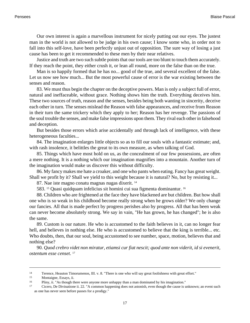Our own interest is again a marvellous instrument for nicely putting out our eyes. The justest man in the world is not allowed to be judge in his own cause; I know some who, in order not to fall into this self-love, have been perfectly unjust out of opposition. The sure way of losing a just cause has been to get it recommended to these men by their near relatives.

Justice and truth are two such subtle points that our tools are too blunt to touch them accurately. If they reach the point, they either crush it, or lean all round, more on the false than on the true.

Man is so happily formed that he has no... good of the true, and several excellent of the false. Let us now see how much... But the most powerful cause of error is the war existing between the senses and reason.

83. We must thus begin the chapter on the deceptive powers. Man is only a subject full of error, natural and ineffaceable, without grace. Nothing shows him the truth. Everything deceives him. These two sources of truth, reason and the senses, besides being both wanting in sincerity, deceive each other in turn. The senses mislead the Reason with false appearances, and receive from Reason in their turn the same trickery which they apply to her; Reason has her revenge. The passions of the soul trouble the senses, and make false impressions upon them. They rival each other in falsehood and deception.

But besides those errors which arise accidentally and through lack of intelligence, with these heterogeneous faculties...

84. The imagination enlarges little objects so as to fill our souls with a fantastic estimate; and, with rash insolence, it belittles the great to its own measure, as when talking of God.

85. Things which have most hold on us, as the concealment of our few possessions, are often a mere nothing. It is a nothing which our imagination magnifies into a mountain. Another turn of the imagination would make us discover this without difficulty.

86. My fancy makes me hate a croaker, and one who pants when eating. Fancy has great weight. Shall we profit by it? Shall we yield to this weight because it is natural? No, but by resisting it...

87. Nae iste magno conatu magnas nugas dixerit. <sup>14</sup>

583. 15 Quasi quidquam infelicius sit homini cui sua figmenta dominantur. <sup>16</sup>

88. Children who are frightened at the face they have blackened are but children. But how shall one who is so weak in his childhood become really strong when he grows older? We only change our fancies. All that is made perfect by progress perishes also by progress. All that has been weak can never become absolutely strong. We say in vain, "He has grown, he has changed"; he is also the same.

89. Custom is our nature. He who is accustomed to the faith believes in it, can no longer fear hell, and believes in nothing else. He who is accustomed to believe that the king is terrible... etc. Who doubts, then, that our soul, being accustomed to see number, space, motion, believes that and nothing else?

90. *Quod crebro videt non miratur, etiamsi cur fiat nescit; quod ante non viderit, id si evenerit, ostentum esse censet*. 17

<sup>14</sup> Terence, Heauton Timorumenos, III. v. 8. "There is one who will say great foolishness with great effort."

<sup>&</sup>lt;sup>15</sup> Montaigne, Essays, ii.<br> $\frac{16}{16}$  Pliny ii. "As though the

<sup>16</sup> Pliny, ii. "As though there were anyone more unhappy than a man dominated by his imagination."

<sup>17</sup> Cicero, De Divinatione ii. 22. "A common happening does not astonish, even though the cause is unknown; an event such as one has never seen before passes for a prodigy."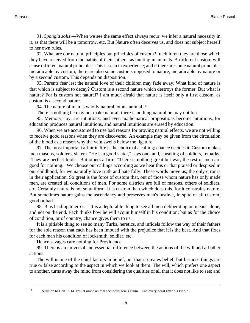91. *Spongia solis*.—When we see the same effect always recur, we infer a natural necessity in it, as that there will be a tomorrow, etc. But Nature often deceives us, and does not subject herself to her own rules.

92. What are our natural principles but principles of custom? In children they are those which they have received from the habits of their fathers, as hunting in animals. A different custom will cause different natural principles. This is seen in experience; and if there are some natural principles ineradicable by custom, there are also some customs opposed to nature, ineradicable by nature or by a second custom. This depends on disposition.

93. Parents fear lest the natural love of their children may fade away. What kind of nature is that which is subject to decay? Custom is a second nature which destroys the former. But what is nature? For is custom not natural? I am much afraid that nature is itself only a first custom, as custom is a second nature.

94. The nature of man is wholly natural, omne animal. <sup>18</sup>

There is nothing he may not make natural; there is nothing natural he may not lose.

95. Memory, joy, are intuitions; and even mathematical propositions become intuitions, for education produces natural intuitions, and natural intuitions are erased by education.

96. When we are accustomed to use bad reasons for proving natural effects, we are not willing to receive good reasons when they are discovered. An example may be given from the circulation of the blood as a reason why the vein swells below the ligature.

97. The most important affair in life is the choice of a calling; chance decides it. Custom makes men masons, soldiers, slaters. "He is a good slater," says one, and, speaking of soldiers, remarks, "They are perfect fools." But others affirm, "There is nothing great but war; the rest of men are good for nothing." We choose our callings according as we hear this or that praised or despised in our childhood, for we naturally love truth and hate folly. These words move us; the only error is in their application. So great is the force of custom that, out of those whom nature has only made men, are created all conditions of men. For some districts are full of masons, others of soldiers, etc. Certainly nature is not so uniform. It is custom then which does this, for it constrains nature. But sometimes nature gains the ascendancy and preserves man's instinct, in spite of all custom, good or bad.

98. Bias leading to error.—It is a deplorable thing to see all men deliberating on means alone, and not on the end. Each thinks how he will acquit himself in his condition; but as for the choice of condition, or of country, chance gives them to us.

It is a pitiable thing to see so many Turks, heretics, and infidels follow the way of their fathers for the sole reason that each has been imbued with the prejudice that it is the best. And that fixes for each man his condition of locksmith, soldier, etc.

Hence savages care nothing for Providence.

99. There is an universal and essential difference between the actions of the will and all other actions.

The will is one of the chief factors in belief, not that it creates belief, but because things are true or false according to the aspect in which we look at them. The will, which prefers one aspect to another, turns away the mind from considering the qualities of all that it does not like to see; and

<sup>18</sup> Allusion to [Gen. 7. 14.](http://www.ccel.org/b/bible/asv/xml/asv.Genesis.7.xml#Genesis.7.14) Ipsi et omne animal secundus genus suum. "And every beast after his kind."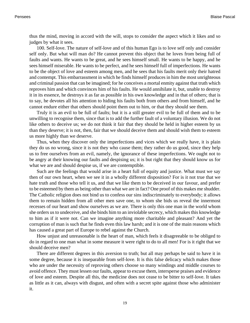thus the mind, moving in accord with the will, stops to consider the aspect which it likes and so judges by what it sees.

100. Self-love. The nature of self-love and of this human Ego is to love self only and consider self only. But what will man do? He cannot prevent this object that he loves from being full of faults and wants. He wants to be great, and he sees himself small. He wants to be happy, and he sees himself miserable. He wants to be perfect, and he sees himself full of imperfections. He wants to be the object of love and esteem among men, and he sees that his faults merit only their hatred and contempt. This embarrassment in which he finds himself produces in him the most unrighteous and criminal passion that can be imagined; for he conceives a mortal enmity against that truth which reproves him and which convinces him of his faults. He would annihilate it, but, unable to destroy it in its essence, he destroys it as far as possible in his own knowledge and in that of others; that is to say, he devotes all his attention to hiding his faults both from others and from himself, and he cannot endure either that others should point them out to him, or that they should see them.

Truly it is an evil to be full of faults; but it is a still greater evil to be full of them and to be unwilling to recognise them, since that is to add the further fault of a voluntary illusion. We do not like others to deceive us; we do not think it fair that they should be held in higher esteem by us than they deserve; it is not, then, fair that we should deceive them and should wish them to esteem us more highly than we deserve.

Thus, when they discover only the imperfections and vices which we really have, it is plain they do us no wrong, since it is not they who cause them; they rather do us good, since they help us to free ourselves from an evil, namely, the ignorance of these imperfections. We ought not to be angry at their knowing our faults and despising us; it is but right that they should know us for what we are and should despise us, if we are contemptible.

Such are the feelings that would arise in a heart full of equity and justice. What must we say then of our own heart, when we see it in a wholly different disposition? For is it not true that we hate truth and those who tell it us, and that we like them to be deceived in our favour, and prefer to be esteemed by them as being other than what we are in fact? One proof of this makes me shudder. The Catholic religion does not bind us to confess our sins indiscriminately to everybody; it allows them to remain hidden from all other men save one, to whom she bids us reveal the innermost recesses of our heart and show ourselves as we are. There is only this one man in the world whom she orders us to undeceive, and she binds him to an inviolable secrecy, which makes this knowledge to him as if it were not. Can we imagine anything more charitable and pleasant? And yet the corruption of man is such that he finds even this law harsh; and it is one of the main reasons which has caused a great part of Europe to rebel against the Church.

How unjust and unreasonable is the heart of man, which feels it disagreeable to be obliged to do in regard to one man what in some measure it were right to do to all men! For is it right that we should deceive men?

There are different degrees in this aversion to truth; but all may perhaps be said to have it in some degree, because it is inseparable from self-love. It is this false delicacy which makes those who are under the necessity of reproving others choose so many windings and middle courses to avoid offence. They must lessen our faults, appear to excuse them, intersperse praises and evidence of love and esteem. Despite all this, the medicine does not cease to be bitter to self-love. It takes as little as it can, always with disgust, and often with a secret spite against those who administer it.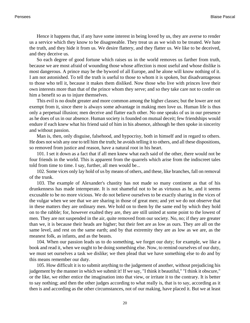Hence it happens that, if any have some interest in being loved by us, they are averse to render us a service which they know to be disagreeable. They treat us as we wish to be treated. We hate the truth, and they hide it from us. We desire flattery, and they flatter us. We like to be deceived, and they deceive us.

So each degree of good fortune which raises us in the world removes us farther from truth, because we are most afraid of wounding those whose affection is most useful and whose dislike is most dangerous. A prince may be the byword of all Europe, and he alone will know nothing of it. I am not astonished. To tell the truth is useful to those to whom it is spoken, but disadvantageous to those who tell it, because it makes them disliked. Now those who live with princes love their own interests more than that of the prince whom they serve; and so they take care not to confer on him a benefit so as to injure themselves.

This evil is no doubt greater and more common among the higher classes; but the lower are not exempt from it, since there is always some advantage in making men love us. Human life is thus only a perpetual illusion; men deceive and flatter each other. No one speaks of us in our presence as he does of us in our absence. Human society is founded on mutual deceit; few friendships would endure if each knew what his friend said of him in his absence, although he then spoke in sincerity and without passion.

Man is, then, only disguise, falsehood, and hypocrisy, both in himself and in regard to others. He does not wish any one to tell him the truth; he avoids telling it to others, and all these dispositions, so removed from justice and reason, have a natural root in his heart.

101. I set it down as a fact that if all men knew what each said of the other, there would not be four friends in the world. This is apparent from the quarrels which arise from the indiscreet tales told from time to time. I say, further, all men would be...

102. Some vices only lay hold of us by means of others, and these, like branches, fall on removal of the trunk.

103. The example of Alexander's chastity has not made so many continent as that of his drunkenness has made intemperate. It is not shameful not to be as virtuous as he, and it seems excusable to be no more vicious. We do not believe ourselves to be exactly sharing in the vices of the vulgar when we see that we are sharing in those of great men; and yet we do not observe that in these matters they are ordinary men. We hold on to them by the same end by which they hold on to the rabble; for, however exalted they are, they are still united at some point to the lowest of men. They are not suspended in the air, quite removed from our society. No, no; if they are greater than we, it is because their heads are higher; but their feet are as low as ours. They are all on the same level, and rest on the same earth; and by that extremity they are as low as we are, as the meanest folk, as infants, and as the beasts.

104. When our passion leads us to do something, we forget our duty; for example, we like a book and read it, when we ought to be doing something else. Now, to remind ourselves of our duty, we must set ourselves a task we dislike; we then plead that we have something else to do and by this means remember our duty.

105. How difficult it is to submit anything to the judgement of another, without prejudicing his judgement by the manner in which we submit it! If we say, "I think it beautiful," "I think it obscure," or the like, we either entice the imagination into that view, or irritate it to the contrary. It is better to say nothing; and then the other judges according to what really is, that is to say, according as it then is and according as the other circumstances, not of our making, have placed it. But we at least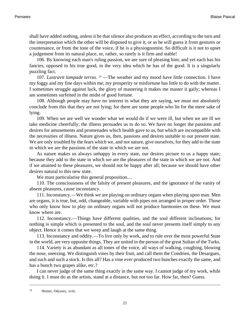shall have added nothing, unless it be that silence also produces an effect, according to the turn and the interpretation which the other will be disposed to give it, or as he will guess it from gestures or countenance, or from the tone of the voice, if he is a physiognomist. So difficult is it not to upset a judgement from its natural place, or, rather, so rarely is it firm and stable!

106. By knowing each man's ruling passion, we are sure of pleasing him; and yet each has his fancies, opposed to his true good, in the very idea which he has of the good. It is a singularly puzzling fact.

107. *Lustravit lampade terras*. <sup>19</sup> — The weather and my mood have little connection. I have my foggy and my fine days within me; my prosperity or misfortune has little to do with the matter. I sometimes struggle against luck, the glory of mastering it makes me master it gaily; whereas I am sometimes surfeited in the midst of good fortune.

108. Although people may have no interest in what they are saying, we must not absolutely conclude from this that they are not lying; for there are some people who lie for the mere sake of lying.

109. When we are well we wonder what we would do if we were ill, but when we are ill we take medicine cheerfully; the illness persuades us to do so. We have no longer the passions and desires for amusements and promenades which health gave to us, but which are incompatible with the necessities of illness. Nature gives us, then, passions and desires suitable to our present state. We are only troubled by the fears which we, and not nature, give ourselves, for they add to the state in which we are the passions of the state in which we are not.

As nature makes us always unhappy in every state, our desires picture to us a happy state; because they add to the state in which we are the pleasures of the state in which we are not. And if we attained to these pleasures, we should not be happy after all; because we should have other desires natural to this new state.

We must particularise this general proposition....

110. The consciousness of the falsity of present pleasures, and the ignorance of the vanity of absent pleasures, cause inconstancy.

111. Inconstancy.—We think we are playing on ordinary organs when playing upon man. Men are organs, it is true, but, odd, changeable, variable with pipes not arranged in proper order. Those who only know how to play on ordinary organs will not produce barmonies on these. We must know where are.

112. Inconstancy.—Things have different qualities, and the soul different inclinations; for nothing is simple which is presented to the soul, and the soul never presents itself simply to any object. Hence it comes that we weep and laugh at the same thing.

113. Inconstancy and oddity.—To live only by work, and to rule over the most powerful State in the world, are very opposite things. They are united in the person of the great Sultan of the Turks.

114. Variety is as abundant as all tones of the voice, all ways of walking, coughing, blowing the nose, sneezing. We distinguish vines by their fruit, and call them the Condrien, the Desargues, and such and such a stock. Is this all? Has a vine ever produced two bunches exactly the same, and has a bunch two grapes alike, etc.?

I can never judge of the same thing exactly in the same way. I cannot judge of my work, while doing it. I must do as the artists, stand at a distance, but not too far. How far, then? Guess.

<sup>19</sup> Homer, Odyssey, xviii.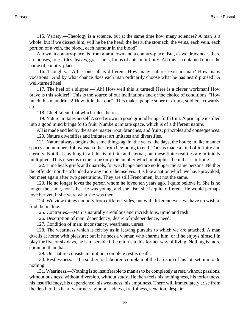115. Variety.—Theology is a science, but at the same time how many sciences? A man is a whole; but if we dissect him, will he be the head, the heart, the stomach, the veins, each vein, each portion of a vein, the blood, each humour in the blood?

A town, a country-place, is from afar a town and a country-place. But, as we draw near, there are houses, trees, tiles, leaves, grass, ants, limbs of ants, in infinity. All this is contained under the name of country-place.

116. Thoughts.—All is one, all is different. How many natures exist in man? How many vocations? And by what chance does each man ordinarily choose what he has heard praised? A well-turned heel.

117. The heel of a slipper.—"Ah! How well this is turned! Here is a clever workman! How brave is this soldier!" This is the source of our inclinations and of the choice of conditions. "How much this man drinks! How little that one"! This makes people sober or drunk, soldiers, cowards, etc.

118. Chief talent, that which rules the rest.

119. Nature imitates herself A seed grown in good ground brings forth fruit. A principle instilled into a good mind brings forth fruit. Numbers imitate space, which is of a different nature.

All is made and led by the same master, root, branches, and fruits; principles and consequences.

120. Nature diversifies and imitates; art imitates and diversifies.

121. Nature always begins the same things again, the years, the days, the hours; in like manner spaces and numbers follow each other from beginning to end. Thus is made a kind of infinity and eternity. Not that anything in all this is infinite and eternal, but these finite realities are infinitely multiplied. Thus it seems to me to be only the number which multiplies them that is infinite.

122. Time heals griefs and quarrels, for we change and are no longer the same persons. Neither the offender nor the offended are any more themselves. It is like a nation which we have provoked, but meet again after two generations. They are still Frenchmen, but not the same.

123. He no longer loves the person whom he loved ten years ago. I quite believe it. She is no longer the same, nor is he. He was young, and she also; she is quite different. He would perhaps love her yet, if she were what she was then.

124. We view things not only from different sides, but with different eyes; we have no wish to find them alike.

125. Contraries.—Man is naturally credulous and incredulous, timid and rash.

126. Description of man: dependency, desire of independence, need.

127. Condition of man: inconstancy, weariness, unrest.

128. The weariness which is felt by us in leaving pursuits to which we are attached. A man dwells at home with pleasure; but if he sees a woman who charms him, or if he enjoys himself in play for five or six days, he is miserable if he returns to his former way of living. Nothing is more common than that.

129. Our nature consists in motion; complete rest is death.

130. Restlessness.—If a soldier, or labourer, complain of the hardship of his lot, set him to do nothing.

131. Weariness.—Nothing is so insufferable to man as to be completely at rest, without passions, without business, without diversion, without study. He then feels his nothingness, his forlornness, his insufficiency, his dependence, his weakness, his emptiness. There will immediately arise from the depth of his heart weariness, gloom, sadness, fretfulness, vexation, despair.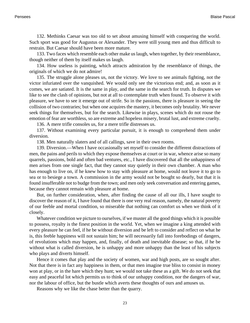132. Methinks Caesar was too old to set about amusing himself with conquering the world. Such sport was good for Augustus or Alexander. They were still young men and thus difficult to restrain. But Caesar should have been more mature.

133. Two faces which resemble each other make us laugh, when together, by their resemblance, though neither of them by itself makes us laugh.

134. How useless is painting, which attracts admiration by the resemblance of things, the originals of which we do not admire!

135. The struggle alone pleases us, not the victory. We love to see animals fighting, not the victor infuriated over the vanquished. We would only see the victorious end; and, as soon as it comes, we are satiated. It is the same in play, and the same in the search for truth. In disputes we like to see the clash of opinions, but not at all to contemplate truth when found. To observe it with pleasure, we have to see it emerge out of strife. So in the passions, there is pleasure in seeing the collision of two contraries; but when one acquires the mastery, it becomes only brutality. We never seek things for themselves, but for the search. Likewise in plays, scenes which do not rouse the emotion of fear are worthless, so are extreme and hopeless misery, brutal lust, and extreme cruelty.

136. A mere trifle consoles us, for a mere trifle distresses us.

137. Without examining every particular pursuit, it is enough to comprehend them under diversion.

138. Men naturally slaters and of all callings, save in their own rooms.

139. Diversion.—When I have occasionally set myself to consider the different distractions of men, the pains and perils to which they expose themselves at court or in war, whence arise so many quarrels, passions, bold and often bad ventures, etc., I have discovered that all the unhappiness of men arises from one single fact, that they cannot stay quietly in their own chamber. A man who has enough to live on, if he knew how to stay with pleasure at home, would not leave it to go to sea or to besiege a town. A commission in the army would not be bought so dearly, but that it is found insufferable not to budge from the town; and men only seek conversation and entering games, because they cannot remain with pleasure at home.

But, on further consideration, when, after finding the cause of all our ills, I have sought to discover the reason of it, I have found that there is one very real reason, namely, the natural poverty of our feeble and mortal condition, so miserable that nothing can comfort us when we think of it closely.

Whatever condition we picture to ourselves, if we muster all the good things which it is possible to possess, royalty is the finest position in the world. Yet, when we imagine a king attended with every pleasure he can feel, if he be without diversion and be left to consider and reflect on what he is, this feeble happiness will not sustain him; he will necessarily fall into forebodings of dangers, of revolutions which may happen, and, finally, of death and inevitable disease; so that, if he be without what is called diversion, he is unhappy and more unhappy than the least of his subjects who plays and diverts himself.

Hence it comes that play and the society of women, war and high posts, are so sought after. Not that there is in fact any happiness in them, or that men imagine true bliss to consist in money won at play, or in the hare which they hunt; we would not take these as a gift. We do not seek that easy and peaceful lot which permits us to think of our unhappy condition, nor the dangers of war, nor the labour of office, but the bustle which averts these thoughts of ours and amuses us.

Reasons why we like the chase better than the quarry.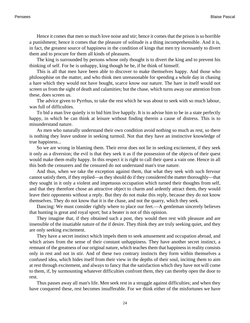Hence it comes that men so much love noise and stir; hence it comes that the prison is so horrible a punishment; hence it comes that the pleasure of solitude is a thing incomprehensible. And it is, in fact, the greatest source of happiness in the condition of kings that men try incessantly to divert them and to procure for them all kinds of pleasures.

The king is surrounded by persons whose only thought is to divert the king and to prevent his thinking of self. For he is unhappy, king though he be, if he think of himself.

This is all that men have been able to discover to make themselves happy. And those who philosophise on the matter, and who think men unreasonable for spending a whole day in chasing a hare which they would not have bought, scarce know our nature. The hare in itself would not screen us from the sight of death and calamities; but the chase, which turns away our attention from these, does screen us.

The advice given to Pyrrhus, to take the rest which he was about to seek with so much labour, was full of difficulties.

To bid a man live quietly is to bid him live happily. It is to advise him to be in a state perfectly happy, in which he can think at leisure without finding therein a cause of distress. This is to misunderstand nature.

As men who naturally understand their own condition avoid nothing so much as rest, so there is nothing they leave undone in seeking turmoil. Not that they have an instinctive knowledge of true happiness...

So we are wrong in blaming them. Their error does not lie in seeking excitement, if they seek it only as a diversion; the evil is that they seek it as if the possession of the objects of their quest would make them really happy. In this respect it is right to call their quest a vain one. Hence in all this both the censurers and the censured do not understand man's true nature.

And thus, when we take the exception against them, that what they seek with such fervour cannot satisfy them, if they replied—as they should do if they considered the matter thoroughly—that they sought in it only a violent and impetuous occupation which turned their thoughts from self, and that they therefore chose an attractive object to charm and ardently attract them, they would leave their opponents without a reply. But they do not make this reply, because they do not know themselves. They do not know that it is the chase, and not the quarry, which they seek.

Dancing: We must consider rightly where to place our feet.—A gentleman sincerely believes that hunting is great and royal sport; but a beater is not of this opinion.

They imagine that, if they obtained such a post, they would then rest with pleasure and are insensible of the insatiable nature of the if desire. They think they are truly seeking quiet, and they are only seeking excitement.

They have a secret instinct which impels them to seek amusement and occupation abroad, and which arises from the sense of their constant unhappiness. They have another secret instinct, a remnant of the greatness of our original nature, which teaches them that happiness in reality consists only in rest and not in stir. And of these two contrary instincts they form within themselves a confused idea, which hides itself from their view in the depths of their soul, inciting them to aim at rest through excitement, and always to fancy that the satisfaction which they have not will come to them, if, by surmounting whatever difficulties confront them, they can thereby open the door to rest.

Thus passes away all man's life. Men seek rest in a struggle against difficulties; and when they have conquered these, rest becomes insufferable. For we think either of the misfortunes we have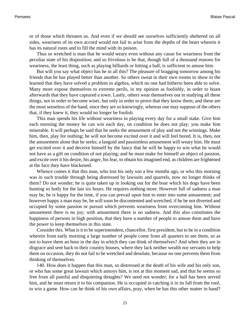or of those which threaten us. And even if we should see ourselves sufficiently sheltered on all sides, weariness of its own accord would not fail to arise from the depths of the heart wherein it has its natural roots and to fill the mind with its poison.

Thus so wretched is man that he would weary even without any cause for weariness from the peculiar state of his disposition; and so frivolous is he that, though full of a thousand reasons for weariness, the least thing, such as playing billiards or hitting a ball, is sufficient to amuse him.

But will you say what object has he in all this? The pleasure of bragging tomorrow among his friends that he has played better than another. So others sweat in their own rooms to show to the learned that they have solved a problem in algebra, which no one had hitherto been able to solve. Many more expose themselves to extreme perils, in my opinion as foolishly, in order to boast afterwards that they have captured a town. Lastly, others wear themselves out in studying all these things, not in order to become wiser, but only in order to prove that they know them; and these are the most senseless of the band, since they are so knowingly, whereas one may suppose of the others that, if they knew it, they would no longer be foolish.

This man spends his life without weariness in playing every day for a small stake. Give him each morning the money he can win each day, on condition he does not play; you make him miserable. It will perhaps be said that he seeks the amusement of play and not the winnings. Make him, then, play for nothing; he will not become excited over it and will feel bored. It is, then, not the amusement alone that he seeks; a languid and passionless amusement will weary him. He must get excited over it and deceive himself by the fancy that he will be happy to win what he would not have as a gift on condition of not playing; and he must make for himself an object of passion, and excite over it his desire, his anger, his fear, to obtain his imagined end, as children are frightened at the face they have blackened.

Whence comes it that this man, who lost his only son a few months ago, or who this morning was in such trouble through being distressed by lawsuits and quarrels, now no longer thinks of them? Do not wonder; he is quite taken up in looking out for the boar which his dogs have been hunting so hotly for the last six hours. He requires nothing more. However full of sadness a man may be, he is happy for the time, if you can prevail upon him to enter into some amusement; and however happy a man may be, he will soon be discontented and wretched, if he be not diverted and occupied by some passion or pursuit which prevents weariness from overcoming him. Without amusement there is no joy; with amusement there is no sadness. And this also constitutes the happiness of persons in high position, that they have a number of people to amuse them and have the power to keep themselves in this state.

Consider this. What is it to be superintendent, chancellor, first president, but to be in a condition wherein from early morning a large number of people come from all quarters to see them, so as not to leave them an hour in the day in which they can think of themselves? And when they are in disgrace and sent back to their country houses, where they lack neither wealth nor servants to help them on occasion, they do not fail to be wretched and desolate, because no one prevents them from thinking of themselves.

140. How does it happen that this man, so distressed at the death of his wife and his only son, or who has some great lawsuit which annoys him, is not at this moment sad, and that he seems so free from all painful and disquieting thoughts? We need not wonder; for a ball has been served him, and he must return it to his companion. He is occupied in catching it in its fall from the roof, to win a game. How can he think of his own affairs, pray, when he has this other matter in hand?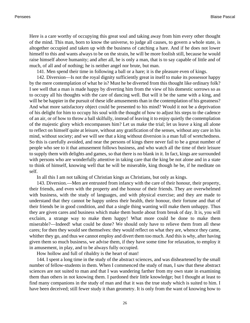Here is a care worthy of occupying this great soul and taking away from him every other thought of the mind. This man, born to know the universe, to judge all causes, to govern a whole state, is altogether occupied and taken up with the business of catching a hare. And if he does not lower himself to this and wants always to be on the strain, he will be more foolish still, because he would raise himself above humanity; and after all, he is only a man, that is to say capable of little and of much, of all and of nothing; he is neither angel nor brute, but man.

141. Men spend their time in following a ball or a hare; it is the pleasure even of kings.

142. Diversion—Is not the royal dignity sufficiently great in itself to make its possessor happy by the mere contemplation of what he is? Must he be diverted from this thought like ordinary folk? I see well that a man is made happy by diverting him from the view of his domestic sorrows so as to occupy all his thoughts with the care of dancing well. But will it be the same with a king, and will he be happier in the pursuit of these idle amusements than in the contemplation of his greatness? And what more satisfactory object could be presented to his mind? Would it not be a deprivation of his delight for him to occupy his soul with the thought of how to adjust his steps to the cadence of an air, or of how to throw a ball skilfully, instead of leaving it to enjoy quietly the contemplation of the majestic glory which encompasses him? Let us make the trial; let us leave a king all alone to reflect on himself quite at leisure, without any gratification of the senses, without any care in his mind, without society; and we will see that a king without diversion is a man full of wretchedness. So this is carefully avoided, and near the persons of kings there never fail to be a great number of people who see to it that amusement follows business, and who watch all the time of their leisure to supply them with delights and games, so that there is no blank in it. In fact, kings are surrounded with persons who are wonderfully attentive in taking care that the king be not alone and in a state to think of himself, knowing well that he will be miserable, king though he be, if he meditate on self.

In all this I am not talking of Christian kings as Christians, but only as kings.

143. Diversion.—Men are entrusted from infancy with the care of their honour, their property, their friends, and even with the property and the honour of their friends. They are overwhelmed with business, with the study of languages, and with physical exercise; and they are made to understand that they cannot be happy unless their health, their honour, their fortune and that of their friends be in good condition, and that a single thing wanting will make them unhappy. Thus they are given cares and business which make them bustle about from break of day. It is, you will exclaim, a strange way to make them happy! What more could be done to make them miserable?—Indeed! what could be done? We should only have to relieve them from all these cares; for then they would see themselves: they would reflect on what they are, whence they came, whither they go, and thus we cannot employ and divert them too much. And this is why, after having given them so much business, we advise them, if they have some time for relaxation, to employ it in amusement, in play, and to be always fully occupied.

How hollow and full of ribaldry is the heart of man!

144. I spent a long time in the study of the abstract sciences, and was disheartened by the small number of fellow-students in them. When I commenced the study of man, I saw that these abstract sciences are not suited to man and that I was wandering farther from my own state in examining them than others in not knowing them. I pardoned their little knowledge; but I thought at least to find many companions in the study of man and that it was the true study which is suited to him. I have been deceived; still fewer study it than geometry. It is only from the want of knowing how to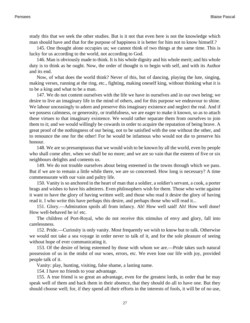study this that we seek the other studies. But is it not that even here is not the knowledge which man should have and that for the purpose of happiness it is better for him not to know himself.?

145. One thought alone occupies us; we cannot think of two things at the same time. This is lucky for us according to the world, not according to God.

146. Man is obviously made to think. It is his whole dignity and his whole merit; and his whole duty is to think as he ought. Now, the order of thought is to begin with self, and with its Author and its end.

Now, of what does the world think? Never of this, but of dancing, playing the lute, singing, making verses, running at the ring, etc., fighting, making oneself king, without thinking what it is to be a king and what to be a man.

147. We do not content ourselves with the life we have in ourselves and in our own being; we desire to live an imaginary life in the mind of others, and for this purpose we endeavour to shine. We labour unceasingly to adorn and preserve this imaginary existence and neglect the real. And if we possess calmness, or generosity, or truthfulness, we are eager to make it known, so as to attach these virtues to that imaginary existence. We would rather separate them from ourselves to join them to it; and we would willingly be cowards in order to acquire the reputation of being brave. A great proof of the nothingness of our being, not to be satisfied with the one without the other, and to renounce the one for the other! For he would be infamous who would not die to preserve his honour.

148. We are so presumptuous that we would wish to be known by all the world, even by people who shall come after, when we shall be no more; and we are so vain that the esteem of five or six neighbours delights and contents us.

149. We do not trouble ourselves about being esteemed in the towns through which we pass. But if we are to remain a little while there, we are so concerned. How long is necessary? A time commensurate with our vain and paltry life.

150. Vanity is so anchored in the heart of man that a soldier, a soldier's servant, a cook, a porter brags and wishes to have his admirers. Even philosophers wish for them. Those who write against it want to have the glory of having written well; and those who read it desire the glory of having read it. I who write this have perhaps this desire, and perhaps those who will read it...

151. Glory.—Admiration spoils all from infancy. Ah! How well said! Ah! How well done! How well-behaved he is! etc.

The children of Port-Royal, who do not receive this stimulus of envy and glory, fall into carelessness.

152. Pride.—Curiosity is only vanity. Most frequently we wish to know but to talk. Otherwise we would not take a sea voyage in order never to talk of it, and for the sole pleasure of seeing without hope of ever communicating it.

153. Of the desire of being esteemed by those with whom we are.—Pride takes such natural possession of us in the midst of our woes, errors, etc. We even lose our life with joy, provided people talk of it.

Vanity: play, hunting, visiting, false shame, a lasting name.

154. I have no friends to your advantage.

155. A true friend is so great an advantage, even for the greatest lords, in order that he may speak well of them and back them in their absence, that they should do all to have one. But they should choose well; for, if they spend all their efforts in the interests of fools, it will be of no use,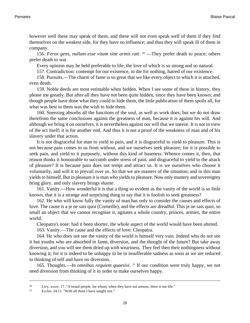however well these may speak of them; and these will not even speak well of them if they find themselves on the weakest side, for they have no influence; and thus they will speak ill of them in company.

156. *Ferox gens, nullam esse vitam sine armis rati*. <sup>20</sup> —They prefer death to peace; others prefer death to war.

Every opinion may be held preferable to life, the love of which is so strong and so natural.

157. Contradiction: contempt for our existence, to die for nothing, hatred of our existence.

158. Pursuits.—The charm of fame is so great that we like every object to which it is attached, even death.

159. Noble deeds are most estimable when hidden. When I see some of these in history, they please me greatly. But after all they have not been quite hidden, since they have been known; and though people have done what they could to hide them, the little publication of them spoils all, for what was best in them was the wish to hide them.

160. Sneezing absorbs all the functions of the soul, as well as work does; but we do not draw therefrom the same conclusions against the greatness of man, because it is against his will. And although we bring it on ourselves, it is nevertheless against our will that we sneeze. It is not in view of the act itself; it is for another end. And thus it is not a proof of the weakness of man and of his slavery under that action.

It is not disgraceful for man to yield to pain, and it is disgraceful to yield to pleasure. This is not because pain comes to us from without, and we ourselves seek pleasure; for it is possible to seek pain, and yield to it purposely, without this kind of baseness. Whence comes it, then, that reason thinks it honourable to succumb under stress of pain, and disgraceful to yield to the attack of pleasure? It is because pain does not tempt and attract us. It is we ourselves who choose it voluntarily, and will it to prevail over us. So that we are masters of the situation; and in this man yields to himself. But in pleasure it is man who yields to pleasure. Now only mastery and sovereignty bring glory, and only slavery brings shame.

161. Vanity.—How wonderful it is that a thing so evident as the vanity of the world is so little known, that it is a strange and surprising thing to say that it is foolish to seek greatness?

162. He who will know fully the vanity of man has only to consider the causes and effects of love. The cause is a je ne sais quoi (Corneille), and the effects are dreadful. This je ne sais quoi, so small an object that we cannot recognise it, agitates a whole country, princes, armies, the entire world.

Cleopatra's nose: had it been shorter, the whole aspect of the world would have been altered.

163. Vanity.—The cause and the effects of love: Cleopatra.

164. He who does not see the vanity of the world is himself very vain. Indeed who do not see it but youths who are absorbed in fame, diversion, and the thought of the future? But take away diversion, and you will see them dried up with weariness. They feel then their nothingness without knowing it; for it is indeed to be unhappy to be in insufferable sadness as soon as we are reduced to thinking of self and have no diversion.

165. Thoughts.—*In omnibus requiem quaesivi*. <sup>21</sup> If our condition were truly happy, we not need diversion from thinking of it in order to make ourselves happy.

<sup>20</sup> Livy, xxxiv. 17. "A brutal people, for whom, when they have not armour, there is not life."

<sup>21</sup> [Ecclus. 24:11.](http://www.ccel.org/b/bible/asv/xml/asv.Sir.24.xml#Sir.24.11) "With all these I have sought rest."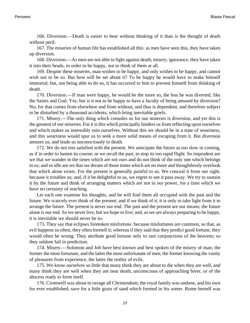166. Diversion.—Death is easier to bear without thinking of it than is the thought of death without peril.

167. The miseries of human life has established all this: as men have seen this, they have taken up diversion.

168. Diversion.—As men are not able to fight against death, misery, ignorance, they have taken it into their heads, in order to be happy, not to think of them at all.

169. Despite these miseries, man wishes to be happy, and only wishes to be happy, and cannot wish not to be so. But how will he set about it? To be happy he would have to make himself immortal; but, not being able to do so, it has occurred to him to prevent himself from thinking of death.

170. Diversion.—If man were happy, he would be the more so, the less he was diverted, like the Saints and God. Yes; but is it not to be happy to have a faculty of being amused by diversion? No; for that comes from elsewhere and from without, and thus is dependent, and therefore subject to be disturbed by a thousand accidents, which bring inevitable griefs.

171. Misery.—The only thing which consoles us for our miseries is diversion, and yet this is the greatest of our miseries. For it is this which principally hinders us from reflecting upon ourselves and which makes us insensibly ruin ourselves. Without this we should be in a state of weariness, and this weariness would spur us to seek a more solid means of escaping from it. But diversion amuses us, and leads us unconsciously to death.

172. We do not rest satisfied with the present. We anticipate the future as too slow in coming, as if in order to hasten its course; or we recall the past, to stop its too rapid flight. So imprudent are we that we wander in the times which are not ours and do not think of the only one which belongs to us; and so idle are we that we dream of those times which are no more and thoughtlessly overlook that which alone exists. For the present is generally painful to us. We conceal it from our sight, because it troubles us; and, if it be delightful to us, we regret to see it pass away. We try to sustain it by the future and think of arranging matters which are not in our power, for a time which we have no certainty of reaching.

Let each one examine his thoughts, and he will find them all occupied with the past and the future. We scarcely ever think of the present; and if we think of it, it is only to take light from it to arrange the future. The present is never our end. The past and the present are our means; the future alone is our end. So we never live, but we hope to live; and, as we are always preparing to be happy, it is inevitable we should never be so.

173. They say that eclipses foretoken misfortune, because misfortunes are common, so that, as evil happens so often, they often foretell it; whereas if they said that they predict good fortune, they would often be wrong. They attribute good fortune only to rare conjunctions of the heavens; so they seldom fail in prediction.

174. Misery.—Solomon and Job have best known and best spoken of the misery of man; the former the most fortunate, and the latter the most unfortunate of men; the former knowing the vanity of pleasures from experience, the latter the reality of evils.

175. We know ourselves so little that many think they are about to die when they are well, and many think they are well when they are near death, unconscious of approaching fever, or of the abscess ready to form itself.

176. Cromwell was about to ravage all Christendom; the royal family was undone, and his own for ever established, save for a little grain of sand which formed in his ureter. Rome herself was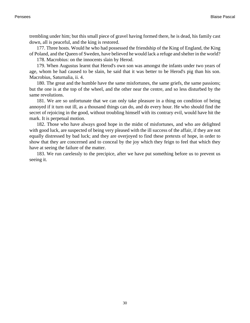trembling under him; but this small piece of gravel having formed there, he is dead, his family cast down, all is peaceful, and the king is restored.

177. Three hosts. Would he who had possessed the friendship of the King of England, the King of Poland, and the Queen of Sweden, have believed he would lack a refuge and shelter in the world?

178. Macrobius: on the innocents slain by Herod.

179. When Augustus learnt that Herod's own son was amongst the infants under two years of age, whom he had caused to be slain, he said that it was better to be Herod's pig than his son. Macrobius, Saturnalia, ii. 4.

180. The great and the humble have the same misfortunes, the same griefs, the same passions; but the one is at the top of the wheel, and the other near the centre, and so less disturbed by the same revolutions.

181. We are so unfortunate that we can only take pleasure in a thing on condition of being annoyed if it turn out ill, as a thousand things can do, and do every hour. He who should find the secret of rejoicing in the good, without troubling himself with its contrary evil, would have hit the mark. It is perpetual motion.

182. Those who have always good hope in the midst of misfortunes, and who are delighted with good luck, are suspected of being very pleased with the ill success of the affair, if they are not equally distressed by bad luck; and they are overjoyed to find these pretexts of hope, in order to show that they are concerned and to conceal by the joy which they feign to feel that which they have at seeing the failure of the matter.

183. We run carelessly to the precipice, after we have put something before us to prevent us seeing it.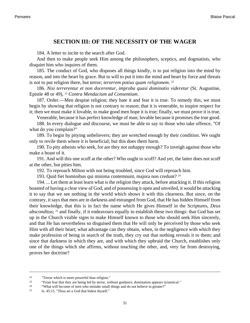#### **SECTION III: OF THE NECESSITY OF THE WAGER**

<span id="page-34-0"></span>184. A letter to incite to the search after God.

And then to make people seek Him among the philosophers, sceptics, and dogmatists, who disquiet him who inquires of them.

185. The conduct of God, who disposes all things kindly, is to put religion into the mind by reason, and into the heart by grace. But to will to put it into the mind and heart by force and threats is not to put religion there, but terror; *terorrem potius quam religionem*. 22

186. *Nisi terrerentur et non docerentur, improba quasi dominatio videretur* (St. Augustine, Epistle 48 or 49), <sup>23</sup> *Contra Mendacium ad Consentium*.

187. Order.—Men despise religion; they hate it and fear it is true. To remedy this, we must begin by showing that religion is not contrary to reason; that it is venerable, to inspire respect for it; then we must make it lovable, to make good men hope it is true; finally, we must prove it is true.

Venerable, because it has perfect knowledge of man; lovable because it promises the true good.

188. In every dialogue and discourse, we must be able to say to those who take offence, "Of what do you complain?"

189. To begin by pitying unbelievers; they are wretched enough by their condition. We ought only to revile them where it is beneficial; but this does them harm.

190. To pity atheists who seek, for are they not unhappy enough? To inveigh against those who make a boast of it.

191. And will this one scoff at the other? Who ought to scoff? And yet, the latter does not scoff at the other, but pities him.

192. To reproach Milton with not being troubled, since God will reproach him.

193. Quid fiet hominibus qui minima contemnunt, majora non credunt? <sup>24</sup>

194. ... Let them at least learn what is the religion they attack, before attacking it. If this religion boasted of having a clear view of God, and of possessing it open and unveiled, it would be attacking it to say that we see nothing in the world which shows it with this clearness. But since, on the contrary, it says that men are in darkness and estranged from God, that He has hidden Himself from their knowledge, that this is in fact the name which He gives Himself in the Scriptures, *Deus absconditus*; 25 and finally, if it endeavours equally to establish these two things: that God has set up in the Church visible signs to make Himself known to those who should seek Him sincerely, and that He has nevertheless so disguised them that He will only be perceived by those who seek Him with all their heart; what advantage can they obtain, when, in the negligence with which they make profession of being in search of the truth, they cry out that nothing reveals it to them; and since that darkness in which they are, and with which they upbraid the Church, establishes only one of the things which she affirms, without touching the other, and, very far from destroying, proves her doctrine?

<sup>&</sup>lt;sup>22</sup>  $^{\circ}$  "Terror which is more powerful than religion."

<sup>&</sup>quot;From fear that they are being led by terror, without guidance, domination appears tyrannical."

<sup>&</sup>lt;sup>24</sup> "What will become of men who mistake small things and do not believe in greater?"

<sup>25</sup> [Is. 45:15.](http://www.ccel.org/b/bible/asv/xml/asv.Isaiah.45.xml#Isaiah.45.15) "Thou art a God that hidest thyself."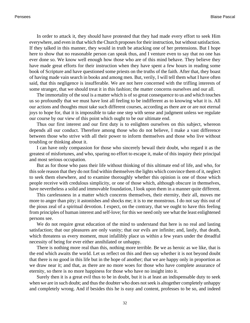In order to attack it, they should have protested that they had made every effort to seek Him everywhere, and even in that which the Church proposes for their instruction, but without satisfaction. If they talked in this manner, they would in truth be attacking one of her pretensions. But I hope here to show that no reasonable person can speak thus, and I venture even to say that no one has ever done so. We know well enough how those who are of this mind behave. They believe they have made great efforts for their instruction when they have spent a few hours in reading some book of Scripture and have questioned some priests on the truths of the faith. After that, they boast of having made vain search in books and among men. But, verily, I will tell them what I have often said, that this negligence is insufferable. We are not here concerned with the trifling interests of some stranger, that we should treat it in this fashion; the matter concerns ourselves and our all.

The immortality of the soul is a matter which is of so great consequence to us and which touches us so profoundly that we must have lost all feeling to be indifferent as to knowing what it is. All our actions and thoughts must take such different courses, according as there are or are not eternal joys to hope for, that it is impossible to take one step with sense and judgment unless we regulate our course by our view of this point which ought to be our ultimate end.

Thus our first interest and our first duty is to enlighten ourselves on this subject, whereon depends all our conduct. Therefore among those who do not believe, I make a vast difference between those who strive with all their power to inform themselves and those who live without troubling or thinking about it.

I can have only compassion for those who sincerely bewail their doubt, who regard it as the greatest of misfortunes, and who, sparing no effort to escape it, make of this inquiry their principal and most serious occupation.

But as for those who pass their life without thinking of this ultimate end of life, and who, for this sole reason that they do not find within themselves the lights which convince them of it, neglect to seek them elsewhere, and to examine thoroughly whether this opinion is one of those which people receive with credulous simplicity, or one of those which, although obscure in themselves, have nevertheless a solid and immovable foundation, I look upon them in a manner quite different.

This carelessness in a matter which concerns themselves, their eternity, their all, moves me more to anger than pity; it astonishes and shocks me; it is to me monstrous. I do not say this out of the pious zeal of a spiritual devotion. I expect, on the contrary, that we ought to have this feeling from principles of human interest and self-love; for this we need only see what the least enlightened persons see.

We do not require great education of the mind to understand that here is no real and lasting satisfaction; that our pleasures are only vanity; that our evils are infinite; and, lastly, that death, which threatens us every moment, must infallibly place us within a few years under the dreadful necessity of being for ever either annihilated or unhappy.

There is nothing more real than this, nothing more terrible. Be we as heroic as we like, that is the end which awaits the world. Let us reflect on this and then say whether it is not beyond doubt that there is no good in this life but in the hope of another; that we are happy only in proportion as we draw near it; and that, as there are no more woes for those who have complete assurance of eternity, so there is no more happiness for those who have no insight into it.

Surely then it is a great evil thus to be in doubt, but it is at least an indispensable duty to seek when we are in such doubt; and thus the doubter who does not seek is altogether completely unhappy and completely wrong. And if besides this he is easy and content, professes to be so, and indeed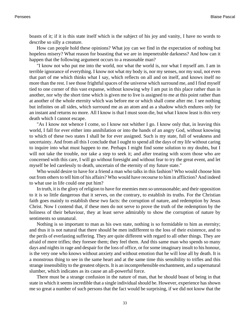boasts of it; if it is this state itself which is the subject of his joy and vanity, I have no words to describe so silly a creature.

How can people hold these opinions? What joy can we find in the expectation of nothing but hopeless misery? What reason for boasting that we are in impenetrable darkness? And how can it happen that the following argument occurs to a reasonable man?

"I know not who put me into the world, nor what the world is, nor what I myself am. I am in terrible ignorance of everything. I know not what my body is, nor my senses, nor my soul, not even that part of me which thinks what I say, which reflects on all and on itself, and knows itself no more than the rest. I see those frightful spaces of the universe which surround me, and I find myself tied to one corner of this vast expanse, without knowing why I am put in this place rather than in another, nor why the short time which is given me to live is assigned to me at this point rather than at another of the whole eternity which was before me or which shall come after me. I see nothing but infinites on all sides, which surround me as an atom and as a shadow which endures only for an instant and returns no more. All I know is that I must soon die, but what I know least is this very death which I cannot escape.

"As I know not whence I come, so I know not whither I go. I know only that, in leaving this world, I fall for ever either into annihilation or into the hands of an angry God, without knowing to which of these two states I shall be for ever assigned. Such is my state, full of weakness and uncertainty. And from all this I conclude that I ought to spend all the days of my life without caring to inquire into what must happen to me. Perhaps I might find some solution to my doubts, but I will not take the trouble, nor take a step to seek it; and after treating with scorn those who are concerned with this care, I will go without foresight and without fear to try the great event, and let myself be led carelessly to death, uncertain of the eternity of my future state."

Who would desire to have for a friend a man who talks in this fashion? Who would choose him out from others to tell him of his affairs? Who would have recourse to him in affliction? And indeed to what use in life could one put him?

In truth, it is the glory of religion to have for enemies men so unreasonable; and their opposition to it is so little dangerous that it serves, on the contrary, to establish its truths. For the Christian faith goes mainly to establish these two facts: the corruption of nature, and redemption by Jesus Christ. Now I contend that, if these men do not serve to prove the truth of the redemption by the holiness of their behaviour, they at least serve admirably to show the corruption of nature by sentiments so unnatural.

Nothing is so important to man as his own state, nothing is so formidable to him as eternity; and thus it is not natural that there should be men indifferent to the loss of their existence, and to the perils of everlasting suffering. They are quite different with regard to all other things. They are afraid of mere trifles; they foresee them; they feel them. And this same man who spends so many days and nights in rage and despair for the loss of office, or for some imaginary insult to his honour, is the very one who knows without anxiety and without emotion that he will lose all by death. It is a monstrous thing to see in the same heart and at the same time this sensibility to trifles and this strange insensibility to the greatest objects. It is an incomprehensible enchantment, and a supernatural slumber, which indicates as its cause an all-powerful force.

There must be a strange confusion in the nature of man, that he should boast of being in that state in which it seems incredible that a single individual should be. However, experience has shown me so great a number of such persons that the fact would be surprising, if we did not know that the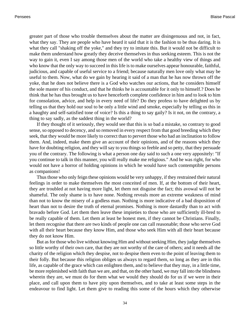greater part of those who trouble themselves about the matter are disingenuous and not, in fact, what they say. They are people who have heard it said that it is the fashion to be thus daring. It is what they call "shaking off the yoke," and they try to imitate this. But it would not be difficult to make them understand how greatly they deceive themselves in thus seeking esteem. This is not the way to gain it, even I say among those men of the world who take a healthy view of things and who know that the only way to succeed in this life is to make ourselves appear honourable, faithful, judicious, and capable of useful service to a friend; because naturally men love only what may be useful to them. Now, what do we gain by hearing it said of a man that he has now thrown off the yoke, that he does not believe there is a God who watches our actions, that he considers himself the sole master of his conduct, and that he thinks he is accountable for it only to himself.? Does he think that he has thus brought us to have henceforth complete confidence in him and to look to him for consolation, advice, and help in every need of life? Do they profess to have delighted us by telling us that they hold our soul to be only a little wind and smoke, especially by telling us this in a haughty and self-satisfied tone of voice? Is this a thing to say gaily? Is it not, on the contrary, a thing to say sadly, as the saddest thing in the world?

If they thought of it seriously, they would see that this is so bad a mistake, so contrary to good sense, so opposed to decency, and so removed in every respect from that good breeding which they seek, that they would be more likely to correct than to pervert those who had an inclination to follow them. And, indeed, make them give an account of their opinions, and of the reasons which they have for doubting religion, and they will say to you things so feeble and so petty, that they persuade you of the contrary. The following is what a person one day said to such a one very appositely: "If you continue to talk in this manner, you will really make me religious." And he was right, for who would not have a horror of holding opinions in which he would have such contemptible persons as companions!

Thus those who only feign these opinions would be very unhappy, if they restrained their natural feelings in order to make themselves the most conceited of men. If, at the bottom of their heart, they are troubled at not having more light, let them not disguise the fact; this avowal will not be shameful. The only shame is to have none. Nothing reveals more an extreme weakness of mind than not to know the misery of a godless man. Nothing is more indicative of a bad disposition of heart than not to desire the truth of eternal promises. Nothing is more dastardly than to act with bravado before God. Let them then leave these impieties to those who are sufficiently ill-bred to be really capable of them. Let them at least be honest men, if they cannot be Christians. Finally, let them recognise that there are two kinds of people one can call reasonable; those who serve God with all their heart because they know Him, and those who seek Him with all their heart because they do not know Him.

But as for those who live without knowing Him and without seeking Him, they judge themselves so little worthy of their own care, that they are not worthy of the care of others; and it needs all the charity of the religion which they despise, not to despise them even to the point of leaving them to their folly. But because this religion obliges us always to regard them, so long as they are in this life, as capable of the grace which can enlighten them, and to believe that they may, in a little time, be more replenished with faith than we are, and that, on the other hand, we may fall into the blindness wherein they are, we must do for them what we would they should do for us if we were in their place, and call upon them to have pity upon themselves, and to take at least some steps in the endeavour to find light. Let them give to reading this some of the hours which they otherwise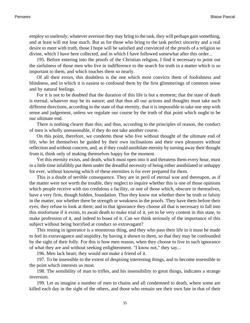employ so uselessly; whatever aversion they may bring to the task, they will perhaps gain something, and at least will not lose much. But as for those who bring to the task perfect sincerity and a real desire to meet with truth, those I hope will be satisfied and convinced of the proofs of a religion so divine, which I have here collected, and in which I have followed somewhat after this order...

195. Before entering into the proofs of the Christian religion, I find it necessary to point out the sinfulness of those men who live in indifference to the search for truth in a matter which is so important to them, and which touches them so nearly.

Of all their errors, this doubtless is the one which most convicts them of foolishness and blindness, and in which it is easiest to confound them by the first glimmerings of common sense and by natural feelings.

For it is not to be doubted that the duration of this life is but a moment; that the state of death is eternal, whatever may be its nature; and that thus all our actions and thoughts must take such different directions, according to the state of that eternity, that it is impossible to take one step with sense and judgement, unless we regulate our course by the truth of that point which ought to be our ultimate end.

There is nothing clearer than this; and thus, according to the principles of reason, the conduct of men is wholly unreasonable, if they do not take another course.

On this point, therefore, we condemn those who live without thought of the ultimate end of life, who let themselves be guided by their own inclinations and their own pleasures without reflection and without concern, and, as if they could annihilate eternity by turning away their thought from it, think only of making themselves happy for the moment.

Yet this eternity exists, and death, which must open into it and threatens them every hour, must in a little time infallibly put them under the dreadful necessity of being either annihilated or unhappy for ever, without knowing which of these eternities is for ever prepared for them.

This is a doubt of terrible consequence. They are in peril of eternal woe and thereupon, as if the matter were not worth the trouble, they neglect to inquire whether this is one of those opinions which people receive with too credulous a facility, or one of those which, obscure in themselves, have a very firm, though hidden, foundation. Thus they know not whether there be truth or falsity in the matter, nor whether there be strength or weakness in the proofs. They have them before their eyes; they refuse to look at them; and in that ignorance they choose all that is necessary to fall into this misfortune if it exists, to await death to make trial of it, yet to be very content in this state, to make profession of it, and indeed to boast of it. Can we think seriously of the importance of this subject without being horrified at conduct so extravagant?

This resting in ignorance is a monstrous thing, and they who pass their life in it must be made to feel its extravagance and stupidity, by having it shown to them, so that they may be confounded by the sight of their folly. For this is how men reason, when they choose to live in such ignorance of what they are and without seeking enlightenment. "I know not," they say...

196. Men lack heart; they would not make a friend of it.

197. To be insensible to the extent of despising interesting things, and to become insensible to the point which interests us most.

198. The sensibility of man to trifles, and his insensibility to great things, indicates a strange inversion.

199. Let us imagine a number of men in chains and all condemned to death, where some are killed each day in the sight of the others, and those who remain see their own fate in that of their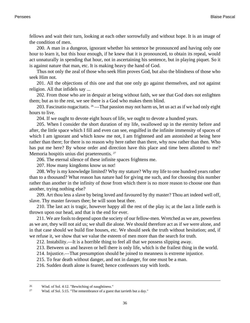fellows and wait their turn, looking at each other sorrowfully and without hope. It is an image of the condition of men.

200. A man in a dungeon, ignorant whether his sentence be pronounced and having only one hour to learn it, but this hour enough, if he knew that it is pronounced, to obtain its repeal, would act unnaturally in spending that hour, not in ascertaining his sentence, but in playing piquet. So it is against nature that man, etc. It is making heavy the hand of God.

Thus not only the zeal of those who seek Him proves God, but also the blindness of those who seek Him not.

201. All the objections of this one and that one only go against themselves, and not against religion. All that infidels say ...

202. From those who are in despair at being without faith, we see that God does not enlighten them; but as to the rest, we see there is a God who makes them blind.

203. Fascinatio nugacitatis.  $26 -$ That passion may not harm us, let us act as if we had only eight hours to live.

204. If we ought to devote eight hours of life, we ought to devote a hundred years.

205. When I consider the short duration of my life, swallowed up in the eternity before and after, the little space which I fill and even can see, engulfed in the infinite immensity of spaces of which I am ignorant and which know me not, I am frightened and am astonished at being here rather than there; for there is no reason why here rather than there, why now rather than then. Who has put me here? By whose order and direction have this place and time been allotted to me? Memoria hospitis unius diei praetereuntis. <sup>27</sup>

206. The eternal silence of these infinite spaces frightens me.

207. How many kingdoms know us not!

208. Why is my knowledge limited? Why my stature? Why my life to one hundred years rather than to a thousand? What reason has nature had for giving me such, and for choosing this number rather than another in the infinity of those from which there is no more reason to choose one than another, trying nothing else?

209. Art thou less a slave by being loved and favoured by thy master? Thou art indeed well off, slave. Thy master favours thee; he will soon beat thee.

210. The last act is tragic, however happy all the rest of the play is; at the last a little earth is thrown upon our head, and that is the end for ever.

211. We are fools to depend upon the society of our fellow-men. Wretched as we are, powerless as we are, they will not aid us; we shall die alone. We should therefore act as if we were alone, and in that case should we build fine houses, etc. We should seek the truth without hesitation; and, if we refuse it, we show that we value the esteem of men more than the search for truth.

212. Instability.—It is a horrible thing to feel all that we possess slipping away.

213. Between us and heaven or hell there is only life, which is the frailest thing in the world.

214. Injustice.—That presumption should be joined to meanness is extreme injustice.

215. To fear death without danger, and not in danger, for one must be a man.

216. Sudden death alone is feared; hence confessors stay with lords.

<sup>26</sup> [Wisd. of Sol. 4:12.](http://www.ccel.org/b/bible/asv/xml/asv.Wisdom.4.xml#Wisdom.4.12) "Bewitching of naughtiness."

<sup>27</sup> [Wisd. of Sol. 5:15.](http://www.ccel.org/b/bible/asv/xml/asv.Wisdom.5.xml#Wisdom.5.15) "The remembrance of a guest that tarrieth but a day."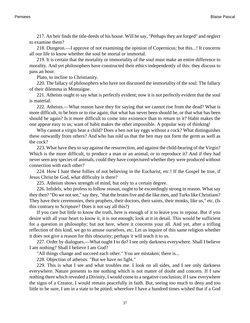217. An heir finds the title-deeds of his house. Will he say, "Perhaps they are forged" and neglect to examine them?

218. Dungeon.—I approve of not examining the opinion of Copernicus; but this...! It concerns all our life to know whether the soul be mortal or immortal.

219. It is certain that the mortality or immortality of the soul must make an entire difference to morality. And yet philosophers have constructed their ethics independently of this: they discuss to pass an hour.

Plato, to incline to Christianity.

220. The fallacy of philosophers who have not discussed the immortality of the soul. The fallacy of their dilemma in Montaigne.

221. Atheists ought to say what is perfectly evident; now it is not perfectly evident that the soul is material.

222. Atheists.—What reason have they for saying that we cannot rise from the dead? What is more difficult, to be born or to rise again; that what has never been should be, or that what has been should be again? Is it more difficult to come into existence than to return to it? Habit makes the one appear easy to us; want of habit makes the other impossible. A popular way of thinking!

Why cannot a virgin bear a child? Does a hen not lay eggs without a cock? What distinguishes these outwardly from others? And who has told us that the hen may not form the germ as well as the cock?

223. What have they to say against the resurrection, and against the child-bearing of the Virgin? Which is the more difficult, to produce a man or an animal, or to reproduce it? And if they had never seen any species of animals, could they have conjectured whether they were produced without connection with each other?

224. How I hate these follies of not believing in the Eucharist, etc.! If the Gospel be true, if Jesus Christ be God, what difficulty is there?

225. Atheism shows strength of mind, but only to a certain degree.

226. Infidels, who profess to follow reason, ought to be exceedingly strong in reason. What say they then? "Do we not see," say they, "that the brutes live and die like men, and Turks like Christians? They have their ceremonies, their prophets, their doctors, their saints, their monks, like us," etc. (Is this contrary to Scripture? Does it not say all this?)

If you care but little to know the truth, here is enough of it to leave you in repose. But if you desire with all your heart to know it, it is not enough; look at it in detail. This would be sufficient for a question in philosophy; but not here, where it concerns your all. And yet, after a trifling reflection of this kind, we go to amuse ourselves, etc. Let us inquire of this same religion whether it does not give a reason for this obscurity; perhaps it will teach it to us.

227. Order by dialogues.—What ought I to do? I see only darkness everywhere. Shall I believe I am nothing? Shall I believe I am God?

"All things change and succeed each other." You are mistaken; there is...

228. Objection of atheists: "But we have no light."

229. This is what I see and what troubles me. I look on all sides, and I see only darkness everywhere. Nature presents to me nothing which is not matter of doubt and concern. If I saw nothing there which revealed a Divinity, I would come to a negative conclusion; if I saw everywhere the signs of a Creator, I would remain peacefully in faith. But, seeing too much to deny and too little to be sure, I am in a state to be pitied; wherefore I have a hundred times wished that if a God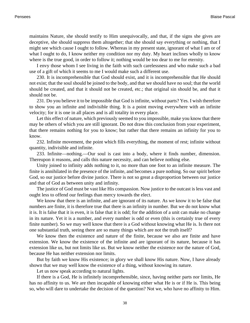maintains Nature, she should testify to Him unequivocally, and that, if the signs she gives are deceptive, she should suppress them altogether; that she should say everything or nothing, that I might see which cause I ought to follow. Whereas in my present state, ignorant of what I am or of what I ought to do, I know neither my condition nor my duty. My heart inclines wholly to know where is the true good, in order to follow it; nothing would be too dear to me for eternity.

I envy those whom I see living in the faith with such carelessness and who make such a bad use of a gift of which it seems to me I would make such a different use.

230. It is incomprehensible that God should exist, and it is incomprehensible that He should not exist; that the soul should be joined to the body, and that we should have no soul; that the world should be created, and that it should not be created, etc.; that original sin should be, and that it should not be.

231. Do you believe it to be impossible that God is infinite, without parts? Yes. I wish therefore to show you an infinite and indivisible thing. It is a point moving everywhere with an infinite velocity; for it is one in all places and is all totality in every place.

Let this effect of nature, which previously seemed to you impossible, make you know that there may be others of which you are still ignorant. Do not draw this conclusion from your experiment, that there remains nothing for you to know; but rather that there remains an infinity for you to know.

232. Infinite movement, the point which fills everything, the moment of rest; infinite without quantity, indivisible and infinite.

233. Infinite—nothing.—Our soul is cast into a body, where it finds number, dimension. Thereupon it reasons, and calls this nature necessity, and can believe nothing else.

Unity joined to infinity adds nothing to it, no more than one foot to an infinite measure. The finite is annihilated in the presence of the infinite, and becomes a pure nothing. So our spirit before God, so our justice before divine justice. There is not so great a disproportion between our justice and that of God as between unity and infinity.

The justice of God must be vast like His compassion. Now justice to the outcast is less vast and ought less to offend our feelings than mercy towards the elect.

We know that there is an infinite, and are ignorant of its nature. As we know it to be false that numbers are finite, it is therefore true that there is an infinity in number. But we do not know what it is. It is false that it is even, it is false that it is odd; for the addition of a unit can make no change in its nature. Yet it is a number, and every number is odd or even (this is certainly true of every finite number). So we may well know that there is a God without knowing what He is. Is there not one substantial truth, seeing there are so many things which are not the truth itself?

We know then the existence and nature of the finite, because we also are finite and have extension. We know the existence of the infinite and are ignorant of its nature, because it has extension like us, but not limits like us. But we know neither the existence nor the nature of God, because He has neither extension nor limits.

But by faith we know His existence; in glory we shall know His nature. Now, I have already shown that we may well know the existence of a thing, without knowing its nature.

Let us now speak according to natural lights.

If there is a God, He is infinitely incomprehensible, since, having neither parts nor limits, He has no affinity to us. We are then incapable of knowing either what He is or if He is. This being so, who will dare to undertake the decision of the question? Not we, who have no affinity to Him.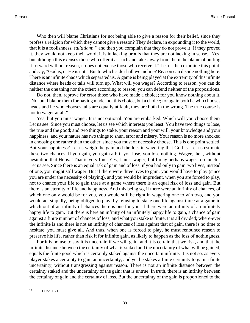Who then will blame Christians for not being able to give a reason for their belief, since they profess a religion for which they cannot give a reason? They declare, in expounding it to the world, that it is a foolishness, *stultitiam*; 28 and then you complain that they do not prove it! If they proved it, they would not keep their word; it is in lacking proofs that they are not lacking in sense. "Yes, but although this excuses those who offer it as such and takes away from them the blame of putting it forward without reason, it does not excuse those who receive it." Let us then examine this point, and say, "God is, or He is not." But to which side shall we incline? Reason can decide nothing here. There is an infinite chaos which separated us. A game is being played at the extremity of this infinite distance where heads or tails will turn up. What will you wager? According to reason, you can do neither the one thing nor the other; according to reason, you can defend neither of the propositions.

Do not, then, reprove for error those who have made a choice; for you know nothing about it. "No, but I blame them for having made, not this choice, but a choice; for again both he who chooses heads and he who chooses tails are equally at fault, they are both in the wrong. The true course is not to wager at all."

Yes; but you must wager. It is not optional. You are embarked. Which will you choose then? Let us see. Since you must choose, let us see which interests you least. You have two things to lose, the true and the good; and two things to stake, your reason and your will, your knowledge and your happiness; and your nature has two things to shun, error and misery. Your reason is no more shocked in choosing one rather than the other, since you must of necessity choose. This is one point settled. But your happiness? Let us weigh the gain and the loss in wagering that God is. Let us estimate these two chances. If you gain, you gain all; if you lose, you lose nothing. Wager, then, without hesitation that He is. "That is very fine. Yes, I must wager; but I may perhaps wager too much." Let us see. Since there is an equal risk of gain and of loss, if you had only to gain two lives, instead of one, you might still wager. But if there were three lives to gain, you would have to play (since you are under the necessity of playing), and you would be imprudent, when you are forced to play, not to chance your life to gain three at a game where there is an equal risk of loss and gain. But there is an eternity of life and happiness. And this being so, if there were an infinity of chances, of which one only would be for you, you would still be right in wagering one to win two, and you would act stupidly, being obliged to play, by refusing to stake one life against three at a game in which out of an infinity of chances there is one for you, if there were an infinity of an infinitely happy life to gain. But there is here an infinity of an infinitely happy life to gain, a chance of gain against a finite number of chances of loss, and what you stake is finite. It is all divided; where-ever the infinite is and there is not an infinity of chances of loss against that of gain, there is no time to hesitate, you must give all. And thus, when one is forced to play, he must renounce reason to preserve his life, rather than risk it for infinite gain, as likely to happen as the loss of nothingness.

For it is no use to say it is uncertain if we will gain, and it is certain that we risk, and that the infinite distance between the certainly of what is staked and the uncertainty of what will be gained, equals the finite good which is certainly staked against the uncertain infinite. It is not so, as every player stakes a certainty to gain an uncertainty, and yet he stakes a finite certainty to gain a finite uncertainty, without transgressing against reason. There is not an infinite distance between the certainty staked and the uncertainty of the gain; that is untrue. In truth, there is an infinity between the certainty of gain and the certainty of loss. But the uncertainty of the gain is proportioned to the

<sup>28</sup> [1 Cor. 1:21.](http://www.ccel.org/b/bible/asv/xml/asv.iCorinthians.1.xml#iCorinthians.1.21)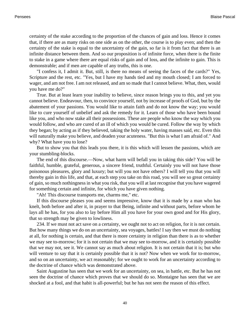certainty of the stake according to the proportion of the chances of gain and loss. Hence it comes that, if there are as many risks on one side as on the other, the course is to play even; and then the certainty of the stake is equal to the uncertainty of the gain, so far is it from fact that there is an infinite distance between them. And so our proposition is of infinite force, when there is the finite to stake in a game where there are equal risks of gain and of loss, and the infinite to gain. This is demonstrable; and if men are capable of any truths, this is one.

"I confess it, I admit it. But, still, is there no means of seeing the faces of the cards?" Yes, Scripture and the rest, etc. "Yes, but I have my hands tied and my mouth closed; I am forced to wager, and am not free. I am not released, and am so made that I cannot believe. What, then, would you have me do?"

True. But at least learn your inability to believe, since reason brings you to this, and yet you cannot believe. Endeavour, then, to convince yourself, not by increase of proofs of God, but by the abatement of your passions. You would like to attain faith and do not know the way; you would like to cure yourself of unbelief and ask the remedy for it. Learn of those who have been bound like you, and who now stake all their possessions. These are people who know the way which you would follow, and who are cured of an ill of which you would be cured. Follow the way by which they began; by acting as if they believed, taking the holy water, having masses said, etc. Even this will naturally make you believe, and deaden your acuteness. "But this is what I am afraid of." And why? What have you to lose?

But to show you that this leads you there, it is this which will lessen the passions, which are your stumbling-blocks.

The end of this discourse.—Now, what harm will befall you in taking this side? You will be faithful, humble, grateful, generous, a sincere friend, truthful. Certainly you will not have those poisonous pleasures, glory and luxury; but will you not have others? I will tell you that you will thereby gain in this life, and that, at each step you take on this road, you will see so great certainty of gain, so much nothingness in what you risk, that you will at last recognise that you have wagered for something certain and infinite, for which you have given nothing.

"Ah! This discourse transports me, charms me," etc.

If this discourse pleases you and seems impressive, know that it is made by a man who has knelt, both before and after it, in prayer to that Being, infinite and without parts, before whom he lays all he has, for you also to lay before Him all you have for your own good and for His glory, that so strength may be given to lowliness.

234. If we must not act save on a certainty, we ought not to act on religion, for it is not certain. But how many things we do on an uncertainty, sea voyages, battles! I say then we must do nothing at all, for nothing is certain, and that there is more certainty in religion than there is as to whether we may see to-morrow; for it is not certain that we may see to-morrow, and it is certainly possible that we may not, see it. We cannot say as much about religion. It is not certain that it is; but who will venture to say that it is certainly possible that it is not? Now when we work for to-morrow, and so on an uncertainty, we act reasonably; for we ought to work for an uncertainty according to the doctrine of chance which was demonstrated above.

Saint Augustine has seen that we work for an uncertainty, on sea, in battle, etc. But he has not seen the doctrine of chance which proves that we should do so. Montaigne has seen that we are shocked at a fool, and that habit is all-powerful; but he has not seen the reason of this effect.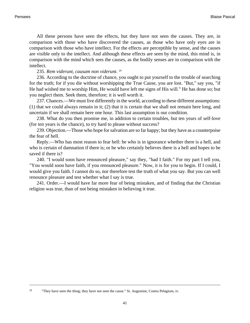All these persons have seen the effects, but they have not seen the causes. They are, in comparison with those who have discovered the causes, as those who have only eyes are in comparison with those who have intellect. For the effects are perceptible by sense, and the causes are visible only to the intellect. And although these effects are seen by the mind, this mind is, in comparison with the mind which sees the causes, as the bodily senses are in comparison with the intellect.

## 235. *Rem viderunt, causam non viderunt*. 29

236. According to the doctrine of chance, you ought to put yourself to the trouble of searching for the truth; for if you die without worshipping the True Cause, you are lost. "But," say you, "if He had wished me to worship Him, He would have left me signs of His will." He has done so; but you neglect them. Seek them, therefore; it is well worth it.

237. Chances.—We must live differently in the world, according to these different assumptions: (1) that we could always remain in it; (2) that it is certain that we shall not remain here long, and uncertain if we shall remain here one hour. This last assumption is our condition.

238. What do you then promise me, in addition to certain troubles, but ten years of self-love (for ten years is the chance), to try hard to please without success?

239. Objection.—Those who hope for salvation are so far happy; but they have as a counterpoise the fear of hell.

Reply.—Who has most reason to fear hell: he who is in ignorance whether there is a hell, and who is certain of damnation if there is; or he who certainly believes there is a hell and hopes to be saved if there is?

240. "I would soon have renounced pleasure," say they, "had I faith." For my part I tell you, "You would soon have faith, if you renounced pleasure." Now, it is for you to begin. If I could, I would give you faith. I cannot do so, nor therefore test the truth of what you say. But you can well renounce pleasure and test whether what I say is true.

241. Order.—I would have far more fear of being mistaken, and of finding that the Christian religion was true, than of not being mistaken in believing it true.

<sup>&</sup>lt;sup>29</sup> "They have seen the thing; they have not seen the cause." St. Augustine, Contra Pelagium, iv.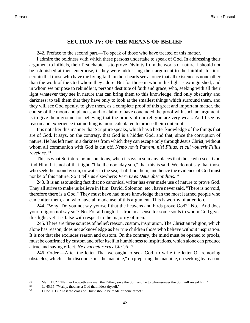### **SECTION IV: OF THE MEANS OF BELIEF**

242. Preface to the second part.—To speak of those who have treated of this matter.

I admire the boldness with which these persons undertake to speak of God. In addressing their argument to infidels, their first chapter is to prove Divinity from the works of nature. I should not be astonished at their enterprise, if they were addressing their argument to the faithful; for it is certain that those who have the living faith in their hearts see at once that all existence is none other than the work of the God whom they adore. But for those in whom this light is extinguished, and in whom we purpose to rekindle it, persons destitute of faith and grace, who, seeking with all their light whatever they see in nature that can bring them to this knowledge, find only obscurity and darkness; to tell them that they have only to look at the smallest things which surround them, and they will see God openly, to give them, as a complete proof of this great and important matter, the course of the moon and planets, and to claim to have concluded the proof with such an argument, is to give them ground for believing that the proofs of our religion are very weak. And I see by reason and experience that nothing is more calculated to arouse their contempt.

It is not after this manner that Scripture speaks, which has a better knowledge of the things that are of God. It says, on the contrary, that God is a hidden God, and that, since the corruption of nature, He has left men in a darkness from which they can escape only through Jesus Christ, without whom all communion with God is cut off. *Nemo novit Patrem, nisi Filius, et cui voluerit Filius revelare*. 30

This is what Scripture points out to us, when it says in so many places that those who seek God find Him. It is not of that light, "like the noonday sun," that this is said. We do not say that those who seek the noonday sun, or water in the sea, shall find them; and hence the evidence of God must not be of this nature. So it tells us elsewhere: *Vere tu es Deus absconditus*. 31

243. It is an astounding fact that no canonical writer has ever made use of nature to prove God. They all strive to make us believe in Him. David, Solomon, etc., have never said, "There is no void, therefore there is a God." They must have had more knowledge than the most learned people who came after them, and who have all made use of this argument. This is worthy of attention.

244. "Why! Do you not say yourself that the heavens and birds prove God?" No. "And does your religion not say so"? No. For although it is true in a sense for some souls to whom God gives this light, yet it is false with respect to the majority of men.

245. There are three sources of belief: reason, custom, inspiration. The Christian religion, which alone has reason, does not acknowledge as her true children those who believe without inspiration. It is not that she excludes reason and custom. On the contrary, the mind must be opened to proofs, must be confirmed by custom and offer itself in humbleness to inspirations, which alone can produce a true and saving effect. *Ne evacuetur crux Christi*. 32

246. Order.—After the letter That we ought to seek God, to write the letter On removing obstacles, which is the discourse on "the machine," on preparing the machine, on seeking by reason.

<sup>&</sup>lt;sup>30</sup> [Matt. 11:27](http://www.ccel.org/b/bible/asv/xml/asv.Matt.11.xml#Matt.11.27) "Neither knoweth any man the Father, save the Son, and he to whomsoever the Son will reveal him."

<sup>31</sup> [Is. 45:15.](http://www.ccel.org/b/bible/asv/xml/asv.Isaiah.45.xml#Isaiah.45.15) "Verily, thou art a God that hidest thyself."

 $32 \quad 1$  Cor. 1:17. "Lest the cross of Christ should be made of none effect."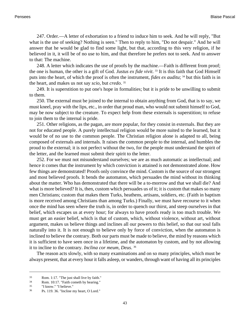247. Order.—A letter of exhortation to a friend to induce him to seek. And he will reply, "But what is the use of seeking? Nothing is seen." Then to reply to him, "Do not despair." And he will answer that he would be glad to find some light, but that, according to this very religion, if he believed in it, it will be of no use to him, and that therefore he prefers not to seek. And to answer to that: The machine.

248. A letter which indicates the use of proofs by the machine.—Faith is different from proof; the one is human, the other is a gift of God. *Justus ex fide vivit*. <sup>33</sup> It is this faith that God Himself puts into the heart, of which the proof is often the instrument, *fides ex auditu*; 34 but this faith is in the heart, and makes us not say *scio*, but *credo*. 35

249. It is superstition to put one's hope in formalities; but it is pride to be unwilling to submit to them.

250. The external must be joined to the internal to obtain anything from God, that is to say, we must kneel, pray with the lips, etc., in order that proud man, who would not submit himself to God, may be now subject to the creature. To expect help from these externals is superstition; to refuse to join them to the internal is pride.

251. Other religions, as the pagan, are more popular, for they consist in externals. But they are not for educated people. A purely intellectual religion would be more suited to the learned, but it would be of no use to the common people. The Christian religion alone is adapted to all, being composed of externals and internals. It raises the common people to the internal, and humbles the proud to the external; it is not perfect without the two, for the people must understand the spirit of the letter, and the learned must submit their spirit to the letter.

252. For we must not misunderstand ourselves; we are as much automatic as intellectual; and hence it comes that the instrument by which conviction is attained is not demonstrated alone. How few things are demonstrated! Proofs only convince the mind. Custom is the source of our strongest and most believed proofs. It bends the automaton, which persuades the mind without its thinking about the matter. Who has demonstrated that there will be a to-morrow and that we shall die? And what is more believed? It is, then, custom which persuades us of it; it is custom that makes so many men Christians; custom that makes them Turks, heathens, artisans, soldiers, etc. (Faith in baptism is more received among Christians than among Turks.) Finally, we must have recourse to it when once the mind has seen where the truth is, in order to quench our thirst, and steep ourselves in that belief, which escapes us at every hour; for always to have proofs ready is too much trouble. We must get an easier belief, which is that of custom, which, without violence, without art, without argument, makes us believe things and inclines all our powers to this belief, so that our soul falls naturally into it. It is not enough to believe only by force of conviction, when the automaton is inclined to believe the contrary. Both our parts must be made to believe, the mind by reasons which it is sufficient to have seen once in a lifetime, and the automaton by custom, and by not allowing it to incline to the contrary. *Inclina cor meum, Deus*. 36

The reason acts slowly, with so many examinations and on so many principles, which must be always present, that at every hour it falls asleep, or wanders, through want of having all its principles

 $\frac{33}{134}$  [Rom. 1:17.](http://www.ccel.org/b/bible/asv/xml/asv.Rom.1.xml#Rom.1.17) "The just shall live by faith."<br> $\frac{10 \cdot 17}{1500}$  "Eaith cometh by bearing"

[Rom. 10:17.](http://www.ccel.org/b/bible/asv/xml/asv.Rom.10.xml#Rom.10.17) "Faith cometh by hearing."

<sup>35</sup> "I know." "I believe."

<sup>36</sup> [Ps. 119. 36.](http://www.ccel.org/b/bible/asv/xml/asv.Ps.119.xml#Ps.119.36) "Incline my heart, O Lord."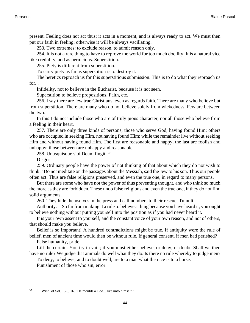present. Feeling does not act thus; it acts in a moment, and is always ready to act. We must then put our faith in feeling; otherwise it will be always vacillating.

253. Two extremes: to exclude reason, to admit reason only.

254. It is not a rare thing to have to reprove the world for too much docility. It is a natural vice like credulity, and as pernicious. Superstition.

255. Piety is different from superstition.

To carry piety as far as superstition is to destroy it.

The heretics reproach us for this superstitious submission. This is to do what they reproach us for...

Infidelity, not to believe in the Eucharist, because it is not seen.

Superstition to believe propositions. Faith, etc.

256. I say there are few true Christians, even as regards faith. There are many who believe but from superstition. There are many who do not believe solely from wickedness. Few are between the two.

In this I do not include those who are of truly pious character, nor all those who believe from a feeling in their heart.

257. There are only three kinds of persons; those who serve God, having found Him; others who are occupied in seeking Him, not having found Him; while the remainder live without seeking Him and without having found Him. The first are reasonable and happy, the last are foolish and unhappy; those between are unhappy and reasonable.

258. Unusquisque sibi Deum fingit. <sup>37</sup>

Disgust

259. Ordinary people have the power of not thinking of that about which they do not wish to think. "Do not meditate on the passages about the Messiah, said the Jew to his son. Thus our people often act. Thus are false religions preserved, and even the true one, in regard to many persons.

But there are some who have not the power of thus preventing thought, and who think so much the more as they are forbidden. These undo false religions and even the true one, if they do not find solid arguments.

260. They hide themselves in the press and call numbers to their rescue. Tumult.

Authority.—So far from making it a rule to believe a thing because you have heard it, you ought to believe nothing without putting yourself into the position as if you had never heard it.

It is your own assent to yourself, and the constant voice of your own reason, and not of others, that should make you believe.

Belief is so important! A hundred contradictions might be true. If antiquity were the rule of belief, men of ancient time would then be without rule. If general consent, if men had perished?

False humanity, pride.

Lift the curtain. You try in vain; if you must either believe, or deny, or doubt. Shall we then have no rule? We judge that animals do well what they do. Is there no rule whereby to judge men?

To deny, to believe, and to doubt well, are to a man what the race is to a horse.

Punishment of those who sin, error.

<sup>37</sup> [Wisd. of Sol. 15:8, 16. "](http://www.ccel.org/b/bible/asv/xml/asv...xml#..)He moulds a God... like unto himself."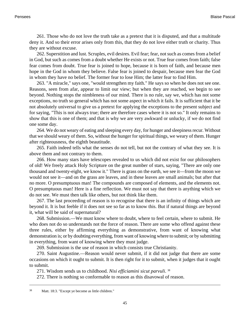261. Those who do not love the truth take as a pretext that it is disputed, and that a multitude deny it. And so their error arises only from this, that they do not love either truth or charity. Thus they are without excuse.

262. Superstition and lust. Scruples, evil desires. Evil fear; fear, not such as comes from a belief in God, but such as comes from a doubt whether He exists or not. True fear comes from faith; false fear comes from doubt. True fear is joined to hope, because it is born of faith, and because men hope in the God in whom they believe. False fear is joined to despair, because men fear the God in whom they have no belief. The former fear to lose Him; the latter fear to find Him.

263. "A miracle," says one, "would strengthen my faith." He says so when he does not see one. Reasons, seen from afar, appear to limit our view; but when they are reached, we begin to see beyond. Nothing stops the nimbleness of our mind. There is no rule, say we, which has not some exceptions, no truth so general which has not some aspect in which it fails. It is sufficient that it be not absolutely universal to give us a pretext for applying the exceptions to the present subject and for saying, "This is not always true; there are therefore cases where it is not so." It only remains to show that this is one of them; and that is why we are very awkward or unlucky, if we do not find one some day.

264. We do not weary of eating and sleeping every day, for hunger and sleepiness recur. Without that we should weary of them. So, without the hunger for spiritual things, we weary of them. Hunger after righteousness, the eighth beautitude.

265. Faith indeed tells what the senses do not tell, but not the contrary of what they see. It is above them and not contrary to them.

266. How many stars have telescopes revealed to us which did not exist for our philosophers of old! We freely attack Holy Scripture on the great number of stars, saying, "There are only one thousand and twenty-eight, we know it." There is grass on the earth, we see it—from the moon we would not see it—and on the grass are leaves, and in these leaves are small animals; but after that no more. O presumptuous man! The compounds are composed of elements, and the elements not. O presumptuous man! Here is a fine reflection. We must not say that there is anything which we do not see. We must then talk like others, but not think like them.

267. The last proceeding of reason is to recognise that there is an infinity of things which are beyond it. It is but feeble if it does not see so far as to know this. But if natural things are beyond it, what will be said of supernatural?

268. Submission.—We must know where to doubt, where to feel certain, where to submit. He who does not do so understands not the force of reason. There are some who offend against these three rules, either by affirming everything as demonstrative, from want of knowing what demonstration is; or by doubting everything, from want of knowing where to submit; or by submitting in everything, from want of knowing where they must judge.

269. Submission is the use of reason in which consists true Christianity.

270. Saint Augustine.—Reason would never submit, if it did not judge that there are some occasions on which it ought to submit. It is then right for it to submit, when it judges that it ought to submit.

271. Wisdom sends us to childhood. *Nisi efficiamini sicut parvuli*. 38

272. There is nothing so conformable to reason as this disavowal of reason.

<sup>38</sup> [Matt. 18:3.](http://www.ccel.org/b/bible/asv/xml/asv.Matt.18.xml#Matt.18.3) "Except ye become as little children."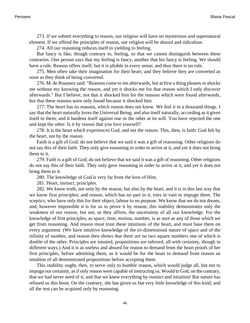273. If we submit everything to reason, our religion will have no mysterious and supernatural element. If we offend the principles of reason, our religion will be absurd and ridiculous.

274. All our reasoning reduces itself to yielding to feeling.

But fancy is like, though contrary to, feeling, so that we cannot distinguish between these contraries. One person says that my feeling is fancy, another that his fancy is feeling. We should have a rule. Reason offers itself; but it is pliable in every sense; and thus there is no rule.

275. Men often take their imagination for their heart; and they believe they are converted as soon as they think of being converted.

276. M. de Roannez said: "Reasons come to me afterwards, but at first a thing pleases or shocks me without my knowing the reason, and yet it shocks me for that reason which I only discover afterwards." But I believe, not that it shocked him for the reasons which were found afterwards, but that these reasons were only found because it shocked him.

277. The heart has its reasons, which reason does not know. We feel it in a thousand things. I say that the heart naturally loves the Universal Being, and also itself naturally, according as it gives itself to them; and it hardens itself against one or the other at its will. You have rejected the one and kept the other. Is it by reason that you love yourself?

278. It is the heart which experiences God, and not the reason. This, then, is faith: God felt by the heart, not by the reason.

Faith is a gift of God; do not believe that we said it was a gift of reasoning. Other religions do not say this of their faith. They only give reasoning in order to arrive at it, and yet it does not bring them to it.

279. Faith is a gift of God; do not believe that we said it was a gift of reasoning. Other religions do not say this of their faith. They only gave reasoning in order to arrive at it, and yet it does not bring them to it.

280. The knowledge of God is very far from the love of Him.

281. Heart, instinct, principles.

282. We know truth, not only by the reason, but also by the heart, and it is in this last way that we know first principles; and reason, which has no part in it, tries in vain to impugn them. The sceptics, who have only this for their object, labour to no purpose. We know that we do not dream, and, however impossible it is for us to prove it by reason, this inability demonstrates only the weakness of our reason, but not, as they affirm, the uncertainty of all our knowledge. For the knowledge of first principles, as space, time, motion, number, is as sure as any of those which we get from reasoning. And reason must trust these intuitions of the heart, and must base them on every argument. (We have intuitive knowledge of the tri-dimensional nature of space and of the infinity of number, and reason then shows that there are no two square numbers one of which is double of the other. Principles are intuited, propositions are inferred, all with certainty, though in different ways.) And it is as useless and absurd for reason to demand from the heart proofs of her first principles, before admitting them, as it would be for the heart to demand from reason an intuition of all demonstrated propositions before accepting them.

This inability ought, then, to serve only to humble reason, which would judge all, but not to impugn our certainty, as if only reason were capable of instructing us. Would to God, on the contrary, that we had never need of it, and that we knew everything by instinct and intuition! But nature has refused us this boon. On the contrary, she has given us but very little knowledge of this kind; and all the rest can be acquired only by reasoning.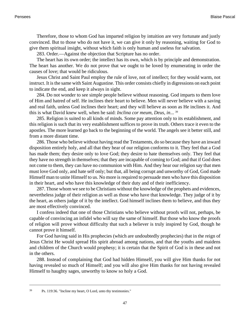Therefore, those to whom God has imparted religion by intuition are very fortunate and justly convinced. But to those who do not have it, we can give it only by reasoning, waiting for God to give them spiritual insight, without which faith is only human and useless for salvation.

283. Order.—Against the objection that Scripture has no order.

The heart has its own order; the intellect has its own, which is by principle and demonstration. The heart has another. We do not prove that we ought to be loved by enumerating in order the causes of love; that would be ridiculous.

Jesus Christ and Saint Paul employ the rule of love, not of intellect; for they would warm, not instruct. It is the same with Saint Augustine. This order consists chiefly in digressions on each point to indicate the end, and keep it always in sight.

284. Do not wonder to see simple people believe without reasoning. God imparts to them love of Him and hatred of self. He inclines their heart to believe. Men will never believe with a saving and real faith, unless God inclines their heart; and they will believe as soon as He inclines it. And this is what David knew well, when he said: *Inclina cor meum, Deus, in*... 39

285. Religion is suited to all kinds of minds. Some pay attention only to its establishment, and this religion is such that its very establishment suffices to prove its truth. Others trace it even to the apostles. The more learned go back to the beginning of the world. The angels see it better still, and from a more distant time.

286. Those who believe without having read the Testaments, do so because they have an inward disposition entirely holy, and all that they hear of our religion conforms to it. They feel that a God has made them; they desire only to love God; they desire to hate themselves only. They feel that they have no strength in themselves; that they are incapable of coming to God; and that if God does not come to them, they can have no communion with Him. And they hear our religion say that men must love God only, and hate self only; but that, all being corrupt and unworthy of God, God made Himself man to unite Himself to us. No more is required to persuade men who have this disposition in their heart, and who have this knowledge of their duty and of their inefficiency.

287. Those whom we see to be Christians without the knowledge of the prophets and evidences, nevertheless judge of their religion as well as those who have that knowledge. They judge of it by the heart, as others judge of it by the intellect. God himself inclines them to believe, and thus they are most effectively convinced.

I confess indeed that one of those Christians who believe without proofs will not, perhaps, be capable of convincing an infidel who will say the same of himself. But those who know the proofs of religion will prove without difficulty that such a believer is truly inspired by God, though he cannot prove it himself.

For God having said in His prophecies (which are undoubtedly prophecies) that in the reign of Jesus Christ He would spread His spirit abroad among nations, and that the youths and maidens and children of the Church would prophesy; it is certain that the Spirit of God is in these and not in the others.

288. Instead of complaining that God had hidden Himself, you will give Him thanks for not having revealed so much of Himself; and you will also give Him thanks for not having revealed Himself to haughty sages, unworthy to know so holy a God.

<sup>39</sup> [Ps. 119:36.](http://www.ccel.org/b/bible/asv/xml/asv.Ps.119.xml#Ps.119.36) "Incline my heart, O Lord, unto thy testimonies."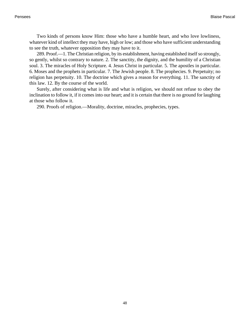Two kinds of persons know Him: those who have a humble heart, and who love lowliness, whatever kind of intellect they may have, high or low; and those who have sufficient understanding to see the truth, whatever opposition they may have to it.

289. Proof.—1. The Christian religion, by its establishment, having established itself so strongly, so gently, whilst so contrary to nature. 2. The sanctity, the dignity, and the humility of a Christian soul. 3. The miracles of Holy Scripture. 4. Jesus Christ in particular. 5. The apostles in particular. 6. Moses and the prophets in particular. 7. The Jewish people. 8. The prophecies. 9. Perpetuity; no religion has perpetuity. 10. The doctrine which gives a reason for everything. 11. The sanctity of this law. 12. By the course of the world.

Surely, after considering what is life and what is religion, we should not refuse to obey the inclination to follow it, if it comes into our heart; and it is certain that there is no ground for laughing at those who follow it.

290. Proofs of religion.—Morality, doctrine, miracles, prophecies, types.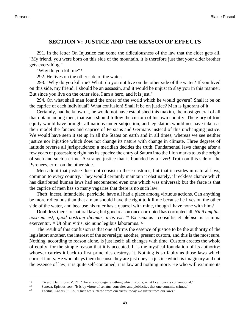## **SECTION V: JUSTICE AND THE REASON OF EFFECTS**

291. In the letter On Injustice can come the ridiculousness of the law that the elder gets all. "My friend, you were born on this side of the mountain, it is therefore just that your elder brother gets everything."

"Why do you kill me"?

292. He lives on the other side of the water.

293. "Why do you kill me? What! do you not live on the other side of the water? If you lived on this side, my friend, I should be an assassin, and it would be unjust to slay you in this manner. But since you live on the other side, I am a hero, and it is just."

294. On what shall man found the order of the world which he would govern? Shall it be on the caprice of each individual? What confusion! Shall it be on justice? Man is ignorant of it.

Certainly, had he known it, he would not have established this maxim, the most general of all that obtain among men, that each should follow the custom of his own country. The glory of true equity would have brought all nations under subjection, and legislators would not have taken as their model the fancies and caprice of Persians and Germans instead of this unchanging justice. We would have seen it set up in all the States on earth and in all times; whereas we see neither justice nor injustice which does not change its nature with change in climate. Three degrees of latitude reverse all jurisprudence; a meridian decides the truth. Fundamental laws change after a few years of possession; right has its epochs; the entry of Saturn into the Lion marks to us the origin of such and such a crime. A strange justice that is bounded by a river! Truth on this side of the Pyrenees, error on the other side.

Men admit that justice does not consist in these customs, but that it resides in natural laws, common to every country. They would certainly maintain it obstinately, if reckless chance which has distributed human laws had encountered even one which was universal; but the farce is that the caprice of men has so many vagaries that there is no such law.

Theft, incest, infanticide, parricide, have all had a place among virtuous actions. Can anything be more ridiculous than that a man should have the right to kill me because he lives on the other side of the water, and because his ruler has a quarrel with mine, though I have none with him?

Doubtless there are natural laws; but good reason once corrupted has corrupted all. *Nihil amplius nostrum est; quod nostrum dicimus, artis est*. <sup>40</sup> Ex senatus—consultis et plebiscitis crimina exercentur. 41 Ut olim vitiis, sic nunc legibus laboramus. <sup>42</sup>

The result of this confusion is that one affirms the essence of justice to be the authority of the legislator; another, the interest of the sovereign; another, present custom, and this is the most sure. Nothing, according to reason alone, is just itself; all changes with time. Custom creates the whole of equity, for the simple reason that it is accepted. It is the mystical foundation of its authority; whoever carries it back to first principles destroys it. Nothing is so faulty as those laws which correct faults. He who obeys them because they are just obeys a justice which is imaginary and not the essence of law; it is quite self-contained, it is law and nothing more. He who will examine its

<sup>40</sup> Cicero, De finibus, V. 21. "There is no longer anything which is ours; what I call ours is conventional."

<sup>41</sup> Seneca, Epistles, xcv. "It is by virtue of senatus-consultes and plebiscites that one commits crimes."

<sup>42</sup> Tacitus, Annals, iii. 25. "Once we suffered from our vices; today we suffer from our laws."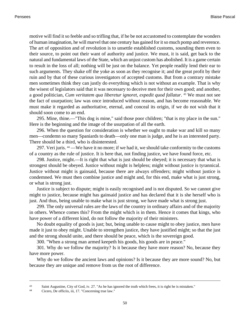motive will find it so feeble and so trifling that, if he be not accustomed to contemplate the wonders of human imagination, he will marvel that one century has gained for it so much pomp and reverence. The art of opposition and of revolution is to unsettle established customs, sounding them even to their source, to point out their want of authority and justice. We must, it is said, get back to the natural and fundamental laws of the State, which an unjust custom has abolished. It is a game certain to result in the loss of all; nothing will be just on the balance. Yet people readily lend their ear to such arguments. They shake off the yoke as soon as they recognise it; and the great profit by their ruin and by that of these curious investigators of accepted customs. But from a contrary mistake men sometimes think they can justly do everything which is not without an example. That is why the wisest of legislators said that it was necessary to deceive men for their own good; and another, a good politician, *Cum veritatem qua liberetur ignoret, expedit quod fallatur*. <sup>43</sup> We must not see the fact of usurpation; law was once introduced without reason, and has become reasonable. We must make it regarded as authoritative, eternal, and conceal its origin, if we do not wish that it should soon come to an end.

295. Mine, thine.—"This dog is mine," said those poor children; "that is my place in the sun." Here is the beginning and the image of the usurpation of all the earth.

296. When the question for consideration is whether we ought to make war and kill so many men—condemn so many Spaniards to death—only one man is judge, and he is an interested party. There should be a third, who is disinterested.

297. Veri juris. <sup>44</sup> —We have it no more; if we had it, we should take conformity to the customs of a country as the rule of justice. It is here that, not finding justice, we have found force, etc.

298. Justice, might.—It is right that what is just should be obeyed; it is necessary that what is strongest should be obeyed. Justice without might is helpless; might without justice is tyrannical. Justice without might is gainsaid, because there are always offenders; might without justice is condemned. We must then combine justice and might and, for this end, make what is just strong, or what is strong just.

Justice is subject to dispute; might is easily recognised and is not disputed. So we cannot give might to justice, because might has gainsaid justice and has declared that it is she herself who is just. And thus, being unable to make what is just strong, we have made what is strong just.

299. The only universal rules are the laws of the country in ordinary affairs and of the majority in others. Whence comes this? From the might which is in them. Hence it comes that kings, who have power of a different kind, do not follow the majority of their ministers.

No doubt equality of goods is just; but, being unable to cause might to obey justice, men have made it just to obey might. Unable to strengthen justice, they have justified might; so that the just and the strong should unite, and there should be peace, which is the sovereign good.

300. "When a strong man armed keepeth his goods, his goods are in peace."

301. Why do we follow the majority? Is it because they have more reason? No, because they have more power.

Why do we follow the ancient laws and opinions? Is it because they are more sound? No, but because they are unique and remove from us the root of difference.

<sup>43</sup> Saint Augustine, City of God, iv. 27. "As he has ignored the truth which frees, it is right he is mistaken."

<sup>44</sup> Cicero, De officiis, iii, 17. "Concerning true law."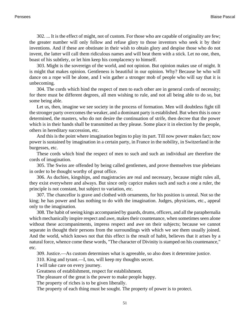302. ... It is the effect of might, not of custom. For those who are capable of originality are few; the greater number will only follow and refuse glory to those inventors who seek it by their inventions. And if these are obstinate in their wish to obtain glory and despise those who do not invent, the latter will call them ridiculous names and will beat them with a stick. Let no one, then, boast of his subtlety, or let him keep his complacency to himself.

303. Might is the sovereign of the world, and not opinion. But opinion makes use of might. It is might that makes opinion. Gentleness is beautiful in our opinion. Why? Because he who will dance on a rope will be alone, and I win gather a stronger mob of people who will say that it is unbecoming.

304. The cords which bind the respect of men to each other are in general cords of necessity; for there must be different degrees, all men wishing to rule, and not all being able to do so, but some being able.

Let us, then, imagine we see society in the process of formation. Men will doubtless fight till the stronger party overcomes the weaker, and a dominant party is established. But when this is once determined, the masters, who do not desire the continuation of strife, then decree that the power which is in their hands shall be transmitted as they please. Some place it in election by the people, others in hereditary succession, etc.

And this is the point where imagination begins to play its part. Till now power makes fact; now power is sustained by imagination in a certain party, in France in the nobility, in Switzerland in the burgesses, etc.

These cords which bind the respect of men to such and such an individual are therefore the cords of imagination.

305. The Swiss are offended by being called gentlemen, and prove themselves true plebeians in order to be thought worthy of great office.

306. As duchies, kingships, and magistracies are real and necessary, because might rules all, they exist everywhere and always. But since only caprice makes such and such a one a ruler, the principle is not constant, but subject to variation, etc.

307. The chancellor is grave and clothed with ornaments, for his position is unreal. Not so the king; he has power and has nothing to do with the imagination. Judges, physicians, etc., appeal only to the imagination.

308. The habit of seeing kings accompanied by guards, drums, officers, and all the paraphernalia which mechanically inspire respect and awe, makes their countenance, when sometimes seen alone without these accompaniments, impress respect and awe on their subjects; because we cannot separate in thought their persons from the surroundings with which we see them usually joined. And the world, which knows not that this effect is the result of habit, believes that it arises by a natural force, whence come these words, "The character of Divinity is stamped on his countenance," etc.

309. Justice.—As custom determines what is agreeable, so also does it determine justice.

310. King and tyrant.—I, too, will keep my thoughts secret.

I will take care on every journey.

Greatness of establishment, respect for establishment.

The pleasure of the great is the power to make people happy.

The property of riches is to be given liberally.

The property of each thing must be sought. The property of power is to protect.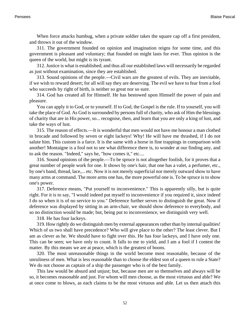When force attacks humbug, when a private soldier takes the square cap off a first president, and throws it out of the window.

311. The government founded on opinion and imagination reigns for some time, and this government is pleasant and voluntary; that founded on might lasts for ever. Thus opinion is the queen of the world, but might is its tyrant.

312. Justice is what is established; and thus all our established laws will necessarily be regarded as just without examination, since they are established.

313. Sound opinions of the people.—Civil wars are the greatest of evils. They are inevitable, if we wish to reward desert; for all will say they are deserving. The evil we have to fear from a fool who succeeds by right of birth, is neither so great nor so sure.

314. God has created all for Himself. He has bestowed upon Himself the power of pain and pleasure.

You can apply it to God, or to yourself. If to God, the Gospel is the rule. If to yourself, you will take the place of God. As God is surrounded by persons full of charity, who ask of Him the blessings of charity that are in His power, so... recognise, then, and learn that you are only a king of lust, and take the ways of lust.

315. The reason of effects.—It is wonderful that men would not have me honour a man clothed in brocade and followed by seven or eight lackeys! Why! He will have me thrashed, if I do not salute him. This custom is a farce. It is the same with a horse in fine trappings in comparison with another! Montaigne is a fool not to see what difference there is, to wonder at our finding any, and to ask the reason. "Indeed," says he, "how comes it," etc....

316. Sound opinions of the people.—To be spruce is not altogether foolish, for it proves that a great number of people work for one. It shows by one's hair, that one has a valet, a perfumer, etc., by one's band, thread, lace,... etc. Now it is not merely superficial nor merely outward show to have many arms at command. The more arms one has, the more powerful one is. To be spruce is to show one's power.

317. Deference means, "Put yourself to inconvenience." This is apparently silly, but is quite right. For it is to say, "I would indeed put myself to inconvenience if you required it, since indeed I do so when it is of no service to you." Deference further serves to distinguish the great. Now if deference was displayed by sitting in an arm-chair, we should show deference to everybody, and so no distinction would be made; but, being put to inconvenience, we distinguish very well.

318. He has four lackeys.

319. How rightly do we distinguish men by external appearances rather than by internal qualities! Which of us two shall have precedence? Who will give place to the other? The least clever. But I am as clever as he. We should have to fight over this. He has four lackeys, and I have only one. This can be seen; we have only to count. It falls to me to yield, and I am a fool if I contest the matter. By this means we are at peace, which is the greatest of boons.

320. The most unreasonable things in the world become most reasonable, because of the unruliness of men. What is less reasonable than to choose the eldest son of a queen to rule a State? We do not choose as captain of a ship the passenger who is of the best family.

This law would be absurd and unjust; but, because men are so themselves and always will be so, it becomes reasonable and just. For whom will men choose, as the most virtuous and able? We at once come to blows, as each claims to be the most virtuous and able. Let us then attach this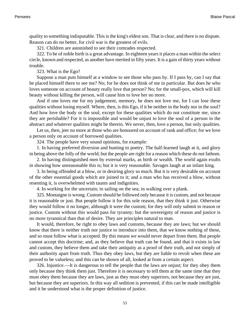quality to something indisputable. This is the king's eldest son. That is clear, and there is no dispute. Reason can do no better, for civil war is the greatest of evils.

321. Children are astonished to see their comrades respected.

322. To be of noble birth is a great advantage. In eighteen years it places a man within the select circle, known and respected, as another have merited in fifty years. It is a gain of thirty years without trouble.

323. What is the Ego?

Suppose a man puts himself at a window to see those who pass by. If I pass by, can I say that he placed himself there to see me? No; for he does not think of me in particular. But does he who loves someone on account of beauty really love that person? No; for the small-pox, which will kill beauty without killing the person, will cause him to love her no more.

And if one loves me for my judgement, memory, he does not love me, for I can lose these qualities without losing myself. Where, then, is this Ego, if it be neither in the body nor in the soul? And how love the body or the soul, except for these qualities which do not constitute me, since they are perishable? For it is impossible and would be unjust to love the soul of a person in the abstract and whatever qualities might be therein. We never, then, love a person, but only qualities.

Let us, then, jeer no more at those who are honoured on account of rank and office; for we love a person only on account of borrowed qualities.

324. The people have very sound opinions, for example:

1. In having preferred diversion and hunting to poetry. The half-learned laugh at it, and glory in being above the folly of the world; but the people are right for a reason which these do not fathom.

2. In having distinguished men by external marks, as birth or wealth. The world again exults in showing how unreasonable this is; but it is very reasonable. Savages laugh at an infant king.

3. In being offended at a blow, or in desiring glory so much. But it is very desirable on account of the other essential goods which are joined to it; and a man who has received a blow, without resenting it, is overwhelmed with taunts and indignities.

4. In working for the uncertain; in sailing on the sea; in walking over a plank.

325. Montaigne is wrong. Custom should be followed only because it is custom, and not because it is reasonable or just. But people follow it for this sole reason, that they think it just. Otherwise they would follow it no longer, although it were the custom; for they will only submit to reason or justice. Custom without this would pass for tyranny; but the sovereignty of reason and justice is no more tyrannical than that of desire. They are principles natural to man.

It would, therefore, be right to obey laws and customs, because they are laws; but we should know that there is neither truth nor justice to introduce into them, that we know nothing of these, and so must follow what is accepted. By this means we would never depart from them. But people cannot accept this doctrine; and, as they believe that truth can be found, and that it exists in law and custom, they believe them and take their antiquity as a proof of their truth, and not simply of their authority apart from truth. Thus they obey laws, but they are liable to revolt when these are proved to be valueless; and this can be shown of all, looked at from a certain aspect.

326. Injustice.—It is dangerous to tell the people that the laws are unjust; for they obey them only because they think them just. Therefore it is necessary to tell them at the same time that they must obey them because they are laws, just as they must obey superiors, not because they are just, but because they are superiors. In this way all sedition is prevented, if this can be made intelligible and it be understood what is the proper definition of justice.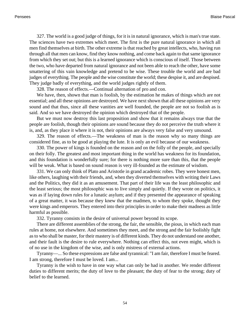327. The world is a good judge of things, for it is in natural ignorance, which is man's true state. The sciences have two extremes which meet. The first is the pure natural ignorance in which all men find themselves at birth. The other extreme is that reached by great intellects, who, having run through all that men can know, find they know nothing, and come back again to that same ignorance from which they set out; but this is a learned ignorance which is conscious of itself. Those between the two, who have departed from natural ignorance and not been able to reach the other, have some smattering of this vain knowledge and pretend to be wise. These trouble the world and are bad judges of everything. The people and the wise constitute the world; these despise it, and are despised. They judge badly of everything, and the world judges rightly of them.

328. The reason of effects.—Continual alternation of pro and con.

We have, then, shown that man is foolish, by the estimation he makes of things which are not essential; and all these opinions are destroyed. We have next shown that all these opinions are very sound and that thus, since all these vanities are well founded, the people are not so foolish as is said. And so we have destroyed the opinion which destroyed that of the people.

But we must now destroy this last proposition and show that it remains always true that the people are foolish, though their opinions are sound because they do not perceive the truth where it is, and, as they place it where it is not, their opinions are always very false and very unsound.

329. The reason of effects.—The weakness of man is the reason why so many things are considered fine, as to be good at playing the lute. It is only an evil because of our weakness.

330. The power of kings is founded on the reason and on the folly of the people, and specially on their folly. The greatest and most important thing in the world has weakness for its foundation, and this foundation is wonderfully sure; for there is nothing more sure than this, that the people will be weak. What is based on sound reason is very ill-founded as the estimate of wisdom.

331. We can only think of Plato and Aristotle in grand academic robes. They were honest men, like others, laughing with their friends, and, when they diverted themselves with writing their Laws and the Politics, they did it as an amusement. That part of their life was the least philosophic and the least serious; the most philosophic was to live simply and quietly. If they wrote on politics, it was as if laying down rules for a lunatic asylum; and if they presented the appearance of speaking of a great matter, it was because they knew that the madmen, to whom they spoke, thought they were kings and emperors. They entered into their principles in order to make their madness as little harmful as possible.

332. Tyranny consists in the desire of universal power beyond its scope.

There are different assemblies of the strong, the fair, the sensible, the pious, in which each man rules at home, not elsewhere. And sometimes they meet, and the strong and the fair foolishly fight as to who shall be master, for their mastery is of different kinds. They do not understand one another, and their fault is the desire to rule everywhere. Nothing can effect this, not even might, which is of no use in the kingdom of the wise, and is only mistress of external actions.

Tyranny—... So these expressions are false and tyrannical: "I am fair, therefore I must be feared. I am strong, therefore I must be loved. I am...

Tyranny is the wish to have in one way what can only be had in another. We render different duties to different merits; the duty of love to the pleasant; the duty of fear to the strong; duty of belief to the learned.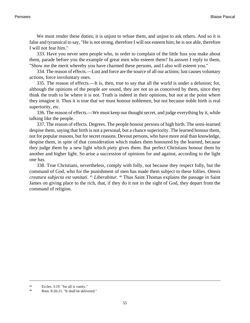We must render these duties; it is unjust to refuse them, and unjust to ask others. And so it is false and tyrannical to say, "He is not strong, therefore I will not esteem him; he is not able, therefore I will not fear him."

333. Have you never seen people who, in order to complain of the little fuss you make about them, parade before you the example of great men who esteem them? In answer I reply to them, "Show me the merit whereby you have charmed these persons, and I also will esteem you."

334. The reason of effects.—Lust and force are the source of all our actions; lust causes voluntary actions, force involuntary ones.

335. The reason of effects.—It is, then, true to say that all the world is under a delusion; for, although the opinions of the people are sound, they are not so as conceived by them, since they think the truth to be where it is not. Truth is indeed in their opinions, but not at the point where they imagine it. Thus it is true that we must honour noblemen, but not because noble birth is real superiority, etc.

336. The reason of effects.—We must keep our thought secret, and judge everything by it, while talking like the people.

337. The reason of effects. Degrees. The people honour persons of high birth. The semi-learned despise them, saying that birth is not a personal, but a chance superiority. The learned honour them, not for popular reasons, but for secret reasons. Devout persons, who have more zeal than knowledge, despise them, in spite of that consideration which makes them honoured by the learned, because they judge them by a new light which piety gives them. But perfect Christians honour them by another and higher light. So arise a succession of opinions for and against, according to the light one has.

338. True Christians, nevertheless, comply with folly, not because they respect folly, but the command of God, who for the punishment of men has made them subject to these follies. *Omnis creatura subjecta est vanitati*. <sup>45</sup> *Liberabitur*. <sup>46</sup> Thus Saint Thomas explains the passage in Saint James on giving place to the rich, that, if they do it not in the sight of God, they depart from the command of religion.

<sup>45</sup> [Eccles. 3:19.](http://www.ccel.org/b/bible/asv/xml/asv.Eccl.3.xml#Eccl.3.19) "for all is vanity."

<sup>46</sup> [Rom. 8:20-21.](http://www.ccel.org/b/bible/asv/xml/asv.Rom.8.xml#Rom.8.20 Bible:Rom.8.21) "It shall be delivered."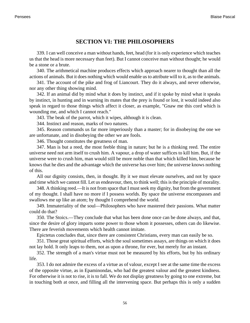# **SECTION VI: THE PHILOSOPHERS**

339. I can well conceive a man without hands, feet, head (for it is only experience which teaches us that the head is more necessary than feet). But I cannot conceive man without thought; he would be a stone or a brute.

340. The arithmetical machine produces effects which approach nearer to thought than all the actions of animals. But it does nothing which would enable us to attribute will to it, as to the animals.

341. The account of the pike and frog of Liancourt. They do it always, and never otherwise, nor any other thing showing mind.

342. If an animal did by mind what it does by instinct, and if it spoke by mind what it speaks by instinct, in hunting and in warning its mates that the prey is found or lost, it would indeed also speak in regard to those things which affect it closer, as example, "Gnaw me this cord which is wounding me, and which I cannot reach."

343. The beak of the parrot, which it wipes, although it is clean.

344. Instinct and reason, marks of two natures.

345. Reason commands us far more imperiously than a master; for in disobeying the one we are unfortunate, and in disobeying the other we are fools.

346. Thought constitutes the greatness of man.

347. Man is but a reed, the most feeble thing in nature; but he is a thinking reed. The entire universe need not arm itself to crush him. A vapour, a drop of water suffices to kill him. But, if the universe were to crush him, man would still be more noble than that which killed him, because he knows that he dies and the advantage which the universe has over him; the universe knows nothing of this.

All our dignity consists, then, in thought. By it we must elevate ourselves, and not by space and time which we cannot fill. Let us endeavour, then, to think well; this is the principle of morality.

348. A thinking reed.—It is not from space that I must seek my dignity, but from the government of my thought. I shall have no more if I possess worlds. By space the universe encompasses and swallows me up like an atom; by thought I comprehend the world.

349. Immateriality of the soul—Philosophers who have mastered their passions. What matter could do that?

350. The Stoics.—They conclude that what has been done once can be done always, and that, since the desire of glory imparts some power to those whom it possesses, others can do likewise. There are feverish movements which health cannot imitate.

Epictetus concludes that, since there are consistent Christians, every man can easily be so.

351. Those great spiritual efforts, which the soul sometimes assays, are things on which it does not lay hold. It only leaps to them, not as upon a throne, for ever, but merely for an instant.

352. The strength of a man's virtue must not be measured by his efforts, but by his ordinary life.

353. I do not admire the excess of a virtue as of valour, except I see at the same time the excess of the opposite virtue, as in Epaminondas, who had the greatest valour and the greatest kindness. For otherwise it is not to rise, it is to fall. We do not display greatness by going to one extreme, but in touching both at once, and filling all the intervening space. But perhaps this is only a sudden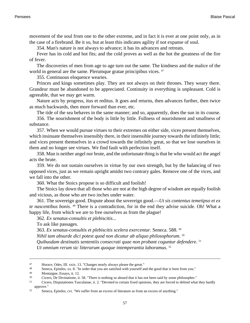movement of the soul from one to the other extreme, and in fact it is ever at one point only, as in the case of a firebrand. Be it so, but at least this indicates agility if not expanse of soul.

354. Man's nature is not always to advance; it has its advances and retreats.

Fever has its cold and hot fits; and the cold proves as well as the hot the greatness of the fire of fever.

The discoveries of men from age to age turn out the same. The kindness and the malice of the world in general are the same. Plerumque gratae principibus vices. <sup>47</sup>

355. Continuous eloquence wearies.

Princes and kings sometimes play. They are not always on their thrones. They weary there. Grandeur must be abandoned to be appreciated. Continuity in everything is unpleasant. Cold is agreeable, that we may get warm.

Nature acts by progress, itus et reditus. It goes and returns, then advances further, then twice as much backwards, then more forward than ever, etc.

The tide of the sea behaves in the same manner; and so, apparently, does the sun in its course.

356. The nourishment of the body is little by little. Fullness of nourishment and smallness of substance.

357. When we would pursue virtues to their extremes on either side, vices present themselves, which insinuate themselves insensibly there, in their insensible journey towards the infinitely little; and vices present themselves in a crowd towards the infinitely great, so that we lose ourselves in them and no longer see virtues. We find fault with perfection itself.

358. Man is neither angel nor brute, and the unfortunate thing is that he who would act the angel acts the brute.

359. We do not sustain ourselves in virtue by our own strength, but by the balancing of two opposed vices, just as we remain upright amidst two contrary gales. Remove one of the vices, and we fall into the other.

360. What the Stoics propose is so difficult and foolish!

The Stoics lay down that all those who are not at the high degree of wisdom are equally foolish and vicious, as those who are two inches under water.

361. The sovereign good. Dispute about the sovereign good.—*Ut sis contentus temetipso et ex te nascentibus bonis*. <sup>48</sup> There is a contradiction, for in the end they advise suicide. Oh! What a happy life, from which we are to free ourselves as from the plague!

362. *Ex senatus-consultis et plebiscitis*...

To ask like passages.

363. *Ex senatus-consultis et plebiscitis scelera exercentur*. Seneca. 588. <sup>49</sup> *Nihil tam absurde dici potest quod non dicatur ab aliquo philosophorum*. 50 *Quibusdam destinatis sententiis consecrati quae non probant coguntur defendere*. 51 *Ut omnium rerum sic litterarum quoque intemperantia laboramus*. 52

<sup>47</sup> Horace, Odes, III. xxix. 13. "Changes nearly always please the great."<br>48 Sepace Epistles xx 8 "In order that you are satisfied with yourself a

<sup>48</sup> Seneca, Epistles, xx. 8. "In order that you are satisfied with yourself and the good that is born from you."

Montaigne, Essays, ii. 12.

<sup>50</sup> Cicero, De Divinatione, ii. 58. "There is nothing so absurd that it has not been said by some philosopher."<br>Cicero, Disputationes Tusculange, ii. 2. "Devoted to certain fixed opinions, they are forced to defend what

<sup>51</sup> Cicero, Disputationes Tusculanae, ii. 2. "Devoted to certain fixed opinions, they are forced to defend what they hardly approve."

<sup>52</sup> Seneca, Epistles, cvi. "We suffer from an excess of literature as from an excess of anything."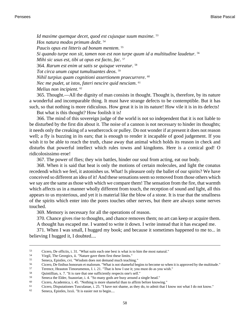*Id maxime quemque decet, quod est cujusque suum maxime*. 53 *Hos natura modos primum dedit*. 54 *Paucis opus est litteris ad bonam mentem*. 55 *Si quando turpe non sit, tamen non est non turpe quum id a multitudine laudetur*. 56 *Mihi sic usus est, tibi ut opus est facto, fac*. 57 364. *Rarum est enim ut satis se quisque vereatur*. 58 *Tot circa unum caput tumultuantes deos*. 59 *Nihil turpius quam cognitioni assertionem praecurrere*. 60 *Nec me pudet, ut istos, fateri nescire quid nesciam*. 61 *Melius non incipient*. 62

365. Thought.—All the dignity of man consists in thought. Thought is, therefore, by its nature a wonderful and incomparable thing. It must have strange defects to be contemptible. But it has such, so that nothing is more ridiculous. How great it is in its nature! How vile it is in its defects!

But what is this thought? How foolish it is!

366. The mind of this sovereign judge of the world is not so independent that it is not liable to be disturbed by the first din about it. The noise of a cannon is not necessary to hinder its thoughts; it needs only the creaking of a weathercock or pulley. Do not wonder if at present it does not reason well; a fly is buzzing in its ears; that is enough to render it incapable of good judgement. If you wish it to be able to reach the truth, chase away that animal which holds its reason in check and disturbs that powerful intellect which rules towns and kingdoms. Here is a comical god! O ridicolosissimo eroe!

367. The power of flies; they win battles, hinder our soul from acting, eat our body.

368. When it is said that heat is only the motions of certain molecules, and light the conatus recedendi which we feel, it astonishes us. What! Is pleasure only the ballet of our spirits? We have conceived so different an idea of it! And these sensations seem so removed from those others which we say are the same as those with which we compare them! The sensation from the fire, that warmth which affects us in a manner wholly different from touch, the reception of sound and light, all this appears to us mysterious, and yet it is material like the blow of a stone. It is true that the smallness of the spirits which enter into the pores touches other nerves, but there are always some nerves touched.

369. Memory is necessary for all the operations of reason.

370. Chance gives rise to thoughts, and chance removes them; no art can keep or acquire them. A thought has escaped me. I wanted to write it down. I write instead that it has escaped me.

371. When I was small, I hugged my book; and because it sometimes happened to me to... in believing I hugged it, I doubted....

<sup>53</sup> Cicero, De officiis, i. 31. "What suits each one best is what is to him the most natural."<br>
S<sub>4</sub> Virgil The Georgies ii "Nature gave them first these limits."

<sup>&</sup>lt;sup>54</sup> Virgil, The Georgics, ii. "Nature gave them first these limits."<br><sup>55</sup> Seneca Enistles cvi "Wisdom does not demand much teachii

<sup>55</sup> Seneca, Epistles, cvi. "Wisdom does not demand much teaching."

<sup>56</sup> Cicero, De finibus bonorum et malorum. "What is not shameful begins to become so when it is approved by the multitude."<br>57 Terence Heauton Timorumenos I i 21 "That is how I use it: you must do as you wish "

<sup>57</sup> Terence, Heauton Timorumenos, I. i. 21. "That is how I use it; you must do as you wish."<br>58 Opiniillian x  $7^{''}$  It is tere that one sufficiently respects one's self."

Quintillian, x. 7. "It is rare that one sufficiently respects one's self."

<sup>59</sup> Seneca the Elder, Suasoriae, i. 4. "So many gods are busy around a single head."<br> $\frac{60}{2}$  Cicero, Academica i. 45. "Nothing is more shameful than to affirm before know.

Cicero, Academica, i. 45. "Nothing is more shameful than to affirm before knowing."

<sup>61</sup> Cicero, Disputationes Tusculanae, i. 25. "I have not shame, as they do, to admit that I know not what I do not know."

<sup>62</sup> Seneca, Epistles, lxxii. "It is easier not to begin....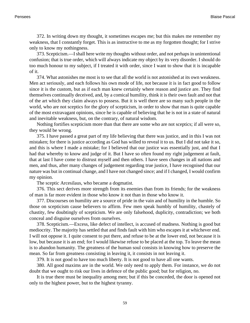372. In writing down my thought, it sometimes escapes me; but this makes me remember my weakness, that I constantly forget. This is as instructive to me as my forgotten thought; for I strive only to know my nothingness.

373. Scepticism.—I shall here write my thoughts without order, and not perhaps in unintentional confusion; that is true order, which will always indicate my object by its very disorder. I should do too much honour to my subject, if I treated it with order, since I want to show that it is incapable of it.

374. What astonishes me most is to see that all the world is not astonished at its own weakness. Men act seriously, and each follows his own mode of life, not because it is in fact good to follow since it is the custom, but as if each man knew certainly where reason and justice are. They find themselves continually deceived, and, by a comical humility, think it is their own fault and not that of the art which they claim always to possess. But it is well there are so many such people in the world, who are not sceptics for the glory of scepticism, in order to show that man is quite capable of the most extravagant opinions, since he is capable of believing that he is not in a state of natural and inevitable weakness, but, on the contrary, of natural wisdom.

Nothing fortifies scepticism more than that there are some who are not sceptics; if all were so, they would be wrong.

375. I have passed a great part of my life believing that there was justice, and in this I was not mistaken; for there is justice according as God has willed to reveal it to us. But I did not take it so, and this is where I made a mistake; for I believed that our justice was essentially just, and that I had that whereby to know and judge of it. But I have so often found my right judgement at fault, that at last I have come to distrust myself and then others. I have seen changes in all nations and men, and thus, after many changes of judgement regarding true justice, I have recognised that our nature was but in continual change, and I have not changed since; and if I changed, I would confirm my opinion.

The sceptic Arcesilaus, who became a dogmatist.

376. This sect derives more strength from its enemies than from its friends; for the weakness of man is far more evident in those who know it not than in those who know it.

377. Discourses on humility are a source of pride in the vain and of humility in the humble. So those on scepticism cause believers to affirm. Few men speak humbly of humility, chastely of chastity, few doubtingly of scepticism. We are only falsehood, duplicity, contradiction; we both conceal and disguise ourselves from ourselves.

378. Scepticism.—Excess, like defect of intellect, is accused of madness. Nothing is good but mediocrity. The majority has settled that and finds fault with him who escapes it at whichever end. I will not oppose it. I quite consent to put there, and refuse to be at the lower end, not because it is low, but because it is an end; for I would likewise refuse to be placed at the top. To leave the mean is to abandon humanity. The greatness of the human soul consists in knowing how to preserve the mean. So far from greatness consisting in leaving it, it consists in not leaving it.

379. It is not good to have too much liberty. It is not good to have all one wants.

380. All good maxims are in the world. We only need to apply them. For instance, we do not doubt that we ought to risk our lives in defence of the public good; but for religion, no.

It is true there must be inequality among men; but if this be conceded, the door is opened not only to the highest power, but to the highest tyranny.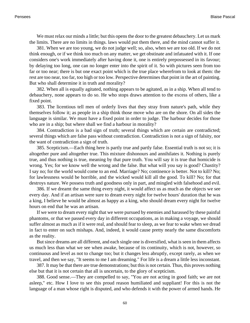We must relax our minds a little; but this opens the door to the greatest debauchery. Let us mark the limits. There are no limits in things. laws would put them there, and the mind cannot suffer it.

381. When we are too young, we do not judge well; so, also, when we are too old. If we do not think enough, or if we think too much on any matter, we get obstinate and infatuated with it. If one considers one's work immediately after having done it, one is entirely prepossessed in its favour; by delaying too long, one can no longer enter into the spirit of it. So with pictures seen from too far or too near; there is but one exact point which is the true place wherefrom to look at them: the rest are too near, too far, too high or too low. Perspective determines that point in the art of painting. But who shall determine it in truth and morality?

382. When all is equally agitated, nothing appears to be agitated, as in a ship. When all tend to debauchery, none appears to do so. He who stops draws attention to the excess of others, like a fixed point.

383. The licentious tell men of orderly lives that they stray from nature's path, while they themselves follow it; as people in a ship think those move who are on the shore. On all sides the language is similar. We must have a fixed point in order to judge. The harbour decides for those who are in a ship; but where shall we find a harbour in morality?

384. Contradiction is a bad sign of truth; several things which are certain are contradicted; several things which are false pass without contradiction. Contradiction is not a sign of falsity, nor the want of contradiction a sign of truth.

385. Scepticism.—Each thing here is partly true and partly false. Essential truth is not so; it is altogether pure and altogether true. This mixture dishonours and annihilates it. Nothing is purely true, and thus nothing is true, meaning by that pure truth. You will say it is true that homicide is wrong. Yes; for we know well the wrong and the false. But what will you say is good? Chastity? I say no; for the world would come to an end. Marriage? No; continence is better. Not to kill? No; for lawlessness would be horrible, and the wicked would kill all the good. To kill? No; for that destroys nature. We possess truth and goodness only in part, and mingled with falsehood and evil.

386. If we dreamt the same thing every night, it would affect us as much as the objects we see every day. And if an artisan were sure to dream every night for twelve hours' duration that he was a king, I believe he would be almost as happy as a king, who should dream every night for twelve hours on end that he was an artisan.

If we were to dream every night that we were pursued by enemies and harassed by these painful phantoms, or that we passed every day in different occupations, as in making a voyage, we should suffer almost as much as if it were real, and should fear to sleep, as we fear to wake when we dread in fact to enter on such mishaps. And, indeed, it would cause pretty nearly the same discomforts as the reality.

But since dreams are all different, and each single one is diversified, what is seen in them affects us much less than what we see when awake, because of its continuity, which is not, however, so continuous and level as not to change too; but it changes less abruptly, except rarely, as when we travel, and then we say, "It seems to me I am dreaming." For life is a dream a little less inconstant.

387. It may be that there are true demonstrations; but this is not certain. Thus, this proves nothing else but that it is not certain that all is uncertain, to the glory of scepticism.

388. Good sense.—They are compelled to say, "You are not acting in good faith; we are not asleep," etc. How I love to see this proud reason humiliated and suppliant! For this is not the language of a man whose right is disputed, and who defends it with the power of armed hands. He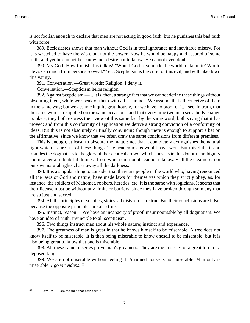is not foolish enough to declare that men are not acting in good faith, but he punishes this bad faith with force.

389. Ecclesiastes shows that man without God is in total ignorance and inevitable misery. For it is wretched to have the wish, but not the power. Now he would be happy and assured of some truth, and yet he can neither know, nor desire not to know. He cannot even doubt.

390. My God! How foolish this talk is! "Would God have made the world to damn it? Would He ask so much from persons so weak"? etc. Scepticism is the cure for this evil, and will take down this vanity.

391. Conversation.—Great words: Religion, I deny it.

Conversation.—Scepticism helps religion.

392. Against Scepticism.—... It is, then, a strange fact that we cannot define these things without obscuring them, while we speak of them with all assurance. We assume that all conceive of them in the same way; but we assume it quite gratuitously, for we have no proof of it. I see, in truth, that the same words are applied on the same occasions, and that every time two men see a body change its place, they both express their view of this same fact by the same word, both saying that it has moved; and from this conformity of application we derive a strong conviction of a conformity of ideas. But this is not absolutely or finally convincing though there is enough to support a bet on the affirmative, since we know that we often draw the same conclusions from different premises.

This is enough, at least, to obscure the matter; not that it completely extinguishes the natural light which assures us of these things. The academicians would have won. But this dulls it and troubles the dogmatists to the glory of the sceptical crowd, which consists in this doubtful ambiguity and in a certain doubtful dimness from which our doubts cannot take away all the clearness, nor our own natural lights chase away all the darkness.

393. It is a singular thing to consider that there are people in the world who, having renounced all the laws of God and nature, have made laws for themselves which they strictly obey, as, for instance, the soldiers of Mahomet, robbers, heretics, etc. It is the same with logicians. It seems that their license must be without any limits or barriers, since they have broken through so many that are so just and sacred.

394. All the principles of sceptics, stoics, atheists, etc., are true. But their conclusions are false, because the opposite principles are also true.

395. Instinct, reason.—We have an incapacity of proof, insurmountable by all dogmatism. We have an idea of truth, invincible to all scepticism.

396. Two things instruct man about his whole nature; instinct and experience.

397. The greatness of man is great in that he knows himself to be miserable. A tree does not know itself to be miserable. It is then being miserable to know oneself to be miserable; but it is also being great to know that one is miserable.

398. All these same miseries prove man's greatness. They are the miseries of a great lord, of a deposed king.

399. We are not miserable without feeling it. A ruined house is not miserable. Man only is miserable. *Ego vir videns*. 63

<sup>63</sup> [Lam. 3:1](http://www.ccel.org/b/bible/asv/xml/asv.Lam.3.xml#Lam.3.1). "I am the man that hath seen."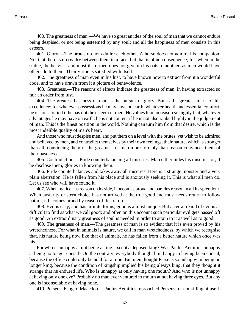400. The greatness of man.—We have so great an idea of the soul of man that we cannot endure being despised, or not being esteemed by any soul; and all the happiness of men consists in this esteem.

401. Glory.—The brutes do not admire each other. A horse does not admire his companion. Not that there is no rivalry between them in a race, but that is of no consequence; for, when in the stable, the heaviest and most ill-formed does not give up his oats to another, as men would have others do to them. Their virtue is satisfied with itself.

402. The greatness of man even in his lust, to have known how to extract from it a wonderful code, and to have drawn from it a picture of benevolence.

403. Greatness.—The reasons of effects indicate the greatness of man, in having extracted so fair an order from lust.

404. The greatest baseness of man is the pursuit of glory. But is the greatest mark of his excellence; for whatever possessions he may have on earth, whatever health and essential comfort, he is not satisfied if he has not the esteem of men. He values human reason so highly that, whatever advantages he may have on earth, he is not content if he is not also ranked highly in the judgement of man. This is the finest position in the world. Nothing can turn him from that desire, which is the most indelible quality of man's heart.

And those who must despise men, and put them on a level with the brutes, yet wish to be admired and believed by men, and contradict themselves by their own feelings; their nature, which is stronger than all, convincing them of the greatness of man more forcibly than reason convinces them of their baseness.

405. Contradiction.—Pride counterbalancing all miseries. Man either hides his miseries, or, if he disclose them, glories in knowing them.

406. Pride counterbalances and takes away all miseries. Here is a strange monster and a very plain aberration. He is fallen from his place and is anxiously seeking it. This is what all men do. Let us see who will have found it.

407. When malice has reason on its side, it becomes proud and parades reason in all its splendour. When austerity or stern choice has not arrived at the true good and must needs return to follow nature, it becomes proud by reason of this return.

408. Evil is easy, and has infinite forms; good is almost unique. But a certain kind of evil is as difficult to find as what we call good; and often on this account such particular evil gets passed off as good. An extraordinary greatness of soul is needed in order to attain to it as well as to good.

409. The greatness of man.—The greatness of man is so evident that it is even proved by his wretchedness. For what in animals is nature, we call in man wretchedness, by which we recognise that, his nature being now like that of animals, he has fallen from a better nature which once was his.

For who is unhappy at not being a king, except a deposed king? Was Paulus Aemilius unhappy at being no longer consul? On the contrary, everybody thought him happy in having been consul, because the office could only be held for a time. But men thought Perseus so unhappy in being no longer king, because the condition of kingship implied his being always king, that they thought it strange that he endured life. Who is unhappy at only having one mouth? And who is not unhappy at having only one eye? Probably no man ever ventured to mourn at not having three eyes. But any one is inconsolable at having none.

410. Perseus, King of Macedon.—Paulus Aemilius reproached Perseus for not killing himself.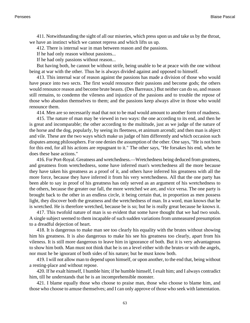411. Notwithstanding the sight of all our miseries, which press upon us and take us by the throat, we have an instinct which we cannot repress and which lifts us up.

412. There is internal war in man between reason and the passions.

If he had only reason without passions...

If he had only passions without reason...

But having both, he cannot be without strife, being unable to be at peace with the one without being at war with the other. Thus he is always divided against and opposed to himself.

413. This internal war of reason against the passions has made a division of those who would have peace into two sects. The first would renounce their passions and become gods; the others would renounce reason and become brute beasts. (Des Barreaux.) But neither can do so, and reason still remains, to condemn the vileness and injustice of the passions and to trouble the repose of those who abandon themselves to them; and the passions keep always alive in those who would renounce them.

414. Men are so necessarily mad that not to be mad would amount to another form of madness.

415. The nature of man may be viewed in two ways: the one according to its end, and then he is great and incomparable; the other according to the multitude, just as we judge of the nature of the horse and the dog, popularly, by seeing its fleetness, et animum arcendi; and then man is abject and vile. These are the two ways which make us judge of him differently and which occasion such disputes among philosophers. For one denies the assumption of the other. One says, "He is not born for this end, for all his actions are repugnant to it." The other says, "He forsakes his end, when he does these base actions."

416. For Port-Royal. Greatness and wretchedness.—Wretchedness being deduced from greatness, and greatness from wretchedness, some have inferred man's wretchedness all the more because they have taken his greatness as a proof of it, and others have inferred his greatness with all the more force, because they have inferred it from his very wretchedness. All that the one party has been able to say in proof of his greatness has only served as an argument of his wretchedness to the others, because the greater our fall, the more wretched we are, and vice versa. The one party is brought back to the other in an endless circle, it being certain that, in proportion as men possess light, they discover both the greatness and the wretchedness of man. In a word, man knows that he is wretched. He is therefore wretched, because be is so; but he is really great because he knows it.

417. This twofold nature of man is so evident that some have thought that we had two souls. A single subject seemed to them incapable of such sudden variations from unmeasured presumption to a dreadful dejection of heart.

418. It is dangerous to make man see too clearly his equality with the brutes without showing him his greatness. It is also dangerous to make his see his greatness too clearly, apart from his vileness. It is still more dangerous to leave him in ignorance of both. But it is very advantageous to show him both. Man must not think that he is on a level either with the brutes or with the angels, nor must he be ignorant of both sides of his nature; but he must know both.

419. I will not allow man to depend upon himself, or upon another, to the end that, being without a resting-place and without repose.

420. If he exalt himself, I humble him; if he humble himself, I exalt him; and I always contradict him, till he understands that he is an incomprehensible monster.

421. I blame equally those who choose to praise man, those who choose to blame him, and those who choose to amuse themselves; and I can only approve of those who seek with lamentation.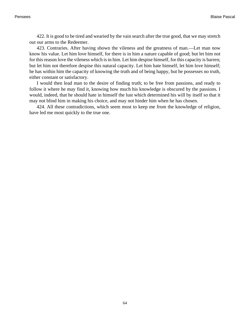422. It is good to be tired and wearied by the vain search after the true good, that we may stretch out our arms to the Redeemer.

423. Contraries. After having shown the vileness and the greatness of man.—Let man now know his value. Let him love himself, for there is in him a nature capable of good; but let him not for this reason love the vileness which is in him. Let him despise himself, for this capacity is barren; but let him not therefore despise this natural capacity. Let him hate himself, let him love himself; he has within him the capacity of knowing the truth and of being happy, but he possesses no truth, either constant or satisfactory.

I would then lead man to the desire of finding truth; to be free from passions, and ready to follow it where he may find it, knowing how much his knowledge is obscured by the passions. I would, indeed, that he should hate in himself the lust which determined his will by itself so that it may not blind him in making his choice, and may not hinder him when he has chosen.

424. All these contradictions, which seem most to keep me from the knowledge of religion, have led me most quickly to the true one.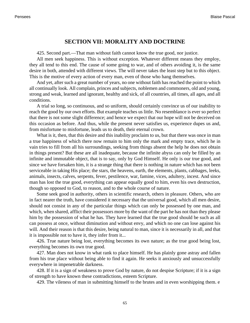## **SECTION VII: MORALITY AND DOCTRINE**

425. Second part.—That man without faith cannot know the true good, nor justice.

All men seek happiness. This is without exception. Whatever different means they employ, they all tend to this end. The cause of some going to war, and of others avoiding it, is the same desire in both, attended with different views. The will never takes the least step but to this object. This is the motive of every action of every man, even of those who hang themselves.

And yet, after such a great number of years, no one without faith has reached the point to which all continually look. All complain, princes and subjects, noblemen and commoners, old and young, strong and weak, learned and ignorant, healthy and sick, of all countries, all times, all ages, and all conditions.

A trial so long, so continuous, and so uniform, should certainly convince us of our inability to reach the good by our own efforts. But example teaches us little. No resemblance is ever so perfect that there is not some slight difference; and hence we expect that our hope will not be deceived on this occasion as before. And thus, while the present never satisfies us, experience dupes us and, from misfortune to misfortune, leads us to death, their eternal crown.

What is it, then, that this desire and this inability proclaim to us, but that there was once in man a true happiness of which there now remain to him only the mark and empty trace, which he in vain tries to fill from all his surroundings, seeking from things absent the help he does not obtain in things present? But these are all inadequate, because the infinite abyss can only be filled by an infinite and immutable object, that is to say, only by God Himself. He only is our true good, and since we have forsaken him, it is a strange thing that there is nothing in nature which has not been serviceable in taking His place; the stars, the heavens, earth, the elements, plants, cabbages, leeks, animals, insects, calves, serpents, fever, pestilence, war, famine, vices, adultery, incest. And since man has lost the true good, everything can appear equally good to him, even his own destruction, though so opposed to God, to reason, and to the whole course of nature.

Some seek good in authority, others in scientific research, others in pleasure. Others, who are in fact nearer the truth, have considered it necessary that the universal good, which all men desire, should not consist in any of the particular things which can only be possessed by one man, and which, when shared, afflict their possessors more by the want of the part he has not than they please him by the possession of what he has. They have learned that the true good should be such as all can possess at once, without diminution and without envy, and which no one can lose against his will. And their reason is that this desire, being natural to man, since it is necessarily in all, and that it is impossible not to have it, they infer from it...

426. True nature being lost, everything becomes its own nature; as the true good being lost, everything becomes its own true good.

427. Man does not know in what rank to place himself. He has plainly gone astray and fallen from his true place without being able to find it again. He seeks it anxiously and unsuccessfully everywhere in impenetrable darkness.

428. If it is a sign of weakness to prove God by nature, do not despise Scripture; if it is a sign of strength to have known these contradictions, esteem Scripture.

429. The vileness of man in submitting himself to the brutes and in even worshipping them. e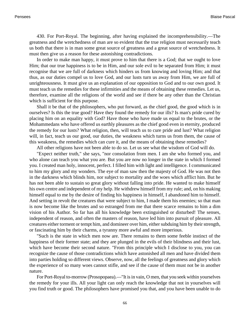430. For Port-Royal. The beginning, after having explained the incomprehensibility.—The greatness and the wretchedness of man are so evident that the true religion must necessarily teach us both that there is in man some great source of greatness and a great source of wretchedness. It must then give us a reason for these astonishing contradictions.

In order to make man happy, it must prove to him that there is a God; that we ought to love Him; that our true happiness is to be in Him, and our sole evil to be separated from Him; it must recognise that we are full of darkness which hinders us from knowing and loving Him; and that thus, as our duties compel us to love God, and our lusts turn us away from Him, we are full of unrighteousness. It must give us an explanation of our opposition to God and to our own good. It must teach us the remedies for these infirmities and the means of obtaining these remedies. Let us, therefore, examine all the religions of the world and see if there be any other than the Christian which is sufficient for this purpose.

Shall it be that of the philosophers, who put forward, as the chief good, the good which is in ourselves? Is this the true good? Have they found the remedy for our ills? Is man's pride cured by placing him on an equality with God? Have those who have made us equal to the brutes, or the Mohammedans who have offered us earthly pleasures as the chief good even in eternity, produced the remedy for our lusts? What religion, then, will teach us to cure pride and lust? What religion will, in fact, teach us our good, our duties, the weakness which turns us from them, the cause of this weakness, the remedies which can cure it, and the means of obtaining these remedies?

All other religions have not been able to do so. Let us see what the wisdom of God will do.

"Expect neither truth," she says, "nor consolation from men. I am she who formed you, and who alone can teach you what you are. But you are now no longer in the state in which I formed you. I created man holy, innocent, perfect. I filled him with light and intelligence. I communicated to him my glory and my wonders. The eye of man saw then the majesty of God. He was not then in the darkness which blinds him, nor subject to mortality and the woes which afflict him. But he has not been able to sustain so great glory without falling into pride. He wanted to make himself his own centre and independent of my help. He withdrew himself from my rule; and, on his making himself equal to me by the desire of finding his happiness in himself, I abandoned him to himself. And setting in revolt the creatures that were subject to him, I made them his enemies; so that man is now become like the brutes and so estranged from me that there scarce remains to him a dim vision of his Author. So far has all his knowledge been extinguished or disturbed! The senses, independent of reason, and often the masters of reason, have led him into pursuit of pleasure. All creatures either torment or tempt him, and domineer over him, either subduing him by their strength, or fascinating him by their charms, a tyranny more awful and more imperious.

"Such is the state in which men now are. There remains to them some feeble instinct of the happiness of their former state; and they are plunged in the evils of their blindness and their lust, which have become their second nature. "From this principle which I disclose to you, you can recognize the cause of those contradictions which have astonished all men and have divided them into parties holding so different views. Observe, now, all the feelings of greatness and glory which the experience of so many woes cannot stifle, and see if the cause of them must not be in another nature.

For Port-Royal to-morrow (Prosopopaea).—"It is in vain, O men, that you seek within yourselves the remedy for your ills. All your light can only reach the knowledge that not in yourselves will you find truth or good. The philosophers have promised you that, and you have been unable to do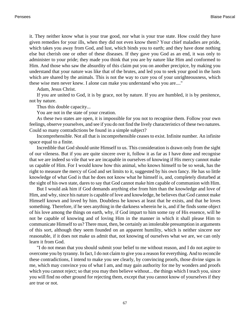it. They neither know what is your true good, nor what is your true state. How could they have given remedies for your ills, when they did not even know them? Your chief maladies are pride, which takes you away from God, and lust, which binds you to earth; and they have done nothing else but cherish one or other of these diseases. If they gave you God as an end, it was only to administer to your pride; they made you think that you are by nature like Him and conformed to Him. And those who saw the absurdity of this claim put you on another precipice, by making you understand that your nature was like that of the brutes, and led you to seek your good in the lusts which are shared by the animals. This is not the way to cure you of your unrighteousness, which these wise men never knew. I alone can make you understand who you are...."

Adam, Jesus Christ.

If you are united to God, it is by grace, not by nature. If you are humbled, it is by penitence, not by nature.

Thus this double capacity...

You are not in the state of your creation.

As these two states are open, it is impossible for you not to recognise them. Follow your own feelings, observe yourselves, and see if you do not find the lively characteristics of these two natures. Could so many contradictions be found in a simple subject?

Incomprehensible. Not all that is incomprehensible ceases to exist. Infinite number. An infinite space equal to a finite.

Incredible that God should unite Himself to us. This consideration is drawn only from the sight of our vileness. But if you are quite sincere over it, follow it as far as I have done and recognise that we are indeed so vile that we are incapable in ourselves of knowing if His mercy cannot make us capable of Him. For I would know how this animal, who knows himself to be so weak, has the right to measure the mercy of God and set limits to it, suggested by his own fancy. He has so little knowledge of what God is that he does not know what he himself is, and, completely disturbed at the sight of his own state, dares to say that God cannot make him capable of communion with Him.

But I would ask him if God demands anything else from him than the knowledge and love of Him, and why, since his nature is capable of love and knowledge, he believes that God cannot make Himself known and loved by him. Doubtless he knows at least that he exists, and that he loves something. Therefore, if he sees anything in the darkness wherein he is, and if he finds some object of his love among the things on earth, why, if God impart to him some ray of His essence, will he not be capable of knowing and of loving Him in the manner in which it shall please Him to communicate Himself to us? There must, then, be certainly an intolerable presumption in arguments of this sort, although they seem founded on an apparent humility, which is neither sincere nor reasonable, if it does not make us admit that, not knowing of ourselves what we are, we can only learn it from God.

"I do not mean that you should submit your belief to me without reason, and I do not aspire to overcome you by tyranny. In fact, I do not claim to give you a reason for everything. And to reconcile these contradictions, I intend to make you see clearly, by convincing proofs, those divine signs in me, which may convince you of what I am, and may gain authority for me by wonders and proofs which you cannot reject; so that you may then believe without... the things which I teach you, since you will find no other ground for rejecting them, except that you cannot know of yourselves if they are true or not.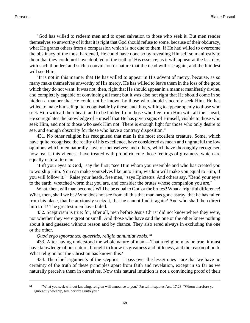"God has willed to redeem men and to open salvation to those who seek it. But men render themselves so unworthy of it that it is right that God should refuse to some, because of their obduracy, what He grants others from a compassion which is not due to them. If He had willed to overcome the obstinacy of the most hardened, He could have done so by revealing Himself so manifestly to them that they could not have doubted of the truth of His essence; as it will appear at the last day, with such thunders and such a convulsion of nature that the dead will rise again, and the blindest will see Him.

"It is not in this manner that He has willed to appear in His advent of mercy, because, as so many make themselves unworthy of His mercy, He has willed to leave them in the loss of the good which they do not want. It was not, then, right that He should appear in a manner manifestly divine, and completely capable of convincing all men; but it was also not right that He should come in so hidden a manner that He could not be known by those who should sincerely seek Him. He has willed to make himself quite recognisable by those; and thus, willing to appear openly to those who seek Him with all their heart, and to be hidden from those who flee from Him with all their heart, He so regulates the knowledge of Himself that He has given signs of Himself, visible to those who seek Him, and not to those who seek Him not. There is enough light for those who only desire to see, and enough obscurity for those who have a contrary disposition."

431. No other religion has recognised that man is the most excellent creature. Some, which have quite recognised the reality of his excellence, have considered as mean and ungrateful the low opinions which men naturally have of themselves; and others, which have thoroughly recognised how real is this vileness, have treated with proud ridicule those feelings of greatness, which are equally natural to man.

"Lift your eyes to God," say the first; "see Him whom you resemble and who has created you to worship Him. You can make yourselves like unto Him; wisdom will make you equal to Him, if you will follow it." "Raise your heads, free men," says Epictetus. And others say, "Bend your eyes to the earth, wretched worm that you are, and consider the brutes whose companion you are."

What, then, will man become? Will he be equal to God or the brutes? What a frightful difference! What, then, shall we be? Who does not see from all this that man has gone astray, that he has fallen from his place, that he anxiously seeks it, that he cannot find it again? And who shall then direct him to it? The greatest men have failed.

432. Scepticism is true; for, after all, men before Jesus Christ did not know where they were, nor whether they were great or small. And those who have said the one or the other knew nothing about it and guessed without reason and by chance. They also erred always in excluding the one or the other.

#### *Quod ergo ignorantes, quaeritis, religio annuntiat vobis*. 64

433. After having understood the whole nature of man.—That a religion may be true, it must have knowledge of our nature. It ought to know its greatness and littleness, and the reason of both. What religion but the Christian has known this?

434. The chief arguments of the sceptics—I pass over the lesser ones—are that we have no certainty of the truth of these principles apart from faith and revelation, except in so far as we naturally perceive them in ourselves. Now this natural intuition is not a convincing proof of their

<sup>64</sup> "What you seek without knowing, religion will announce to you." Pascal misquote[s Acts 17:23.](http://www.ccel.org/b/bible/asv/xml/asv.Acts.17.xml#Acts.17.23) "Whom therefore ye ignorantly worship, him declare I unto you."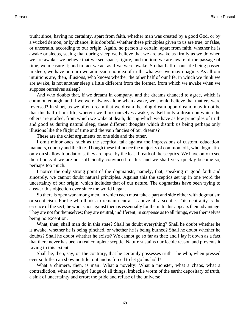truth; since, having no certainty, apart from faith, whether man was created by a good God, or by a wicked demon, or by chance, it is doubtful whether these principles given to us are true, or false, or uncertain, according to our origin. Again, no person is certain, apart from faith, whether he is awake or sleeps, seeing that during sleep we believe that we are awake as firmly as we do when we are awake; we believe that we see space, figure, and motion; we are aware of the passage of time, we measure it; and in fact we act as if we were awake. So that half of our life being passed in sleep, we have on our own admission no idea of truth, whatever we may imagine. As all our intuitions are, then, illusions, who knows whether the other half of our life, in which we think we are awake, is not another sleep a little different from the former, from which we awake when we suppose ourselves asleep?

And who doubts that, if we dreamt in company, and the dreams chanced to agree, which is common enough, and if we were always alone when awake, we should believe that matters were reversed? In short, as we often dream that we dream, heaping dream upon dream, may it not be that this half of our life, wherein we think ourselves awake, is itself only a dream on which the others are grafted, from which we wake at death, during which we have as few principles of truth and good as during natural sleep, these different thoughts which disturb us being perhaps only illusions like the flight of time and the vain fancies of our dreams?

These are the chief arguments on one side and the other.

I omit minor ones, such as the sceptical talk against the impressions of custom, education, manners, country and the like. Though these influence the majority of common folk, who dogmatise only on shallow foundations, they are upset by the least breath of the sceptics. We have only to see their books if we are not sufficiently convinced of this, and we shall very quickly become so, perhaps too much.

I notice the only strong point of the dogmatists, namely, that, speaking in good faith and sincerely, we cannot doubt natural principles. Against this the sceptics set up in one word the uncertainty of our origin, which includes that of our nature. The dogmatists have been trying to answer this objection ever since the world began.

So there is open war among men, in which each must take a part and side either with dogmatism or scepticism. For he who thinks to remain neutral is above all a sceptic. This neutrality is the essence of the sect; he who is not against them is essentially for them. In this appears their advantage. They are not for themselves; they are neutral, indifferent, in suspense as to all things, even themselves being no exception.

What, then, shall man do in this state? Shall he doubt everything? Shall he doubt whether he is awake, whether he is being pinched, or whether he is being burned? Shall he doubt whether he doubts? Shall he doubt whether he exists? We cannot go so far as that; and I lay it down as a fact that there never has been a real complete sceptic. Nature sustains our feeble reason and prevents it raving to this extent.

Shall he, then, say, on the contrary, that he certainly possesses truth—he who, when pressed ever so little, can show no title to it and is forced to let go his hold?

What a chimera, then, is man! What a novelty! What a monster, what a chaos, what a contradiction, what a prodigy! Judge of all things, imbecile worm of the earth; depositary of truth, a sink of uncertainty and error; the pride and refuse of the universe!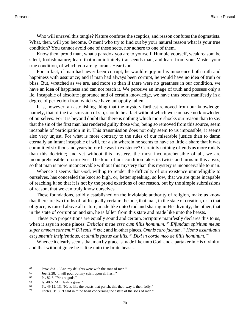Who will unravel this tangle? Nature confutes the sceptics, and reason confutes the dogmatists. What, then, will you become, O men! who try to find out by your natural reason what is your true condition? You cannot avoid one of these sects, nor adhere to one of them.

Know then, proud man, what a paradox you are to yourself. Humble yourself, weak reason; be silent, foolish nature; learn that man infinitely transcends man, and learn from your Master your true condition, of which you are ignorant. Hear God.

For in fact, if man had never been corrupt, he would enjoy in his innocence both truth and happiness with assurance; and if man had always been corrupt, he would have no idea of truth or bliss. But, wretched as we are, and more so than if there were no greatness in our condition, we have an idea of happiness and can not reach it. We perceive an image of truth and possess only a lie. Incapable of absolute ignorance and of certain knowledge, we have thus been manifestly in a degree of perfection from which we have unhappily fallen.

It is, however, an astonishing thing that the mystery furthest removed from our knowledge, namely, that of the transmission of sin, should be a fact without which we can have no knowledge of ourselves. For it is beyond doubt that there is nothing which more shocks our reason than to say that the sin of the first man has rendered guilty those who, being so removed from this source, seem incapable of participation in it. This transmission does not only seem to us impossible, it seems also very unjust. For what is more contrary to the rules of our miserable justice than to damn eternally an infant incapable of will, for a sin wherein he seems to have so little a share that it was committed six thousand years before he was in existence? Certainly nothing offends us more rudely than this doctrine; and yet without this mystery, the most incomprehensible of all, we are incomprehensible to ourselves. The knot of our condition takes its twists and turns in this abyss, so that man is more inconceivable without this mystery than this mystery is inconceivable to man.

Whence it seems that God, willing to render the difficulty of our existence unintelligible to ourselves, has concealed the knot so high, or, better speaking, so low, that we are quite incapable of reaching it; so that it is not by the proud exertions of our reason, but by the simple submissions of reason, that we can truly know ourselves.

These foundations, solidly established on the inviolable authority of religion, make us know that there are two truths of faith equally certain: the one, that man, in the state of creation, or in that of grace, is raised above all nature, made like unto God and sharing in His divinity; the other, that in the state of corruption and sin, he is fallen from this state and made like unto the beasts.

These two propositions are equally sound and certain. Scripture manifestly declares this to us, when it says in some places: *Deliciae meae esse cum filiis hominum*. <sup>65</sup> *Effundam spiritum meum super omnem carnem*. <sup>66</sup> *Dii estis*, <sup>67</sup> etc.; and in other places, *Omnis caro faenum*. <sup>68</sup> *Homo assimilatus est jumentis insipientibus, et similis factus est illis*. <sup>69</sup> *Dixi in corde meo de filiis hominum*. 70

Whence it clearly seems that man by grace is made like unto God, and a partaker in His divinity, and that without grace he is like unto the brute beasts.

<sup>65</sup> [Prov. 8:31.](http://www.ccel.org/b/bible/asv/xml/asv.Prov.8.xml#Prov.8.31) "And my delights were with the sons of men."

<sup>66</sup> [Joel 2:28.](http://www.ccel.org/b/bible/asv/xml/asv.Joel.2.xml#Joel.2.28) "I will pour out my spirit upon all flesh."

 $P_s$ . 82:6. "Ye are gods."<br>68 Is  $40.6$  "All flesh is gra

[Is. 40:6. "](http://www.ccel.org/b/bible/asv/xml/asv.Isa.40.xml#Isa.40.6)All flesh is grass."

<sup>69</sup> [Ps. 49:12, 13. "](http://www.ccel.org/b/bible/asv/xml/asv.Ps.49.xml#Ps.49.12 Bible:Ps.49.13)He is like the beasts that perish; this their way is their folly."

<sup>70</sup> [Eccles. 3:18.](http://www.ccel.org/b/bible/asv/xml/asv.Eccl.3.xml#Eccl.3.18) "I said in mine heart concerning the estate of the sons of men."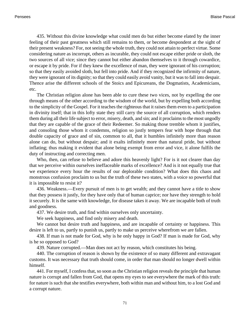435. Without this divine knowledge what could men do but either become elated by the inner feeling of their past greatness which still remains to them, or become despondent at the sight of their present weakness? For, not seeing the whole truth, they could not attain to perfect virtue. Some considering nature as incorrupt, others as incurable, they could not escape either pride or sloth, the two sources of all vice; since they cannot but either abandon themselves to it through cowardice, or escape it by pride. For if they knew the excellence of man, they were ignorant of his corruption; so that they easily avoided sloth, but fell into pride. And if they recognized the infirmity of nature, they were ignorant of its dignity; so that they could easily avoid vanity, but it was to fall into despair. Thence arise the different schools of the Stoics and Epicureans, the Dogmatists, Academicians, etc.

The Christian religion alone has been able to cure these two vices, not by expelling the one through means of the other according to the wisdom of the world, but by expelling both according to the simplicity of the Gospel. For it teaches the righteous that it raises them even to a participation in divinity itself; that in this lofty state they still carry the source of all corruption, which renders them during all their life subject to error, misery, death, and sin; and it proclaims to the most ungodly that they are capable of the grace of their Redeemer. So making those tremble whom it justifies, and consoling those whom it condemns, religion so justly tempers fear with hope through that double capacity of grace and of sin, common to all, that it humbles infinitely more than reason alone can do, but without despair; and it exalts infinitely more than natural pride, but without inflating; thus making it evident that alone being exempt from error and vice, it alone fulfils the duty of instructing and correcting men.

Who, then, can refuse to believe and adore this heavenly light? For is it not clearer than day that we perceive within ourselves ineffaceable marks of excellence? And is it not equally true that we experience every hour the results of our deplorable condition? What does this chaos and monstrous confusion proclaim to us but the truth of these two states, with a voice so powerful that it is impossible to resist it?

436. Weakness.—Every pursuit of men is to get wealth; and they cannot have a title to show that they possess it justly, for they have only that of human caprice; nor have they strength to hold it securely. It is the same with knowledge, for disease takes it away. We are incapable both of truth and goodness.

437. We desire truth, and find within ourselves only uncertainty.

We seek happiness, and find only misery and death.

We cannot but desire truth and happiness, and are incapable of certainty or happiness. This desire is left to us, partly to punish us, partly to make us perceive wherefrom we are fallen.

438. If man is not made for God, why is he only happy in God? If man is made for God, why is he so opposed to God?

439. Nature corrupted.—Man does not act by reason, which constitutes his being.

440. The corruption of reason is shown by the existence of so many different and extravagant customs. It was necessary that truth should come, in order that man should no longer dwell within himself.

441. For myself, I confess that, so soon as the Christian religion reveals the principle that human nature is corrupt and fallen from God, that opens my eyes to see everywhere the mark of this truth: for nature is such that she testifies everywhere, both within man and without him, to a lost God and a corrupt nature.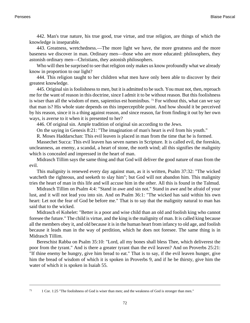442. Man's true nature, his true good, true virtue, and true religion, are things of which the knowledge is inseparable.

443. Greatness, wretchedness.—The more light we have, the more greatness and the more baseness we discover in man. Ordinary men—those who are more educated: philosophers, they astonish ordinary men—Christians, they astonish philosophers.

Who will then be surprised to see that religion only makes us know profoundly what we already know in proportion to our light?

444. This religion taught to her children what men have only been able to discover by their greatest knowledge.

445. Original sin is foolishness to men, but it is admitted to be such. You must not, then, reproach me for the want of reason in this doctrine, since I admit it to be without reason. But this foolishness is wiser than all the wisdom of men, sapientius est hominibus. 71 For without this, what can we say that man is? His whole state depends on this imperceptible point. And how should it be perceived by his reason, since it is a thing against reason, and since reason, far from finding it out by her own ways, is averse to it when it is presented to her?

446. Of original sin. Ample tradition of original sin according to the Jews.

On the saying in [Genesis 8:21](http://www.ccel.org/b/bible/asv/xml/asv.Gen.8.xml#Gen.8.21): "The imagination of man's heart is evil from his youth."

R. Moses Haddarschan: This evil leaven is placed in man from the time that he is formed.

Massechet Succa: This evil leaven has seven names in Scripture. It is called evil, the foreskin, uncleanness, an enemy, a scandal, a heart of stone, the north wind; all this signifies the malignity which is concealed and impressed in the heart of man.

Midrasch Tillim says the same thing and that God will deliver the good nature of man from the evil.

This malignity is renewed every day against man, as it is written, [Psalm 37:32:](http://www.ccel.org/b/bible/asv/xml/asv.Psalms.37.xml#Psalms.37.32) "The wicked watcheth the righteous, and seeketh to slay him"; but God will not abandon him. This malignity tries the heart of man in this life and will accuse him in the other. All this is found in the Talmud.

Midrasch Tillim on [Psalm 4:4](http://www.ccel.org/b/bible/asv/xml/asv.Psalms.4.xml#Psalms.4.4): "Stand in awe and sin not." Stand in awe and be afraid of your lust, and it will not lead you into sin. And on [Psalm 36:1:](http://www.ccel.org/b/bible/asv/xml/asv.Psalms.36.xml#Psalms.36.1) "The wicked has said within his own heart: Let not the fear of God be before me." That is to say that the malignity natural to man has said that to the wicked.

Midrasch el Kohelet: "Better is a poor and wise child than an old and foolish king who cannot foresee the future." The child is virtue, and the king is the malignity of man. It is called king because all the members obey it, and old because it is in the human heart from infancy to old age, and foolish because it leads man in the way of perdition, which he does not foresee. The same thing is in Midrasch Tillim.

Bereschist Rabba on [Psalm 35:10:](http://www.ccel.org/b/bible/asv/xml/asv.Ps.35.xml#Ps.35.10) "Lord, all my bones shall bless Thee, which deliverest the poor from the tyrant." And is there a greater tyrant than the evil leaven? And on [Proverbs 25:21:](http://www.ccel.org/b/bible/asv/xml/asv.Prov.25.xml#Prov.25.21) "If thine enemy be hungry, give him bread to eat." That is to say, if the evil leaven hunger, give him the bread of wisdom of which it is spoken in [Proverbs 9,](http://www.ccel.org/b/bible/asv/xml/asv.Prov..xml#Prov..) and if he be thirsty, give him the water of which it is spoken in [Isaiah 55.](http://www.ccel.org/b/bible/asv/xml/asv.Isa..xml#Isa..)

<sup>71</sup> [1 Cor. 1:25](http://www.ccel.org/b/bible/asv/xml/asv.iCor.1.xml#iCor.1.25) "The foolishness of God is wiser than men; and the weakness of God is stronger than men."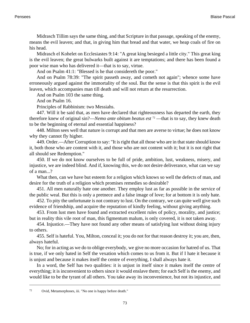Midrasch Tillim says the same thing, and that Scripture in that passage, speaking of the enemy, means the evil leaven; and that, in giving him that bread and that water, we heap coals of fire on his head.

Midrasch el Kohelet on [Ecclesiastes 9:14:](http://www.ccel.org/b/bible/asv/xml/asv.Eccl.9.xml#Eccl.9.14) "A great king besieged a little city." This great king is the evil leaven; the great bulwarks built against it are temptations; and there has been found a poor wise man who has delivered it—that is to say, virtue.

And on [Psalm 41:1](http://www.ccel.org/b/bible/asv/xml/asv.Ps.41.xml#Ps.41.1): "Blessed is he that considereth the poor."

And on [Psalm 78:39:](http://www.ccel.org/b/bible/asv/xml/asv.Ps.78.xml#Ps.78.39) "The spirit passeth away, and cometh not again"; whence some have erroneously argued against the immortality of the soul. But the sense is that this spirit is the evil leaven, which accompanies man till death and will not return at the resurrection.

And on [Psalm 103](http://www.ccel.org/b/bible/asv/xml/asv.Ps..xml#Ps..) the same thing.

And on [Psalm 16](http://www.ccel.org/b/bible/asv/xml/asv.Ps..xml#Ps..).

Principles of Rabbinism: two Messiahs.

447. Will it be said that, as men have declared that righteousness has departed the earth, they therefore knew of original sin?—*Nemo ante obitum beatus est* <sup>72</sup> —that is to say, they knew death to be the beginning of eternal and essential happiness?

448. Milton sees well that nature is corrupt and that men are averse to virtue; he does not know why they cannot fly higher.

449. Order.—After Corruption to say: "It is right that all those who are in that state should know it, both those who are content with it, and those who are not content with it; but it is not right that all should see Redemption."

450. If we do not know ourselves to be full of pride, ambition, lust, weakness, misery, and injustice, we are indeed blind. And if, knowing this, we do not desire deliverance, what can we say of a man...?

What then, can we have but esteem for a religion which knows so well the defects of man, and desire for the truth of a religion which promises remedies so desirable?

451. All men naturally hate one another. They employ lust as far as possible in the service of the public weal. But this is only a pretnece and a false image of love; for at bottom it is only hate.

452. To pity the unfortunate is not contrary to lust. On the contrary, we can quite well give such evidence of friendship, and acquire the reputation of kindly feeling, without giving anything.

453. From lust men have found and extracted excellent rules of policy, morality, and justice; but in reality this vile root of man, this figmentum malum, is only covered, it is not taken away.

454. Injustice.—They have not found any other means of satisfying lust without doing injury to others.

455. Self is hateful. You, Milton, conceal it; you do not for that reason destroy it; you are, then, always hateful.

No; for in acting as we do to oblige everybody, we give no more occasion for hatred of us. That is true, if we only hated in Self the vexation which comes to us from it. But if I hate it because it is unjust and because it makes itself the centre of everything, I shall always hate it.

In a word, the Self has two qualities: it is unjust in itself since it makes itself the centre of everything; it is inconvenient to others since it would enslave them; for each Self is the enemy, and would like to be the tyrant of all others. You take away its inconvenience, but not its injustice, and

<sup>72</sup> Ovid, Metamorphoses, iii. "No one is happy before death."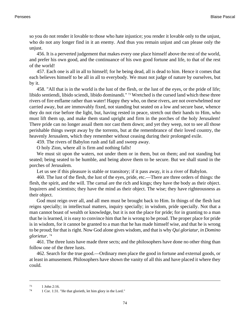so you do not render it lovable to those who hate injustice; you render it lovable only to the unjust, who do not any longer find in it an enemy. And thus you remain unjust and can please only the unjust.

456. It is a perverted judgement that makes every one place himself above the rest of the world, and prefer his own good, and the continuance of his own good fortune and life, to that of the rest of the world!

457. Each one is all in all to himself; for he being dead, all is dead to him. Hence it comes that each believes himself to be all in all to everybody. We must not judge of nature by ourselves, but by it.

458. "All that is in the world is the lust of the flesh, or the lust of the eyes, or the pride of life; libido sentiendi, libido sciendi, libido dominandi." 73 Wretched is the cursed land which these three rivers of fire enflame rather than water! Happy they who, on these rivers, are not overwhelmed nor carried away, but are immovably fixed, not standing but seated on a low and secure base, whence they do not rise before the light, but, having rested in peace, stretch out their hands to Him, who must lift them up, and make them stand upright and firm in the porches of the holy Jerusalem! There pride can no longer assail them nor cast them down; and yet they weep, not to see all those perishable things swept away by the torrents, but at the remembrance of their loved country, the heavenly Jerusalem, which they remember without ceasing during their prolonged exile.

459. The rivers of Babylon rush and fall and sweep away.

O holy Zion, where all is firm and nothing falls!

We must sit upon the waters, not under them or in them, but on them; and not standing but seated; being seated to be humble, and being above them to be secure. But we shall stand in the porches of Jerusalem.

Let us see if this pleasure is stable or transitory; if it pass away, it is a river of Babylon.

460. The lust of the flesh, the lust of the eyes, pride, etc.—There are three orders of things: the flesh, the spirit, and the will. The carnal are the rich and kings; they have the body as their object. Inquirers and scientists; they have the mind as their object. The wise; they have righteousness as their object.

God must reign over all, and all men must be brought back to Him. In things of the flesh lust reigns specially; in intellectual matters, inquiry specially; in wisdom, pride specially. Not that a man cannot boast of wealth or knowledge, but it is not the place for pride; for in granting to a man that he is learned, it is easy to convince him that he is wrong to be proud. The proper place for pride is in wisdom, for it cannot be granted to a man that he has made himself wise, and that he is wrong to be proud; for that is right. Now God alone gives wisdom, and that is why *Qui gloriatur, in Domino glorietur*. 74

461. The three lusts have made three sects; and the philosophers have done no other thing than follow one of the three lusts.

462. Search for the true good.—Ordinary men place the good in fortune and external goods, or at least in amusement. Philosophers have shown the vanity of all this and have placed it where they could.

<sup>73</sup> [1 John 2:16.](http://www.ccel.org/b/bible/asv/xml/asv.iJohn.2.xml#iJohn.2.16)

<sup>74</sup> [1 Cor. 1:31.](http://www.ccel.org/b/bible/asv/xml/asv.iCor.1.xml#iCor.1.31) "He that glorieth, let him glory in the Lord."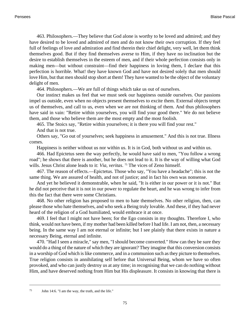463. Philosophers.—They believe that God alone is worthy to be loved and admired; and they have desired to be loved and admired of men and do not know their own corruption. If they feel full of feelings of love and admiration and find therein their chief delight, very well, let them think themselves good. But if they find themselves averse to Him, if they have no inclination but the desire to establish themselves in the esteem of men, and if their whole perfection consists only in making men—but without constraint—find their happiness in loving them, I declare that this perfection is horrible. What! they have known God and have not desired solely that men should love Him, but that men should stop short at them! They have wanted to be the object of the voluntary delight of men.

464. Philosophers.—We are full of things which take us out of ourselves.

Our instinct makes us feel that we must seek our happiness outside ourselves. Our passions impel us outside, even when no objects present themselves to excite them. External objects tempt us of themselves, and call to us, even when we are not thinking of them. And thus philosophers have said in vain: "Retire within yourselves, you will find your good there." We do not believe them, and those who believe them are the most empty and the most foolish.

465. The Stoics say, "Retire within yourselves; it is there you will find your rest."

And that is not true.

Others say, "Go out of yourselves; seek happiness in amusement." And this is not true. Illness comes.

Happiness is neither without us nor within us. It is in God, both without us and within us.

466. Had Epictetus seen the way perfectly, he would have said to men, "You follow a wrong road"; he shows that there is another, but he does not lead to it. It is the way of willing what God wills. Jesus Christ alone leads to it: *Via, veritas*. <sup>75</sup> The vices of Zeno himself.

467. The reason of effects.—Epictetus. Those who say, "You have a headache"; this is not the same thing. We are assured of health, and not of justice; and in fact his own was nonsense.

And yet he believed it demonstrable, when he said, "It is either in our power or it is not." But he did not perceive that it is not in our power to regulate the heart, and he was wrong to infer from this the fact that there were some Christians.

468. No other religion has proposed to men to hate themselves. No other religion, then, can please those who hate themselves, and who seek a Being truly lovable. And these, if they had never heard of the religion of a God humiliated, would embrace it at once.

469. I feel that I might not have been; for the Ego consists in my thoughts. Therefore I, who think, would not have been, if my mother had been killed before I had life. I am not, then, a necessary being. In the same way I am not eternal or infinite; but I see plainly that there exists in nature a necessary Being, eternal and infinite.

470. "Had I seen a miracle," say men, "I should become converted." How can they be sure they would do a thing of the nature of which they are ignorant? They imagine that this conversion consists in a worship of God which is like commerce, and in a communion such as they picture to themselves. True religion consists in annihilating self before that Universal Being, whom we have so often provoked, and who can justly destroy us at any time; in recognising that we can do nothing without Him, and have deserved nothing from Him but His displeasure. It consists in knowing that there is

<sup>75</sup> [John 14:6. "](http://www.ccel.org/b/bible/asv/xml/asv.John.14.xml#John.14.6)I am the way, the truth, and the life."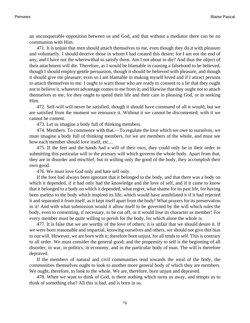an unconquerable opposition between us and God, and that without a mediator there can be no communion with Him.

471. It is unjust that men should attach themselves to me, even though they do it with pleasure and voluntarily. I should deceive those in whom I had created this desire; for I am not the end of any, and I have not the wherewithal to satisfy them. Am I not about to die? And thus the object of their attachment will die. Therefore, as I would be blamable in causing a falsehood to be believed, though I should employ gentle persuasion, though it should be believed with pleasure, and though it should give me pleasure; even so I am blamable in making myself loved and if I attract persons to attach themselves to me. I ought to warn those who are ready to consent to a lie that they ought not to believe it, whatever advantage comes to me from it; and likewise that they ought not to attach themselves to me; for they ought to spend their life and their care in pleasing God, or in seeking Him.

472. Self-will will never be satisfied, though it should have command of all it would; but we are satisfied from the moment we renounce it. Without it we cannot be discontented; with it we cannot be content.

473. Let us imagine a body full of thinking members.

474. Members. To commence with that.—To regulate the love which we owe to ourselves, we must imagine a body full of thinking members, for we are members of the whole, and must see how each member should love itself, etc....

475. If the feet and the hands had a will of their own, they could only be in their order in submitting this particular will to the primary will which governs the whole body. Apart from that, they are in disorder and mischief; but in willing only the good of the body, they accomplish their own good.

476. We must love God only and hate self only.

If the foot had always been ignorant that it belonged to the body, and that there was a body on which it depended, if it had only had the knowledge and the love of self, and if it came to know that it belonged to a body on which it depended, what regret, what shame for its past life, for having been useless to the body which inspired its life, which would have annihilated it if it had rejected it and separated it from itself, as it kept itself apart from the body! What prayers for its preservation in it! And with what submission would it allow itself to be governed by the will which rules the body, even to consenting, if necessary, to be cut off, or it would lose its character as member! For every member must be quite willing to perish for the body, for which alone the whole is.

477. It is false that we are worthy of the love of others; it is unfair that we should desire it. If we were born reasonable and impartial, knowing ourselves and others, we should not give this bias to our will. However, we are born with it; therefore born unjust, for all tends to self. This is contrary to all order. We must consider the general good; and the propensity to self is the beginning of all disorder, in war, in politics, in economy, and in the particular body of man. The will is therefore depraved.

If the members of natural and civil communities tend towards the weal of the body, the communities themselves ought to look to another more general body of which they are members. We ought, therefore, to look to the whole. We are, therefore, born unjust and depraved.

478. When we want to think of God, is there nothing which turns us away, and tempts us to think of something else? All this is bad, and is born in us.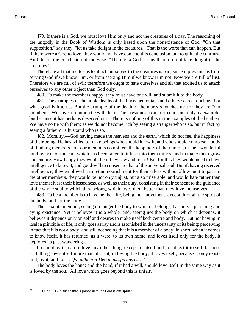479. If there is a God, we must love Him only and not the creatures of a day. The reasoning of the ungodly in the Book of Wisdom is only based upon the nonexistence of God. "On that supposition," say they, "let us take delight in the creatures." That is the worst that can happen. But if there were a God to love, they would not have come to this conclusion, but to quite the contrary. And this is the conclusion of the wise: "There is a God; let us therefore not take delight in the creatures."

Therefore all that incites us to attach ourselves to the creatures is bad; since it prevents us from serving God if we know Him, or from seeking Him if we know Him not. Now we are full of lust. Therefore we are full of evil; therefore we ought to hate ourselves and all that excited us to attach ourselves to any other object than God only.

480. To make the members happy, they must have one will and submit it to the body.

481. The examples of the noble deaths of the Lacedaemonians and others scarce touch us. For what good is it to us? But the example of the death of the martyrs touches us; for they are "our members." We have a common tie with them. Their resolution can form ours, not only by example, but because it has perhaps deserved ours. There is nothing of this in the examples of the heathen. We have no tie with them; as we do not become rich by seeing a stranger who is so, but in fact by seeing a father or a husband who is so.

482. Morality.—God having made the heavens and the earth, which do not feel the happiness of their being, He has willed to make beings who should know it, and who should compose a body of thinking members. For our members do not feel the happiness of their union, of their wonderful intelligence, of the care which has been taken to infuse into them minds, and to make them grow and endure. How happy they would be if they saw and felt it! But for this they would need to have intelligence to know it, and good-will to consent to that of the universal soul. But if, having received intelligence, they employed it to retain nourishment for themselves without allowing it to pass to the other members, they would be not only unjust, but also miserable, and would hate rather than love themselves; their blessedness, as well as their duty, consisting in their consent to the guidance of the whole soul to which they belong, which loves them better than they love themselves.

483. To be a member is to have neither life, being, nor movement, except through the spirit of the body, and for the body.

The separate member, seeing no longer the body to which it belongs, has only a perishing and dying existence. Yet it believes it is a whole, and, seeing not the body on which it depends, it believes it depends only on self and desires to make itself both centre and body. But not having in itself a principle of life, it only goes astray and is astonished in the uncertainty of its being; perceiving in fact that it is not a body, and still not seeing that it is a member of a body. In short, when it comes to know itself, it has returned, as it were, to its own home, and loves itself only for the body. It deplores its past wanderings.

It cannot by its nature love any other thing, except for itself and to subject it to self, because each thing loves itself more than all. But, in loving the body, it loves itself, because it only exists in it, by it, and for it. *Qui adhaeret Deo unus spiritus est*. 76

The body loves the hand; and the hand, if it had a will, should love itself in the same way as it is loved by the soul. All love which goes beyond this is unfair.

<sup>76</sup> [1 Cor. 6:17.](http://www.ccel.org/b/bible/asv/xml/asv.iCor.6.xml#iCor.6.17) "But he that is joined unto the Lord is one spirit."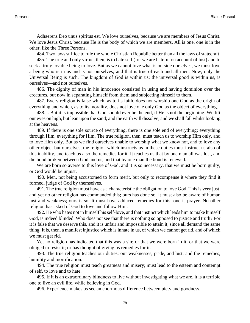Adhaerens Deo unus spiritus est. We love ourselves, because we are members of Jesus Christ. We love Jesus Christ, because He is the body of which we are members. All is one, one is in the other, like the Three Persons.

484. Two laws suffice to rule the whole Christian Republic better than all the laws of statecraft.

485. The true and only virtue, then, is to hate self (for we are hateful on account of lust) and to seek a truly lovable being to love. But as we cannot love what is outside ourselves, we must love a being who is in us and is not ourselves; and that is true of each and all men. Now, only the Universal Being is such. The kingdom of God is within us; the universal good is within us, is ourselves—and not ourselves.

486. The dignity of man in his innocence consisted in using and having dominion over the creatures, but now in separating himself from them and subjecting himself to them.

487. Every religion is false which, as to its faith, does not worship one God as the origin of everything and which, as to its morality, does not love one only God as the object of everything.

488.... But it is impossible that God should ever be the end, if He is not the beginning. We lift our eyes on high, but lean upon the sand; and the earth will dissolve, and we shall fall whilst looking at the heavens.

489. If there is one sole source of everything, there is one sole end of everything; everything through Him, everything for Him. The true religion, then, must teach us to worship Him only, and to love Him only. But as we find ourselves unable to worship what we know not, and to love any other object but ourselves, the religion which instructs us in these duties must instruct us also of this inability, and teach us also the remedies for it. It teaches us that by one man all was lost, and the bond broken between God and us, and that by one man the bond is renewed.

We are born so averse to this love of God, and it is so necessary, that we must be born guilty, or God would be unjust.

490. Men, not being accustomed to form merit, but only to recompense it where they find it formed, judge of God by themselves.

491. The true religion must have as a characteristic the obligation to love God. This is very just, and yet no other religion has commanded this; ours has done so. It must also be aware of human lust and weakness; ours is so. It must have adduced remedies for this; one is prayer. No other religion has asked of God to love and follow Him.

492. He who hates not in himself his self-love, and that instinct which leads him to make himself God, is indeed blinded. Who does not see that there is nothing so opposed to justice and truth? For it is false that we deserve this, and it is unfair and impossible to attain it, since all demand the same thing. It is, then, a manifest injustice which is innate in us, of which we cannot get rid, and of which we must get rid.

Yet no religion has indicated that this was a sin; or that we were born in it; or that we were obliged to resist it; or has thought of giving us remedies for it.

493. The true religion teaches our duties; our weaknesses, pride, and lust; and the remedies, humility and mortification.

494. The true religion must teach greatness and misery; must lead to the esteem and contempt of self, to love and to hate.

495. If it is an extraordinary blindness to live without investigating what we are, it is a terrible one to live an evil life, while believing in God.

496. Experience makes us see an enormous difference between piety and goodness.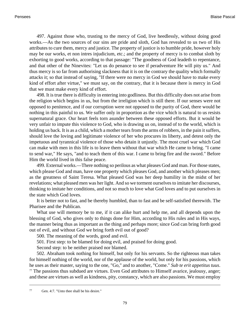497. Against those who, trusting to the mercy of God, live heedlessly, without doing good works.—As the two sources of our sins are pride and sloth, God has revealed to us two of His attributes to cure them, mercy and justice. The property of justice is to humble pride, however holy may be our works, et non intres injudicium, etc.; and the property of mercy is to combat sloth by exhorting to good works, according to that passage: "The goodness of God leadeth to repentance, and that other of the Ninevites: "Let us do penance to see if peradventure He will pity us." And thus mercy is so far from authorising slackness that it is on the contrary the quality which formally attacks it; so that instead of saying, "If there were no mercy in God we should have to make every kind of effort after virtue," we must say, on the contrary, that it is because there is mercy in God that we must make every kind of effort.

498. It is true there is difficulty in entering into godliness. But this difficulty does not arise from the religion which begins in us, but from the irreligion which is still there. If our senses were not opposed to penitence, and if our corruption were not opposed to the purity of God, there would be nothing in this painful to us. We suffer only in proportion as the vice which is natural to us resists supernatural grace. Our heart feels torn asunder between these opposed efforts. But it would be very unfair to impute this violence to God, who is drawing us on, instead of to the world, which is holding us back. It is as a child, which a mother tears from the arms of robbers, in the pain it suffers, should love the loving and legitimate violence of her who procures its liberty, and detest only the impetuous and tyrannical violence of those who detain it unjustly. The most cruel war which God can make with men in this life is to leave them without that war which He came to bring. "I came to send war," He says, "and to teach them of this war. I came to bring fire and the sword." Before Him the world lived in this false peace.

499. External works.—There nothing so perilous as what pleases God and man. For those states, which please God and man, have one property which pleases God, and another which pleases men; as the greatness of Saint Teresa. What pleased God was her deep humility in the midst of her revelations; what pleased men was her light. And so we torment ourselves to imitate her discourses, thinking to imitate her conditions, and not so much to love what God loves and to put ourselves in the state which God loves.

It is better not to fast, and be thereby humbled, than to fast and be self-satisfied therewith. The Pharisee and the Publican.

What use will memory be to me, if it can alike hurt and help me, and all depends upon the blessing of God, who gives only to things done for Him, according to His rules and in His ways, the manner being thus as important as the thing and perhaps more; since God can bring forth good out of evil, and without God we bring forth evil out of good?

500. The meaning of the words, good and evil.

501. First step: to be blamed for doing evil, and praised for doing good.

Second step: to be neither praised nor blamed.

502. Abraham took nothing for himself, but only for his servants. So the righteous man takes for himself nothing of the world, nor of the applause of the world, but only for his passions, which he uses as their master, saying to the one, "Go," and to another, "Come." *Sub te erit appetitus tuus*.  $77$  The passions thus subdued are virtues. Even God attributes to Himself avarice, jealousy, anger; and these are virtues as well as kindness, pity, constancy, which are also passions. We must employ

<sup>77</sup> [Gen. 4:7. "](http://www.ccel.org/b/bible/asv/xml/asv.Gen.4.xml#Gen.4.7)Unto thee shall be his desire."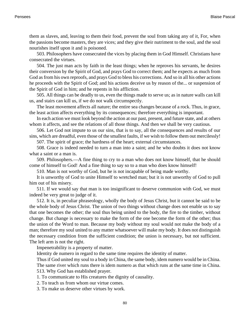them as slaves, and, leaving to them their food, prevent the soul from taking any of it, For, when the passions become masters, they are vices; and they give their nutriment to the soul, and the soul nourishes itself upon it and is poisoned.

503. Philosophers have consecrated the vices by placing them in God Himself. Christians have consecrated the virtues.

504. The just man acts by faith in the least things; when he reproves his servants, he desires their conversion by the Spirit of God, and prays God to correct them; and he expects as much from God as from his own reproofs, and prays God to bless his corrections. And so in all his other actions he proceeds with the Spirit of God; and his actions deceive us by reason of the... or suspension of the Spirit of God in him; and he repents in his affliction.

505. All things can be deadly to us, even the things made to serve us; as in nature walls can kill us, and stairs can kill us, if we do not walk circumspectly.

The least movement affects all nature; the entire sea changes because of a rock. Thus, in grace, the least action affects everything by its consequences; therefore everything is important.

In each action we must look beyond the action at our past, present, and future state, and at others whom it affects, and see the relations of all those things. And then we shall be very cautious.

506. Let God not impute to us our sins, that is to say, all the consequences and results of our sins, which are dreadful, even those of the smallest faults, if we wish to follow them out mercilessly!

507. The spirit of grace; the hardness of the heart; external circumstances.

508. Grace is indeed needed to turn a man into a saint; and he who doubts it does not know what a saint or a man is.

509. Philosophers.—A fine thing to cry to a man who does not know himself, that he should come of himself to God! And a fine thing to say so to a man who does know himself!

510. Man is not worthy of God, but he is not incapable of being made worthy.

It is unworthy of God to unite Himself to wretched man; but it is not unworthy of God to pull him out of his misery.

511. If we would say that man is too insignificant to deserve communion with God, we must indeed be very great to judge of it.

512. It is, in peculiar phraseology, wholly the body of Jesus Christ, but it cannot be said to be the whole body of Jesus Christ. The union of two things without change does not enable us to say that one becomes the other; the soul thus being united to the body, the fire to the timber, without change. But change is necessary to make the form of the one become the form of the other; thus the union of the Word to man. Because my body without my soul would not make the body of a man; therefore my soul united to any matter whatsoever will make my body. It does not distinguish the necessary condition from the sufficient condition; the union is necessary, but not sufficient. The left arm is not the right.

Impenetrability is a property of matter.

Identity de numero in regard to the same time requires the identity of matter.

Thus if God united my soul to a body in China, the same body, idem numero would be in China. The same river which runs there is idem numero as that which runs at the same time in China.

513. Why God has established prayer.

1. To communicate to His creatures the dignity of causality.

2. To teach us from whom our virtue comes.

3. To make us deserve other virtues by work.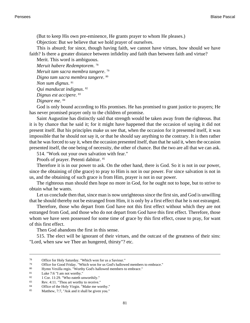(But to keep His own pre-eminence, He grants prayer to whom He pleases.) Objection: But we believe that we hold prayer of ourselves.

This is absurd; for since, though having faith, we cannot have virtues, how should we have faith? Is there a greater distance between infidelity and faith than between faith and virtue?

Merit. This word is ambiguous. *Meruit habere Redemptorem*. 78 *Meruit tam sacra membra tangere*. 79 *Digno tam sacra membra tangere*. 80 *Non sum dignus*. 81 *Qui manducat indignus*. 82 *Dignus est accipere*. 83

*Dignare me*. 84

God is only bound according to His promises. He has promised to grant justice to prayers; He has never promised prayer only to the children of promise.

Saint Augustine has distinctly said that strength would be taken away from the righteous. But it is by chance that he said it; for it might have happened that the occasion of saying it did not present itself. But his principles make us see that, when the occasion for it presented itself, it was impossible that he should not say it, or that he should say anything to the contrary. It is then rather that he was forced to say it, when the occasion presented itself, than that he said it, when the occasion presented itself, the one being of necessity, the other of chance. But the two are all that we can ask.

514. "Work out your own salvation with fear."

Proofs of prayer. Petenti dabitur. <sup>85</sup>

Therefore it is in our power to ask. On the other hand, there is God. So it is not in our power, since the obtaining of (the grace) to pray to Him is not in our power. For since salvation is not in us, and the obtaining of such grace is from Him, prayer is not in our power.

The righteous man should then hope no more in God, for he ought not to hope, but to strive to obtain what he wants.

Let us conclude then that, since man is now unrighteous since the first sin, and God is unwilling that he should thereby not be estranged from Him, it is only by a first effect that he is not estranged.

Therefore, those who depart from God have not this first effect without which they are not estranged from God, and those who do not depart from God have this first effect. Therefore, those whom we have seen possessed for some time of grace by this first effect, cease to pray, for want of this first effect.

Then God abandons the first in this sense.

515. The elect will be ignorant of their virtues, and the outcast of the greatness of their sins: "Lord, when saw we Thee an hungered, thirsty"? etc.

<sup>&</sup>lt;sup>78</sup> Office for Holy Saturday. "Which won for us a Saviour."<br><sup>79</sup> Office for Good Friday. "Which won for us God's hallow

<sup>79</sup> Office for Good Friday. "Which won for us God's hallowed members to embrace."<br> $\frac{80}{2}$  Hymn Vexilla regis. "Worthy God's hallowed members to embrace."

<sup>&</sup>lt;sup>80</sup> Hymn Vexilla regis. "Worthy God's hallowed members to embrace."<br> $\frac{81}{1 \text{ N}}$  Hymn Tuke  $7.6$  "Lemn ot worthy."

[Luke 7:6](http://www.ccel.org/b/bible/asv/xml/asv.Luke.7.xml#Luke.7.6) "I am not worthy."

<sup>&</sup>lt;sup>82</sup> [1 Cor. 11:29. "](http://www.ccel.org/b/bible/asv/xml/asv.iCorinthians.11.xml#iCorinthians.11.29)Who eateth unworthily."<br><sup>83</sup> Rev. 4:11 "Thou art worthy to receive

[Rev. 4:11. "](http://www.ccel.org/b/bible/asv/xml/asv...xml#..)Thou art worthy to receive."

<sup>84</sup> Office of the Holy Virgin. "Make me worthy."

<sup>85</sup> [Matthew, 7:7,](http://www.ccel.org/b/bible/asv/xml/asv.Matt.7.xml#Matt.7.7) "Ask and it shall be given you."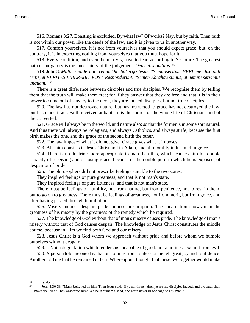516. [Romans 3:27.](http://www.ccel.org/b/bible/asv/xml/asv.Rom.3.xml#Rom.3.27) Boasting is excluded. By what law? Of works? Nay, but by faith. Then faith is not within our power like the deeds of the law, and it is given to us in another way.

517. Comfort yourselves. It is not from yourselves that you should expect grace; but, on the contrary, it is in expecting nothing from yourselves that you must hope for it.

518. Every condition, and even the martyrs, have to fear, according to Scripture. The greatest pain of purgatory is the uncertainty of the judgement. *Deus absconditus*. 86

519. [John 8](http://www.ccel.org/b/bible/asv/xml/asv.John..xml#John..). *Multi crediderunt in eum. Dicebat ergo Jesus: "Si manseritis... VERE mei discipuli eritis, et VERITAS LIBERABIT VOS." Responderunt: "Semen Abrahae sumus, et nemini servimus unquam*." <sup>87</sup>

There is a great difference between disciples and true disciples. We recognise them by telling them that the truth will make them free; for if they answer that they are free and that it is in their power to come out of slavery to the devil, they are indeed disciples, but not true disciples.

520. The law has not destroyed nature, but has instructed it; grace has not destroyed the law, but has made it act. Faith received at baptism is the source of the whole life of Christians and of the converted.

521. Grace will always be in the world, and nature also; so that the former is in some sort natural. And thus there will always be Pelagians, and always Catholics, and always strife; because the first birth makes the one, and the grace of the second birth the other.

522. The law imposed what it did not give. Grace gives what it imposes.

523. All faith consists in Jesus Christ and in Adam, and all morality in lust and in grace.

524. There is no doctrine more appropriate to man than this, which teaches him his double capacity of receiving and of losing grace, because of the double peril to which he is exposed, of despair or of pride.

525. The philosophers did not prescribe feelings suitable to the two states.

They inspired feelings of pure greatness, and that is not man's state.

They inspired feelings of pure littleness, and that is not man's state.

There must be feelings of humility, not from nature, but from penitence, not to rest in them, but to go on to greatness. There must be feelings of greatness, not from merit, but from grace, and after having passed through humiliation.

526. Misery induces despair, pride induces presumption. The Incarnation shows man the greatness of his misery by the greatness of the remedy which he required.

527. The knowledge of God without that of man's misery causes pride. The knowledge of man's misery without that of God causes despair. The knowledge of Jesus Christ constitutes the middle course, because in Him we find both God and our misery.

528. Jesus Christ is a God whom we approach without pride and before whom we humble ourselves without despair.

529.... Not a degradation which renders us incapable of good, nor a holiness exempt from evil.

530. A person told me one day that on coming from confession he felt great joy and confidence. Another told me that he remained in fear. Whereupon I thought that these two together would make

<sup>86</sup> [Is. 45:15.](http://www.ccel.org/b/bible/asv/xml/asv.Isaiah.45.xml#Isaiah.45.15)

<sup>87</sup> [John 8:30-33.](http://www.ccel.org/b/bible/asv/xml/asv.John.8.xml#John.8.30) "Many believed on him. Then Jesus said: 'If ye continue... then ye are my disciples indeed, and the truth shall make you free.' They answered him: 'We be Abraham's seed, and were never in bondage to any man.'"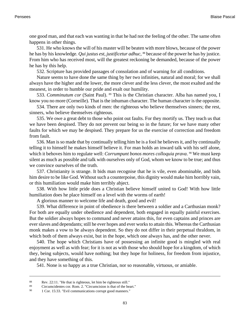one good man, and that each was wanting in that he had not the feeling of the other. The same often happens in other things.

531. He who knows the will of his master will be beaten with more blows, because of the power he has by his knowledge. *Qui justus est, justificetur adhuc*, <sup>88</sup> because of the power he has by justice. From him who has received most, will the greatest reckoning be demanded, because of the power he has by this help.

532. Scripture has provided passages of consolation and of warning for all conditions.

Nature seems to have done the same thing by her two infinities, natural and moral; for we shall always have the higher and the lower, the more clever and the less clever, the most exalted and the meanest, in order to humble our pride and exalt our humility.

533. *Comminutum cor* (Saint Paul). 89 This is the Christian character. Alba has named you, I know you no more (Corneille). That is the inhuman character. The human character is the opposite.

534. There are only two kinds of men: the righteous who believe themselves sinners; the rest, sinners, who believe themselves righteous.

535. We owe a great debt to those who point out faults. For they mortify us. They teach us that we have been despised. They do not prevent our being so in the future; for we have many other faults for which we may be despised. They prepare for us the exercise of correction and freedom from fault.

536. Man is so made that by continually telling him he is a fool he believes it, and by continually telling it to himself he makes himself believe it. For man holds an inward talk with his self alone, which it behoves him to regulate well: *Corrumpunt bonos mores colloquia prava*. <sup>90</sup> We must keep silent as much as possible and talk with ourselves only of God, whom we know to be true; and thus we convince ourselves of the truth.

537. Christianity is strange. It bids man recognise that he is vile, even abominable, and bids him desire to be like God. Without such a counterpoise, this dignity would make him horribly vain, or this humiliation would make him terribly abject.

538. With how little pride does a Christian believe himself united to God! With how little humiliation does he place himself on a level with the worms of earth!

A glorious manner to welcome life and death, good and evil!

539. What difference in point of obedience is there between a soldier and a Carthusian monk? For both are equally under obedience and dependent, both engaged in equally painful exercises. But the soldier always hopes to command and never attains this, for even captains and princes are ever slaves and dependants; still he ever hopes and ever works to attain this. Whereas the Carthusian monk makes a vow to be always dependent. So they do not differ in their perpetual thraldom, in which both of them always exist, but in the hope, which one always has, and the other never.

540. The hope which Christians have of possessing an infinite good is mingled with real enjoyment as well as with fear; for it is not as with those who should hope for a kingdom, of which they, being subjects, would have nothing; but they hope for holiness, for freedom from injustice, and they have something of this.

541. None is so happy as a true Christian, nor so reasonable, virtuous, or amiable.

<sup>88</sup> [Rev. 22:11.](http://www.ccel.org/b/bible/asv/xml/asv...xml#..) "He that is righteous, let him be righteous still."

<sup>89</sup> Circumcidentes cor. [Rom. 2](http://www.ccel.org/b/bible/asv/xml/asv.Rom..xml#Rom..). "Circumcision is that of the heart."

<sup>90</sup> [1 Cor. 15:33. "](http://www.ccel.org/b/bible/asv/xml/asv.iCor.15.xml#iCor.15.33)Evil communications corrupt good manners."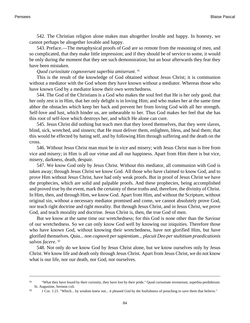542. The Christian religion alone makes man altogether lovable and happy. In honesty, we cannot perhaps be altogether lovable and happy.

543. Preface.—The metaphysical proofs of God are so remote from the reasoning of men, and so complicated, that they make little impression; and if they should be of service to some, it would be only during the moment that they see such demonstration; but an hour afterwards they fear they have been mistaken.

## *Quod curiositate cognoverunt superbia amiserunt*. 91

This is the result of the knowledge of God obtained without Jesus Christ; it is communion without a mediator with the God whom they have known without a mediator. Whereas those who have known God by a mediator know their own wretchedness.

544. The God of the Christians is a God who makes the soul feel that He is her only good, that her only rest is in Him, that her only delight is in loving Him; and who makes her at the same time abhor the obstacles which keep her back and prevent her from loving God with all her strength. Self-love and lust, which hinder us, are unbearable to her. Thus God makes her feel that she has this root of self-love which destroys her, and which He alone can cure.

545. Jesus Christ did nothing but teach men that they loved themselves, that they were slaves, blind, sick, wretched, and sinners; that He must deliver them, enlighten, bless, and heal them; that this would be effected by hating self, and by following Him through suffering and the death on the cross.

546. Without Jesus Christ man must be in vice and misery; with Jesus Christ man is free from vice and misery; in Him is all our virtue and all our happiness. Apart from Him there is but vice, misery, darkness, death, despair.

547. We know God only by Jesus Christ. Without this mediator, all communion with God is taken away; through Jesus Christ we know God. All those who have claimed to know God, and to prove Him without Jesus Christ, have had only weak proofs. But in proof of Jesus Christ we have the prophecies, which are solid and palpable proofs. And these prophecies, being accomplished and proved true by the event, mark the certainty of these truths and, therefore, the divinity of Christ. In Him, then, and through Him, we know God. Apart from Him, and without the Scripture, without original sin, without a necessary mediator promised and come, we cannot absolutely prove God, nor teach right doctrine and right morality. But through Jesus Christ, and in Jesus Christ, we prove God, and teach morality and doctrine. Jesus Christ is, then, the true God of men.

But we know at the same time our wretchedness; for this God is none other than the Saviour of our wretchedness. So we can only know God well by knowing our iniquities. Therefore those who have known God, without knowing their wretchedness, have not glorified Him, but have glorified themselves. *Quia... non cognovit per sapientiam... placuit Deo per stultitiam praedicationis salvos facere*. 92

548. Not only do we know God by Jesus Christ alone, but we know ourselves only by Jesus Christ. We know life and death only through Jesus Christ. Apart from Jesus Christ, we do not know what is our life, nor our death, nor God, nor ourselves.

<sup>&</sup>lt;sup>91</sup> "What they have found by their curiosity, they have lost by their pride." Quod curiositate invenerunt, superbia perdiderunt. St. Augustine, Sermon cxli.

 $92 \text{ }$  [1 Cor. 1:21.](http://www.ccel.org/b/bible/asv/xml/asv.iCor.1.xml#iCor.1.21) "Which... by wisdom knew not... it pleased God by the foolishness of preaching to save them that believe."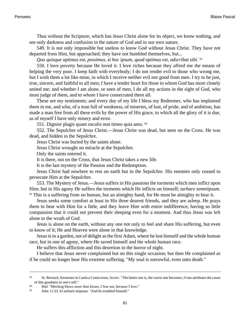Thus without the Scripture, which has Jesus Christ alone for its object, we know nothing, and see only darkness and confusion in the nature of God and in our own nature.

549. It is not only impossible but useless to know God without Jesus Christ. They have not departed from Him, but approached; they have not humbled themselves, but...

*Quo quisque optimus est, pessimus, si hoc ipsum, quod optimus est, adscribat sibi*. 93

550. I love poverty because He loved it. I love riches because they afford me the means of helping the very poor. I keep faith with everybody; I do not render evil to those who wrong me, but I wish them a lot like mine, in which I receive neither evil nor good from men. I try to be just, true, sincere, and faithful to all men; I have a tender heart for those to whom God has more closely united me; and whether I am alone, or seen of men, I do all my actions in the sight of God, who must judge of them, and to whom I have consecrated them all.

These are my sentiments; and every day of my life I bless my Redeemer, who has implanted them in me, and who, of a man full of weakness, of miseries, of lust, of pride, and of ambition, has made a man free from all these evils by the power of His grace, to which all the glory of it is due, as of myself I have only misery and error.

551. Dignior plagis quam osculis non timeo quia amo. <sup>94</sup>

552. The Sepulchre of Jesus Christ.—Jesus Christ was dead, but seen on the Cross. He was dead, and hidden in the Sepulchre.

Jesus Christ was buried by the saints alone.

Jesus Christ wrought no miracle at the Sepulchre.

Only the saints entered it.

It is there, not on the Cross, that Jesus Christ takes a new life.

It is the last mystery of the Passion and the Redemption.

Jesus Christ had nowhere to rest on earth but in the Sepulchre. His enemies only ceased to persecute Him at the Sepulchre.

553. The Mystery of Jesus.—Jesus suffers in His passions the torments which men inflict upon Him; but in His agony He suffers the torments which He inflicts on himself; *turbare semetipsum*. <sup>95</sup> This is a suffering from no human, but an almighty hand, for He must be almighty to bear it.

Jesus seeks some comfort at least in His three dearest friends, and they are asleep. He prays them to bear with Him for a little, and they leave Him with entire indifference, having so little compassion that it could not prevent their sleeping even for a moment. And thus Jesus was left alone to the wrath of God.

Jesus is alone on the earth, without any one not only to feel and share His suffering, but even to know of it; He and Heaven were alone in that knowledge.

Jesus is in a garden, not of delight as the first Adam, where he lost himself and the whole human race, but in one of agony, where He saved himself and the whole human race.

He suffers this affliction and this desertion in the horror of night.

I believe that Jesus never complained but on this single occasion; but then He complained as if he could no longer bear His extreme suffering. "My soul is sorrowful, even unto death."

<sup>93</sup> St. Bernard, Sermones in Cantica Canticorum, lxxxiv. "The better one is, the worse one becomes, if one attributes the cause of this goodness to one's self."

<sup>94</sup> Ibid. "Meriting blows more than kisses, I fear not, because I love."

<sup>95</sup> [John 11:33.](http://www.ccel.org/b/bible/asv/xml/asv.John.11.xml#John.11.33) Et turbarit seipsum. "And he troubled himself."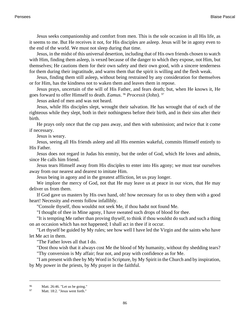Jesus seeks companionship and comfort from men. This is the sole occasion in all His life, as it seems to me. But He receives it not, for His disciples are asleep. Jesus will be in agony even to the end of the world. We must not sleep during that time.

Jesus, in the midst of this universal desertion, including that of His own friends chosen to watch with Him, finding them asleep, is vexed because of the danger to which they expose, not Him, but themselves; He cautions them for their own safety and their own good, with a sincere tenderness for them during their ingratitude, and warns them that the spirit is willing and the flesh weak.

Jesus, finding them still asleep, without being restrained by any consideration for themselves or for Him, has the kindness not to waken them and leaves them in repose.

Jesus prays, uncertain of the will of His Father, and fears death; but, when He knows it, He goes forward to offer Himself to death. *Eamus*. <sup>96</sup> *Processit* (John). <sup>97</sup>

Jesus asked of men and was not heard.

Jesus, while His disciples slept, wrought their salvation. He has wrought that of each of the righteous while they slept, both in their nothingness before their birth, and in their sins after their birth.

He prays only once that the cup pass away, and then with submission; and twice that it come if necessary.

Jesus is weary.

Jesus, seeing all His friends asleep and all His enemies wakeful, commits Himself entirely to His Father.

Jesus does not regard in Judas his enmity, but the order of God, which He loves and admits, since He calls him friend.

Jesus tears Himself away from His disciples to enter into His agony; we must tear ourselves away from our nearest and dearest to imitate Him.

Jesus being in agony and in the greatest affliction, let us pray longer.

We implore the mercy of God, not that He may leave us at peace in our vices, that He may deliver us from them.

If God gave us masters by His own hand, oh! how necessary for us to obey them with a good heart! Necessity and events follow infallibly.

"Console thyself, thou wouldst not seek Me, if thou hadst not found Me.

"I thought of thee in Mine agony, I have sweated such drops of blood for thee.

"It is tempting Me rather than proving thyself, to think if thou wouldst do such and such a thing on an occasion which has not happened; I shall act in thee if it occur.

"Let thyself be guided by My rules; see how well I have led the Virgin and the saints who have let Me act in them.

"The Father loves all that I do.

"Dost thou wish that it always cost Me the blood of My humanity, without thy shedding tears? "Thy conversion is My affair; fear not, and pray with confidence as for Me.

"I am present with thee by My Word in Scripture, by My Spirit in the Church and by inspiration, by My power in the priests, by My prayer in the faithful.

<sup>96</sup> [Matt. 26:46.](http://www.ccel.org/b/bible/asv/xml/asv.Matt.26.xml#Matt.26.46) "Let us be going."

<sup>97</sup> [Matt. 18:2.](http://www.ccel.org/b/bible/asv/xml/asv.Matt.18.xml#Matt.18.2) "Jesus went forth."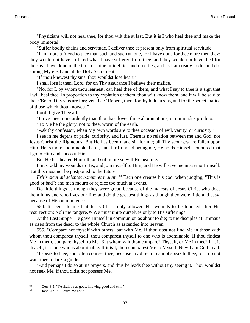"Physicians will not heal thee, for thou wilt die at last. But it is I who heal thee and make the body immortal.

"Suffer bodily chains and servitude, I deliver thee at present only from spiritual servitude.

"I am more a friend to thee than such and such an one, for I have done for thee more then they; they would not have suffered what I have suffered from thee, and they would not have died for thee as I have done in the time of thine infidelities and cruelties, and as I am ready to do, and do, among My elect and at the Holy Sacrament."

"If thou knewest thy sins, thou wouldst lose heart."

I shall lose it then, Lord, for on Thy assurance I believe their malice.

"No, for I, by whom thou learnest, can heal thee of them, and what I say to thee is a sign that I will heal thee. In proportion to thy expiation of them, thou wilt know them, and it will be said to thee: 'Behold thy sins are forgiven thee.' Repent, then, for thy hidden sins, and for the secret malice of those which thou knowest."

Lord, I give Thee all.

"I love thee more ardently than thou hast loved thine abominations, ut immundus pro luto.

"To Me be the glory, not to thee, worm of the earth.

"Ask thy confessor, when My own words are to thee occasion of evil, vanity, or curiosity."

I see in me depths of pride, curiosity, and lust. There is no relation between me and God, nor Jesus Christ the Righteous. But He has been made sin for me; all Thy scourges are fallen upon Him. He is more abominable than I, and, far from abhorring me, He holds Himself honoured that I go to Him and succour Him.

But He has healed Himself, and still more so will He heal me.

I must add my wounds to His, and join myself to Him; and He will save me in saving Himself. But this must not be postponed to the future.

*Eritis sicut dii scientes bonum et malum*. <sup>98</sup> Each one creates his god, when judging, "This is good or bad"; and men mourn or rejoice too much at events.

Do little things as though they were great, because of the majesty of Jesus Christ who does them in us and who lives our life; and do the greatest things as though they were little and easy, because of His omnipotence.

554. It seems to me that Jesus Christ only allowed His wounds to be touched after His resurrection: Noli me tangere. 99 We must unite ourselves only to His sufferings.

At the Last Supper He gave Himself in communion as about to die; to the disciples at Emmaus as risen from the dead; to the whole Church as ascended into heaven.

555. "Compare not thyself with others, but with Me. If thou dost not find Me in those with whom thou comparest thyself, thou comparest thyself to one who is abominable. If thou findest Me in them, compare thyself to Me. But whom wilt thou compare? Thyself, or Me in thee? If it is thyself, it is one who is abominable. If it is I, thou comparest Me to Myself. Now I am God in all.

"I speak to thee, and often counsel thee, because thy director cannot speak to thee, for I do not want thee to lack a guide.

"And perhaps I do so at his prayers, and thus he leads thee without thy seeing it. Thou wouldst not seek Me, if thou didst not possess Me.

<sup>98</sup> [Gen. 3:5. "](http://www.ccel.org/b/bible/asv/xml/asv.Gen.3.xml#Gen.3.5)Ye shall be as gods, knowing good and evil."

<sup>99</sup> [John 20:17.](http://www.ccel.org/b/bible/asv/xml/asv.John.20.xml#John.20.17) "Touch me not."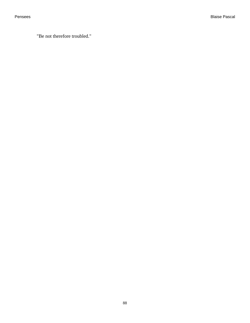"Be not therefore troubled."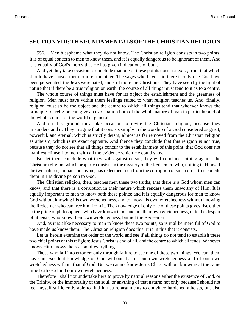## **SECTION VIII: THE FUNDAMENTALS OF THE CHRISTIAN RELIGION**

556.... Men blaspheme what they do not know. The Christian religion consists in two points. It is of equal concern to men to know them, and it is equally dangerous to be ignorant of them. And it is equally of God's mercy that He has given indications of both.

And yet they take occasion to conclude that one of these points does not exist, from that which should have caused them to infer the other. The sages who have said there is only one God have been persecuted, the Jews were hated, and still more the Christians. They have seen by the light of nature that if there be a true religion on earth, the course of all things must tend to it as to a centre.

The whole course of things must have for its object the establishment and the greatness of religion. Men must have within them feelings suited to what religion teaches us. And, finally, religion must so be the object and the centre to which all things tend that whoever knows the principles of religion can give an explanation both of the whole nature of man in particular and of the whole course of the world in general.

And on this ground they take occasion to revile the Christian religion, because they misunderstand it. They imagine that it consists simply in the worship of a God considered as great, powerful, and eternal; which is strictly deism, almost as far removed from the Christian religion as atheism, which is its exact opposite. And thence they conclude that this religion is not true, because they do not see that all things concur to the establishment of this point, that God does not manifest Himself to men with all the evidence which He could show.

But let them conclude what they will against deism, they will conclude nothing against the Christian religion, which properly consists in the mystery of the Redeemer, who, uniting in Himself the two natures, human and divine, has redeemed men from the corruption of sin in order to reconcile them in His divine person to God.

The Christian religion, then, teaches men these two truths; that there is a God whom men can know, and that there is a corruption in their nature which renders them unworthy of Him. It is equally important to men to know both these points; and it is equally dangerous for man to know God without knowing his own wretchedness, and to know his own wretchedness without knowing the Redeemer who can free him from it. The knowledge of only one of these points gives rise either to the pride of philosophers, who have known God, and not their own wretchedness, or to the despair of atheists, who know their own wretchedness, but not the Redeemer.

And, as it is alike necessary to man to know these two points, so is it alike merciful of God to have made us know them. The Christian religion does this; it is in this that it consists.

Let us herein examine the order of the world and see if all things do not tend to establish these two chief points of this religion: Jesus Christ is end of all, and the centre to which all tends. Whoever knows Him knows the reason of everything.

Those who fall into error err only through failure to see one of these two things. We can, then, have an excellent knowledge of God without that of our own wretchedness and of our own wretchedness without that of God. But we cannot know Jesus Christ without knowing at the same time both God and our own wretchedness.

Therefore I shall not undertake here to prove by natural reasons either the existence of God, or the Trinity, or the immortality of the soul, or anything of that nature; not only because I should not feel myself sufficiently able to find in nature arguments to convince hardened atheists, but also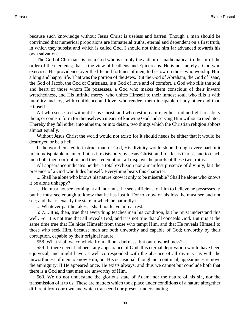because such knowledge without Jesus Christ is useless and barren. Though a man should be convinced that numerical proportions are immaterial truths, eternal and dependent on a first truth, in which they subsist and which is called God, I should not think him far advanced towards his own salvation.

The God of Christians is not a God who is simply the author of mathematical truths, or of the order of the elements; that is the view of heathens and Epicureans. He is not merely a God who exercises His providence over the life and fortunes of men, to bestow on those who worship Him a long and happy life. That was the portion of the Jews. But the God of Abraham, the God of Isaac, the God of Jacob, the God of Christians, is a God of love and of comfort, a God who fills the soul and heart of those whom He possesses, a God who makes them conscious of their inward wretchedness, and His infinite mercy, who unites Himself to their inmost soul, who fills it with humility and joy, with confidence and love, who renders them incapable of any other end than Himself.

All who seek God without Jesus Christ, and who rest in nature, either find no light to satisfy them, or come to form for themselves a means of knowing God and serving Him without a mediator. Thereby they fall either into atheism, or into deism, two things which the Christian religion abhors almost equally.

Without Jesus Christ the world would not exist; for it should needs be either that it would be destroyed or be a hell.

If the world existed to instruct man of God, His divinity would shine through every part in it in an indisputable manner; but as it exists only by Jesus Christ, and for Jesus Christ, and to teach men both their corruption and their redemption, all displays the proofs of these two truths.

All appearance indicates neither a total exclusion nor a manifest presence of divinity, but the presence of a God who hides himself. Everything bears this character.

... Shall he alone who knows his nature know it only to be miserable? Shall he alone who knows it be alone unhappy?

... He must not see nothing at all, nor must he see sufficient for him to believe he possesses it; but he must see enough to know that he has lost it. For to know of his loss, he must see and not see; and that is exactly the state in which he naturally is.

... Whatever part he takes, I shall not leave him at rest.

557.... It is, then, true that everything teaches man his condition, but he must understand this well. For it is not true that all reveals God, and it is not true that all conceals God. But it is at the same time true that He hides Himself from those who tempt Him, and that He reveals Himself to those who seek Him, because men are both unworthy and capable of God; unworthy by their corruption, capable by their original nature.

558. What shall we conclude from all our darkness, but our unworthiness?

559. If there never had been any appearance of God, this eternal deprivation would have been equivocal, and might have as well corresponded with the absence of all divinity, as with the unworthiness of men to know Him; but His occasional, though not continual, appearances remove the ambiguity. If He appeared once, He exists always; and thus we cannot but conclude both that there is a God and that men are unworthy of Him.

560. We do not understand the glorious state of Adam, nor the nature of his sin, nor the transmission of it to us. These are matters which took place under conditions of a nature altogether different from our own and which transcend our present understanding.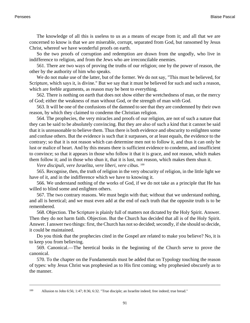The knowledge of all this is useless to us as a means of escape from it; and all that we are concerned to know is that we are miserable, corrupt, separated from God, but ransomed by Jesus Christ, whereof we have wonderful proofs on earth.

So the two proofs of corruption and redemption are drawn from the ungodly, who live in indifference to religion, and from the Jews who are irreconcilable enemies.

561. There are two ways of proving the truths of our religion; one by the power of reason, the other by the authority of him who speaks.

We do not make use of the latter, but of the former. We do not say, "This must be believed, for Scripture, which says it, is divine." But we say that it must be believed for such and such a reason, which are feeble arguments, as reason may be bent to everything.

562. There is nothing on earth that does not show either the wretchedness of man, or the mercy of God; either the weakness of man without God, or the strength of man with God.

563. It will be one of the confusions of the damned to see that they are condemned by their own reason, by which they claimed to condemn the Christian religion.

564. The prophecies, the very miracles and proofs of our religion, are not of such a nature that they can be said to be absolutely convincing. But they are also of such a kind that it cannot be said that it is unreasonable to believe them. Thus there is both evidence and obscurity to enlighten some and confuse others. But the evidence is such that it surpasses, or at least equals, the evidence to the contrary; so that it is not reason which can determine men not to follow it, and thus it can only be lust or malice of heart. And by this means there is sufficient evidence to condemn, and insufficient to convince; so that it appears in those who follow it that it is grace, and not reason, which makes them follow it; and in those who shun it, that it is lust, not reason, which makes them shun it.

Vere discipuli, vere Israelita, vere liberi, vere cibus. <sup>100</sup>

565. Recognise, then, the truth of religion in the very obscurity of religion, in the little light we have of it, and in the indifference which we have to knowing it.

566. We understand nothing of the works of God, if we do not take as a principle that He has willed to blind some and enlighten others.

567. The two contrary reasons. We must begin with that; without that we understand nothing, and all is heretical; and we must even add at the end of each truth that the opposite truth is to be remembered.

568. Objection. The Scripture is plainly full of matters not dictated by the Holy Spirit. Answer. Then they do not harm faith. Objection. But the Church has decided that all is of the Holy Spirit. Answer. I answer two things: first, the Church has not so decided; secondly, if she should so decide, it could be maintained.

Do you think that the prophecies cited in the Gospel are related to make you believe? No, it is to keep you from believing.

569. Canonical.—The heretical books in the beginning of the Church serve to prove the canonical.

570. To the chapter on the Fundamentals must be added that on Typology touching the reason of types: why Jesus Christ was prophesied as to His first coming; why prophesied obscurely as to the manner.

<sup>100</sup> Allusion to [John 6:56; 1:47; 8:36; 6:32.](http://www.ccel.org/b/bible/asv/xml/asv.John.1.xml#John.1.47 Bible:John.6.32 Bible:John.6.56 Bible:John.8.36) "True disciple; an Israelite indeed; free indeed; true bread."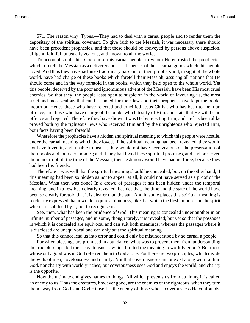571. The reason why. Types.—They had to deal with a carnal people and to render them the depositary of the spiritual covenant. To give faith to the Messiah, it was necessary there should have been precedent prophesies, and that these should be conveyed by persons above suspicion, diligent, faithful, unusually zealous, and known to all the world.

To accomplish all this, God chose this carnal people, to whom He entrusted the prophecies which foretell the Messiah as a deliverer and as a dispenser of those carnal goods which this people loved. And thus they have had an extraordinary passion for their prophets and, in sight of the whole world, have had charge of these books which foretell their Messiah, assuring all nations that He should come and in the way foretold in the books, which they held open to the whole world. Yet this people, deceived by the poor and ignominious advent of the Messiah, have been His most cruel enemies. So that they, the people least open to suspicion in the world of favouring us, the most strict and most zealous that can be named for their law and their prophets, have kept the books incorrupt. Hence those who have rejected and crucified Jesus Christ, who has been to them an offence, are those who have charge of the books which testify of Him, and state that He will be an offence and rejected. Therefore they have shown it was He by rejecting Him, and He has been alike proved both by the righteous Jews who received Him and by the unrighteous who rejected Him, both facts having been foretold.

Wherefore the prophecies have a hidden and spiritual meaning to which this people were hostile, under the carnal meaning which they loved. If the spiritual meaning had been revealed, they would not have loved it, and, unable to bear it, they would not have been zealous of the preservation of their books and their ceremonies; and if they had loved these spiritual promises, and had preserved them incorrupt till the time of the Messiah, their testimony would have had no force, because they had been his friends.

Therefore it was well that the spiritual meaning should be concealed; but, on the other hand, if this meaning had been so hidden as not to appear at all, it could not have served as a proof of the Messiah. What then was done? In a crowd of passages it has been hidden under the temporal meaning, and in a few been clearly revealed; besides that, the time and the state of the world have been so clearly foretold that it is clearer than the sun. And in some places this spiritual meaning is so clearly expressed that it would require a blindness, like that which the flesh imposes on the spirit when it is subdued by it, not to recognise it.

See, then, what has been the prudence of God. This meaning is concealed under another in an infinite number of passages, and in some, though rarely, it is revealed; but yet so that the passages in which it is concealed are equivocal and can suit both meanings; whereas the passages where it is disclosed are unequivocal and can only suit the spiritual meaning.

So that this cannot lead us into error and could only be misunderstood by so carnal a people.

For when blessings are promised in abundance, what was to prevent them from understanding the true blessings, but their covetousness, which limited the meaning to worldly goods? But those whose only good was in God referred them to God alone. For there are two principles, which divide the wills of men, covetousness and charity. Not that covetousness cannot exist along with faith in God, nor charity with worldly riches; but covetousness uses God and enjoys the world, and charity is the opposite.

Now the ultimate end gives names to things. All which prevents us from attaining it is called an enemy to us. Thus the creatures, however good, are the enemies of the righteous, when they turn them away from God, and God Himself is the enemy of those whose covetousness He confounds.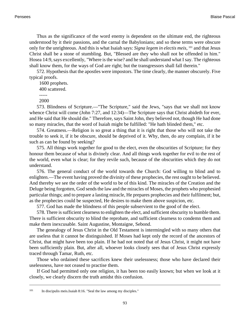Thus as the significance of the word enemy is dependent on the ultimate end, the righteous understood by it their passions, and the carnal the Babylonians; and so these terms were obscure only for the unrighteous. And this is what Isaiah says: *Signa legem in electis meis*, <sup>101</sup> and that Jesus Christ shall be a stone of stumbling. But, "Blessed are they who shall not be offended in him." [Hosea 14:9,](http://www.ccel.org/b/bible/asv/xml/asv.Hos.14.xml#Hos.14.9) says excellently, "Where is the wise? and he shall understand what I say. The righteous shall know them, for the ways of God are right; but the transgressors shall fall therein."

572. Hypothesis that the apostles were impostors. The time clearly, the manner obscurely. Five typical proofs.

1600 prophets.

400 scattered.

-----

2000

573. Blindness of Scripture.—"The Scripture," said the Jews, "says that we shall not know whence Christ will come ([John 7:27,](http://www.ccel.org/b/bible/asv/xml/asv.John.7.xml#John.7.27) and 12:34)—The Scripture says that Christ abideth for ever, and He said that He should die." Therefore, says Saint John, they believed not, though He had done so many miracles, that the word of Isaiah might be fulfilled: "He hath blinded them," etc.

574. Greatness.—Religion is so great a thing that it is right that those who will not take the trouble to seek it, if it be obscure, should be deprived of it. Why, then, do any complain, if it be such as can be found by seeking?

575. All things work together for good to the elect, even the obscurities of Scripture; for they honour them because of what is divinely clear. And all things work together for evil to the rest of the world, even what is clear; for they revile such, because of the obscurities which they do not understand.

576. The general conduct of the world towards the Church: God willing to blind and to enlighten.—The event having proved the divinity of these prophecies, the rest ought to be believed. And thereby we see the order of the world to be of this kind. The miracles of the Creation and the Deluge being forgotten, God sends the law and the miracles of Moses, the prophets who prophesied particular things; and to prepare a lasting miracle, He prepares prophecies and their fulfilment; but, as the prophecies could be suspected, He desires to make them above suspicion, etc.

577. God has made the blindness of this people subservient to the good of the elect.

578. There is sufficient clearness to enlighten the elect, and sufficient obscurity to humble them. There is sufficient obscurity to blind the reprobate, and sufficient clearness to condemn them and make them inexcusable. Saint Augustine, Montaigne, Sebond.

The genealogy of Jesus Christ in the Old Testament is intermingled with so many others that are useless that it cannot be distinguished. If Moses had kept only the record of the ancestors of Christ, that might have been too plain. If he had not noted that of Jesus Christ, it might not have been sufficiently plain. But, after all, whoever looks closely sees that of Jesus Christ expressly traced through Tamar, Ruth, etc.

Those who ordained these sacrifices knew their uselessness; those who have declared their uselessness, have not ceased to practise them.

If God had permitted only one religion, it has been too easily known; but when we look at it closely, we clearly discern the truth amidst this confusion.

<sup>101</sup> In discipulis meis.[Isaiah 8:16. "](http://www.ccel.org/b/bible/asv/xml/asv.Isa.8.xml#Isa.8.16)Seal the law among my disciples."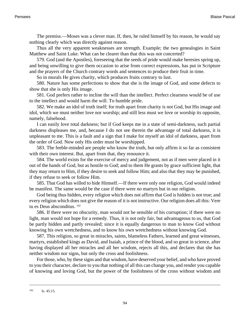The premiss.—Moses was a clever man. If, then, he ruled himself by his reason, he would say nothing clearly which was directly against reason.

Thus all the very apparent weaknesses are strength. Example; the two genealogies in Saint Matthew and Saint Luke. What can be clearer than that this was not concerted?

579. God (and the Apostles), foreseeing that the seeds of pride would make heresies spring up, and being unwilling to give them occasion to arise from correct expressions, has put in Scripture and the prayers of the Church contrary words and sentences to produce their fruit in time.

So in morals He gives charity, which produces fruits contrary to lust.

580. Nature has some perfections to show that she is the image of God, and some defects to show that she is only His image.

581. God prefers rather to incline the will than the intellect. Perfect clearness would be of use to the intellect and would harm the will. To humble pride.

582. We make an idol of truth itself; for truth apart from charity is not God, but His image and idol, which we must neither love nor worship; and still less must we love or worship its opposite, namely, falsehood.

I can easily love total darkness; but if God keeps me in a state of semi-darkness, such partial darkness displeases me, and, because I do not see therein the advantage of total darkness, it is unpleasant to me. This is a fault and a sign that I make for myself an idol of darkness, apart from the order of God. Now only His order must be worshipped.

583. The feeble-minded are people who know the truth, but only affirm it so far as consistent with their own interest. But, apart from that, they renounce it.

584. The world exists for the exercise of mercy and judgement, not as if men were placed in it out of the hands of God, but as hostile to God; and to them He grants by grace sufficient light, that they may return to Him, if they desire to seek and follow Him; and also that they may be punished, if they refuse to seek or follow Him.

585. That God has willed to hide Himself.—If there were only one religion, God would indeed be manifest. The same would be the case if there were no martyrs but in our religion.

God being thus hidden, every religion which does not affirm that God is hidden is not true; and every religion which does not give the reason of it is not instructive. Our religion does all this: Vere tu es Deus absconditus. <sup>102</sup>

586. If there were no obscurity, man would not be sensible of his corruption; if there were no light, man would not hope for a remedy. Thus, it is not only fair, but advantageous to us, that God be partly hidden and partly revealed; since it is equally dangerous to man to know God without knowing his own wretchedness, and to know his own wretchedness without knowing God.

587. This religion, so great in miracles, saints, blameless Fathers, learned and great witnesses, martyrs, established kings as David, and Isaiah, a prince of the blood, and so great in science, after having displayed all her miracles and all her wisdom, rejects all this, and declares that she has neither wisdom nor signs, but only the cross and foolishness.

For those, who, by these signs and that wisdom, have deserved your belief, and who have proved to you their character, declare to you that nothing of all this can change you, and render you capable of knowing and loving God, but the power of the foolishness of the cross without wisdom and

<sup>102</sup> [Is. 45:15.](http://www.ccel.org/b/bible/asv/xml/asv.Isaiah.45.xml#Isaiah.45.15)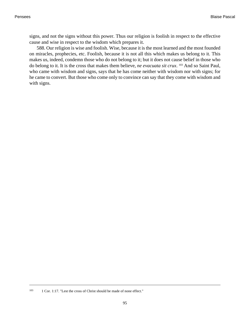signs, and not the signs without this power. Thus our religion is foolish in respect to the effective cause and wise in respect to the wisdom which prepares it.

588. Our religion is wise and foolish. Wise, because it is the most learned and the most founded on miracles, prophecies, etc. Foolish, because it is not all this which makes us belong to it. This makes us, indeed, condemn those who do not belong to it; but it does not cause belief in those who do belong to it. It is the cross that makes them believe, *ne evacuata sit crux*. <sup>103</sup> And so Saint Paul, who came with wisdom and signs, says that he has come neither with wisdom nor with signs; for he came to convert. But those who come only to convince can say that they come with wisdom and with signs.

<sup>103</sup> [1 Cor. 1:17.](http://www.ccel.org/b/bible/asv/xml/asv.iCor.1.xml#iCor.1.17) "Lest the cross of Christ should be made of none effect."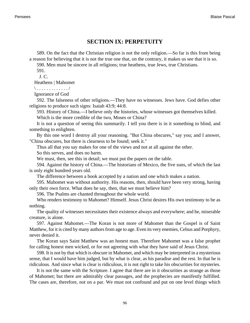## **SECTION IX: PERPETUITY**

589. On the fact that the Christian religion is not the only religion.—So far is this from being a reason for believing that it is not the true one that, on the contrary, it makes us see that it is so.

590. Men must be sincere in all religions; true heathens, true Jews, true Christians.

591.

J. C.

Heathens | Mahomet

\ . . . . . . . . . . . . . /

Ignorance of God

592. The falseness of other religions.—They have no witnesses. Jews have. God defies other religions to produce such signs: [Isaiah 43:9;](http://www.ccel.org/b/bible/asv/xml/asv.Isa.43.xml#Isa.43.9) 44:8.

593. History of China.—I believe only the histories, whose witnesses got themselves killed.

Which is the more credible of the two, Moses or China?

It is not a question of seeing this summarily. I tell you there is in it something to blind, and something to enlighten.

By this one word I destroy all your reasoning. "But China obscures," say you; and I answer, "China obscures, but there is clearness to be found; seek it."

Thus all that you say makes for one of the views and not at all against the other.

So this serves, and does no harm.

We must, then, see this in detail; we must put the papers on the table.

594. Against the history of China.—The historians of Mexico, the five suns, of which the last is only eight hundred years old.

The difference between a book accepted by a nation and one which makes a nation.

595. Mahomet was without authority. His reasons, then, should have been very strong, having only their own force. What does he say, then, that we must believe him?

596. The Psalms are chanted throughout the whole world.

Who renders testimony to Mahomet? Himself. Jesus Christ desires His own testimony to be as nothing.

The quality of witnesses necessitates their existence always and everywhere; and he, miserable creature, is alone.

597. Against Mahomet.—The Koran is not more of Mahomet than the Gospel is of Saint Matthew, for it is cited by many authors from age to age. Even its very enemies, Celsus and Porphyry, never denied it.

The Koran says Saint Matthew was an honest man. Therefore Mahomet was a false prophet for calling honest men wicked, or for not agreeing with what they have said of Jesus Christ.

598. It is not by that which is obscure in Mahomet, and which may be interpreted in a mysterious sense, that I would have him judged, but by what is clear, as his paradise and the rest. In that he is ridiculous. And since what is clear is ridiculous, it is not right to take his obscurities for mysteries.

It is not the same with the Scripture. I agree that there are in it obscurities as strange as those of Mahomet; but there are admirably clear passages, and the prophecies are manifestly fulfilled. The cases are, therefore, not on a par. We must not confound and put on one level things which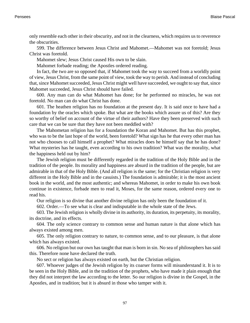only resemble each other in their obscurity, and not in the clearness, which requires us to reverence the obscurities.

599. The difference between Jesus Christ and Mahomet.—Mahomet was not foretold; Jesus Christ was foretold.

Mahomet slew; Jesus Christ caused His own to be slain.

Mahomet forbade reading; the Apostles ordered reading.

In fact, the two are so opposed that, if Mahomet took the way to succeed from a worldly point of view, Jesus Christ, from the same point of view, took the way to perish. And instead of concluding that, since Mahomet succeeded, Jesus Christ might well have succeeded, we ought to say that, since Mahomet succeeded, Jesus Christ should have failed.

600. Any man can do what Mahomet has done; for he performed no miracles, he was not foretold. No man can do what Christ has done.

601. The heathen religion has no foundation at the present day. It is said once to have had a foundation by the oracles which spoke. But what are the books which assure us of this? Are they so worthy of belief on account of the virtue of their authors? Have they been preserved with such care that we can be sure that they have not been meddled with?

The Mahometan religion has for a foundation the Koran and Mahomet. But has this prophet, who was to be the last hope of the world, been foretold? What sign has he that every other man has not who chooses to call himself a prophet? What miracles does he himself say that he has done? What mysteries has he taught, even according to his own tradition? What was the morality, what the happiness held out by him?

The Jewish religion must be differently regarded in the tradition of the Holy Bible and in the tradition of the people. Its morality and happiness are absurd in the tradition of the people, but are admirable in that of the Holy Bible. (And all religion is the same; for the Christian religion is very different in the Holy Bible and in the casuists.) The foundation is admirable; it is the most ancient book in the world, and the most authentic; and whereas Mahomet, in order to make his own book continue in existence, forbade men to read it, Moses, for the same reason, ordered every one to read his.

Our religion is so divine that another divine religion has only been the foundation of it.

602. Order.—To see what is clear and indisputable in the whole state of the Jews.

603. The Jewish religion is wholly divine in its authority, its duration, its perpetuity, its morality, its doctrine, and its effects.

604. The only science contrary to common sense and human nature is that alone which has always existed among men.

605. The only religion contrary to nature, to common sense, and to our pleasure, is that alone which has always existed.

606. No religion but our own has taught that man is born in sin. No sea of philosophers has said this. Therefore none have declared the truth.

No sect or religion has always existed on earth, but the Christian religion.

607. Whoever judges of the Jewish religion by its coarser forms will misunderstand it. It is to be seen in the Holy Bible, and in the tradition of the prophets, who have made it plain enough that they did not interpret the law according to the letter. So our religion is divine in the Gospel, in the Apostles, and in tradition; but it is absurd in those who tamper with it.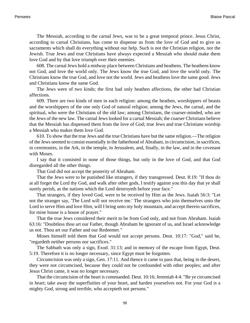The Messiah, according to the carnal Jews, was to be a great temporal prince. Jesus Christ, according to carnal Christians, has come to dispense us from the love of God and to give us sacraments which shall do everything without our help. Such is not the Christian religion, nor the Jewish. True Jews and true Christians have always expected a Messiah who should make them love God and by that love triumph over their enemies.

608. The carnal Jews hold a midway place between Christians and heathens. The heathens know not God, and love the world only. The Jews know the true God, and love the world only. The Christians know the true God, and love not the world. Jews and heathens love the same good. Jews and Christians know the same God.

The Jews were of two kinds; the first had only heathen affections, the other had Christian affections.

609. There are two kinds of men in each religion: among the heathen, worshippers of beasts and the worshippers of the one only God of natural religion; among the Jews, the carnal, and the spiritual, who were the Christians of the old law; among Christians, the coarser-minded, who are the Jews of the new law. The carnal Jews looked for a carnal Messiah; the coarser Christians believe that the Messiah has dispensed them from the love of God; true Jews and true Christians worship a Messiah who makes them love God.

610. To show that the true Jews and the true Christians have but the same religion.—The religion of the Jews seemed to consist essentially in the fatherhood of Abraham, in circumcision, in sacrifices, in ceremonies, in the Ark, in the temple, in Jerusalem, and, finally, in the law, and in the covenant with Moses.

I say that it consisted in none of those things, but only in the love of God, and that God disregarded all the other things.

That God did not accept the posterity of Abraham.

That the Jews were to be punished like strangers, if they transgressed. [Deut. 8:19:](http://www.ccel.org/b/bible/asv/xml/asv.Deut.8.xml#Deut.8.19) "If thou do at all forget the Lord thy God, and walk after other gods, I testify against you this day that ye shall surely perish, as the nations which the Lord destroyeth before your face."

That strangers, if they loved God, were to be received by Him as the Jews. [Isaiah 56:3](http://www.ccel.org/b/bible/asv/xml/asv.Isa.56.xml#Isa.56.3): "Let not the stranger say, 'The Lord will not receive me.' The strangers who join themselves unto the Lord to serve Him and love Him, will I bring unto my holy mountain, and accept therein sacrifices, for mine house is a house of prayer."

That the true Jews considered their merit to be from God only, and not from Abraham. [Isaiah](http://www.ccel.org/b/bible/asv/xml/asv.Isa.63.xml#Isa.63.16) [63:16](http://www.ccel.org/b/bible/asv/xml/asv.Isa.63.xml#Isa.63.16): "Doubtless thou art our Father, though Abraham be ignorant of us, and Israel acknowledge us not. Thou art our Father and our Redeemer."

Moses himself told them that God would not accept persons. [Deut. 10:17](http://www.ccel.org/b/bible/asv/xml/asv.Deut.10.xml#Deut.10.17): "God," said he, "regardeth neither persons nor sacrifices."

The Sabbath was only a sign, [Exod. 31:13;](http://www.ccel.org/b/bible/asv/xml/asv.Exod.31.xml#Exod.31.13) and in memory of the escape from Egypt, [Deut.](http://www.ccel.org/b/bible/asv/xml/asv.Deut.5.xml#Deut.5.19) [5:19](http://www.ccel.org/b/bible/asv/xml/asv.Deut.5.xml#Deut.5.19). Therefore it is no longer necessary, since Egypt must be forgotten.

Circumcision was only a sign, [Gen. 17:11.](http://www.ccel.org/b/bible/asv/xml/asv.Gen.17.xml#Gen.17.11) And thence it came to pass that, being in the desert, they were not circumcised, because they could not be confounded with other peoples; and after Jesus Christ came, it was no longer necessary.

That the circumcision of the heart is commanded. [Deut. 10:16;](http://www.ccel.org/b/bible/asv/xml/asv.Deut.10.xml#Deut.10.16) [Jeremiah 4:4](http://www.ccel.org/b/bible/asv/xml/asv.Jer.4.xml#Jer.4.4): "Be ye circumcised in heart; take away the superfluities of your heart, and harden yourselves not. For your God is a mighty God, strong and terrible, who accepteth not persons."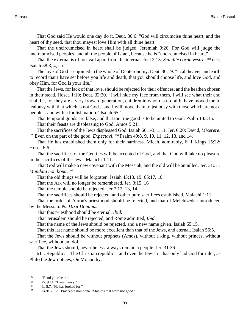That God said He would one day do it. [Deut. 30:6:](http://www.ccel.org/b/bible/asv/xml/asv.Deut.30.xml#Deut.30.6) "God will circumcise thine heart, and the heart of thy seed, that thou mayest love Him with all thine heart."

That the uncircumcised in heart shall be judged. [Jeremiah 9:26](http://www.ccel.org/b/bible/asv/xml/asv.Jer.9.xml#Jer.9.26): For God will judge the uncircumcised peoples, and all the people of Israel, because he is "uncircumcised in heart."

That the external is of no avail apart from the internal. [Joel 2:13:](http://www.ccel.org/b/bible/asv/xml/asv.Joel.2.xml#Joel.2.13) Scindite corda vestra, <sup>104</sup> etc.; [Isaiah 58:3, 4,](http://www.ccel.org/b/bible/asv/xml/asv.Isa.58.xml#Isa.58.3 Bible:Isa.58.4) etc.

The love of God is enjoined in the whole of Deuteronomy. [Deut. 30:19](http://www.ccel.org/b/bible/asv/xml/asv.Deut.30.xml#Deut.30.19): "I call heaven and earth to record that I have set before you life and death, that you should choose life, and love God, and obey Him, for God is your life."

That the Jews, for lack of that love, should be rejected for their offences, and the heathen chosen in their stead. [Hosea 1:10;](http://www.ccel.org/b/bible/asv/xml/asv.Hos.1.xml#Hos.1.10) [Deut. 32:20](http://www.ccel.org/b/bible/asv/xml/asv.Deut.32.xml#Deut.32.20). "I will hide my face from them, I will see what their end shall be, for they are a very froward generation, children in whom is no faith. have moved me to jealousy with that which is not God... and I will move them to jealousy with those which are not a people... and with a foolish nation." [Isaiah 65:1](http://www.ccel.org/b/bible/asv/xml/asv.Isa.65.xml#Isa.65.1).

That temporal goods are false, and that the true good is to be united to God. [Psalm 143:15.](http://www.ccel.org/b/bible/asv/xml/asv.Ps.143.xml#Ps.143.15) That their feasts are displeasing to God. [Amos 5:21.](http://www.ccel.org/b/bible/asv/xml/asv.Amos.5.xml#Amos.5.21)

That the sacrifices of the Jews displeased God. [Isaiah 66:1-3](http://www.ccel.org/b/bible/asv/xml/asv.Isa.66.xml#Isa.66.1); 1:11; [Jer. 6:20;](http://www.ccel.org/b/bible/asv/xml/asv.Jer.6.xml#Jer.6.20) David, *Miserere*. <sup>105</sup> Even on the part of the good, *Expectavi*. <sup>106</sup> [Psalm 49:8, 9, 10, 11, 12, 13](http://www.ccel.org/b/bible/asv/xml/asv.Ps.49.xml#Ps.49.8 Bible:Ps.49.9 Bible:Ps.49.10 Bible:Ps.49.11 Bible:Ps.49.12 Bible:Ps.49.13), and 14.

That He has established them only for their hardness. Micah, admirably, 6; [1 Kings 15:22;](http://www.ccel.org/b/bible/asv/xml/asv.iKgs.15.xml#iKgs.15.22) [Hosea 6:6](http://www.ccel.org/b/bible/asv/xml/asv.Hos.6.xml#Hos.6.6).

That the sacrifices of the Gentiles will be accepted of God, and that God will take no pleasure in the sacrifices of the Jews. [Malachi 1:11.](http://www.ccel.org/b/bible/asv/xml/asv.Mal.1.xml#Mal.1.11)

That God will make a new covenant with the Messiah, and the old will be annulled. [Jer. 31:31](http://www.ccel.org/b/bible/asv/xml/asv.Jer.31.xml#Jer.31.31). *Mandata non bona*. 107

That the old things will be forgotten. [Isaiah 43:18, 19](http://www.ccel.org/b/bible/asv/xml/asv.Isa.43.xml#Isa.43.18 Bible:Isa.43.19); 65:17, 10

That the Ark will no longer be remembered. [Jer. 3:15, 16](http://www.ccel.org/b/bible/asv/xml/asv.Jer.3.xml#Jer.3.15 Bible:Jer.3.16)

That the temple should be rejected. [Jer 7:12, 13, 14.](http://www.ccel.org/b/bible/asv/xml/asv.Jer.7.xml#Jer.7.12 Bible:Jer.7.13 Bible:Jer.7.14)

That the sacrifices should be rejected, and other pure sacrifices established. [Malachi 1:11.](http://www.ccel.org/b/bible/asv/xml/asv.Mal.1.xml#Mal.1.11)

That the order of Aaron's priesthood should be rejected, and that of Melchizedek introduced by the Messiah. Ps. *Dixit Dominus*.

That this priesthood should be eternal. *Ibid*.

That Jerusalem should be rejected, and Rome admitted, *Ibid*.

That the name of the Jews should be rejected, and a new name given. [Isaiah 65:15](http://www.ccel.org/b/bible/asv/xml/asv.Isa.65.xml#Isa.65.15).

That this last name should be more excellent than that of the Jews, and eternal. [Isaiah 56:5.](http://www.ccel.org/b/bible/asv/xml/asv.Isa.56.xml#Isa.56.5)

That the Jews should be without prophets (Amos), without a king, without princes, without sacrifice, without an idol.

That the Jews should, nevertheless, always remain a people. [Jer. 31:36](http://www.ccel.org/b/bible/asv/xml/asv.Jer.31.xml#Jer.31.36)

611. Republic.—The Christian republic—and even the Jewish—has only had God for ruler, as Philo the Jew notices, On Monarchy.

 $^{104}$  "Rend your heart."<br> $^{105}$  Ps 9:14 "Have me

[Ps. 9:14. "](http://www.ccel.org/b/bible/asv/xml/asv.Ps.9.xml#Ps.9.14)Have mercy."

<sup>106</sup> [Is. 5:7.](http://www.ccel.org/b/bible/asv/xml/asv.Isa.5.xml#Isa.5.7) "He has looked for."

<sup>107</sup> [Ezek. 20:25.](http://www.ccel.org/b/bible/asv/xml/asv.Ezek.20.xml#Ezek.20.25) Praecepta non bona. "Statutes that were not good."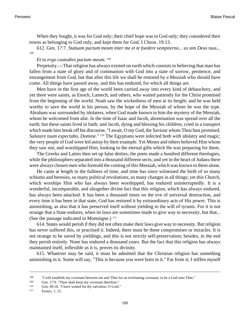When they fought, it was for God only; their chief hope was in God only; they considered their towns as belonging to God only, and kept them for God. [I Chron. 19:13.](http://www.ccel.org/b/bible/asv/xml/asv.iChr.19.xml#iChr.19.13)

612. [Gen. 17:7](http://www.ccel.org/b/bible/asv/xml/asv.Gen.17.xml#Gen.17.7). *Statuam pactum meum inter me et te foedere sempiterno... us sim Deus tuus*... 108

## *Et tu ergo custodies pactum meum*. 109

Perpetuity.—That religion has always existed on earth which consists in believing that man has fallen from a state of glory and of communion with God into a state of sorrow, penitence, and estrangement from God, but that after this life we shall be restored by a Messiah who should have come. All things have passed away, and this has endured, for which all things are.

Men have in the first age of the world been carried away into every kind of debauchery, and yet there were saints, as Enoch, Lamech, and others, who waited patiently for the Christ promised from the beginning of the world. Noah saw the wickedness of men at its height; and he was held worthy to save the world in his person, by the hope of the Messiah of whom he was the type. Abraham was surrounded by idolaters, when God made known to him the mystery of the Messiah, whom he welcomed from afar. In the time of Isaac and Jacob, abomination was spread over all the earth; but these saints lived in faith; and Jacob, dying and blessing his children, cried in a transport which made him break off his discourse, "I await, O my God, the Saviour whom Thou hast promised. *Salutare tuum expectabo, Domine*." 110 The Egyptians were infected both with idolatry and magic; the very people of God were led astray by their example. Yet Moses and others believed Him whom they saw not, and worshipped Him, looking to the eternal gifts which He was preparing for them.

The Greeks and Latins then set up false deities; the poets made a hundred different theologies, while the philosophers separated into a thousand different sects; and yet in the heart of Judaea there were always chosen men who foretold the coming of this Messiah, which was known to them alone.

He came at length in the fullness of time, and time has since witnessed the birth of so many schisms and heresies, so many political revolutions, so many changes in all things; yet this Church, which worships Him who has always been worshipped, has endured uninterruptedly. It is a wonderful, incomparable, and altogether divine fact that this religion, which has always endured, has always been attacked. It has been a thousand times on the eve of universal destruction, and every time it has been in that state, God has restored it by extraordinary acts of His power. This is astonishing, as also that it has preserved itself without yielding to the will of tyrants. For it is not strange that a State endures, when its laws are sometimes made to give way to necessity, but that... (See the passage indicated in Montaigne.)  $111$ 

614. States would perish if they did not often make their laws give way to necessity. But religion has never suffered this, or practised it. Indeed, there must be these compromises or miracles. It is not strange to be saved by yieldings, and this is not strictly self-preservation; besides, in the end they perish entirely. None has endured a thousand years. But the fact that this religion has always maintained itself, inflexible as it is, proves its divinity.

615. Whatever may be said, it must be admitted that the Christian religion has something astonishing in it. Some will say, "This is because you were born in it." Far from it; I stiffen myself

<sup>&</sup>lt;sup>108</sup> "I will establish my covenant between me and Thee for an everlasting covenant, to be a God unto Thee."<br><sup>109</sup> Gen 17:9 "Thou shalt keen my covenant therefore."

[Gen. 17:9. "](http://www.ccel.org/b/bible/asv/xml/asv.Gen.17.xml#Gen.17.9)Thou shalt keep my covenant therefore."

<sup>110</sup> [Gen. 49:18.](http://www.ccel.org/b/bible/asv/xml/asv.Gen.49.xml#Gen.49.18) "I have waited for thy salvation, O Lord."

<sup>111</sup> Essays, 1. 22.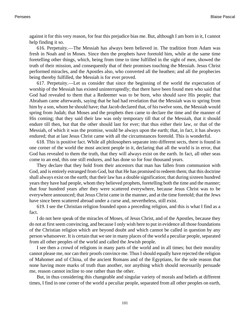against it for this very reason, for fear this prejudice bias me. But, although I am born in it, I cannot help finding it so.

616. Perpetuity.—The Messiah has always been believed in. The tradition from Adam was fresh in Noah and in Moses. Since then the prophets have foretold him, while at the same time foretelling other things, which, being from time to time fulfilled in the sight of men, showed the truth of their mission, and consequently that of their promises touching the Messiah. Jesus Christ performed miracles, and the Apostles also, who converted all the heathen; and all the prophecies being thereby fulfilled, the Messiah is for ever proved.

617. Perpetuity.—Let us consider that since the beginning of the world the expectation of worship of the Messiah has existed uninterruptedly; that there have been found men who said that God had revealed to them that a Redeemer was to be born, who should save His people; that Abraham came afterwards, saying that he had had revelation that the Messiah was to spring from him by a son, whom he should have; that Jacob declared that, of his twelve sons, the Messiah would spring from Judah; that Moses and the prophets then came to declare the time and the manner of His coming; that they said their law was only temporary till that of the Messiah, that it should endure till then, but that the other should last for ever; that thus either their law, or that of the Messiah, of which it was the promise, would be always upon the earth; that, in fact, it has always endured; that at last Jesus Christ came with all the circumstances foretold. This is wonderful.

618. This is positive fact. While all philosophers separate into different sects, there is found in one corner of the world the most ancient people in it, declaring that all the world is in error, that God has revealed to them the truth, that they will always exist on the earth. In fact, all other seas come to an end, this one still endures, and has done so for four thousand years.

They declare that they hold from their ancestors that man has fallen from communion with God, and is entirely estranged from God, but that He has promised to redeem them; that this doctrine shall always exist on the earth; that their law has a double signification; that during sixteen hundred years they have had people, whom they believed prophets, foretelling both the time and the manner; that four hundred years after they were scattered everywhere, because Jesus Christ was to be everywhere announced; that Jesus Christ came in the manner, and at the time foretold; that the Jews have since been scattered abroad under a curse and, nevertheless, still exist.

619. I see the Christian religion founded upon a preceding religion, and this is what I find as a fact.

I do not here speak of the miracles of Moses, of Jesus Christ, and of the Apostles, because they do not at first seem convincing, and because I only wish here to put in evidence all those foundations of the Christian religion which are beyond doubt and which cannot be called in question by any person whatsoever. It is certain that we see in many places of the world a peculiar people, separated from all other peoples of the world and called the Jewish people.

I see then a crowd of religions in many parts of the world and in all times; but their morality cannot please me, nor can their proofs convince me. Thus I should equally have rejected the religion of Mahomet and of China, of the ancient Romans and of the Egyptians, for the sole reason that none having more marks of truth than another, nor anything which should necessarily persuade me, reason cannot incline to one rather than the other.

But, in thus considering this changeable and singular variety of morals and beliefs at different times, I find in one corner of the world a peculiar people, separated from all other peoples on earth,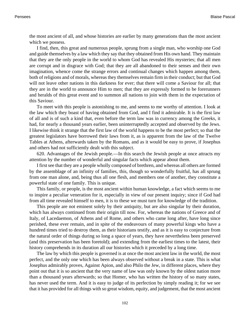the most ancient of all, and whose histories are earlier by many generations than the most ancient which we possess.

I find, then, this great and numerous people, sprung from a single man, who worship one God and guide themselves by a law which they say that they obtained from His own hand. They maintain that they are the only people in the world to whom God has revealed His mysteries; that all men are corrupt and in disgrace with God; that they are all abandoned to their senses and their own imagination, whence come the strange errors and continual changes which happen among them, both of religions and of morals, whereas they themselves remain firm in their conduct; but that God will not leave other nations in this darkness for ever; that there will come a Saviour for all; that they are in the world to announce Him to men; that they are expressly formed to be forerunners and heralds of this great event and to summon all nations to join with them in the expectation of this Saviour.

To meet with this people is astonishing to me, and seems to me worthy of attention. I look at the law which they boast of having obtained from God, and I find it admirable. It is the first law of all and is of such a kind that, even before the term law was in currency among the Greeks, it had, for nearly a thousand years earlier, been uninterruptedly accepted and observed by the Jews. I likewise think it strange that the first law of the world happens to be the most perfect; so that the greatest legislators have borrowed their laws from it, as is apparent from the law of the Twelve Tables at Athens, afterwards taken by the Romans, and as it would be easy to prove, if Josephus and others had not sufficiently dealt with this subject.

620. Advantages of the Jewish people.—In this search the Jewish people at once attracts my attention by the number of wonderful and singular facts which appear about them.

I first see that they are a people wholly composed of brethren, and whereas all others are formed by the assemblage of an infinity of families, this, though so wonderfully fruitful, has all sprung from one man alone, and, being thus all one flesh, and members one of another, they constitute a powerful state of one family. This is unique.

This family, or people, is the most ancient within human knowledge, a fact which seems to me to inspire a peculiar veneration for it, especially in view of our present inquiry; since if God had from all time revealed himself to men, it is to these we must turn for knowledge of the tradition.

This people are not eminent solely by their antiquity, but are also singular by their duration, which has always continued from their origin till now. For, whereas the nations of Greece and of Italy, of Lacedaemon, of Athens and of Rome, and others who came long after, have long since perished, these ever remain, and in spite of the endeavours of many powerful kings who have a hundred times tried to destroy them, as their historians testify, and as it is easy to conjecture from the natural order of things during so long a space of years, they have nevertheless been preserved (and this preservation has been foretold); and extending from the earliest times to the latest, their history comprehends in its duration all our histories which it preceded by a long time.

The law by which this people is governed is at once the most ancient law in the world, the most perfect, and the only one which has been always observed without a break in a state. This is what Josephus admirably proves, Against Apion, and also Philo the Jew, in different places, where they point out that it is so ancient that the very name of law was only known by the oldest nation more than a thousand years afterwards; so that Homer, who has written the history of so many states, has never used the term. And it is easy to judge of its perfection by simply reading it; for we see that it has provided for all things with so great wisdom, equity, and judgement, that the most ancient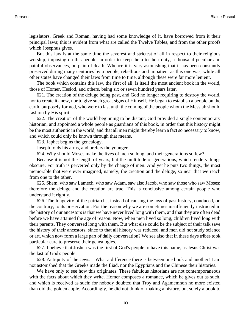legislators, Greek and Roman, having had some knowledge of it, have borrowed from it their principal laws; this is evident from what are called the Twelve Tables, and from the other proofs which Josephus gives.

But this law is at the same time the severest and strictest of all in respect to their religious worship, imposing on this people, in order to keep them to their duty, a thousand peculiar and painful observances, on pain of death. Whence it is very astonishing that it has been constantly preserved during many centuries by a people, rebellious and impatient as this one was; while all other states have changed their laws from time to time, although these were far more lenient.

The book which contains this law, the first of all, is itself the most ancient book in the world, those of Homer, Hesiod, and others, being six or seven hundred years later.

621. The creation of the deluge being past, and God no longer requiring to destroy the world, nor to create it anew, nor to give such great signs of Himself, He began to establish a people on the earth, purposely formed, who were to last until the coming of the people whom the Messiah should fashion by His spirit.

622. The creation of the world beginning to be distant, God provided a single contemporary historian, and appointed a whole people as guardians of this book, in order that this history might be the most authentic in the world, and that all men might thereby learn a fact so necessary to know, and which could only be known through that means.

623. Japhet begins the genealogy.

Joseph folds his arms, and prefers the younger.

624. Why should Moses make the lives of men so long, and their generations so few?

Because it is not the length of years, but the multitude of generations, which renders things obscure. For truth is perverted only by the change of men. And yet he puts two things, the most memorable that were ever imagined, namely, the creation and the deluge, so near that we reach from one to the other.

625. Shem, who saw Lamech, who saw Adam, saw also Jacob, who saw those who saw Moses; therefore the deluge and the creation are true. This is conclusive among certain people who understand it rightly.

626. The longevity of the patriarchs, instead of causing the loss of past history, conduced, on the contrary, to its preservation. For the reason why we are sometimes insufficiently instructed in the history of our ancestors is that we have never lived long with them, and that they are often dead before we have attained the age of reason. Now, when men lived so long, children lived long with their parents. They conversed long with them. But what else could be the subject of their talk save the history of their ancestors, since to that all history was reduced, and men did not study science or art, which now form a large part of daily conversation? We see also that in these days tribes took particular care to preserve their genealogies.

627. I believe that Joshua was the first of God's people to have this name, as Jesus Christ was the last of God's people.

628. Antiquity of the Jews.—What a difference there is between one book and another! I am not astonished that the Greeks made the Iliad, nor the Egyptians and the Chinese their histories.

We have only to see how this originates. These fabulous historians are not contemporaneous with the facts about which they write. Homer composes a romance, which he gives out as such, and which is received as such; for nobody doubted that Troy and Agamemnon no more existed than did the golden apple. Accordingly, he did not think of making a history, but solely a book to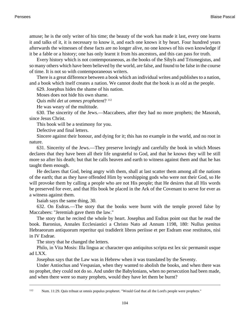amuse; he is the only writer of his time; the beauty of the work has made it last, every one learns it and talks of it, it is necessary to know it, and each one knows it by heart. Four hundred years afterwards the witnesses of these facts are no longer alive, no one knows of his own knowledge if it be a fable or a history; one has only learnt it from his ancestors, and this can pass for truth.

Every history which is not contemporaneous, as the books of the Sibyls and Trismegistus, and so many others which have been believed by the world, are false, and found to be false in the course of time. It is not so with contemporaneous writers.

There is a great difference between a book which an individual writes and publishes to a nation, and a book which itself creates a nation. We cannot doubt that the book is as old as the people.

629. Josephus hides the shame of his nation.

Moses does not hide his own shame.

*Quis mihi det ut omnes prophetent*? <sup>112</sup>

He was weary of the multitude.

630. The sincerity of the Jews.—Maccabees, after they had no more prophets; the Masorah, since Jesus Christ.

This book will be a testimony for you.

Defective and final letters.

Sincere against their honour, and dying for it; this has no example in the world, and no root in nature.

631. Sincerity of the Jews.—They preserve lovingly and carefully the book in which Moses declares that they have been all their life ungrateful to God, and that he knows they will be still more so after his death; but that he calls heaven and earth to witness against them and that he has taught them enough.

He declares that God, being angry with them, shall at last scatter them among all the nations of the earth; that as they have offended Him by worshipping gods who were not their God, so He will provoke them by calling a people who are not His people; that He desires that all His words be preserved for ever, and that His book be placed in the Ark of the Covenant to serve for ever as a witness against them.

Isaiah says the same thing, 30.

632. On Esdras.—The story that the books were burnt with the temple proved false by Maccabees: "Jeremiah gave them the law."

The story that he recited the whole by heart. Josephus and Esdras point out that he read the book. Baronius, Annales Ecclesiastici a Christo Nato ad Annum 1198, 180: Nullus penitus Hebraeorum antiquorum reperitur qui tradiderit libros periisse et per Esdram esse restitutos, nisi in IV Esdrae.

The story that he changed the letters.

Philo, in Vita Mosis: Illa lingua ac character quo antiquitus scripta est lex sic permansit usque ad LXX.

Josephus says that the Law was in Hebrew when it was translated by the Seventy.

Under Antiochus and Vespasian, when they wanted to abolish the books, and when there was no prophet, they could not do so. And under the Babylonians, when no persecution had been made, and when there were so many prophets, would they have let them be burnt?

<sup>112</sup> [Num. 11:29. Q](http://www.ccel.org/b/bible/asv/xml/asv.Num.11.xml#Num.11.29)uis tribuat ut omnis populus prophetet. "Would God that all the Lord's people were prophets."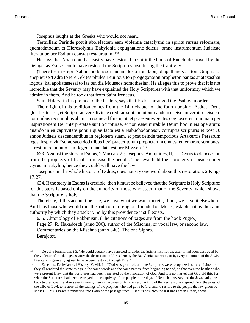Josephus laughs at the Greeks who would not hear...

Tertullian: Perinde potuit abolefactam eam violentia cataclysmi in spiritu rursus reformare, quemadmodum et Hierosolymis Babylonia expugnatione deletis, omne instrumentum Judaicae literaturae per Esdram constat restauratum. <sup>113</sup>

He says that Noah could as easily have restored in spirit the book of Enoch, destroyed by the Deluge, as Esdras could have restored the Scriptures lost during the Captivity.

(Theos) en te epi Nabouchodonosor aichmalosia tou laou, diaphthareison ton Graphon... enepneuse 'Esdra to ierei, ek tes phules Leui tous ton progegonoton propheton pantas anataxasthai logous, kai apokatastesai to lae ten dia Mouseos nomothesian. He alleges this to prove that it is not incredible that the Seventy may have explained the Holy Scriptures with that uniformity which we admire in them. And he took that from Saint Irenaeus.

Saint Hilary, in his preface to the Psalms, says that Esdras arranged the Psalms in order.

The origin of this tradition comes from the 14th chapter of the fourth book of Esdras. Deus glorificatus est, et Scripturae vere divinae creditae sunt, omnibus eandem et eisdem verbis et eisdem nominibus recitantibus ab initio usque ad finem, uti et praesentes gentes cognoscerent quoniam per inspirationem Dei interpretatae sunt Scripturae, et non esset mirabile Deum hoc in eis operatum: quando in ea captivitate populi quae facta est a Nabuchodonosor, corruptis scripturis et post 70 annos Judaeis descendentibus in regionem suam, et post deinde temporibus Artaxerxis Persarum regis, inspiravit Esdrae sacerdoti tribus Levi praeteritorum prophetarum omnes rememorare sermones, et restituere populo eam legem quae data est per Moysen. <sup>114</sup>

633. Against the story in Esdras, [2 Maccab. 2.](http://www.ccel.org/b/bible/asv/xml/asv.iiMacc..xml#iiMacc..); Josephus, Antiquities, II, i.—Cyrus took occasion from the prophecy of Isaiah to release the people. The Jews held their property in peace under Cyrus in Babylon; hence they could well have the law.

Josephus, in the whole history of Esdras, does not say one word about this restoration. [2 Kings](http://www.ccel.org/b/bible/asv/xml/asv.iiKgs.17.xml#iiKgs.17.27) [17:27](http://www.ccel.org/b/bible/asv/xml/asv.iiKgs.17.xml#iiKgs.17.27).

634. If the story in Esdras is credible, then it must be believed that the Scripture is Holy Scripture; for this story is based only on the authority of those who assert that of the Seventy, which shows that the Scripture is holy.

Therefore, if this account be true, we have what we want therein; if not, we have it elsewhere. And thus those who would ruin the truth of our religion, founded on Moses, establish it by the same authority by which they attack it. So by this providence it still exists.

635. Chronology of Rabbinism. (The citations of pages are from the book Pugio.) Page 27. R. Hakadosch (anno 200), author of the Mischna, or vocal law, or second law. Commentaries on the Mischna (anno 340): The one Siphra. Barajetot.

<sup>113</sup> De cultu feminarum, i-3. "He could equally have renewed it, under the Spirit's inspiration, after it had been destroyed by the violence of the deluge, as, after the destruction of Jerusalem by the Babylonian storming of it, every document of the Jewish literature is generally agreed to have been restored through Ezra."

<sup>114</sup> Eusebius, Ecclesiastical History, V. viii. 14. "God was glorified, and the Scriptures were recognized as truly divine, for they all rendered the same things in the same words and the same names, from beginning to end, so that even the heathen who were present knew that the Scriptures had been translated by the inspiration of God. And it is no marvel that God did this, for when the Scriptures had been destroyed in the captivity of the people in the days of Nebuchadnezzar, and the Jews had gone back to their country after seventy years, then in the times of Artaxerxes, the king of the Persians, he inspired Ezra, the priest of the tribe of Levi, to restore all the sayings of the prophets who had gone before, and to restore to the people the law given by Moses." This is Pascal's rendering into Latin of the passage from Eusebius of which the last lines are in Greek, above.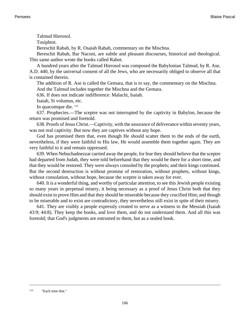Talmud Hierosol.

Tosiphtot.

Bereschit Rabah, by R. Osaiah Rabah, commentary on the Mischna.

Bereschit Rabah, Bar Naconi, are subtle and pleasant discourses, historical and theological. This same author wrote the books called Rabot.

A hundred years after the Talmud Hierosol was composed the Babylonian Talmud, by R. Ase, A.D. 440, by the universal consent of all the Jews, who are necessarily obliged to observe all that is contained therein.

The addition of R. Ase is called the Gemara, that is to say, the commentary on the Mischna. And the Talmud includes together the Mischna and the Gemara.

636. If does not indicate indifference: Malachi, Isaiah.

Isaiah, Si volumus, etc.

In quacumque die. <sup>115</sup>

637. Prophecies.—The sceptre was not interrupted by the captivity in Babylon, because the return was promised and foretold.

638. Proofs of Jesus Christ.—Captivity, with the assurance of deliverance within seventy years, was not real captivity. But now they are captives without any hope.

God has promised them that, even though He should scatter them to the ends of the earth, nevertheless, if they were faithful to His law, He would assemble them together again. They are very faithful to it and remain oppressed.

639. When Nebuchadnezzar carried away the people, for fear they should believe that the sceptre had departed from Judah, they were told beforehand that they would be there for a short time, and that they would be restored. They were always consoled by the prophets; and their kings continued. But the second destruction is without promise of restoration, without prophets, without kings, without consolation, without hope, because the sceptre is taken away for ever.

640. It is a wonderful thing, and worthy of particular attention, to see this Jewish people existing so many years in perpetual misery, it being necessary as a proof of Jesus Christ both that they should exist to prove Him and that they should be miserable because they crucified Him; and though to be miserable and to exist are contradictory, they nevertheless still exist in spite of their misery.

641. They are visibly a people expressly created to serve as a witness to the Messiah [\(Isaiah](http://www.ccel.org/b/bible/asv/xml/asv.Isa.43.xml#Isa.43.9) [43:9](http://www.ccel.org/b/bible/asv/xml/asv.Isa.43.xml#Isa.43.9); 44:8). They keep the books, and love them, and do not understand them. And all this was foretold; that God's judgments are entrusted to them, but as a sealed book.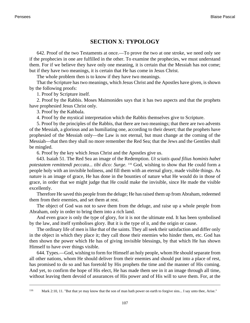## **SECTION X: TYPOLOGY**

642. Proof of the two Testaments at once.—To prove the two at one stroke, we need only see if the prophecies in one are fulfilled in the other. To examine the prophecies, we must understand them. For if we believe they have only one meaning, it is certain that the Messiah has not come; but if they have two meanings, it is certain that He has come in Jesus Christ.

The whole problem then is to know if they have two meanings.

That the Scripture has two meanings, which Jesus Christ and the Apostles have given, is shown by the following proofs:

1. Proof by Scripture itself.

2. Proof by the Rabbis. Moses Maimonides says that it has two aspects and that the prophets have prophesied Jesus Christ only.

3. Proof by the Kabbala.

4. Proof by the mystical interpretation which the Rabbis themselves give to Scripture.

5. Proof by the principles of the Rabbis, that there are two meanings; that there are two advents of the Messiah, a glorious and an humiliating one, according to their desert; that the prophets have prophesied of the Messiah only—the Law is not eternal, but must change at the coming of the Messiah—that then they shall no more remember the Red Sea; that the Jews and the Gentiles shall be mingled.

6. Proof by the key which Jesus Christ and the Apostles give us.

643. [Isaiah 51.](http://www.ccel.org/b/bible/asv/xml/asv.Isa..xml#Isa..) The Red Sea an image of the Redemption. *Ut sciatis quod filius hominis habet potestatem remittendi peccata... tibi dico: Surge*. <sup>116</sup> God, wishing to show that He could form a people holy with an invisible holiness, and fill them with an eternal glory, made visible things. As nature is an image of grace, He has done in the bounties of nature what He would do in those of grace, in order that we might judge that He could make the invisible, since He made the visible excellently.

Therefore He saved this people from the deluge; He has raised them up from Abraham, redeemed them from their enemies, and set them at rest.

The object of God was not to save them from the deluge, and raise up a whole people from Abraham, only in order to bring them into a rich land.

And even grace is only the type of glory, for it is not the ultimate end. It has been symbolised by the law, and itself symbolises glory. But it is the type of it, and the origin or cause.

The ordinary life of men is like that of the saints. They all seek their satisfaction and differ only in the object in which they place it; they call those their enemies who hinder them, etc. God has then shown the power which He has of giving invisible blessings, by that which He has shown Himself to have over things visible.

644. Types.—God, wishing to form for Himself an holy people, whom He should separate from all other nations, whom He should deliver from their enemies and should put into a place of rest, has promised to do so and has foretold by His prophets the time and the manner of His coming. And yet, to confirm the hope of His elect, He has made them see in it an image through all time, without leaving them devoid of assurances of His power and of His will to save them. For, at the

<sup>116</sup> [Mark 2:10, 11. "](http://www.ccel.org/b/bible/asv/xml/asv.Mark.2.xml#Mark.2.10 Bible:Mark.2.11)But that ye may know that the son of man hath power on earth to forgive sins... I say unto thee, Arise."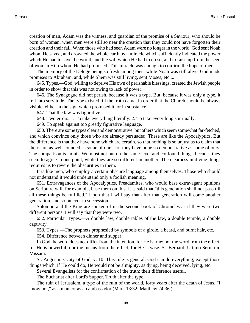creation of man, Adam was the witness, and guardian of the promise of a Saviour, who should be born of woman, when men were still so near the creation that they could not have forgotten their creation and their fall. When those who had seen Adam were no longer in the world, God sent Noah whom He saved, and drowned the whole earth by a miracle which sufficiently indicated the power which He had to save the world, and the will which He had to do so, and to raise up from the seed of woman Him whom He had promised. This miracle was enough to confirm the hope of men.

The memory of the Deluge being so fresh among men, while Noah was still alive, God made promises to Abraham, and, while Shem was still living, sent Moses, etc....

645. Types.—God, willing to deprive His own of perishable blessings, created the Jewish people in order to show that this was not owing to lack of power.

646. The Synagogue did not perish, because it was a type. But, because it was only a type, it fell into servitude. The type existed till the truth came, in order that the Church should be always visible, either in the sign which promised it, or in substance.

647. That the law was figurative.

648. Two errors: 1. To take everything literally. 2. To take everything spiritually.

649. To speak against too greatly figurative language.

650. There are some types clear and demonstrative, but others which seem somewhat far-fetched, and which convince only those who are already persuaded. These are like the Apocalyptics. But the difference is that they have none which are certain, so that nothing is so unjust as to claim that theirs are as well founded as some of ours; for they have none so demonstrative as some of ours. The comparison is unfair. We must not put on the same level and confound things, because they seem to agree in one point, while they are so different in another. The clearness in divine things requires us to revere the obscurities in them.

It is like men, who employ a certain obscure language among themselves. Those who should not understand it would understand only a foolish meaning.

651. Extravagances of the Apocalyptics, Preadamites, who would base extravagant opinions on Scripture will, for example, base them on this. It is said that "this generation shall not pass till all these things be fulfilled." Upon that I will say that after that generation will come another generation, and so on ever in succession.

Solomon and the King are spoken of in the second book of Chronicles as if they were two different persons. I will say that they were two.

652. Particular Types.—A double law, double tables of the law, a double temple, a double captivity.

653. Types.—The prophets prophesied by symbols of a girdle, a beard, and burnt hair, etc.

654. Difference between dinner and supper.

In God the word does not differ from the intention, for He is true; nor the word from the effect, for He is powerful; nor the means from the effect, for He is wise. St. Bernard, Ultimo Sermo in Missam.

St. Augustine, City of God, v. 10. This rule is general. God can do everything, except those things which, if He could do, He would not be almighty, as dying, being deceived, lying, etc.

Several Evangelists for the confirmation of the truth; their difference useful.

The Eucharist after Lord's Supper. Truth after the type.

The ruin of Jerusalem, a type of the ruin of the world, forty years after the death of Jesus. "I know not," as a man, or as an ambassador ([Mark 13:32](http://www.ccel.org/b/bible/asv/xml/asv.Mark.13.xml#Mark.13.32); [Matthew 24:36.](http://www.ccel.org/b/bible/asv/xml/asv.Matt.24.xml#Matt.24.36))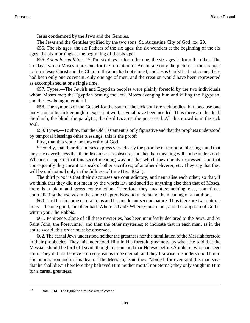Jesus condemned by the Jews and the Gentiles.

The Jews and the Gentiles typified by the two sons. St. Augustine City of God, xx. 29.

655. The six ages, the six Fathers of the six ages, the six wonders at the beginning of the six ages, the six mornings at the beginning of the six ages.

656. *Adam forma futuri*. <sup>117</sup> The six days to form the one, the six ages to form the other. The six days, which Moses represents for the formation of Adam, are only the picture of the six ages to form Jesus Christ and the Church. If Adam had not sinned, and Jesus Christ had not come, there had been only one covenant, only one age of men, and the creation would have been represented as accomplished at one single time.

657. Types.—The Jewish and Egyptian peoples were plainly foretold by the two individuals whom Moses met; the Egyptian beating the Jew, Moses avenging him and killing the Egyptian, and the Jew being ungrateful.

658. The symbols of the Gospel for the state of the sick soul are sick bodies; but, because one body cannot be sick enough to express it well, several have been needed. Thus there are the deaf, the dumb, the blind, the paralytic, the dead Lazarus, the possessed. All this crowd is in the sick soul.

659. Types.—To show that the Old Testament is only figurative and that the prophets understood by temporal blessings other blessings, this is the proof:

First, that this would be unworthy of God.

Secondly, that their discourses express very clearly the promise of temporal blessings, and that they say nevertheless that their discourses are obscure, and that their meaning will not be understood. Whence it appears that this secret meaning was not that which they openly expressed, and that consequently they meant to speak of other sacrifices, of another deliverer, etc. They say that they will be understood only in the fullness of time [\(Jer. 30:24\)](http://www.ccel.org/b/bible/asv/xml/asv.Jer.30.xml#Jer.30.24).

The third proof is that their discourses are contradictory, and neutralise each other; so that, if we think that they did not mean by the words law and sacrifice anything else than that of Moses, there is a plain and gross contradiction. Therefore they meant something else, sometimes contradicting themselves in the same chapter. Now, to understand the meaning of an author...

660. Lust has become natural to us and has made our second nature. Thus there are two natures in us—the one good, the other bad. Where is God? Where you are not, and the kingdom of God is within you.The Rabbis.

661. Penitence, alone of all these mysteries, has been manifestly declared to the Jews, and by Saint John, the Forerunner; and then the other mysteries; to indicate that in each man, as in the entire world, this order must be observed.

662. The carnal Jews understood neither the greatness nor the humiliation of the Messiah foretold in their prophecies. They misunderstood Him in His foretold greatness, as when He said that the Messiah should be lord of David, though his son, and that He was before Abraham, who had seen Him. They did not believe Him so great as to be eternal, and they likewise misunderstood Him in His humiliation and in His death. "The Messiah," said they, "abideth for ever, and this man says that he shall die." Therefore they believed Him neither mortal nor eternal; they only sought in Him for a carnal greatness.

<sup>117</sup> [Rom. 5:14.](http://www.ccel.org/b/bible/asv/xml/asv.Rom.5.xml#Rom.5.14) "The figure of him that was to come."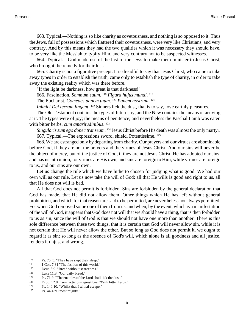663. Typical.—Nothing is so like charity as covetousness, and nothing is so opposed to it. Thus the Jews, full of possessions which flattered their covetousness, were very like Christians, and very contrary. And by this means they had the two qualities which it was necessary they should have, to be very like the Messiah to typify Him, and very contrary not to be suspected witnesses.

664. Typical.—God made use of the lust of the Jews to make them minister to Jesus Christ, who brought the remedy for their lust.

665. Charity is not a figurative precept. It is dreadful to say that Jesus Christ, who came to take away types in order to establish the truth, came only to establish the type of charity, in order to take away the existing reality which was there before.

"If the light be darkness, how great is that darkness!"

666. Fascination. *Somnum suum*. <sup>118</sup> *Figura hujus mundi*. 119

The Eucharist. *Comedes panem tuum*. <sup>120</sup> *Panem nostrum*. 121

*Inimici Dei terram lingent*. <sup>122</sup> Sinners lick the dust, that is to say, love earthly pleasures.

The Old Testament contains the types of future joy, and the New contains the means of arriving at it. The types were of joy; the means of penitence; and nevertheless the Paschal Lamb was eaten with bitter herbs, *cum amaritudinibus*. 123

Singularis sum ego donec transeam.<sup>124</sup> Jesus Christ before His death was almost the only martyr. 667. Typical.—The expressions sword, shield. Potentissime. <sup>125</sup>

668. We are estranged only by departing from charity. Our prayers and our virtues are abominable before God, if they are not the prayers and the virtues of Jesus Christ. And our sins will never be the object of mercy, but of the justice of God, if they are not Jesus Christ. He has adopted our sins, and has us into union, for virtues are His own, and sins are foreign to Him; while virtues are foreign to us, and our sins are our own.

Let us change the rule which we have hitherto chosen for judging what is good. We had our own will as our rule. Let us now take the will of God; all that He wills is good and right to us, all that He does not will is bad.

All that God does not permit is forbidden. Sins are forbidden by the general declaration that God has made, that He did not allow them. Other things which He has left without general prohibition, and which for that reason are said to be permitted, are nevertheless not always permitted. For when God removed some one of them from us, and when, by the event, which is a manifestation of the will of God, it appears that God does not will that we should have a thing, that is then forbidden to us as sin; since the will of God is that we should not have one more than another. There is this sole difference between these two things, that it is certain that God will never allow sin, while it is not certain that He will never allow the other. But so long as God does not permit it, we ought to regard it as sin; so long as the absence of God's will, which alone is all goodness and all justice, renders it unjust and wrong.

<sup>&</sup>lt;sup>118</sup> [Ps. 75. 5. "](http://www.ccel.org/b/bible/asv/xml/asv.Ps.75.xml#Ps.75.5)They have slept their sleep."<br><sup>119</sup> 1 Cor. 7:31 "The fashion of this world."

<sup>&</sup>lt;sup>119</sup> [1 Cor. 7:31](http://www.ccel.org/b/bible/asv/xml/asv.iCor.7.xml#iCor.7.31) "The fashion of this world."<br><sup>120</sup> Deut 8:0 "Bread without scarceness."

<sup>&</sup>lt;sup>120</sup> [Deut. 8:9. "](http://www.ccel.org/b/bible/asv/xml/asv.Deut.8.xml#Deut.8.9)Bread without scarceness."<br><sup>121</sup> Like 11:2 "Our deily bread."

[Luke 11:3.](http://www.ccel.org/b/bible/asv/xml/asv.Luke.11.xml#Luke.11.3) "Our daily bread."

<sup>&</sup>lt;sup>122</sup> [Ps. 71:9. "](http://www.ccel.org/b/bible/asv/xml/asv.Ps.71.xml#Ps.71.9)The enemies of the Lord shall lick the dust."<br><sup>123</sup> Exod. 12:8. Cum lacticibus agreestibus. "With bitter her

<sup>123</sup> [Exod. 12:8.](http://www.ccel.org/b/bible/asv/xml/asv.Exod.12.xml#Exod.12.8) Cum lacticibus agrestibus. "With bitter herbs."

<sup>124</sup> [Ps. 140:10.](http://www.ccel.org/b/bible/asv/xml/asv.Ps.140.xml#Ps.140.10) "Whilst that I withal escape."

<sup>125</sup> [Ps. 44:4](http://www.ccel.org/b/bible/asv/xml/asv.Ps.44.xml#Ps.44.4) "O most mighty."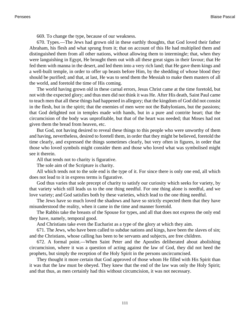669. To change the type, because of our weakness.

670. Types.—The Jews had grown old in these earthly thoughts, that God loved their father Abraham, his flesh and what sprung from it; that on account of this He had multiplied them and distinguished them from all other nations, without allowing them to intermingle; that, when they were languishing in Egypt, He brought them out with all these great signs in their favour; that He fed them with manna in the desert, and led them into a very rich land; that He gave them kings and a well-built temple, in order to offer up beasts before Him, by the shedding of whose blood they should be purified; and that, at last, He was to send them the Messiah to make them masters of all the world, and foretold the time of His coming.

The world having grown old in these carnal errors, Jesus Christ came at the time foretold, but not with the expected glory; and thus men did not think it was He. After His death, Saint Paul came to teach men that all these things had happened in allegory; that the kingdom of God did not consist in the flesh, but in the spirit; that the enemies of men were not the Babylonians, but the passions; that God delighted not in temples made with hands, but in a pure and contrite heart; that the circumcision of the body was unprofitable, but that of the heart was needed; that Moses had not given them the bread from heaven, etc.

But God, not having desired to reveal these things to this people who were unworthy of them and having, nevertheless, desired to foretell them, in order that they might be believed, foretold the time clearly, and expressed the things sometimes clearly, but very often in figures, in order that those who loved symbols might consider them and those who loved what was symbolised might see it therein.

All that tends not to charity is figurative.

The sole aim of the Scripture is charity.

All which tends not to the sole end is the type of it. For since there is only one end, all which does not lead to it in express terms is figurative.

God thus varies that sole precept of charity to satisfy our curiosity which seeks for variety, by that variety which still leads us to the one thing needful. For one thing alone is needful, and we love variety; and God satisfies both by these varieties, which lead to the one thing needful.

The Jews have so much loved the shadows and have so strictly expected them that they have misunderstood the reality, when it came in the time and manner foretold.

The Rabbis take the breasts of the Spouse for types, and all that does not express the only end they have, namely, temporal good.

And Christians take even the Eucharist as a type of the glory at which they aim.

671. The Jews, who have been called to subdue nations and kings, have been the slaves of sin; and the Christians, whose calling has been to be servants and subjects, are free children.

672. A formal point.—When Saint Peter and the Apostles deliberated about abolishing circumcision, where it was a question of acting against the law of God, they did not heed the prophets, but simply the reception of the Holy Spirit in the persons uncircumcised.

They thought it more certain that God approved of those whom He filled with His Spirit than it was that the law must be obeyed. They knew that the end of the law was only the Holy Spirit; and that thus, as men certainly had this without circumcision, it was not necessary.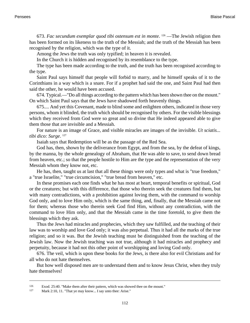673. *Fac secundum exemplar quod tibi ostensum est in monte*. <sup>126</sup> —The Jewish religion then has been formed on its likeness to the truth of the Messiah; and the truth of the Messiah has been recognised by the religion, which was the type of it.

Among the Jews the truth was only typified; in heaven it is revealed.

In the Church it is hidden and recognised by its resemblance to the type.

The type has been made according to the truth, and the truth has been recognised according to the type.

Saint Paul says himself that people will forbid to marry, and he himself speaks of it to the Corinthians in a way which is a snare. For if a prophet had said the one, and Saint Paul had then said the other, he would have been accused.

674. Typical.—"Do all things according to the pattern which has been shown thee on the mount." On which Saint Paul says that the Jews have shadowed forth heavenly things.

675.... And yet this Covenant, made to blind some and enlighten others, indicated in those very persons, whom it blinded, the truth which should be recognised by others. For the visible blessings which they received from God were so great and so divine that He indeed appeared able to give them those that are invisible and a Messiah.

For nature is an image of Grace, and visible miracles are images of the invisible. *Ut sciatis... tibi dico: Surge*. 127

Isaiah says that Redemption will be as the passage of the Red Sea.

God has, then, shown by the deliverance from Egypt, and from the sea, by the defeat of kings, by the manna, by the whole genealogy of Abraham, that He was able to save, to send down bread from heaven, etc.; so that the people hostile to Him are the type and the representation of the very Messiah whom they know not, etc.

He has, then, taught us at last that all these things were only types and what is "true freedom," a "true Israelite," "true circumcision," "true bread from heaven," etc.

In these promises each one finds what he has most at heart, temporal benefits or spiritual, God or the creatures; but with this difference, that those who therein seek the creatures find them, but with many contradictions, with a prohibition against loving them, with the command to worship God only, and to love Him only, which is the same thing, and, finally, that the Messiah came not for them; whereas those who therein seek God find Him, without any contradiction, with the command to love Him only, and that the Messiah came in the time foretold, to give them the blessings which they ask.

Thus the Jews had miracles and prophecies, which they saw fulfilled, and the teaching of their law was to worship and love God only; it was also perpetual. Thus it had all the marks of the true religion; and so it was. But the Jewish teaching must be distinguished from the teaching of the Jewish law. Now the Jewish teaching was not true, although it had miracles and prophecy and perpetuity, because it had not this other point of worshipping and loving God only.

676. The veil, which is upon these books for the Jews, is there also for evil Christians and for all who do not hate themselves.

But how well disposed men are to understand them and to know Jesus Christ, when they truly hate themselves!

<sup>126</sup> [Exod. 25:40.](http://www.ccel.org/b/bible/asv/xml/asv.Exod.25.xml#Exod.25.40) "Make them after their pattern, which was showed thee on the mount."

<sup>127</sup> [Mark 2:10, 11. "](http://www.ccel.org/b/bible/asv/xml/asv.Mark.2.xml#Mark.2.10 Bible:Mark.2.11)That ye may know... I say unto thee: Arise."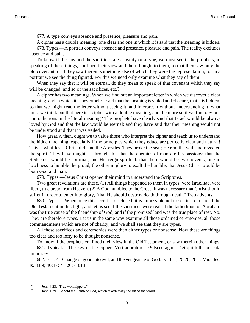677. A type conveys absence and presence, pleasure and pain.

A cipher has a double meaning, one clear and one in which it is said that the meaning is hidden.

678. Types.—A portrait conveys absence and presence, pleasure and pain. The reality excludes absence and pain.

To know if the law and the sacrifices are a reality or a type, we must see if the prophets, in speaking of these things, confined their view and their thought to them, so that they saw only the old covenant; or if they saw therein something else of which they were the representation, for in a portrait we see the thing figured. For this we need only examine what they say of them.

When they say that it will be eternal, do they mean to speak of that covenant which they say will be changed; and so of the sacrifices, etc.?

A cipher has two meanings. When we find out an important letter in which we discover a clear meaning, and in which it is nevertheless said that the meaning is veiled and obscure, that it is hidden, so that we might read the letter without seeing it, and interpret it without understanding it, what must we think but that here is a cipher with a double meaning, and the more so if we find obvious contradictions in the literal meaning? The prophets have clearly said that Israel would be always loved by God and that the law would be eternal; and they have said that their meaning would not be understood and that it was veiled.

How greatly, then, ought we to value those who interpret the cipher and teach us to understand the hidden meaning, especially if the principles which they educe are perfectly clear and natural! This is what Jesus Christ did, and the Apostles. They broke the seal; He rent the veil, and revealed the spirit. They have taught us through this that the enemies of man are his passions; that the Redeemer would be spiritual, and His reign spiritual; that there would be two advents, one in lowliness to humble the proud, the other in glory to exalt the humble; that Jesus Christ would be both God and man.

679. Types.—Jesus Christ opened their mind to understand the Scriptures.

Two great revelations are these. (1) All things happened to them in types: vere Israelitae, vere liberi, true bread from Heaven. (2) A God humbled to the Cross. It was necessary that Christ should suffer in order to enter into glory, "that He should destroy death through death." Two advents.

680. Types.—When once this secret is disclosed, it is impossible not to see it. Let us read the Old Testament in this light, and let us see if the sacrifices were real; if the fatherhood of Abraham was the true cause of the friendship of God; and if the promised land was the true place of rest. No. They are therefore types. Let us in the same way examine all those ordained ceremonies, all those commandments which are not of charity, and we shall see that they are types.

All these sacrifices and ceremonies were then either types or nonsense. Now these are things too clear and too lofty to be thought nonsense.

To know if the prophets confined their view in the Old Testament, or saw therein other things.

681. Typical.—The key of the cipher. Veri adoratores. 128 Ecce agnus Dei qui tollit peccata mundi. <sup>129</sup>

682. [Is. 1:21](http://www.ccel.org/b/bible/asv/xml/asv.Isa.1.xml#Isa.1.21). Change of good into evil, and the vengeance of God. [Is. 10:1;](http://www.ccel.org/b/bible/asv/xml/asv.Isa.10.xml#Isa.10.1) 26:20; 28:1. Miracles: [Is. 33:9](http://www.ccel.org/b/bible/asv/xml/asv.Isa.33.xml#Isa.33.9); 40:17; 41:26; 43:13.

<sup>128</sup> [John 4:23. "](http://www.ccel.org/b/bible/asv/xml/asv.John.4.xml#John.4.23)True worshippers."

<sup>129</sup> [John 1:29. "](http://www.ccel.org/b/bible/asv/xml/asv.John.1.xml#John.1.29)Behold the Lamb of God, which taketh away the sin of the world."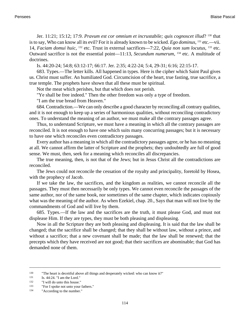[Jer. 11:21;](http://www.ccel.org/b/bible/asv/xml/asv.Jer.11.xml#Jer.11.21) 15:12; 17:9. *Pravum est cor omnium et incrustabile; quis cognoscet illud*? 130 that is to say, Who can know all its evil? For it is already known to be wicked. *Ego dominus*, <sup>131</sup> etc.—vii. 14, *Faciam domui huic*, <sup>132</sup> etc. Trust in external sacrifices—7:22, *Quia non sum locutus*, <sup>133</sup> etc. Outward sacrifice is not the essential point—11:13, *Secundum numerum*, <sup>134</sup> etc. A multitude of doctrines.

[Is. 44:20-24](http://www.ccel.org/b/bible/asv/xml/asv.Isa.44.xml#Isa.44.20)[; 54:8;](http://www.ccel.org/b/bible/asv/xml/asv.Isa.54.xml#Isa.54.8) [63:12-17](http://www.ccel.org/b/bible/asv/xml/asv.Isa.63.xml#Isa.63.12); [66:17](http://www.ccel.org/b/bible/asv/xml/asv.Isa.66.xml#Isa.66.17). [Jer. 2:35](http://www.ccel.org/b/bible/asv/xml/asv.Jer.2.xml#Jer.2.35); [4:22-24](http://www.ccel.org/b/bible/asv/xml/asv.Jer.4.xml#Jer.4.22)[; 5:4,](http://www.ccel.org/b/bible/asv/xml/asv.Jer.5.xml#Jer.5.4) [29-31;](http://www.ccel.org/b/bible/asv/xml/asv.Jer.5.xml#Jer.5.29) [6:16](http://www.ccel.org/b/bible/asv/xml/asv.Jer.6.xml#Jer.6.16); [22:15-17](http://www.ccel.org/b/bible/asv/xml/asv.Jer.22.xml#Jer.22.15).

683. Types.—The letter kills. All happened in types. Here is the cipher which Saint Paul gives us. Christ must suffer. An humiliated God. Circumcision of the heart, true fasting, true sacrifice, a true temple. The prophets have shown that all these must be spiritual.

Not the meat which perishes, but that which does not perish.

"Ye shall be free indeed." Then the other freedom was only a type of freedom.

"I am the true bread from Heaven."

684. Contradiction.—We can only describe a good character by reconciling all contrary qualities, and it is not enough to keep up a series of harmonious qualities, without reconciling contradictory ones. To understand the meaning of an author, we must make all the contrary passages agree.

Thus, to understand Scripture, we must have a meaning in which all the contrary passages are reconciled. It is not enough to have one which suits many concurring passages; but it is necessary to have one which reconciles even contradictory passages.

Every author has a meaning in which all the contradictory passages agree, or he has no meaning at all. We cannot affirm the latter of Scripture and the prophets; they undoubtedly are full of good sense. We must, then, seek for a meaning which reconciles all discrepancies.

The true meaning, then, is not that of the Jews; but in Jesus Christ all the contradictions are reconciled.

The Jews could not reconcile the cessation of the royalty and principality, foretold by Hosea, with the prophecy of Jacob.

If we take the law, the sacrifices, and the kingdom as realities, we cannot reconcile all the passages. They must then necessarily be only types. We cannot even reconcile the passages of the same author, nor of the same book, nor sometimes of the same chapter, which indicates copiously what was the meaning of the author. As when Ezekiel, chap. 20., Says that man will not live by the commandments of God and will live by them.

685. Types.—If the law and the sacrifices are the truth, it must please God, and must not displease Him. If they are types, they must be both pleasing and displeasing.

Now in all the Scripture they are both pleasing and displeasing. It is said that the law shall be changed; that the sacrifice shall be changed; that they shall be without law, without a prince, and without a sacrifice; that a new covenant shall be made; that the law shall be renewed; that the precepts which they have received are not good; that their sacrifices are abominable; that God has demanded none of them.

<sup>130</sup> "The heart is deceitful above all things and desperately wicked: who can know it?"

<sup>&</sup>lt;sup>131</sup> [Is. 44:24.](http://www.ccel.org/b/bible/asv/xml/asv.Isa.44.xml#Isa.44.24) "I am the Lord."<br><sup>132</sup> "I will do unto this house

<sup>&</sup>quot;I will do unto this house."

<sup>133</sup> "For I spoke not unto your fathers."

<sup>134</sup> "According to the number."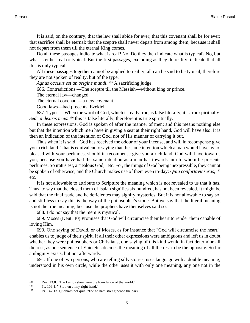It is said, on the contrary, that the law shall abide for ever; that this covenant shall be for ever; that sacrifice shall be eternal; that the sceptre shall never depart from among them, because it shall not depart from them till the eternal King comes.

Do all these passages indicate what is real? No. Do they then indicate what is typical? No, but what is either real or typical. But the first passages, excluding as they do reality, indicate that all this is only typical.

All these passages together cannot be applied to reality; all can be said to be typical; therefore they are not spoken of reality, but of the type.

*Agnus occisus est ab origine mundi*. <sup>135</sup> A sacrificing judge.

686. Contradictions.—The sceptre till the Messiah—without king or prince.

The eternal law—changed.

The eternal covenant—a new covenant.

Good laws—bad precepts. Ezekiel.

687. Types.—When the word of God, which is really true, is false literally, it is true spiritually. *Sede a dextris meis*: <sup>136</sup> this is false literally, therefore it is true spiritually.

In these expressions, God is spoken of after the manner of men; and this means nothing else but that the intention which men have in giving a seat at their right hand, God will have also. It is then an indication of the intention of God, not of His manner of carrying it out.

Thus when it is said, "God has received the odour of your incense, and will in recompense give you a rich land," that is equivalent to saying that the same intention which a man would have, who, pleased with your perfumes, should in recompense give you a rich land, God will have towards you, because you have had the same intention as a man has towards him to whom he presents perfumes. So iratus est, a "jealous God," etc. For, the things of God being inexpressible, they cannot be spoken of otherwise, and the Church makes use of them even to-day: *Quia confortavit seras*, 137 etc.

It is not allowable to attribute to Scripture the meaning which is not revealed to us that it has. Thus, to say that the closed mem of Isaiah signifies six hundred, has not been revealed. It might be said that the final tsade and he deficientes may signify mysteries. But it is not allowable to say so, and still less to say this is the way of the philosopher's stone. But we say that the literal meaning is not the true meaning, because the prophets have themselves said so.

688. I do not say that the mem is mystical.

689. Moses ([Deut. 30\)](http://www.ccel.org/b/bible/asv/xml/asv.Deut..xml#Deut..) Promises that God will circumcise their heart to render them capable of loving Him.

690. One saying of David, or of Moses, as for instance that "God will circumcise the heart," enables us to judge of their spirit. If all their other expressions were ambiguous and left us in doubt whether they were philosophers or Christians, one saying of this kind would in fact determine all the rest, as one sentence of Epictetus decides the meaning of all the rest to be the opposite. So far ambiguity exists, but not afterwards.

691. If one of two persons, who are telling silly stories, uses language with a double meaning, understood in his own circle, while the other uses it with only one meaning, any one not in the

<sup>135</sup> [Rev. 13:8. "](http://www.ccel.org/b/bible/asv/xml/asv...xml#..)The Lambs slain from the foundation of the world."

<sup>136</sup> [Ps. 109:1.](http://www.ccel.org/b/bible/asv/xml/asv.Ps.109.xml#Ps.109.1) " Sit then at my right hand."

<sup>137</sup> [Ps. 147:13.](http://www.ccel.org/b/bible/asv/xml/asv.Psalms.147.xml#Psalms.147.13) Quoniam not quia. "For he hath strengthened the bars."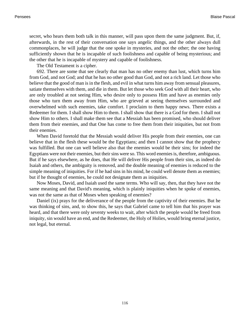secret, who hears them both talk in this manner, will pass upon them the same judgment. But, if, afterwards, in the rest of their conversation one says angelic things, and the other always dull commonplaces, he will judge that the one spoke in mysteries, and not the other; the one having sufficiently shown that he is incapable of such foolishness and capable of being mysterious; and the other that he is incapable of mystery and capable of foolishness.

The Old Testament is a cipher.

692. There are some that see clearly that man has no other enemy than lust, which turns him from God, and not God; and that he has no other good than God, and not a rich land. Let those who believe that the good of man is in the flesh, and evil in what turns him away from sensual pleasures, satiate themselves with them, and die in them. But let those who seek God with all their heart, who are only troubled at not seeing Him, who desire only to possess Him and have as enemies only those who turn them away from Him, who are grieved at seeing themselves surrounded and overwhelmed with such enemies, take comfort. I proclaim to them happy news. There exists a Redeemer for them. I shall show Him to them. I shall show that there is a God for them. I shall not show Him to others. I shall make them see that a Messiah has been promised, who should deliver them from their enemies, and that One has come to free them from their iniquities, but not from their enemies.

When David foretold that the Messiah would deliver His people from their enemies, one can believe that in the flesh these would be the Egyptians; and then I cannot show that the prophecy was fulfilled. But one can well believe also that the enemies would be their sins; for indeed the Egyptians were not their enemies, but their sins were so. This word enemies is, therefore, ambiguous. But if he says elsewhere, as he does, that He will deliver His people from their sins, as indeed do Isaiah and others, the ambiguity is removed, and the double meaning of enemies is reduced to the simple meaning of iniquities. For if he had sins in his mind, he could well denote them as enemies; but if he thought of enemies, he could not designate them as iniquities.

Now Moses, David, and Isaiah used the same terms. Who will say, then, that they have not the same meaning and that David's meaning, which is plainly iniquities when he spoke of enemies, was not the same as that of Moses when speaking of enemies?

Daniel (ix) prays for the deliverance of the people from the captivity of their enemies. But he was thinking of sins, and, to show this, he says that Gabriel came to tell him that his prayer was heard, and that there were only seventy weeks to wait, after which the people would be freed from iniquity, sin would have an end, and the Redeemer, the Holy of Holies, would bring eternal justice, not legal, but eternal.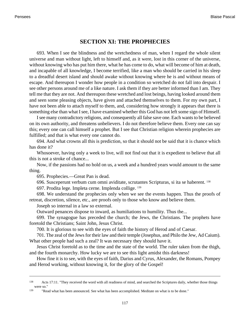## **SECTION XI: THE PROPHECIES**

693. When I see the blindness and the wretchedness of man, when I regard the whole silent universe and man without light, left to himself and, as it were, lost in this corner of the universe, without knowing who has put him there, what he has come to do, what will become of him at death, and incapable of all knowledge, I become terrified, like a man who should be carried in his sleep to a dreadful desert island and should awake without knowing where he is and without means of escape. And thereupon I wonder how people in a condition so wretched do not fall into despair. I see other persons around me of a like nature. I ask them if they are better informed than I am. They tell me that they are not. And thereupon these wretched and lost beings, having looked around them and seen some pleasing objects, have given and attached themselves to them. For my own part, I have not been able to attach myself to them, and, considering how strongly it appears that there is something else than what I see, I have examined whether this God has not left some sign of Himself.

I see many contradictory religions, and consequently all false save one. Each wants to be believed on its own authority, and threatens unbelievers. I do not therefore believe them. Every one can say this; every one can call himself a prophet. But I see that Christian religion wherein prophecies are fulfilled; and that is what every one cannot do.

694. And what crowns all this is prediction, so that it should not be said that it is chance which has done it?

Whosoever, having only a week to live, will not find out that it is expedient to believe that all this is not a stroke of chance...

Now, if the passions had no hold on us, a week and a hundred years would amount to the same thing.

695. Prophecies.—Great Pan is dead.

696. Susceperunt verbum cum omni aviditate, scrutantes Scripturas, si ita se haberent. <sup>138</sup>

697. Prodita lege. Impleta cerne. Implenda collige. <sup>139</sup>

698. We understand the prophecies only when we see the events happen. Thus the proofs of retreat, discretion, silence, etc., are proofs only to those who know and believe them.

Joseph so internal in a law so external.

Outward penances dispose to inward, as humiliations to humility. Thus the...

699. The synagogue has preceded the church; the Jews, the Christians. The prophets have foretold the Christians; Saint John, Jesus Christ.

700. It is glorious to see with the eyes of faith the history of Herod and of Caesar.

701. The zeal of the Jews for their law and their temple (Josephus, and Philo the Jew, Ad Caium). What other people had such a zeal? It was necessary they should have it.

Jesus Christ foretold as to the time and the state of the world. The ruler taken from the thigh, and the fourth monarchy. How lucky we are to see this light amidst this darkness!

How fine it is to see, with the eyes of faith, Darius and Cyrus, Alexander, the Romans, Pompey and Herod working, without knowing it, for the glory of the Gospel!

<sup>138</sup> [Acts 17:11. "](http://www.ccel.org/b/bible/asv/xml/asv.Acts.17.xml#Acts.17.11)They received the word with all readiness of mind, and searched the Scriptures daily, whether those things were so."

<sup>139</sup> "Read what has been announced. See what has been accomplished. Meditate on what is to be done."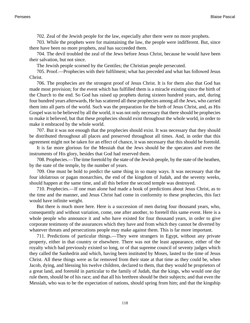702. Zeal of the Jewish people for the law, especially after there were no more prophets.

703. While the prophets were for maintaining the law, the people were indifferent. But, since there have been no more prophets, zeal has succeeded them.

704. The devil troubled the zeal of the Jews before Jesus Christ, because he would have been their salvation, but not since.

The Jewish people scorned by the Gentiles; the Christian people persecuted.

705. Proof.—Prophecies with their fulfilment; what has preceded and what has followed Jesus Christ.

706. The prophecies are the strongest proof of Jesus Christ. It is for them also that God has made most provision; for the event which has fulfilled them is a miracle existing since the birth of the Church to the end. So God has raised up prophets during sixteen hundred years, and, during four hundred years afterwards, He has scattered all these prophecies among all the Jews, who carried them into all parts of the world. Such was the preparation for the birth of Jesus Christ, and, as His Gospel was to be believed by all the world, it was not only necessary that there should be prophecies to make it believed, but that these prophecies should exist throughout the whole world, in order to make it embraced by the whole world.

707. But it was not enough that the prophecies should exist. It was necessary that they should be distributed throughout all places and preserved throughout all times. And, in order that this agreement might not be taken for an effect of chance, it was necessary that this should be foretold.

It is far more glorious for the Messiah that the Jews should be the specators and even the instruments of His glory, besides that God had reserved them.

708. Prophecies.—The time foretold by the state of the Jewish people, by the state of the heathen, by the state of the temple, by the number of years.

709. One must be bold to predict the same thing in so many ways. It was necessary that the four idolatrous or pagan monarchies, the end of the kingdom of Judah, and the seventy weeks, should happen at the same time, and all this before the second temple was destroyed.

710. Prophecies.—If one man alone had made a book of predictions about Jesus Christ, as to the time and the manner, and Jesus Christ had come in conformity to these prophecies, this fact would have infinite weight.

But there is much more here. Here is a succession of men during four thousand years, who, consequently and without variation, come, one after another, to foretell this same event. Here is a whole people who announce it and who have existed for four thousand years, in order to give corporate testimony of the assurances which they have and from which they cannot be diverted by whatever threats and persecutions people may make against them. This is far more important.

711. Predictions of particular things.—They were strangers in Egypt, without any private property, either in that country or elsewhere. There was not the least appearance, either of the royalty which had previously existed so long, or of that supreme council of seventy judges which they called the Sanhedrin and which, having been instituted by Moses, lasted to the time of Jesus Christ. All these things were as far removed from their state at that time as they could be, when Jacob, dying, and blessing his twelve children, declared to them, that they would be proprietors of a great land, and foretold in particular to the family of Judah, that the kings, who would one day rule them, should be of his race; and that all his brethren should be their subjects; and that even the Messiah, who was to be the expectation of nations, should spring from him; and that the kingship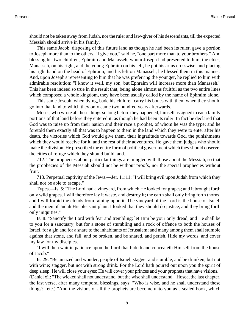should not be taken away from Judah, nor the ruler and law-giver of his descendants, till the expected Messiah should arrive in his family.

This same Jacob, disposing of this future land as though he had been its ruler, gave a portion to Joseph more than to the others. "I give you," said he, "one part more than to your brothers." And blessing his two children, Ephraim and Manasseh, whom Joseph had presented to him, the elder, Manasseh, on his right, and the young Ephraim on his left, he put his arms crosswise, and placing his right hand on the head of Ephraim, and his left on Manasseh, he blessed them in this manner. And, upon Joseph's representing to him that he was preferring the younger, he replied to him with admirable resolution: "I know it well, my son; but Ephraim will increase more than Manasseh." This has been indeed so true in the result that, being alone almost as fruitful as the two entire lines which composed a whole kingdom, they have been usually called by the name of Ephraim alone.

This same Joseph, when dying, bade his children carry his bones with them when they should go into that land to which they only came two hundred years afterwards.

Moses, who wrote all these things so long before they happened, himself assigned to each family portions of that land before they entered it, as though he had been its ruler. In fact he declared that God was to raise up from their nation and their race a prophet, of whom he was the type; and he foretold them exactly all that was to happen to them in the land which they were to enter after his death, the victories which God would give them, their ingratitude towards God, the punishments which they would receive for it, and the rest of their adventures. He gave them judges who should make the division. He prescribed the entire form of political government which they should observe, the cities of refuge which they should build, and...

712. The prophecies about particular things are mingled with those about the Messiah, so that the prophecies of the Messiah should not be without proofs, nor the special prophecies without fruit.

713. Perpetual captivity of the Jews.—Jer. 11:11: "I will bring evil upon Judah from which they shall not be able to escape."

Types.—Is. 5: "The Lord had a vineyard, from which He looked for grapes; and it brought forth only wild grapes. I will therefore lay it waste, and destroy it; the earth shall only bring forth thorns, and I will forbid the clouds from raining upon it. The vineyard of the Lord is the house of Israel, and the men of Judah His pleasant plant. I looked that they should do justice, and they bring forth only iniquities."

[Is. 8:](http://www.ccel.org/b/bible/asv/xml/asv.Isa..xml#Isa..) "Sanctify the Lord with fear and trembling; let Him be your only dread, and He shall be to you for a sanctuary, but for a stone of stumbling and a rock of offence to both the houses of Israel, for a gin and for a snare to the inhabitants of Jerusalem; and many among them shall stumble against that stone, and fall, and be broken, and be snared, and perish. Hide my words, and cover my law for my disciples.

"I will then wait in patience upon the Lord that hideth and concealeth Himself from the house of Jacob."

[Is. 29](http://www.ccel.org/b/bible/asv/xml/asv.Isa..xml#Isa..): "Be amazed and wonder, people of Israel; stagger and stumble, and be drunken, but not with wine; stagger, but not with strong drink. For the Lord hath poured out upon you the spirit of deep sleep. He will close your eyes; He will cover your princes and your prophets that have visions." (Daniel xii: "The wicked shall not understand, but the wise shall understand." Hosea, the last chapter, the last verse, after many temporal blessings, says: "Who is wise, and he shall understand these things?" etc.) "And the visions of all the prophets are become unto you as a sealed book, which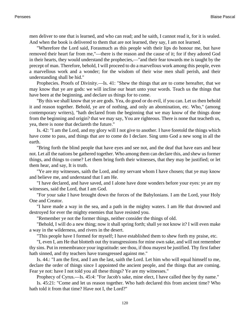men deliver to one that is learned, and who can read; and he saith, I cannot read it, for it is sealed. And when the book is delivered to them that are not learned, they say, I am not learned.

"Wherefore the Lord said, Forasmuch as this people with their lips do honour me, but have removed their heart far from me,"—there is the reason and the cause of it; for if they adored God in their hearts, they would understand the prophecies,—"and their fear towards me is taught by the precept of man. Therefore, behold, I will proceed to do a marvellous work among this people, even a marvellous work and a wonder; for the wisdom of their wise men shall perish, and their understanding shall be hid."

Prophecies. Proofs of Divinity.—Is. 41: "Shew the things that are to come hereafter, that we may know that ye are gods: we will incline our heart unto your words. Teach us the things that have been at the beginning, and declare us things for to come.

"By this we shall know that ye are gods. Yea, do good or do evil, if you can. Let us then behold it and reason together. Behold, ye are of nothing, and only an abomination, etc. Who," (among contemporary writers), "hath declared from the beginning that we may know of the things done from the beginning and origin? that we may say, You are righteous. There is none that teacheth us, yea, there is none that declareth the future."

[Is. 42](http://www.ccel.org/b/bible/asv/xml/asv.Isa..xml#Isa..): "I am the Lord, and my glory will I not give to another. I have foretold the things which have come to pass, and things that are to come do I declare. Sing unto God a new song in all the earth.

"Bring forth the blind people that have eyes and see not, and the deaf that have ears and hear not. Let all the nations be gathered together. Who among them can declare this, and shew us former things, and things to come? Let them bring forth their witnesses, that they may be justified; or let them hear, and say, It is truth.

"Ye are my witnesses, saith the Lord, and my servant whom I have chosen; that ye may know and believe me, and understand that I am He.

"I have declared, and have saved, and I alone have done wonders before your eyes: ye are my witnesses, said the Lord, that I am God.

"For your sake I have brought down the forces of the Babylonians. I am the Lord, your Holy One and Creator.

"I have made a way in the sea, and a path in the mighty waters. I am He that drowned and destroyed for ever the mighty enemies that have resisted you.

"Remember ye not the former things, neither consider the things of old.

"Behold, I will do a new thing; now it shall spring forth; shall ye not know it? I will even make a way in the wilderness, and rivers in the desert.

"This people have I formed for myself; I have established them to shew forth my praise, etc.

"I, even I, am He that blotteth out thy transgressions for mine own sake, and will not remember thy sins. Put in remembrance your ingratitude: see thou, if thou mayest be justified. Thy first father hath sinned, and thy teachers have transgressed against me."

[Is. 44.](http://www.ccel.org/b/bible/asv/xml/asv.Isa..xml#Isa..): "I am the first, and I am the last, saith the Lord. Let him who will equal himself to me, declare the order of things since I appointed the ancient people, and the things that are coming. Fear ye not: have I not told you all these things? Ye are my witnesses."

Prophecy of Cyrus.—Is. 45:4: "For Jacob's sake, mine elect, I have called thee by thy name."

[Is. 45:21](http://www.ccel.org/b/bible/asv/xml/asv.Isa.45.xml#Isa.45.21): "Come and let us reason together. Who hath declared this from ancient time? Who hath told it from that time? Have not I, the Lord?"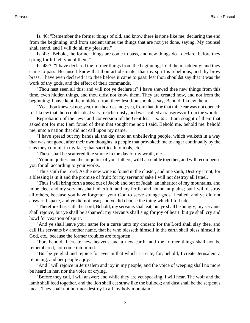[Is. 46](http://www.ccel.org/b/bible/asv/xml/asv.Isa..xml#Isa..): "Remember the former things of old, and know there is none like me, declaring the end from the beginning, and from ancient times the things that are not yet done, saying, My counsel shall stand, and I will do all my pleasure."

[Is. 42](http://www.ccel.org/b/bible/asv/xml/asv.Isa..xml#Isa..): "Behold, the former things are come to pass, and new things do I declare; before they spring forth I tell you of them."

[Is. 48:3:](http://www.ccel.org/b/bible/asv/xml/asv.Isa.48.xml#Isa.48.3) "I have declared the former things from the beginning; I did them suddenly; and they came to pass. Because I know that thou art obstinate, that thy spirit is rebellious, and thy brow brass; I have even declared it to thee before it came to pass: lest thou shouldst say that it was the work of thy gods, and the effect of their commands.

"Thou hast seen all this; and will not ye declare it? I have shewed thee new things from this time, even hidden things, and thou didst not know them. They are created now, and not from the beginning; I have kept them hidden from thee; lest thou shouldst say, Behold, I knew them.

"Yea, thou knewest not; yea, thou heardest not; yea, from that time that thine ear was not opened: for I knew that thou couldst deal very treacherously, and wast called a transgressor from the womb."

Reprobation of the Jews and conversion of the Gentiles.—Is. 65: "I am sought of them that asked not for me; I am found of them that sought me not; I said, Behold me, behold me, behold me, unto a nation that did not call upon my name.

"I have spread out my hands all the day unto an unbelieving people, which walketh in a way that was not good, after their own thoughts; a people that provoketh me to anger continually by the sins they commit in my face; that sacrificeth to idols, etc.

"These shall be scattered like smoke in the day of my wrath, etc.

"Your iniquities, and the iniquities of your fathers, will I assemble together, and will recompense you for all according to your works.

"Thus saith the Lord, As the new wine is found in the cluster, and one saith, Destroy it not, for a blessing is in it and the promise of fruit: for my servants' sake I will not destroy all Israel.

"Thus I will bring forth a seed out of Jacob and out of Judah, an inheritor of my mountains, and mine elect and my servants shall inherit it, and my fertile and abundant plains; but I will destroy all others, because you have forgotten your God to serve strange gods. I called, and ye did not answer; I spake, and ye did not hear; and ye did choose the thing which I forbade.

"Therefore thus saith the Lord, Behold, my servants shall eat, but ye shall be hungry; my servants shall rejoice, but ye shall be ashamed; my servants shall sing for joy of heart, but ye shall cry and howl for vexation of spirit.

"And ye shall leave your name for a curse unto my chosen: for the Lord shall slay thee, and call His servants by another name, that he who blesseth himself in the earth shall bless himself in God, etc., because the former troubles are forgotten.

"For, behold, I create new heavens and a new earth; and the former things shall not be remembered, nor come into mind.

"But be ye glad and rejoice for ever in that which I create; for, behold, I create Jerusalem a rejoicing, and her people a joy.

"And I will rejoice in Jerusalem and joy in my people; and the voice of weeping shall no more be heard in her, nor the voice of crying.

"Before they call, I will answer; and while they are yet speaking, I will hear. The wolf and the lamb shall feed together, and the lion shall eat straw like the bullock; and dust shall be the serpent's meat. They shall not hurt nor destroy in all my holy mountain."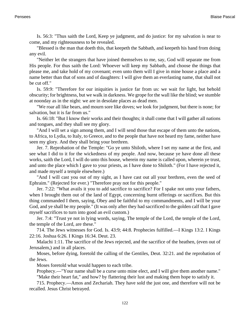[Is. 56:3:](http://www.ccel.org/b/bible/asv/xml/asv.Isa.56.xml#Isa.56.3) "Thus saith the Lord, Keep ye judgment, and do justice: for my salvation is near to come, and my righteousness to be revealed.

"Blessed is the man that doeth this, that keepeth the Sabbath, and keepeth his hand from doing any evil.

"Neither let the strangers that have joined themselves to me, say, God will separate me from His people. For thus saith the Lord: Whoever will keep my Sabbath, and choose the things that please me, and take hold of my covenant; even unto them will I give in mine house a place and a name better than that of sons and of daughters: I will give them an everlasting name, that shall not be cut off."

[Is. 59:9:](http://www.ccel.org/b/bible/asv/xml/asv.Isa.59.xml#Isa.59.9) "Therefore for our iniquities is justice far from us: we wait for light, but behold obscurity; for brightness, but we walk in darkness. We grope for the wall like the blind; we stumble at noonday as in the night: we are in desolate places as dead men.

"We roar all like bears, and mourn sore like doves; we look for judgment, but there is none; for salvation, but it is far from us."

[Is. 66:18:](http://www.ccel.org/b/bible/asv/xml/asv.Isa.66.xml#Isa.66.18) "But I know their works and their thoughts; it shall come that I will gather all nations and tongues, and they shall see my glory.

"And I will set a sign among them, and I will send those that escape of them unto the nations, to Africa, to Lydia, to Italy, to Greece, and to the people that have not heard my fame, neither have seen my glory. And they shall bring your brethren.

[Jer. 7](http://www.ccel.org/b/bible/asv/xml/asv.Jer..xml#Jer..). Reprobation of the Temple: "Go ye unto Shiloth, where I set my name at the first, and see what I did to it for the wickedness of my people. And now, because ye have done all these works, saith the Lord, I will do unto this house, wherein my name is called upon, wherein ye trust, and unto the place which I gave to your priests, as I have done to Shiloth." (For I have rejected it, and made myself a temple elsewhere.)

"And I will cast you out of my sight, as I have cast out all your brethren, even the seed of Ephraim." (Rejected for ever.) "Therefore pray not for this people."

[Jer. 7:22:](http://www.ccel.org/b/bible/asv/xml/asv.Jer.7.xml#Jer.7.22) "What avails it you to add sacrifice to sacrifice? For I spake not unto your fathers, when I brought them out of the land of Egypt, concerning burnt offerings or sacrifices. But this thing commanded I them, saying, Obey and be faithful to my commandments, and I will be your God, and ye shall be my people." (It was only after they had sacrificed to the golden calf that I gave myself sacrifices to turn into good an evil custom.)

[Jer. 7:4](http://www.ccel.org/b/bible/asv/xml/asv.Jer.7.xml#Jer.7.4): "Trust ye not in lying words, saying, The temple of the Lord, the temple of the Lord, the temple of the Lord, are these."

714. The Jews witnesses for God. [Is. 43:9;](http://www.ccel.org/b/bible/asv/xml/asv.Isa.43.xml#Isa.43.9) 44:8. Prophecies fulfilled.—I Kings 13:2. [I Kings](http://www.ccel.org/b/bible/asv/xml/asv.iKgs.22.xml#iKgs.22.16) [22:16](http://www.ccel.org/b/bible/asv/xml/asv.iKgs.22.xml#iKgs.22.16). [Joshua 6:26](http://www.ccel.org/b/bible/asv/xml/asv.Josh.6.xml#Josh.6.26). [I Kings 16:34](http://www.ccel.org/b/bible/asv/xml/asv.iKgs.16.xml#iKgs.16.34). [Deut. 23.](http://www.ccel.org/b/bible/asv/xml/asv.Deut..xml#Deut..)

[Malachi 1:11.](http://www.ccel.org/b/bible/asv/xml/asv.Mal.1.xml#Mal.1.11) The sacrifice of the Jews rejected, and the sacrifice of the heathen, (even out of Jerusalem,) and in all places.

Moses, before dying, foretold the calling of the Gentiles, [Deut. 32:21](http://www.ccel.org/b/bible/asv/xml/asv.Deut.32.xml#Deut.32.21). and the reprobation of the Jews.

Moses foretold what would happen to each tribe.

Prophecy.—"Your name shall be a curse unto mine elect, and I will give them another name." "Make their heart fat," and how? by flattering their lust and making them hope to satisfy it.

715. Prophecy.—Amos and Zechariah. They have sold the just one, and therefore will not be recalled. Jesus Christ betrayed.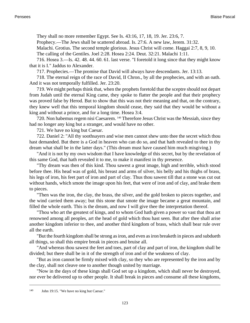They shall no more remember Egypt. See [Is. 43:16, 17, 18, 19.](http://www.ccel.org/b/bible/asv/xml/asv.Isa.43.xml#Isa.43.16 Bible:Isa.43.17 Bible:Isa.43.18 Bible:Isa.43.19) [Jer. 23:6, 7.](http://www.ccel.org/b/bible/asv/xml/asv.Jer.23.xml#Jer.23.6 Bible:Jer.23.7)

Prophecy.—The Jews shall be scattered abroad. [Is. 27:6.](http://www.ccel.org/b/bible/asv/xml/asv.Isa.27.xml#Isa.27.6) A new law, [Jerem. 31:32.](http://www.ccel.org/b/bible/asv/xml/asv.Jer.31.xml#Jer.31.32)

Malachi. Grotius. The second temple glorious. Jesus Christ will come. [Haggai 2:7, 8, 9, 10.](http://www.ccel.org/b/bible/asv/xml/asv.Hag.2.xml#Hag.2.7 Bible:Hag.2.8 Bible:Hag.2.9 Bible:Hag.2.10)

The calling of the Gentiles. [Joel 2:28.](http://www.ccel.org/b/bible/asv/xml/asv.Joel.2.xml#Joel.2.28) [Hosea 2:24.](http://www.ccel.org/b/bible/asv/xml/asv.Hos.2.xml#Hos.2.24) [Deut. 32:21.](http://www.ccel.org/b/bible/asv/xml/asv.Deut.32.xml#Deut.32.21) [Malachi 1:11](http://www.ccel.org/b/bible/asv/xml/asv.Mal.1.xml#Mal.1.11).

716. [Hosea 3.](http://www.ccel.org/b/bible/asv/xml/asv.Hos..xml#Hos..)—Is. 42. 48. 44. 60. 61. last verse. "I foretold it long since that they might know that it is I." Jaddus to Alexander.

717. Prophecies.—The promise that David will always have descendants. [Jer. 13:13](http://www.ccel.org/b/bible/asv/xml/asv.Jer.13.xml#Jer.13.13).

718. The eternal reign of the race of David, II Chron., by all the prophecies, and with an oath. And it was not temporally fulfilled. [Jer. 23:20](http://www.ccel.org/b/bible/asv/xml/asv.Jer.23.xml#Jer.23.20).

719. We might perhaps think that, when the prophets foretold that the sceptre should not depart from Judah until the eternal King came, they spoke to flatter the people and that their prophecy was proved false by Herod. But to show that this was not their meaning and that, on the contrary, they knew well that this temporal kingdom should cease, they said that they would be without a king and without a prince, and for a long time. [Hosea 3:4](http://www.ccel.org/b/bible/asv/xml/asv.Hos.3.xml#Hos.3.4).

720. Non habemus regem nisi Caesarem. 140 Therefore Jesus Christ was the Messiah, since they had no longer any king but a stranger, and would have no other.

721. We have no king but Caesar.

722. [Daniel 2:](http://www.ccel.org/b/bible/asv/xml/asv.Dan..xml#Dan..) "All thy soothsayers and wise men cannot shew unto thee the secret which thou hast demanded. But there is a God in heaven who can do so, and that hath revealed to thee in thy dream what shall be in the latter days." (This dream must have caused him much misgiving.)

"And it is not by my own wisdom that I have knowledge of this secret, but by the revelation of this same God, that hath revealed it to me, to make it manifest in thy presence.

"Thy dream was then of this kind. Thou sawest a great image, high and terrible, which stood before thee. His head was of gold, his breast and arms of silver, his belly and his thighs of brass, his legs of iron, his feet part of iron and part of clay. Thus thou sawest till that a stone was cut out without hands, which smote the image upon his feet, that were of iron and of clay, and brake them to pieces.

"Then was the iron, the clay, the brass, the silver, and the gold broken to pieces together, and the wind carried them away; but this stone that smote the image became a great mountain, and filled the whole earth. This is the dream, and now I will give thee the interpretation thereof.

"Thou who art the greatest of kings, and to whom God hath given a power so vast that thou art renowned among all peoples, art the head of gold which thou hast seen. But after thee shall arise another kingdom inferior to thee, and another third kingdom of brass, which shall bear rule over all the earth.

"But the fourth kingdom shall be strong as iron, and even as iron breaketh in pieces and subdueth all things, so shall this empire break in pieces and bruise all.

"And whereas thou sawest the feet and toes, part of clay and part of iron, the kingdom shall be divided; but there shall be in it of the strength of iron and of the weakness of clay.

"But as iron cannot be firmly mixed with clay, so they who are represented by the iron and by the clay, shall not cleave one to another though united by marriage.

"Now in the days of these kings shall God set up a kingdom, which shall never be destroyed, nor ever be delivered up to other people. It shall break in pieces and consume all these kingdoms,

<sup>140</sup> [John 19:15.](http://www.ccel.org/b/bible/asv/xml/asv.John.19.xml#John.19.15) "We have no king but Caesar."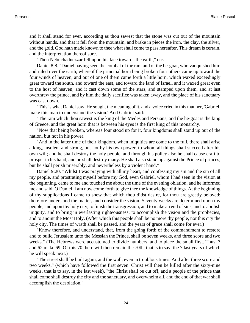and it shall stand for ever, according as thou sawest that the stone was cut out of the mountain without hands, and that it fell from the mountain, and brake in pieces the iron, the clay, the silver, and the gold. God hath made known to thee what shall come to pass hereafter. This dream is certain, and the interpretation thereof sure.

"Then Nebuchadnezzar fell upon his face towards the earth," etc.

[Daniel 8:8.](http://www.ccel.org/b/bible/asv/xml/asv.Dan.8.xml#Dan.8.8) "Daniel having seen the combat of the ram and of the he-goat, who vanquished him and ruled over the earth, whereof the principal horn being broken four others came up toward the four winds of heaven, and out of one of them came forth a little horn, which waxed exceedingly great toward the south, and toward the east, and toward the land of Israel, and it waxed great even to the host of heaven; and it cast down some of the stars, and stamped upon them, and at last overthrew the prince, and by him the daily sacrifice was taken away, and the place of his sanctuary was cast down.

"This is what Daniel saw. He sought the meaning of it, and a voice cried in this manner, 'Gabriel, make this man to understand the vision.' And Gabriel said:

"The ram which thou sawest is the king of the Medes and Persians, and the he-goat is the king of Greece, and the great horn that is between his eyes is the first king of this monarchy.

"Now that being broken, whereas four stood up for it, four kingdoms shall stand up out of the nation, but not in his power.

"And in the latter time of their kingdom, when iniquities are come to the full, there shall arise a king, insolent and strong, but not by his own power, to whom all things shall succeed after his own will; and he shall destroy the holy people, and through his policy also he shall cause craft to prosper in his hand, and he shall destroy many. He shall also stand up against the Prince of princes, but he shall perish miserably, and nevertheless by a violent hand."

[Daniel 9:20](http://www.ccel.org/b/bible/asv/xml/asv.Dan.9.xml#Dan.9.20). "Whilst I was praying with all my heart, and confessing my sin and the sin of all my people, and prostrating myself before my God, even Gabriel, whom I had seen in the vision at the beginning, came to me and touched me about the time of the evening oblation, and he informed me and said, O Daniel, I am now come forth to give thee the knowledge of things. At the beginning of thy supplications I came to shew that which thou didst desire, for thou are greatly beloved: therefore understand the matter, and consider the vision. Seventy weeks are determined upon thy people, and upon thy holy city, to finish the transgression, and to make an end of sins, and to abolish iniquity, and to bring in everlasting righteousness; to accomplish the vision and the prophecies, and to anoint the Most Holy. (After which this people shall be no more thy people, nor this city the holy city. The times of wrath shall be passed, and the years of grace shall come for ever.)

"Know therefore, and understand, that, from the going forth of the commandment to restore and to build Jerusalem unto the Messiah the Prince, shall be seven weeks, and three score and two weeks." (The Hebrews were accustomed to divide numbers, and to place the small first. Thus, 7 and 62 make 69. Of this 70 there will then remain the 70th, that is to say, the 7 last years of which he will speak next.)

"The street shall be built again, and the wall, even in troublous times. And after three score and two weeks," (which have followed the first seven. Christ will then be killed after the sixty-nine weeks, that is to say, in the last week), "the Christ shall be cut off, and a people of the prince that shall come shall destroy the city and the sanctuary, and overwhelm all, and the end of that war shall accomplish the desolation."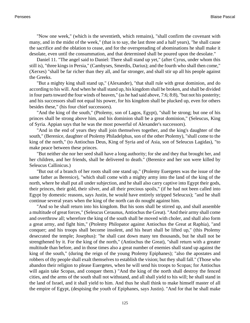"Now one week," (which is the seventieth, which remains), "shall confirm the covenant with many, and in the midst of the week," (that is to say, the last three and a half years), "he shall cause the sacrifice and the oblation to cease, and for the overspreading of abominations he shall make it desolate, even until the consummation, and that determined shall be poured upon the desolate."

[Daniel 11.](http://www.ccel.org/b/bible/asv/xml/asv.Dan..xml#Dan..) "The angel said to Daniel: There shall stand up yet," (after Cyrus, under whom this still is), "three kings in Persia," (Cambyses, Smerdis, Darius); and the fourth who shall then come," (Xerxes) "shall be far richer than they all, and far stronger, and shall stir up all his people against the Greeks.

"But a mighty king shall stand up," (Alexander), "that shall rule with great dominion, and do according to his will. And when he shall stand up, his kingdom shall be broken, and shall be divided in four parts toward the four winds of heaven," (as he had said above, 7:6; 8:8), "but not his posterity; and his successors shall not equal his power, for his kingdom shall be plucked up, even for others besides these," (his four chief successors).

"And the king of the south," (Ptolemy, son of Lagos, Egypt), "shall be strong; but one of his princes shall be strong above him, and his dominion shall be a great dominion," (Seleucus, King of Syria. Appian says that he was the most powerful of Alexander's successors).

"And in the end of years they shall join themselves together, and the king's daughter of the south," (Berenice, daughter of Ptolemy Philadelphus, son of the other Ptolemy), "shall come to the king of the north," (to Antiochus Deus, King of Syria and of Asia, son of Seleucus Lagidas), "to make peace between these princes.

"But neither she nor her seed shall have a long authority; for she and they that brought her, and her children, and her friends, shall be delivered to death." (Berenice and her son were killed by Seleucus Callinicus.)

"But out of a branch of her roots shall one stand up," (Ptolemy Euergetes was the issue of the same father as Berenice), "which shall come with a mighty army into the land of the king of the north, where he shall put all under subjection, and he shall also carry captive into Egypt their gods, their princes, their gold, their silver, and all their precious spoils," (if he had not been called into Egypt by domestic reasons, says Justin, he would have entirely stripped Seleucus); "and he shall continue several years when the king of the north can do nought against him.

"And so he shall return into his kingdom. But his sons shall be stirred up, and shall assemble a multitude of great forces," (Seleucus Ceraunus, Antiochus the Great). "And their army shall come and overthrow all; wherefore the king of the south shall be moved with choler, and shall also form a great army, and fight him," (Ptolemy Philopator against Antiochus the Great at Raphia), "and conquer; and his troops shall become insolent, and his heart shall be lifted up," (this Ptolemy desecrated the temple; Josephus): "he shall cast down many ten thousands, but he shall not be strengthened by it. For the king of the north," (Antiochus the Great), "shall return with a greater multitude than before, and in those times also a great number of enemies shall stand up against the king of the south," (during the reign of the young Ptolemy Epiphanes); "also the apostates and robbers of thy people shall exalt themselves to establish the vision; but they shall fall." (Those who abandon their religion to please Euergetes, when he will send his troops to Scopas; for Antiochus will again take Scopas, and conquer them.) "And the king of the north shall destroy the fenced cities, and the arms of the south shall not withstand, and all shall yield to his will; he shall stand in the land of Israel, and it shall yield to him. And thus he shall think to make himself master of all the empire of Egypt, (despising the youth of Epiphanes, says Justin). "And for that he shall make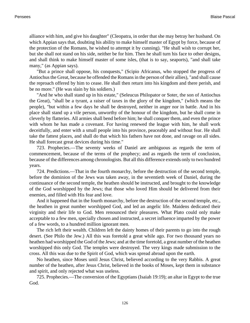alliance with him, and give his daughter" (Cleopatra, in order that she may betray her husband. On which Appian says that, doubting his ability to make himself master of Egypt by force, because of the protection of the Romans, he wished to attempt it by cunning). "He shall wish to corrupt her, but she shall not stand on his side, neither be for him. Then he shall turn his face to other designs, and shall think to make himself master of some isles, (that is to say, seaports), "and shall take many," (as Appian says).

"But a prince shall oppose, his conquests," (Scipio Africanus, who stopped the progress of Antiochus the Great, because he offended the Romans in the person of their allies), "and shall cause the reproach offered by him to cease. He shall then return into his kingdom and there perish, and be no more." (He was slain by his soldiers.)

"And he who shall stand up in his estate," (Seleucus Philopator or Soter, the son of Antiochus the Great), "shall be a tyrant, a raiser of taxes in the glory of the kingdom," (which means the people), "but within a few days he shall be destroyed, neither in anger nor in battle. And in his place shall stand up a vile person, unworthy of the honour of the kingdom, but he shall come in cleverly by flatteries. All armies shall bend before him; he shall conquer them, and even the prince with whom he has made a covenant. For having renewed the league with him, he shall work deceitfully, and enter with a small people into his province, peaceably and without fear. He shall take the fattest places, and shall do that which his fathers have not done, and ravage on all sides. He shall forecast great devices during his time."

723. Prophecies.—The seventy weeks of Daniel are ambiguous as regards the term of commencement, because of the terms of the prophecy; and as regards the term of conclusion, because of the differences among chronologists. But all this difference extends only to two hundred years.

724. Predictions.—That in the fourth monarchy, before the destruction of the second temple, before the dominion of the Jews was taken away, in the seventieth week of Daniel, during the continuance of the second temple, the heathen should be instructed, and brought to the knowledge of the God worshipped by the Jews; that those who loved Him should be delivered from their enemies, and filled with His fear and love.

And it happened that in the fourth monarchy, before the destruction of the second temple, etc., the heathen in great number worshipped God, and led an angelic life. Maidens dedicated their virginity and their life to God. Men renounced their pleasures. What Plato could only make acceptable to a few men, specially chosen and instructed, a secret influence imparted by the power of a few words, to a hundred million ignorant men.

The rich left their wealth. Children left the dainty homes of their parents to go into the rough desert. (See Philo the Jew.) All this was foretold a great while ago. For two thousand years no heathen had worshipped the God of the Jews; and at the time foretold, a great number of the heathen worshipped this only God. The temples were destroyed. The very kings made submission to the cross. All this was due to the Spirit of God, which was spread abroad upon the earth.

No heathen, since Moses until Jesus Christ, believed according to the very Rabbis. A great number of the heathen, after Jesus Christ, believed in the books of Moses, kept them in substance and spirit, and only rejected what was useless.

725. Prophecies.—The conversion of the Egyptians [\(Isaiah 19:19\)](http://www.ccel.org/b/bible/asv/xml/asv.Isa.19.xml#Isa.19.19); an altar in Egypt to the true God.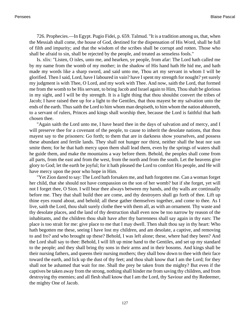726. Prophecies.—In Egypt. Pugio Fidei, p. 659. Talmud. "It is a tradition among us, that, when the Messiah shall come, the house of God, destined for the dispensation of His Word, shall be full of filth and impurity; and that the wisdom of the scribes shall be corrupt and rotten. Those who shall be afraid to sin, shall be rejected by the people, and treated as senseless fools."

Is. xlix: "Listen, O isles, unto me, and hearken, ye people, from afar: The Lord hath called me by my name from the womb of my mother; in the shadow of His hand hath He hid me, and hath made my words like a sharp sword, and said unto me, Thou art my servant in whom I will be glorified. Then I said, Lord, have I laboured in vain? have I spent my strength for nought? yet surely my judgment is with Thee, O Lord, and my work with Thee. And now, saith the Lord, that formed me from the womb to be His servant, to bring Jacob and Israel again to Him, Thou shalt be glorious in my sight, and I will be thy strength. It is a light thing that thou shouldst convert the tribes of Jacob; I have raised thee up for a light to the Gentiles, that thou mayest be my salvation unto the ends of the earth. Thus saith the Lord to him whom man despiseth, to him whom the nation abhorreth, to a servant of rulers, Princes and kings shall worship thee, because the Lord is faithful that hath chosen thee.

"Again saith the Lord unto me, I have heard thee in the days of salvation and of mercy, and I will preserve thee for a covenant of the people, to cause to inherit the desolate nations, that thou mayest say to the prisoners: Go forth; to them that are in darkness show yourselves, and possess these abundant and fertile lands. They shall not hunger nor thirst, neither shall the heat nor sun smite them; for he that hath mercy upon them shall lead them, even by the springs of waters shall he guide them, and make the mountains a way before them. Behold, the peoples shall come from all parts, from the east and from the west, from the north and from the south. Let the heavens give glory to God; let the earth be joyful; for it hath pleased the Lord to comfort His people, and He will have mercy upon the poor who hope in Him.

"Yet Zion dared to say: The Lord hath forsaken me, and hath forgotten me. Can a woman forget her child, that she should not have compassion on the son of her womb? but if she forget, yet will not I forget thee, O Sion. I will bear thee always between my hands, and thy walls are continually before me. They that shall build thee are come, and thy destroyers shall go forth of thee. Lift up thine eyes round about, and behold; all these gather themselves together, and come to thee. As I live, saith the Lord, thou shalt surely clothe thee with them all, as with an ornament. Thy waste and thy desolate places, and the land of thy destruction shall even now be too narrow by reason of the inhabitants, and the children thou shalt have after thy barrenness shall say again in thy ears: The place is too strait for me: give place to me that I may dwell. Then shalt thou say in thy heart: Who hath begotten me these, seeing I have lost my children, and am desolate, a captive, and removing to and fro? and who brought up these? Behold, I was left alone; these, where had they been? And the Lord shall say to thee: Behold, I will lift up mine hand to the Gentiles, and set up my standard to the people; and they shall bring thy sons in their arms and in their bosoms. And kings shall be their nursing fathers, and queens their nursing mothers; they shall bow down to thee with their face toward the earth, and lick up the dust of thy feet; and thou shalt know that I am the Lord; for they shall not be ashamed that wait for me. Shall the prey be taken from the mighty? But even if the captives be taken away from the strong, nothing shall hinder me from saving thy children, and from destroying thy enemies; and all flesh shall know that I am the Lord, thy Saviour and thy Redeemer, the mighty One of Jacob.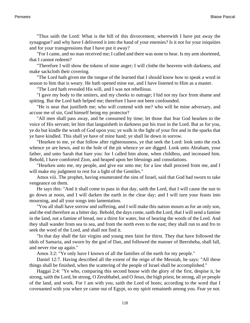"Thus saith the Lord: What is the bill of this divorcement, wherewith I have put away the synagogue? and why have I delivered it into the hand of your enemies? Is it not for your iniquities and for your transgressions that I have put it away?

"For I came, and no man received me; I called and there was none to hear. Is my arm shortened, that I cannot redeem?

"Therefore I will show the tokens of mine anger; I will clothe the heavens with darkness, and make sackcloth their covering.

"The Lord hath given me the tongue of the learned that I should know how to speak a word in season to him that is weary. He hath opened mine ear, and I have listened to Him as a master.

"The Lord hath revealed His will, and I was not rebellious.

"I gave my body to the smiters, and my cheeks to outrage; I hid not my face from shame and spitting. But the Lord hath helped me; therefore I have not been confounded.

"He is near that justifieth me; who will contend with me? who will be mine adversary, and accuse me of sin, God himself being my protector?

"All men shall pass away, and be consumed by time; let those that fear God hearken to the voice of His servant; let him that languisheth in darkness put his trust in the Lord. But as for you, ye do but kindle the wrath of God upon you; ye walk in the light of your fire and in the sparks that ye have kindled. This shall ye have of mine hand; ye shall lie down in sorrow.

"Hearken to me, ye that follow after righteousness, ye that seek the Lord: look unto the rock whence ye are hewn, and to the hole of the pit whence ye are digged. Look unto Abraham, your father, and unto Sarah that bare you: for I called him alone, when childless, and increased him. Behold, I have comforted Zion, and heaped upon her blessings and consolations.

"Hearken unto me, my people, and give ear unto me; for a law shall proceed from me, and I will make my judgment to rest for a light of the Gentiles."

[Amos viii.](http://www.ccel.org/b/bible/asv/xml/asv.Amos..xml#Amos..) The prophet, having enumerated the sins of Israel, said that God had sworn to take vengeance on them.

He says this: "And it shall come to pass in that day, saith the Lord, that I will cause the sun to go down at noon, and I will darken the earth in the clear day; and I will turn your feasts into mourning, and all your songs into lamentation.

"You all shall have sorrow and suffering, and I will make this nation mourn as for an only son, and the end therefore as a bitter day. Behold, the days come, saith the Lord, that I will send a famine in the land, not a famine of bread, nor a thirst for water, but of hearing the words of the Lord. And they shall wander from sea to sea, and from the north even to the east; they shall run to and fro to seek the word of the Lord, and shall not find it.

"In that day shall the fair virgins and young men faint for thirst. They that have followed the idols of Samaria, and sworn by the god of Dan, and followed the manner of Beersheba, shall fall, and never rise up again."

[Amos 3:2](http://www.ccel.org/b/bible/asv/xml/asv.Amos.3.xml#Amos.3.2): "Ye only have I known of all the families of the earth for my people."

[Daniel 12:7](http://www.ccel.org/b/bible/asv/xml/asv.Dan.12.xml#Dan.12.7). Having described all the extent of the reign of the Messiah, he says: "All these things shall be finished, when the scattering of the people of Israel shall be accomplished."

[Haggai 2:4:](http://www.ccel.org/b/bible/asv/xml/asv.Hag.2.xml#Hag.2.4) "Ye who, comparing this second house with the glory of the first, despise it, be strong, saith the Lord, be strong, O Zerubbabel, and O Jesus, the high priest, be strong, all ye people of the land, and work. For I am with you, saith the Lord of hosts; according to the word that I covenanted with you when ye came out of Egypt, so my spirit remaineth among you. Fear ye not.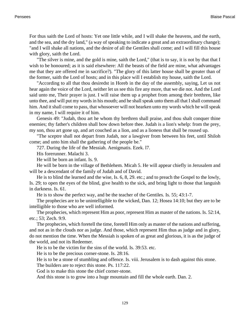For thus saith the Lord of hosts: Yet one little while, and I will shake the heavens, and the earth, and the sea, and the dry land," (a way of speaking to indicate a great and an extraordinary change); "and I will shake all nations, and the desire of all the Gentiles shall come; and I will fill this house with glory, saith the Lord.

"The silver is mine, and the gold is mine, saith the Lord," (that is to say, it is not by that that I wish to be honoured; as it is said elsewhere: All the beasts of the field are mine, what advantages me that they are offered me in sacrifice?). "The glory of this latter house shall be greater than of the former, saith the Lord of hosts; and in this place will I establish my house, saith the Lord.

"According to all that thou desiredst in Horeb in the day of the assembly, saying, Let us not hear again the voice of the Lord, neither let us see this fire any more, that we die not. And the Lord said unto me, Their prayer is just. I will raise them up a prophet from among their brethren, like unto thee, and will put my words in his mouth; and he shall speak unto them all that I shall command him. And it shall come to pass, that whosoever will not hearken unto my words which he will speak in my name, I will require it of him.

[Genesis 49](http://www.ccel.org/b/bible/asv/xml/asv.Gen..xml#Gen..): "Judah, thou art he whom thy brethren shall praise, and thou shalt conquer thine enemies; thy father's children shall bow down before thee. Judah is a lion's whelp: from the prey, my son, thou art gone up, and art couched as a lion, and as a lioness that shall be roused up.

"The sceptre shall not depart from Judah, nor a lawgiver from between his feet, until Shiloh come; and unto him shall the gathering of the people be."

727. During the life of the Messiah. Aenigmatis. Ezek. l7.

His forerunner. [Malachi 3.](http://www.ccel.org/b/bible/asv/xml/asv.Mal..xml#Mal..)

He will be born an infant. [Is. 9.](http://www.ccel.org/b/bible/asv/xml/asv.Isa..xml#Isa..)

He will be born in the village of Bethlehem. [Micah 5.](http://www.ccel.org/b/bible/asv/xml/asv.Mic..xml#Mic..) He will appear chiefly in Jerusalem and will be a descendant of the family of Judah and of David.

He is to blind the learned and the wise, [Is. 6, 8, 29](http://www.ccel.org/b/bible/asv/xml/asv.Isa.6 Bible:Isa.xml#Isa.6 Bible:Isa.8 Bible:Isa.29). etc.; and to preach the Gospel to the lowly, [Is. 29;](http://www.ccel.org/b/bible/asv/xml/asv.Isa..xml#Isa..) to open the eyes of the blind, give health to the sick, and bring light to those that languish in darkness. [Is. 61.](http://www.ccel.org/b/bible/asv/xml/asv.Isa..xml#Isa..)

He is to show the perfect way, and be the teacher of the Gentiles. [Is. 55;](http://www.ccel.org/b/bible/asv/xml/asv.Isa..xml#Isa..) 43:1-7.

The prophecies are to be unintelligible to the wicked, [Dan. 12;](http://www.ccel.org/b/bible/asv/xml/asv.Dan..xml#Dan..) [Hosea 14:10](http://www.ccel.org/b/bible/asv/xml/asv.Hos.14.xml#Hos.14.10); but they are to be intelligible to those who are well informed.

The prophecies, which represent Him as poor, represent Him as master of the nations. [Is. 52:14](http://www.ccel.org/b/bible/asv/xml/asv.Isa.52.xml#Isa.52.14), etc.; 53; [Zech. 9:9.](http://www.ccel.org/b/bible/asv/xml/asv.Zech.9.xml#Zech.9.9)

The prophecies, which foretell the time, foretell Him only as master of the nations and suffering, and not as in the clouds nor as judge. And those, which represent Him thus as judge and in glory, do not mention the time. When the Messiah is spoken of as great and glorious, it is as the judge of the world, and not its Redeemer.

He is to be the victim for the sins of the world. [Is. 39:53.](http://www.ccel.org/b/bible/asv/xml/asv.Isa.39.xml#Isa.39.53) etc.

He is to be the precious corner-stone. [Is. 28:16.](http://www.ccel.org/b/bible/asv/xml/asv.Isa.28.xml#Isa.28.16)

He is to be a stone of stumbling and offence. [Is. viii.](http://www.ccel.org/b/bible/asv/xml/asv.Isa..xml#Isa..) Jerusalem is to dash against this stone.

The builders are to reject this stone. [Ps. 117:22](http://www.ccel.org/b/bible/asv/xml/asv.Ps.117.xml#Ps.117.22).

God is to make this stone the chief corner-stone.

And this stone is to grow into a huge mountain and fill the whole earth. [Dan. 2](http://www.ccel.org/b/bible/asv/xml/asv.Dan..xml#Dan..).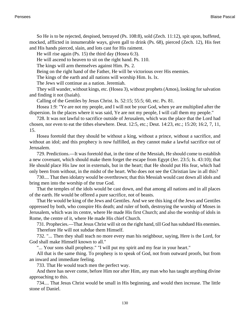So He is to be rejected, despised, betrayed ([Ps. 108:8](http://www.ccel.org/b/bible/asv/xml/asv.Ps.108.xml#Ps.108.8)), sold ([Zech. 11:12](http://www.ccel.org/b/bible/asv/xml/asv.Zech.11.xml#Zech.11.12)), spit upon, buffeted, mocked, afflicted in innumerable ways, given gall to drink [\(Ps. 68](http://www.ccel.org/b/bible/asv/xml/asv.Ps..xml#Ps..)), pierced ([Zech. 12](http://www.ccel.org/b/bible/asv/xml/asv.Zech..xml#Zech..)), His feet and His hands pierced, slain, and lots cast for His raiment.

He will rise again ([Ps. 15](http://www.ccel.org/b/bible/asv/xml/asv.Ps..xml#Ps..)) the third day ([Hosea 6:3](http://www.ccel.org/b/bible/asv/xml/asv.Hos.6.xml#Hos.6.3)).

He will ascend to heaven to sit on the right hand. [Ps. 110](http://www.ccel.org/b/bible/asv/xml/asv.Ps..xml#Ps..).

The kings will arm themselves against Him. [Ps. 2.](http://www.ccel.org/b/bible/asv/xml/asv.Ps..xml#Ps..)

Being on the right hand of the Father, He will be victorious over His enemies.

The kings of the earth and all nations will worship Him. [Is. lx.](http://www.ccel.org/b/bible/asv/xml/asv.Isa..xml#Isa..)

The Jews will continue as a nation. Jeremiah.

They will wander, without kings, etc. [\(Hosea 3](http://www.ccel.org/b/bible/asv/xml/asv.Hos..xml#Hos..)), without prophets (Amos), looking for salvation and finding it not (Isaiah).

Calling of the Gentiles by Jesus Christ. [Is. 52:15;](http://www.ccel.org/b/bible/asv/xml/asv.Isa.52.xml#Isa.52.15) 55:5; 60, etc. [Ps. 81](http://www.ccel.org/b/bible/asv/xml/asv.Ps..xml#Ps..).

[Hosea 1:9](http://www.ccel.org/b/bible/asv/xml/asv.Hos.1.xml#Hos.1.9): "Ye are not my people, and I will not be your God, when ye are multiplied after the dispersion. In the places where it was said, Ye are not my people, I will call them my people."

728. It was not lawful to sacrifice outside of Jerusalem, which was the place that the Lord had chosen, nor even to eat the tithes elsewhere. [Deut. 12:5,](http://www.ccel.org/b/bible/asv/xml/asv.Deut.12.xml#Deut.12.5) etc.; [Deut. 14:23,](http://www.ccel.org/b/bible/asv/xml/asv.Deut.14.xml#Deut.14.23) etc.; 15:20; 16:2, 7, 11, 15.

Hosea foretold that they should be without a king, without a prince, without a sacrifice, and without an idol; and this prophecy is now fulfilled, as they cannot make a lawful sacrifice out of Jerusalem.

729. Predictions.—It was foretold that, in the time of the Messiah, He should come to establish a new covenant, which should make them forget the escape from Egypt [\(Jer. 23:5](http://www.ccel.org/b/bible/asv/xml/asv.Jer.23.xml#Jer.23.5); [Is. 43:10\)](http://www.ccel.org/b/bible/asv/xml/asv.Isa.43.xml#Isa.43.10); that He should place His law not in externals, but in the heart; that He should put His fear, which had only been from without, in the midst of the heart. Who does not see the Christian law in all this?

730.... That then idolatry would be overthrown; that this Messiah would cast down all idols and bring men into the worship of the true God.

That the temples of the idols would be cast down, and that among all nations and in all places of the earth. He would be offered a pure sacrifice, not of beasts.

That He would be king of the Jews and Gentiles. And we see this king of the Jews and Gentiles oppressed by both, who conspire His death; and ruler of both, destroying the worship of Moses in Jerusalem, which was its centre, where He made His first Church; and also the worship of idols in Rome, the centre of it, where He made His chief Church.

731. Prophecies.—That Jesus Christ will sit on the right hand, till God has subdued His enemies. Therefore He will not subdue them Himself.

732. "... Then they shall teach no more every man his neighbour, saying, Here is the Lord, for God shall make Himself known to all."

"... Your sons shall prophesy." "I will put my spirit and my fear in your heart."

All that is the same thing. To prophesy is to speak of God, not from outward proofs, but from an inward and immediate feeling.

733. That He would teach men the perfect way.

And there has never come, before Him nor after Him, any man who has taught anything divine approaching to this.

734.... That Jesus Christ would be small in His beginning, and would then increase. The little stone of Daniel.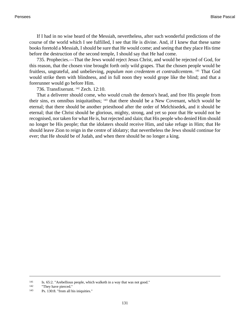If I had in no wise heard of the Messiah, nevertheless, after such wonderful predictions of the course of the world which I see fulfilled, I see that He is divine. And, if I knew that these same books foretold a Messiah, I should be sure that He would come; and seeing that they place His time before the destruction of the second temple, I should say that He had come.

735. Prophecies.—That the Jews would reject Jesus Christ, and would be rejected of God, for this reason, that the chosen vine brought forth only wild grapes. That the chosen people would be fruitless, ungrateful, and unbelieving, *populum non credentem et contradicentem*. <sup>141</sup> That God would strike them with blindness, and in full noon they would grope like the blind; and that a forerunner would go before Him.

736. Transfixerunt. <sup>142</sup> [Zech. 12:10.](http://www.ccel.org/b/bible/asv/xml/asv.Zech.12.xml#Zech.12.10)

That a deliverer should come, who would crush the demon's head, and free His people from their sins, ex omnibus iniquitatibus; 143 that there should be a New Covenant, which would be eternal; that there should be another priesthood after the order of Melchisedek, and it should be eternal; that the Christ should be glorious, mighty, strong, and yet so poor that He would not be recognised, nor taken for what He is, but rejected and slain; that His people who denied Him should no longer be His people; that the idolaters should receive Him, and take refuge in Him; that He should leave Zion to reign in the centre of idolatry; that nevertheless the Jews should continue for ever; that He should be of Judah, and when there should be no longer a king.

<sup>141</sup> [Is. 65:2. "](http://www.ccel.org/b/bible/asv/xml/asv.Isa.65.xml#Isa.65.2)Arebellious people, which walketh in a way that was not good."

<sup>142</sup> "They have pierced."

<sup>143</sup> [Ps. 130:8.](http://www.ccel.org/b/bible/asv/xml/asv.Ps.130.xml#Ps.130.8) "from all his iniquities."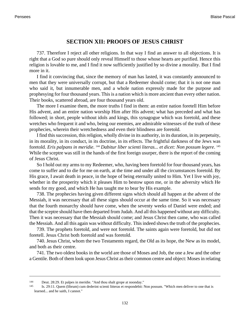## **SECTION XII: PROOFS OF JESUS CHRIST**

737. Therefore I reject all other religions. In that way I find an answer to all objections. It is right that a God so pure should only reveal Himself to those whose hearts are purified. Hence this religion is lovable to me, and I find it now sufficiently justified by so divine a morality. But I find more in it.

I find it convincing that, since the memory of man has lasted, it was constantly announced to men that they were universally corrupt, but that a Redeemer should come; that it is not one man who said it, but innumerable men, and a whole nation expressly made for the purpose and prophesying for four thousand years. This is a nation which is more ancient than every other nation. Their books, scattered abroad, are four thousand years old.

The more I examine them, the more truths I find in them: an entire nation foretell Him before His advent, and an entire nation worship Him after His advent; what has preceded and what has followed; in short, people without idols and kings, this synagogue which was foretold, and these wretches who frequent it and who, being our enemies, are admirable witnesses of the truth of these prophecies, wherein their wretchedness and even their blindness are foretold.

I find this succession, this religion, wholly divine in its authority, in its duration, in its perpetuity, in its morality, in its conduct, in its doctrine, in its effects. The frightful darkness of the Jews was foretold. *Eris palpans in meridie*. <sup>144</sup> *Dabitur liber scienti literas... et dicet: Non possum legere*. 145 While the sceptre was still in the hands of the first foreign usurper, there is the report of the coming of Jesus Christ.

So I hold out my arms to my Redeemer, who, having been foretold for four thousand years, has come to suffer and to die for me on earth, at the time and under all the circumstances foretold. By His grace, I await death in peace, in the hope of being eternally united to Him. Yet I live with joy, whether in the prosperity which it pleases Him to bestow upon me, or in the adversity which He sends for my good, and which He has taught me to bear by His example.

738. The prophecies having given different signs which should all happen at the advent of the Messiah, it was necessary that all these signs should occur at the same time. So it was necessary that the fourth monarchy should have come, when the seventy weeks of Daniel were ended; and that the sceptre should have then departed from Judah. And all this happened without any difficulty. Then it was necessary that the Messiah should come; and Jesus Christ then came, who was called the Messiah. And all this again was without difficulty. This indeed shows the truth of the prophecies.

739. The prophets foretold, and were not foretold. The saints again were foretold, but did not foretell. Jesus Christ both foretold and was foretold.

740. Jesus Christ, whom the two Testaments regard, the Old as its hope, the New as its model, and both as their centre.

741. The two oldest books in the world are those of Moses and Job, the one a Jew and the other a Gentile. Both of them look upon Jesus Christ as their common centre and object: Moses in relating

<sup>144</sup> [Deut. 28:29. E](http://www.ccel.org/b/bible/asv/xml/asv.Deut.28.xml#Deut.28.29)t palpes in meridie. "And thou shalt grope at noonday."

<sup>145</sup> [Is. 29:11.](http://www.ccel.org/b/bible/asv/xml/asv.Isa.29.xml#Isa.29.11) Quem (librum) cum dederint scienti litteras et respondebit: Non possum. "Which men deliver to one that is learned... and he saith, I cannot."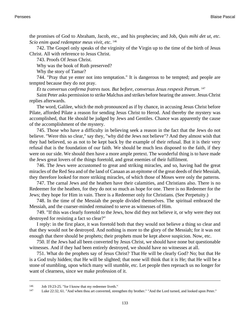the promises of God to Abraham, Jacob, etc., and his prophecies; and Job, *Quis mihi det ut, etc. Scio enim quod redemptor meus vivit, etc*. 146

742. The Gospel only speaks of the virginity of the Virgin up to the time of the birth of Jesus Christ. All with reference to Jesus Christ.

743. Proofs Of Jesus Christ.

Why was the book of Ruth preserved?

Why the story of Tamar?

744. "Pray that ye enter not into temptation." It is dangerous to be tempted; and people are tempted because they do not pray.

*Et tu conversus confirma fratres tuos. But before, conversus Jesus respexit Petrum*. 147

Saint Peter asks permission to strike Malchus and strikes before hearing the answer. Jesus Christ replies afterwards.

The word, Galilee, which the mob pronounced as if by chance, in accusing Jesus Christ before Pilate, afforded Pilate a reason for sending Jesus Christ to Herod. And thereby the mystery was accomplished, that He should be judged by Jews and Gentiles. Chance was apparently the cause of the accomplishment of the mystery.

745. Those who have a difficulty in believing seek a reason in the fact that the Jews do not believe. "Were this so clear," say they, "why did the Jews not believe"? And they almost wish that they had believed, so as not to be kept back by the example of their refusal. But it is their very refusal that is the foundation of our faith. We should be much less disposed to the faith, if they were on our side. We should then have a more ample pretext. The wonderful thing is to have made the Jews great lovers of the things foretold, and great enemies of their fulfilment.

746. The Jews were accustomed to great and striking miracles, and so, having had the great miracles of the Red Sea and of the land of Canaan as an epitome of the great deeds of their Messiah, they therefore looked for more striking miracles, of which those of Moses were only the patterns.

747. The carnal Jews and the heathen have their calamities, and Christians also. There is no Redeemer for the heathen, for they do not so much as hope for one. There is no Redeemer for the Jews; they hope for Him in vain. There is a Redeemer only for Christians. (See Perpetuity.)

748. In the time of the Messiah the people divided themselves. The spiritual embraced the Messiah, and the coarser-minded remained to serve as witnesses of Him.

749. "If this was clearly foretold to the Jews, how did they not believe it, or why were they not destroyed for resisting a fact so clear?"

I reply: in the first place, it was foretold both that they would not believe a thing so clear and that they would not be destroyed. And nothing is more to the glory of the Messiah; for it was not enough that there should be prophets; their prophets must be kept above suspicion. Now, etc.

750. If the Jews had all been converted by Jesus Christ, we should have none but questionable witnesses. And if they had been entirely destroyed, we should have no witnesses at all.

751. What do the prophets say of Jesus Christ? That He will be clearly God? No; but that He is a God truly hidden; that He will be slighted; that none will think that it is He; that He will be a stone of stumbling, upon which many will stumble, etc. Let people then reproach us no longer for want of clearness, since we make profession of it.

<sup>146</sup> [Job 19:23-25. "](http://www.ccel.org/b/bible/asv/xml/asv.Job.19.xml#Job.19.23)for I know that my redeemer liveth."

<sup>147</sup> [Luke 22:32, 61.](http://www.ccel.org/b/bible/asv/xml/asv.Luke.22.xml#Luke.22.32 Bible:Luke.22.61) "And when thou art converted, strengthen thy brother." "And the Lord turned, and looked upon Peter."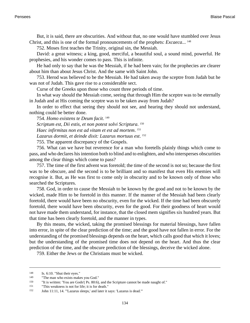But, it is said, there are obscurities. And without that, no one would have stumbled over Jesus Christ, and this is one of the formal pronouncements of the prophets: *Excaeca*... 148

752. Moses first teaches the Trinity, original sin, the Messiah.

David: a great witness; a king, good, merciful, a beautiful soul, a sound mind, powerful. He prophesies, and his wonder comes to pass. This is infinite.

He had only to say that he was the Messiah, if he had been vain; for the prophecies are clearer about him than about Jesus Christ. And the same with Saint John.

753. Herod was believed to be the Messiah. He had taken away the sceptre from Judah but he was not of Judah. This gave rise to a considerable sect.

Curse of the Greeks upon those who count three periods of time.

In what way should the Messiah come, seeing that through Him the sceptre was to be eternally in Judah and at His coming the sceptre was to be taken away from Judah?

In order to effect that seeing they should not see, and hearing they should not understand, nothing could be better done.

754. *Homo existens te Deum facit*. 149 *Scriptum est, Dii estis, et non potest solvi Scriptura*. 150 *Haec infirmitas non est ad vitam et est ad mortem*. 151 *Lazarus dormit, et deinde dixit: Lazarus mortuus est*. 152

755. The apparent discrepancy of the Gospels.

756. What can we have but reverence for a man who foretells plainly things which come to pass, and who declares his intention both to blind and to enlighten, and who intersperses obscurities among the clear things which come to pass?

757. The time of the first advent was foretold; the time of the second is not so; because the first was to be obscure, and the second is to be brilliant and so manifest that even His enemies will recognise it. But, as He was first to come only in obscurity and to be known only of those who searched the Scriptures.

758. God, in order to cause the Messiah to be known by the good and not to be known by the wicked, made Him to be foretold in this manner. If the manner of the Messiah had been clearly foretold, there would have been no obscurity, even for the wicked. If the time had been obscurely foretold, there would have been obscurity, even for the good. For their goodness of heart would not have made them understand, for instance, that the closed mem signifies six hundred years. But that time has been clearly foretold, and the manner in types.

By this means, the wicked, taking the promised blessings for material blessings, have fallen into error, in spite of the clear prediction of the time; and the good have not fallen in error. For the understanding of the promised blessings depends on the heart, which calls good that which it loves; but the understanding of the promised time does not depend on the heart. And thus the clear prediction of the time, and the obscure prediction of the blessings, deceive the wicked alone.

759. Either the Jews or the Christians must be wicked.

<sup>148</sup> [Is. 6:10. "](http://www.ccel.org/b/bible/asv/xml/asv.Isa.6.xml#Isa.6.10)Shut their eyes."

<sup>&</sup>lt;sup>149</sup> "The man who exists makes you God."<br><sup>150</sup> "It is written: 'You are Gods' Ps. 80:6)

<sup>&</sup>quot;It is written: 'You are Gods'[\( Ps. 80:6](http://www.ccel.org/b/bible/asv/xml/asv.Ps.80.xml#Ps.80.6)), and the Scripture cannot be made naught of."

<sup>151</sup> "This weakness is not for life; it is for death."

<sup>152</sup> [John 11:11, 14. "](http://www.ccel.org/b/bible/asv/xml/asv.John.11.xml#John.11.11 Bible:John.11.14)'Lazarus sleeps,' and later it says: 'Lazarus is dead.'"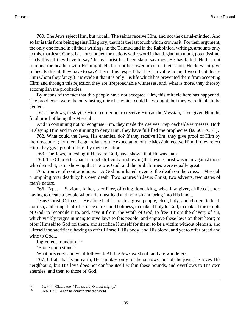760. The Jews reject Him, but not all. The saints receive Him, and not the carnal-minded. And so far is this from being against His glory, that it is the last touch which crowns it. For their argument, the only one found in all their writings, in the Talmud and in the Rabbinical writings, amounts only to this, that Jesus Christ has not subdued the nations with sword in hand, gladium tuum, potentissime. <sup>153</sup> (Is this all they have to say? Jesus Christ has been slain, say they. He has failed. He has not subdued the heathen with His might. He has not bestowed upon us their spoil. He does not give riches. Is this all they have to say? It is in this respect that He is lovable to me. I would not desire Him whom they fancy.) It is evident that it is only His life which has prevented them from accepting Him; and through this rejection they are irreproachable witnesses, and, what is more, they thereby accomplish the prophecies.

By means of the fact that this people have not accepted Him, this miracle here has happened. The prophecies were the only lasting miracles which could be wrought, but they were liable to be denied.

761. The Jews, in slaying Him in order not to receive Him as the Messiah, have given Him the final proof of being the Messiah.

And in continuing not to recognise Him, they made themselves irreproachable witnesses. Both in slaying Him and in continuing to deny Him, they have fulfilled the prophecies ([Is. 60;](http://www.ccel.org/b/bible/asv/xml/asv.Isa..xml#Isa..) [Ps. 71](http://www.ccel.org/b/bible/asv/xml/asv.Ps..xml#Ps..)).

762. What could the Jews, His enemies, do? If they receive Him, they give proof of Him by their reception; for then the guardians of the expectation of the Messiah receive Him. If they reject Him, they give proof of Him by their rejection.

763. The Jews, in testing if He were God, have shown that He was man.

764. The Church has had as much difficulty in showing that Jesus Christ was man, against those who denied it, as in showing that He was God; and the probabilities were equally great.

765. Source of contradictions.—A God humiliated, even to the death on the cross; a Messiah triumphing over death by his own death. Two natures in Jesus Christ, two advents, two states of man's nature.

766. Types.—Saviour, father, sacrificer, offering, food, king, wise, law-giver, afflicted, poor, having to create a people whom He must lead and nourish and bring into His land...

Jesus Christ. Offices.—He alone had to create a great people, elect, holy, and chosen; to lead, nourish, and bring it into the place of rest and holiness; to make it holy to God; to make it the temple of God; to reconcile it to, and, save it from, the wrath of God; to free it from the slavery of sin, which visibly reigns in man; to give laws to this people, and engrave these laws on their heart; to offer Himself to God for them, and sacrifice Himself for them; to be a victim without blemish, and Himself the sacrificer, having to offer Himself, His body, and His blood, and yet to offer bread and wine to God...

Ingrediens mundum. <sup>154</sup>

"Stone upon stone."

What preceded and what followed. All the Jews exist still and are wanderers.

767. Of all that is on earth, He partakes only of the sorrows, not of the joys. He loves His neighbours, but His love does not confine itself within these bounds, and overflows to His own enemies, and then to those of God.

<sup>153</sup> [Ps. 44:4. G](http://www.ccel.org/b/bible/asv/xml/asv.Ps.44.xml#Ps.44.4)ladio tuo- "Thy sword, O most mighty."

<sup>154</sup> [Heb. 10:5. "](http://www.ccel.org/b/bible/asv/xml/asv.Heb.10.xml#Heb.10.5)When he cometh into the world."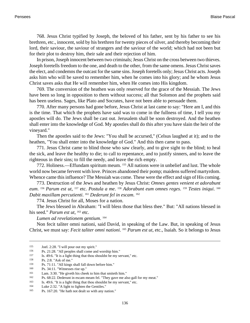768. Jesus Christ typified by Joseph, the beloved of his father, sent by his father to see his brethren, etc., innocent, sold by his brethren for twenty pieces of silver, and thereby becoming their lord, their saviour, the saviour of strangers and the saviour of the world; which had not been but for their plot to destroy him, their sale and their rejection of him.

In prison, Joseph innocent between two criminals; Jesus Christ on the cross between two thieves. Joseph foretells freedom to the one, and death to the other, from the same omens. Jesus Christ saves the elect, and condemns the outcast for the same sins. Joseph foretells only; Jesus Christ acts. Joseph asks him who will be saved to remember him, when he comes into his glory; and he whom Jesus Christ saves asks that He will remember him, when He comes into His kingdom.

769. The conversion of the heathen was only reserved for the grace of the Messiah. The Jews have been so long in opposition to them without success; all that Solomon and the prophets said has been useless. Sages, like Plato and Socrates, have not been able to persuade them.

770. After many persons had gone before, Jesus Christ at last came to say: "Here am I, and this is the time. That which the prophets have said was to come in the fullness of time, I tell you my apostles will do. The Jews shall be cast out. Jerusalem shall be soon destroyed. And the heathen shall enter into the knowledge of God. My apostles shall do this after you have slain the heir of the vineyard."

Then the apostles said to the Jews: "You shall be accursed," (Celsus laughed at it); and to the heathen, "You shall enter into the knowledge of God." And this then came to pass.

771. Jesus Christ came to blind those who saw clearly, and to give sight to the blind; to heal the sick, and leave the healthy to die; to call to repentance, and to justify sinners, and to leave the righteous in their sins; to fill the needy, and leave the rich empty.

772. Holiness.—Effundam spiritum meum. 155 All nations were in unbelief and lust. The whole world now became fervent with love. Princes abandoned their pomp; maidens suffered martyrdom. Whence came this influence? The Messiah was come. These were the effect and sign of His coming.

773. Destruction of the Jews and heathen by Jesus Christ: *Omnes gentes venient et adorabunt* eum. <sup>156</sup> Parum est ut, <sup>157</sup> etc. Postula a me. <sup>158</sup> Adorabunt eum omnes reges. <sup>159</sup> Testes iniqui. <sup>160</sup> *Dabit maxillam percutienti*. <sup>161</sup> *Dederunt fel in escam*. 162

774. Jesus Christ for all, Moses for a nation.

The Jews blessed in Abraham: "I will bless those that bless thee." But: "All nations blessed in his seed." *Parum est ut*, <sup>163</sup> etc.

*Lumen ad revelationem gentium*. 164

Non fecit taliter omni nationi, said David, in speaking of the Law. But, in speaking of Jesus Christ, we must say: *Fecit taliter omni nationi*. <sup>165</sup> *Parum est ut*, etc., Isaiah. So it belongs to Jesus

 $155$  [Joel. 2:28.](http://www.ccel.org/b/bible/asv/xml/asv.Joel.2.xml#Joel.2.28) "I will pour out my spirit."<br> $156$  Pe 21:28. "All peoples shall come an

<sup>&</sup>lt;sup>156</sup> [Ps. 21:28.](http://www.ccel.org/b/bible/asv/xml/asv.Ps.21.xml#Ps.21.28) "All peoples shall come and worship him."<br> $\frac{157}{15}$  Is 40:6. "It is a light thing that thou shouldst be my set

<sup>&</sup>lt;sup>157</sup> [Is. 49:6. "](http://www.ccel.org/b/bible/asv/xml/asv.Isa.49.xml#Isa.49.6)It is a light thing that thou shouldst be my servant," etc.<br><sup>158</sup> Ps. 2:8, "Ask of me."

 $\frac{158}{159}$  [Ps. 2:8.](http://www.ccel.org/b/bible/asv/xml/asv.Ps.2.xml#Ps.2.8) "Ask of me."

<sup>&</sup>lt;sup>159</sup> [Ps. 71:11.](http://www.ccel.org/b/bible/asv/xml/asv.Ps.71.xml#Ps.71.11) "All kings shall fall down before him."<br> $160$  Pe. 34:11. "Witnesses rise up."

[Ps. 34:11.](http://www.ccel.org/b/bible/asv/xml/asv.Ps.34.xml#Ps.34.11) "Witnesses rise up."

<sup>161</sup> [Lam. 3:30.](http://www.ccel.org/b/bible/asv/xml/asv.Lam.3.xml#Lam.3.30) "He giveth his cheek to him that smiteth him."

<sup>&</sup>lt;sup>162</sup> [Ps. 68:22.](http://www.ccel.org/b/bible/asv/xml/asv.Ps.68.xml#Ps.68.22) Dederunt in escam meam fel. "They gave me also gall for my meat."<br><sup>163</sup> Is  $49.6$  "It is a light thing that thou shouldst be my servant" etc.

[Is. 49:6. "](http://www.ccel.org/b/bible/asv/xml/asv.Isa.49.xml#Isa.49.6)It is a light thing that thou shouldst be my servant," etc.

<sup>164</sup> [Luke 2:32.](http://www.ccel.org/b/bible/asv/xml/asv.Luke.2.xml#Luke.2.32) "A light to lighten the Gentiles."

<sup>165</sup> [Ps. 167:20.](http://www.ccel.org/b/bible/asv/xml/asv.Ps.167.xml#Ps.167.20) "He hath not dealt so with any nation."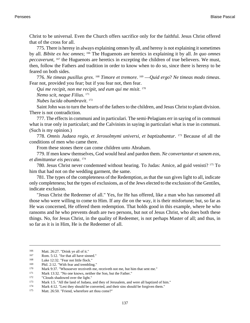Christ to be universal. Even the Church offers sacrifice only for the faithful. Jesus Christ offered that of the cross for all.

775. There is heresy in always explaining omnes by all, and heresy is not explaining it sometimes by all. *Bibite ex hoc omnes*; 166 The Huguenots are heretics in explaining it by all. *In quo omnes peccaverunt*, <sup>167</sup> the Huguenots are heretics in excepting the children of true believers. We must, then, follow the Fathers and tradition in order to know when to do so, since there is heresy to be feared on both sides.

776. *Ne timeas pusillus grex*. <sup>168</sup> *Timore et tremore*. 169 —*Quid ergo*? *Ne timeas modo timeas*. Fear not, provided you fear; but if you fear not, then fear.

*Qui me recipit, non me recipit, sed eum qui me misit*. 170

*Nemo scit, neque Filius*. 171

*Nubes lucida obumbravit*. 172

Saint John was to turn the hearts of the fathers to the children, and Jesus Christ to plant division. There is not contradiction.

777. The effects in communi and in particulari. The semi-Pelagians err in saying of in communi what is true only in particulari; and the Calvinists in saying in particulari what is true in communi. (Such is my opinion.)

778. *Omnis Judaea regio, et Jerosolmymi universi, et baptizabantur*. <sup>173</sup> Because of all the conditions of men who came there.

From these stones there can come children unto Abraham.

779. If men knew themselves, God would heal and pardon them. *Ne convertantur et sanem eos, et dimittantur eis peccata*. 174

780. Jesus Christ never condemned without hearing. To Judas: Amice, ad guid venisti? 175 To him that had not on the wedding garment, the same.

781. The types of the completeness of the Redemption, as that the sun gives light to all, indicate only completeness; but the types of exclusions, as of the Jews elected to the exclusion of the Gentiles, indicate exclusion.

"Jesus Christ the Redeemer of all." Yes, for He has offered, like a man who has ransomed all those who were willing to come to Him. If any die on the way, it is their misfortune; but, so far as He was concerned, He offered them redemption. That holds good in this example, where he who ransoms and he who prevents death are two persons, but not of Jesus Christ, who does both these things. No, for Jesus Christ, in the quality of Redeemer, is not perhaps Master of all; and thus, in so far as it is in Him, He is the Redeemer of all.

<sup>166</sup> [Matt. 26:27.](http://www.ccel.org/b/bible/asv/xml/asv.Matt.26.xml#Matt.26.27) "Drink ye all of it."<br>167 Dom 5:12 "for that all have sin

<sup>&</sup>lt;sup>167</sup> [Rom. 5:12.](http://www.ccel.org/b/bible/asv/xml/asv.Rom.5.xml#Rom.5.12) "for that all have sinned."<br><sup>168</sup> Luke 12:32. "Fear not little flock."

<sup>&</sup>lt;sup>168</sup> [Luke 12:32. "](http://www.ccel.org/b/bible/asv/xml/asv.Luke.12.xml#Luke.12.32)Fear not little flock."<br>
<sup>169</sup> Phil 2:12 "With fear and tremblin

<sup>&</sup>lt;sup>169</sup> [Phil. 2:12. "](http://www.ccel.org/b/bible/asv/xml/asv.Phil.2.xml#Phil.2.12)With fear and trembling."<br><sup>170</sup> Mark 9:37. "Whosoever receive the

<sup>170</sup> [Mark 9:37.](http://www.ccel.org/b/bible/asv/xml/asv.Mark.9.xml#Mark.9.37) "Whosoever receiveth me, receiveth not me, but him that sent me."<br>171 Mark 13:32 "No one knows, poither the Son, but the Eather."

[Mark 13:32. "](http://www.ccel.org/b/bible/asv/xml/asv.Mark.13.xml#Mark.13.32)No one knows, neither the Son, but the Father."

<sup>&</sup>lt;sup>172</sup> "Clouds shadowed over the light."<br> $173$  Mark 1:5 "All the land of Judaea

[Mark 1:5. "](http://www.ccel.org/b/bible/asv/xml/asv.Mark.1.xml#Mark.1.5)All the land of Judaea, and they of Jerusalem, and were all baptized of him."

<sup>174</sup> [Mark 4:12.](http://www.ccel.org/b/bible/asv/xml/asv.Mark.4.xml#Mark.4.12) "Lest they should be converted, and their sins should be forgiven them."

<sup>175</sup> [Matt. 26:50.](http://www.ccel.org/b/bible/asv/xml/asv.Matt.26.xml#Matt.26.50) "Friend, wherefore art thou come?"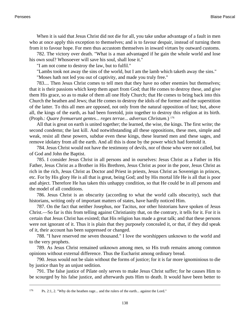When it is said that Jesus Christ did not die for all, you take undue advantage of a fault in men who at once apply this exception to themselves; and is to favour despair, instead of turning them from it to favour hope. For men thus accustom themselves in inward virtues by outward customs.

782. The victory over death. "What is a man advantaged if he gain the whole world and lose his own soul? Whosoever will save his soul, shall lose it."

"I am not come to destroy the law, but to fulfil."

"Lambs took not away the sins of the world, but I am the lamb which taketh away the sins."

"Moses hath not led you out of captivity, and made you truly free."

783.... Then Jesus Christ comes to tell men that they have no other enemies but themselves; that it is their passions which keep them apart from God; that He comes to destroy these, and give them His grace, so as to make of them all one Holy Church; that He comes to bring back into this Church the heathen and Jews; that He comes to destroy the idols of the former and the superstition of the latter. To this all men are opposed, not only from the natural opposition of lust; but, above all, the kings of the earth, as had been foretold, join together to destroy this religion at its birth. (Proph.: *Quare fremuerunt gentes... reges terrae... adversus Christum*.) <sup>176</sup>

All that is great on earth is united together; the learned, the wise, the kings. The first write; the second condemn; the last kill. And notwithstanding all these oppositions, these men, simple and weak, resist all these powers, subdue even these kings, these learned men and these sages, and remove idolatry from all the earth. And all this is done by the power which had foretold it.

784. Jesus Christ would not have the testimony of devils, nor of those who were not called, but of God and John the Baptist.

785. I consider Jesus Christ in all persons and in ourselves: Jesus Christ as a Father in His Father, Jesus Christ as a Brother in His Brethren, Jesus Christ as poor in the poor, Jesus Christ as rich in the rich, Jesus Christ as Doctor and Priest in priests, Jesus Christ as Sovereign in princes, etc. For by His glory He is all that is great, being God; and by His mortal life He is all that is poor and abject. Therefore He has taken this unhappy condition, so that He could be in all persons and the model of all conditions.

786. Jesus Christ is an obscurity (according to what the world calls obscurity), such that historians, writing only of important matters of states, have hardly noticed Him.

787. On the fact that neither Josephus, nor Tacitus, nor other historians have spoken of Jesus Christ.—So far is this from telling against Christianity that, on the contrary, it tells for it. For it is certain that Jesus Christ has existed; that His religion has made a great talk; and that these persons were not ignorant of it. Thus it is plain that they purposely concealed it, or that, if they did speak of it, their account has been suppressed or changed.

788. "I have reserved me seven thousand." I love the worshippers unknown to the world and to the very prophets.

789. As Jesus Christ remained unknown among men, so His truth remains among common opinions without external difference. Thus the Eucharist among ordinary bread.

790. Jesus would not be slain without the forms of justice; for it is far more ignominious to die by justice than by an unjust sedition.

791. The false justice of Pilate only serves to make Jesus Christ suffer; for he causes Him to be scourged by his false justice, and afterwards puts Him to death. It would have been better to

<sup>176</sup> [Ps. 2:1, 2.](http://www.ccel.org/b/bible/asv/xml/asv.Ps.2.xml#Ps.2.1 Bible:Ps.2.2) "Why do the heathen rage... and the rulers of the earth... against the Lord."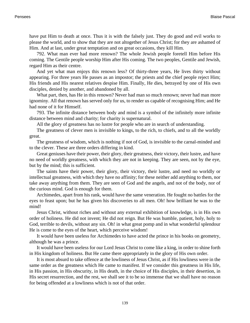have put Him to death at once. Thus it is with the falsely just. They do good and evil works to please the world, and to show that they are not altogether of Jesus Christ; for they are ashamed of Him. And at last, under great temptation and on great occasions, they kill Him.

792. What man ever had more renown? The whole Jewish people foretell Him before His coming. The Gentile people worship Him after His coming. The two peoples, Gentile and Jewish, regard Him as their centre.

And yet what man enjoys this renown less? Of thirty-three years, He lives thirty without appearing. For three years He passes as an impostor; the priests and the chief people reject Him; His friends and His nearest relatives despise Him. Finally, He dies, betrayed by one of His own disciples, denied by another, and abandoned by all.

What part, then, has He in this renown? Never had man so much renown; never had man more ignominy. All that renown has served only for us, to render us capable of recognising Him; and He had none of it for Himself.

793. The infinite distance between body and mind is a symbol of the infinitely more infinite distance between mind and charity; for charity is supernatural.

All the glory of greatness has no lustre for people who are in search of understanding.

The greatness of clever men is invisible to kings, to the rich, to chiefs, and to all the worldly great.

The greatness of wisdom, which is nothing if not of God, is invisible to the carnal-minded and to the clever. These are three orders differing in kind.

Great geniuses have their power, their glory, their greatness, their victory, their lustre, and have no need of worldly greatness, with which they are not in keeping. They are seen, not by the eye, but by the mind; this is sufficient.

The saints have their power, their glory, their victory, their lustre, and need no worldly or intellectual greatness, with which they have no affinity; for these neither add anything to them, nor take away anything from them. They are seen of God and the angels, and not of the body, nor of the curious mind. God is enough for them.

Archimedes, apart from his rank, would have the same veneration. He fought no battles for the eyes to feast upon; but he has given his discoveries to all men. Oh! how brilliant he was to the mind!

Jesus Christ, without riches and without any external exhibition of knowledge, is in His own order of holiness. He did not invent; He did not reign. But He was humble, patient, holy, holy to God, terrible to devils, without any sin. Oh! in what great pomp and in what wonderful splendour He is come to the eyes of the heart, which perceive wisdom!

It would have been useless for Archimedes to have acted the prince in his books on geometry, although he was a prince.

It would have been useless for our Lord Jesus Christ to come like a king, in order to shine forth in His kingdom of holiness. But He came there appropriately in the glory of His own order.

It is most absurd to take offence at the lowliness of Jesus Christ, as if His lowliness were in the same order as the greatness which He came to manifest. If we consider this greatness in His life, in His passion, in His obscurity, in His death, in the choice of His disciples, in their desertion, in His secret resurrection, and the rest, we shall see it to be so immense that we shall have no reason for being offended at a lowliness which is not of that order.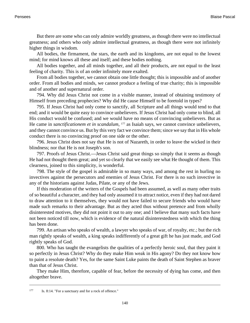But there are some who can only admire worldly greatness, as though there were no intellectual greatness; and others who only admire intellectual greatness, as though there were not infinitely higher things in wisdom.

All bodies, the firmament, the stars, the earth and its kingdoms, are not equal to the lowest mind; for mind knows all these and itself; and these bodies nothing.

All bodies together, and all minds together, and all their products, are not equal to the least feeling of charity. This is of an order infinitely more exalted.

From all bodies together, we cannot obtain one little thought; this is impossible and of another order. From all bodies and minds, we cannot produce a feeling of true charity; this is impossible and of another and supernatural order.

794. Why did Jesus Christ not come in a visible manner, instead of obtaining testimony of Himself from preceding prophecies? Why did He cause Himself to be foretold in types?

795. If Jesus Christ had only come to sanctify, all Scripture and all things would tend to that end; and it would be quite easy to convince unbelievers. If Jesus Christ had only come to blind, all His conduct would be confused; and we would have no means of convincing unbelievers. But as He came in *sanctificationem et in scandalum*, <sup>177</sup> as Isaiah says, we cannot convince unbelievers, and they cannot convince us. But by this very fact we convince them; since we say that in His whole conduct there is no convincing proof on one side or the other.

796. Jesus Christ does not say that He is not of Nazareth, in order to leave the wicked in their blindness; nor that He is not Joseph's son.

797. Proofs of Jesus Christ.—Jesus Christ said great things so simply that it seems as though He had not thought them great; and yet so clearly that we easily see what He thought of them. This clearness, joined to this simplicity, is wonderful.

798. The style of the gospel is admirable in so many ways, and among the rest in hurling no invectives against the persecutors and enemies of Jesus Christ. For there is no such invective in any of the historians against Judas, Pilate, or any of the Jews.

If this moderation of the writers of the Gospels had been assumed, as well as many other traits of so beautiful a character, and they had only assumed it to attract notice, even if they had not dared to draw attention to it themselves, they would not have failed to secure friends who would have made such remarks to their advantage. But as they acted thus without pretence and from wholly disinterested motives, they did not point it out to any one; and I believe that many such facts have not been noticed till now, which is evidence of the natural disinterestedness with which the thing has been done.

799. An artisan who speaks of wealth, a lawyer who speaks of war, of royalty, etc.; but the rich man rightly speaks of wealth, a king speaks indifferently of a great gift he has just made, and God rightly speaks of God.

800. Who has taught the evangelists the qualities of a perfectly heroic soul, that they paint it so perfectly in Jesus Christ? Why do they make Him weak in His agony? Do they not know how to paint a resolute death? Yes, for the same Saint Luke paints the death of Saint Stephen as braver than that of Jesus Christ.

They make Him, therefore, capable of fear, before the necessity of dying has come, and then altogether brave.

<sup>177</sup> [Is. 8:14.](http://www.ccel.org/b/bible/asv/xml/asv.Isa.8.xml#Isa.8.14) "For a sanctuary and for a rock of offence."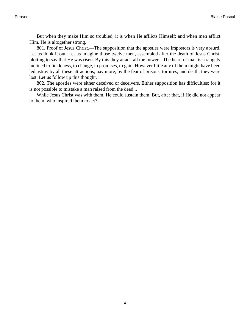But when they make Him so troubled, it is when He afflicts Himself; and when men afflict Him, He is altogether strong.

801. Proof of Jesus Christ.—The supposition that the apostles were impostors is very absurd. Let us think it out. Let us imagine those twelve men, assembled after the death of Jesus Christ, plotting to say that He was risen. By this they attack all the powers. The heart of man is strangely inclined to fickleness, to change, to promises, to gain. However little any of them might have been led astray by all these attractions, nay more, by the fear of prisons, tortures, and death, they were lost. Let us follow up this thought.

802. The apostles were either deceived or deceivers. Either supposition has difficulties; for it is not possible to mistake a man raised from the dead...

While Jesus Christ was with them, He could sustain them. But, after that, if He did not appear to them, who inspired them to act?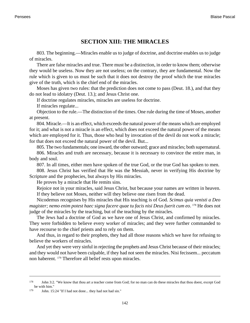## **SECTION XIII: THE MIRACLES**

803. The beginning.—Miracles enable us to judge of doctrine, and doctrine enables us to judge of miracles.

There are false miracles and true. There must be a distinction, in order to know them; otherwise they would be useless. Now they are not useless; on the contrary, they are fundamental. Now the rule which is given to us must be such that it does not destroy the proof which the true miracles give of the truth, which is the chief end of the miracles.

<span id="page-145-1"></span><span id="page-145-0"></span>Moses has given two rules: that the prediction does not come to pass [\(Deut. 18.](http://www.ccel.org/b/bible/asv/xml/asv.Deut..xml#Deut..)), and that they do not lead to idolatry ([Deut. 13](http://www.ccel.org/b/bible/asv/xml/asv.Deut..xml#Deut..).); and Jesus Christ one.

If doctrine regulates miracles, miracles are useless for doctrine.

If miracles regulate...

Objection to the rule.—The distinction of the times. One rule during the time of Moses, another at present.

804. Miracle.—It is an effect, which exceeds the natural power of the means which are employed for it; and what is not a miracle is an effect, which does not exceed the natural power of the means which are employed for it. Thus, those who heal by invocation of the devil do not work a miracle; for that does not exceed the natural power of the devil. But...

805. The two fundamentals; one inward, the other outward; grace and miracles; both supernatural.

806. Miracles and truth are necessary, because it is necessary to convince the entire man, in body and soul.

807. In all times, either men have spoken of the true God, or the true God has spoken to men.

808. Jesus Christ has verified that He was the Messiah, never in verifying His doctrine by Scripture and the prophecies, but always by His miracles.

He proves by a miracle that He remits sins.

Rejoice not in your miracles, said Jesus Christ, but because your names are written in heaven. If they believe not Moses, neither will they believe one risen from the dead.

Nicodemus recognises by His miracles that His teaching is of God. *Scimus quia venisti a Deo magister; nemo enim potest haec signa facere quae tu facis nisi Deus fuerit cum eo*. <sup>178</sup> He does not judge of the miracles by the teaching, but of the teaching by the miracles.

The Jews had a doctrine of God as we have one of Jesus Christ, and confirmed by miracles. They were forbidden to believe every worker of miracles; and they were further commanded to have recourse to the chief priests and to rely on them.

And thus, in regard to their prophets, they had all those reasons which we have for refusing to believe the workers of miracles.

<span id="page-145-3"></span><span id="page-145-2"></span>And yet they were very sinful in rejecting the prophets and Jesus Christ because of their miracles; and they would not have been culpable, if they had not seen the miracles. Nisi fecissem... peccatum non haberent. 179 Therefore all belief rests upon miracles.

<sup>178</sup> [John 3:2.](http://www.ccel.org/b/bible/asv/xml/asv.John.3.xml#John.3.2) "We know that thou art a teacher come from God; for no man can do these miracles that thou doest, except God be with him."

<sup>179</sup> [John. 15:24](http://www.ccel.org/b/bible/asv/xml/asv.John.15.xml#John.15.24) "If I had not done... they had not had sin."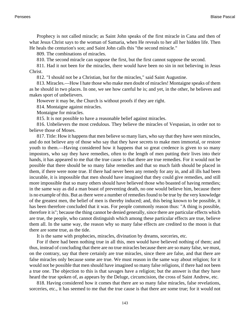Prophecy is not called miracle; as Saint John speaks of the first miracle in Cana and then of what Jesus Christ says to the woman of Samaria, when He reveals to her all her hidden life. Then He heals the centurion's son; and Saint John calls this "the second miracle."

809. The combinations of miracles.

810. The second miracle can suppose the first, but the first cannot suppose the second.

811. Had it not been for the miracles, there would have been no sin in not believing in Jesus Christ.

812. "I should not be a Christian, but for the miracles," said Saint Augustine.

813. Miracles.—How I hate those who make men doubt of miracles! Montaigne speaks of them as he should in two places. In one, we see how careful he is; and yet, in the other, he believes and makes sport of unbelievers.

However it may be, the Church is without proofs if they are right.

814. Montaigne against miracles.

Montaigne for miracles.

815. It is not possible to have a reasonable belief against miracles.

816. Unbelievers the most credulous. They believe the miracles of Vespasian, in order not to believe those of Moses.

817. Title: How it happens that men believe so many liars, who say that they have seen miracles, and do not believe any of those who say that they have secrets to make men immortal, or restore youth to them.—Having considered how it happens that so great credence is given to so many impostors, who say they have remedies, often to the length of men putting their lives into their hands, it has appeared to me that the true cause is that there are true remedies. For it would not be possible that there should be so many false remedies and that so much faith should be placed in them, if there were none true. If there had never been any remedy for any in, and all ills had been incurable, it is impossible that men should have imagined that they could give remedies, and still more impossible that so many others should have believed those who boasted of having remedies; in the same way as did a man boast of preventing death, no one would believe him, because there is no example of this. But as there were a number of remedies found to be true by the very knowledge of the greatest men, the belief of men is thereby induced; and, this being known to be possible, it has been therefore concluded that it was. For people commonly reason thus: "A thing is possible, therefore it is"; because the thing cannot be denied generally, since there are particular effects which are true, the people, who cannot distinguish which among these particular effects are true, believe them all. In the same way, the reason why so many false effects are credited to the moon is that there are some true, as the tide.

It is the same with prophecies, miracles, divination by dreams, sorceries, etc.

For if there had been nothing true in all this, men would have believed nothing of them; and thus, instead of concluding that there are no true miracles because there are so many false, we must, on the contrary, say that there certainly are true miracles, since there are false, and that there are false miracles only because some are true. We must reason in the same way about religion; for it would not be possible that men should have imagined so many false religions, if there had not been a true one. The objection to this is that savages have a religion; but the answer is that they have heard the true spoken of, as appears by the Deluge, circumcision, the cross of Saint Andrew, etc.

818. Having considered how it comes that there are so many false miracles, false revelations, sorceries, etc., it has seemed to me that the true cause is that there are some true; for it would not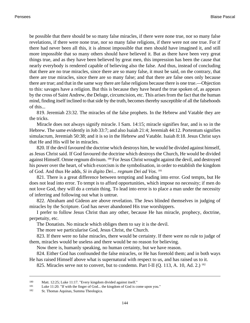be possible that there should be so many false miracles, if there were none true, nor so many false revelations, if there were none true, nor so many false religions, if there were not one true. For if there had never been all this, it is almost impossible that men should have imagined it, and still more impossible that so many others should have believed it. But as there have been very great things true, and as they have been believed by great men, this impression has been the cause that nearly everybody is rendered capable of believing also the false. And thus, instead of concluding that there are no true miracles, since there are so many false, it must be said, on the contrary, that there are true miracles, since there are so many false; and that there are false ones only because there are true; and that in the same way there are false religions because there is one true.—Objection to this: savages have a religion. But this is because they have heard the true spoken of, as appears by the cross of Saint Andrew, the Deluge, circumcision, etc. This arises from the fact that the human mind, finding itself inclined to that side by the truth, becomes thereby susceptible of all the falsehoods of this...

<span id="page-147-3"></span><span id="page-147-1"></span><span id="page-147-0"></span>819. [Jeremiah 23:32.](http://www.ccel.org/b/bible/asv/xml/asv.Jer.23.xml#Jer.23.32) The miracles of the false prophets. In the Hebrew and Vatable they are the tricks.

<span id="page-147-2"></span>Miracle does not always signify miracle. [I Sam. 14:15](http://www.ccel.org/b/bible/asv/xml/asv.iSam.14.xml#iSam.14.15); miracle signifies fear, and is so in the Hebrew. The same evidently in [Job 33:7;](http://www.ccel.org/b/bible/asv/xml/asv.Job.33.xml#Job.33.7) and also [Isaiah 21:4;](http://www.ccel.org/b/bible/asv/xml/asv.Isa.21.xml#Isa.21.4) [Jeremiah 44:12.](http://www.ccel.org/b/bible/asv/xml/asv.Jer.44.xml#Jer.44.12) Portentum signifies simulacrum, [Jeremiah 50:38;](http://www.ccel.org/b/bible/asv/xml/asv.Jer.50.xml#Jer.50.38) and it is so in the Hebrew and Vatable. [Isaiah 8:18.](http://www.ccel.org/b/bible/asv/xml/asv.Isa.8.xml#Isa.8.18) Jesus Christ says that He and His will be in miracles.

820. If the devil favoured the doctrine which destroys him, he would be divided against himself, as Jesus Christ said. If God favoured the doctrine which destroys the Church, He would be divided against Himself. Omne regnum divisum. 180 For Jesus Christ wrought against the devil, and destroyed his power over the heart, of which exorcism is the symbolisation, in order to establish the kingdom of God. And thus He adds, *Si in digito Dei... regnum Dei ad Vos*. 181

821. There is a great difference between tempting and leading into error. God tempts, but He does not lead into error. To tempt is to afford opportunities, which impose no necessity; if men do not love God, they will do a certain thing. To lead into error is to place a man under the necessity of inferring and following out what is untrue.

822. Abraham and Gideon are above revelation. The Jews blinded themselves in judging of miracles by the Scripture. God has never abandoned His true worshippers.

I prefer to follow Jesus Christ than any other, because He has miracle, prophecy, doctrine, perpetuity, etc.

The Donatists. No miracle which obliges them to say it is the devil.

The more we particularise God, Jesus Christ, the Church.

823. If there were no false miracles, there would be certainty. If there were no rule to judge of them, miracles would be useless and there would be no reason for believing.

Now there is, humanly speaking, no human certainty, but we have reason.

<span id="page-147-5"></span><span id="page-147-4"></span>824. Either God has confounded the false miracles, or He has foretold them; and in both ways He has raised Himself above what is supernatural with respect to us, and has raised us to it.

825. Miracles serve not to convert, but to condemn. Part I-II (Q. 113, A. 10, Ad. 2.) <sup>182</sup>

<sup>180</sup> [Matt. 12:25](http://www.ccel.org/b/bible/asv/xml/asv.Matt.12.xml#Matt.12.25 Bible:Luke.11.17); [Luke 11:17.](http://www.ccel.org/b/bible/asv/xml/asv.Matt.12.xml#Matt.12.25 Bible:Luke.11.17) "Every kingdom divided against itself."

<sup>181</sup> [Luke 11:20. "](http://www.ccel.org/b/bible/asv/xml/asv.Luke.11.xml#Luke.11.20)If with the finger of God... the kingdom of God is come upon you."

<sup>182</sup> St. Thomas Aquinas, Summa Theologica.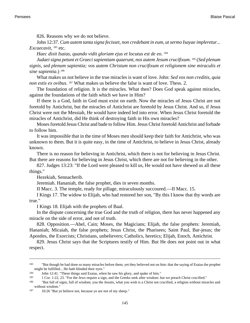826. Reasons why we do not believe.

<span id="page-148-3"></span>[John 12:37.](http://www.ccel.org/b/bible/asv/xml/asv.John.12.xml#John.12.37) *Cum autem tanta signa fecisset, non credebant in eum, ut sermo Isayae impleretur... Excaecavit*, <sup>183</sup> etc.

*Haec dixit Isaias, quando vidit gloriam ejus et locutus est de eo*. 184

*Judaei signa petunt et Graeci sapientiam quaerunt, nos autem Jesum crucifixum*. <sup>185</sup> (*Sed plenum signis, sed plenum sapientia; vos autem Christum non crucifixum et religionem sine miraculis et* sine sapientia.) <sup>186</sup>

What makes us not believe in the true miracles is want of love. John: *Sed vos non creditis, quia non estis ex ovibus*. <sup>187</sup> What makes us believe the false is want of love. Thess. 2.

The foundation of religion. It is the miracles. What then? Does God speak against miracles, against the foundations of the faith which we have in Him?

If there is a God, faith in God must exist on earth. Now the miracles of Jesus Christ are not foretold by Antichrist, but the miracles of Antichrist are foretold by Jesus Christ. And so, if Jesus Christ were not the Messiah, He would have indeed led into error. When Jesus Christ foretold the miracles of Antichrist, did He think of destroying faith in His own miracles?

Moses foretold Jesus Christ and bade to follow Him. Jesus Christ foretold Antichrist and forbade to follow him.

It was impossible that in the time of Moses men should keep their faith for Antichrist, who was unknown to them. But it is quite easy, in the time of Antichrist, to believe in Jesus Christ, already known.

<span id="page-148-0"></span>There is no reason for believing in Antichrist, which there is not for believing in Jesus Christ. But there are reasons for believing in Jesus Christ, which there are not for believing in the other.

<span id="page-148-6"></span><span id="page-148-1"></span>827. [Judges 13:23:](http://www.ccel.org/b/bible/asv/xml/asv.Judg.13.xml#Judg.13.23) "If the Lord were pleased to kill us, He would not have shewed us all these things."

Hezekiah, Sennacherib.

Jeremiah. Hananiah, the false prophet, dies in seven months.

[II Macc. 3.](http://www.ccel.org/b/bible/asv/xml/asv.iiMacc..xml#iiMacc..) The temple, ready for pillage, miraculously succoured.—II Macc. 15.

<span id="page-148-2"></span>[I Kings 17](http://www.ccel.org/b/bible/asv/xml/asv.iKgs..xml#iKgs..). The widow to Elijah, who had restored her son, "By this I know that thy words are true."

[I Kings 18.](http://www.ccel.org/b/bible/asv/xml/asv.iKgs..xml#iKgs..) Elijah with the prophets of Baal.

In the dispute concerning the true God and the truth of religion, there has never happened any miracle on the side of error, and not of truth.

828. Opposition.—Abel, Cain; Moses, the Magicians; Elijah, the false prophets: Jeremiah, Hananiah; Micaiah, the false prophets; Jesus Christ, the Pharisees; Saint Paul, Bar-jesus; the Apostles, the Exorcists; Christians, unbelievers; Catholics, heretics; Elijah, Enoch, Antichrist.

<span id="page-148-5"></span><span id="page-148-4"></span>829. Jesus Christ says that the Scriptures testify of Him. But He does not point out in what respect.

<sup>&</sup>lt;sup>183</sup> "But though he had done so many miracles before them, yet they believed not on him: that the saying of Esaias the prophet might be fulfilled... He hath blinded their eyes."

<sup>184</sup> [John 12:41.](http://www.ccel.org/b/bible/asv/xml/asv.John.12.xml#John.12.41) "These things said Esaias, when he saw his glory, and spake of him."

<sup>185</sup> [1 Cor. 1:22, 23. "](http://www.ccel.org/b/bible/asv/xml/asv.iCor.1.xml#iCor.1.22 Bible:1Cor.1.23)For the Jews require a sign, and the Greeks seek after wisdom: but we preach Christ crucified."

<sup>186</sup> "But full of signs, full of wisdom; you the Jesuits, what you wish is a Christ not crucified, a religion without miracles and without wisdom."

<sup>187</sup> 10:26 "But ye believe not, because ye are not of my sheep."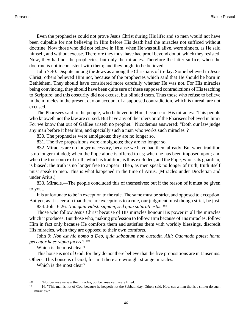Even the prophecies could not prove Jesus Christ during His life; and so men would not have been culpable for not believing in Him before His death had the miracles not sufficed without doctrine. Now those who did not believe in Him, when He was still alive, were sinners, as He said himself, and without excuse. Therefore they must have had proof beyond doubt, which they resisted. Now, they had not the prophecies, but only the miracles. Therefore the latter suffice, when the doctrine is not inconsistent with them; and they ought to be believed.

<span id="page-149-1"></span>[John 7:40.](http://www.ccel.org/b/bible/asv/xml/asv.John.7.xml#John.7.40) Dispute among the Jews as among the Christians of to-day. Some believed in Jesus Christ; others believed Him not, because of the prophecies which said that He should be born in Bethlehem. They should have considered more carefully whether He was not. For His miracles being convincing, they should have been quite sure of these supposed contradictions of His teaching to Scripture; and this obscurity did not excuse, but blinded them. Thus those who refuse to believe in the miracles in the present day on account of a supposed contradiction, which is unreal, are not excused.

The Pharisees said to the people, who believed in Him, because of His miracles: "This people who knoweth not the law are cursed. But have any of the rulers or of the Pharisees believed in him? For we know that out of Galilee ariseth no prophet." Nicodemus answered: "Doth our law judge any man before it hear him, and specially such a man who works such miracles"?

830. The prophecies were ambiguous; they are no longer so.

831. The five propositions were ambiguous; they are no longer so.

832. Miracles are no longer necessary, because we have had them already. But when tradition is no longer minded; when the Pope alone is offered to us; when he has been imposed upon; and when the true source of truth, which is tradition, is thus excluded; and the Pope, who is its guardian, is biased; the truth is no longer free to appear. Then, as men speak no longer of truth, truth itself must speak to men. This is what happened in the time of Arius. (Miracles under Diocletian and under Arius.)

<span id="page-149-0"></span>833. Miracle.—The people concluded this of themselves; but if the reason of it must be given to you...

It is unfortunate to be in exception to the rule. The same must be strict, and opposed to exception. But yet, as it is certain that there are exceptions to a rule, our judgment must though strict, be just.

834. [John 6:26](http://www.ccel.org/b/bible/asv/xml/asv.John.6.xml#John.6.26): *Non quia vidisti signum, sed quia saturati estis*. 188

<span id="page-149-2"></span>Those who follow Jesus Christ because of His miracles honour His power in all the miracles which it produces. But those who, making profession to follow Him because of His miracles, follow Him in fact only because He comforts them and satisfies them with worldly blessings, discredit His miracles, when they are opposed to their own comforts.

[John 9:](http://www.ccel.org/b/bible/asv/xml/asv.John..xml#John..) *Non est hic homo a Deo, quia sabbatum non custodit. Alii: Quomodo potest homo peccator haec signa facere*? <sup>189</sup>

Which is the most clear?

This house is not of God; for they do not there believe that the five propositions are in Jansenius. Others: This house is of God; for in it there are wrought strange miracles.

Which is the most clear?

<sup>188</sup> "Not because ye saw the miracles, but because ye... were filled."

<sup>&</sup>lt;sup>189</sup> 16. "This man is not of God, because he keepeth not the Sabbath day. Others said: How can a man that is a sinner do such miracles?"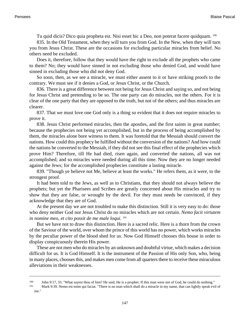Tu quid dicis? Dico quia propheta est. Nisi esset hic a Deo, non poterat facere quidquam. <sup>190</sup>

835. In the Old Testament, when they will turn you from God. In the New, when they will turn you from Jesus Christ. These are the occasions for excluding particular miracles from belief. No others need be excluded.

Does it, therefore, follow that they would have the right to exclude all the prophets who came to them? No; they would have sinned in not excluding those who denied God, and would have sinned in excluding those who did not deny God.

So soon, then, as we see a miracle, we must either assent to it or have striking proofs to the contrary. We must see if it denies a God, or Jesus Christ, or the Church.

836. There is a great difference between not being for Jesus Christ and saying so, and not being for Jesus Christ and pretending to be so. The one party can do miracles, not the others. For it is clear of the one party that they are opposed to the truth, but not of the others; and thus miracles are clearer.

837. That we must love one God only is a thing so evident that it does not require miracles to prove it.

838. Jesus Christ performed miracles, then the apostles, and the first saints in great number; because the prophecies not being yet accomplished, but in the process of being accomplished by them, the miracles alone bore witness to them. It was foretold that the Messiah should convert the nations. How could this prophecy be fulfilled without the conversion of the nations? And how could the nations be converted to the Messiah, if they did not see this final effect of the prophecies which prove Him? Therefore, till He had died, risen again, and converted the nations, all was not accomplished; and so miracles were needed during all this time. Now they are no longer needed against the Jews; for the accomplished prophecies constitute a lasting miracle.

839. "Though ye believe not Me, believe at least the works." He refers them, as it were, to the strongest proof.

It had been told to the Jews, as well as to Christians, that they should not always believe the prophets; but yet the Pharisees and Scribes are greatly concerned about His miracles and try to show that they are false, or wrought by the devil. For they must needs be convinced, if they acknowledge that they are of God.

At the present day we are not troubled to make this distinction. Still it is very easy to do: those who deny neither God nor Jesus Christ do no miracles which are not certain. *Nemo facit virtutem in nomine meo, et cito possit de me male loqui*. 191

But we have not to draw this distinction. Here is a sacred relic. Here is a thorn from the crown of the Saviour of the world, over whom the prince of this world has no power, which works miracles by the peculiar power of the blood shed for us. Now God Himself chooses this house in order to display conspicuously therein His power.

<span id="page-150-1"></span><span id="page-150-0"></span>These are not men who do miracles by an unknown and doubtful virtue, which makes a decision difficult for us. It is God Himself. It is the instrument of the Passion of His only Son, who, being in many places, chooses this, and makes men come from all quarters there to receive these miraculous alleviations in their weaknesses.

<sup>190</sup> [John 9:17, 33.](http://www.ccel.org/b/bible/asv/xml/asv.John.9.xml#John.9.17 Bible:John.9.33) "What sayest thou of him? He said, He is a prophet. If this man were not of God, he could do nothing."

<sup>191</sup> [Mark 9:39.](http://www.ccel.org/b/bible/asv/xml/asv.Mark.9.xml#Mark.9.39) Nemo est enim qui faciat. "There is no man which shall do a miracle in my name, that can lightly speak evil of me."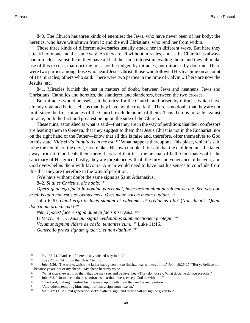840. The Church has three kinds of enemies: the Jews, who have never been of her body; the heretics, who have withdrawn from it; and the evil Christians, who rend her from within.

These three kinds of different adversaries usually attack her in different ways. But here they attack her in one and the same way. As they are all without miracles, and as the Church has always had miracles against them, they have all had the same interest in evading them; and they all make use of this excuse, that doctrine must not be judged by miracles, but miracles by doctrine. There were two parties among those who heard Jesus Christ: those who followed His teaching on account of His miracles; others who said. There were two parties in the time of Calvin... There are now the Jesuits, etc.

841. Miracles furnish the test in matters of doubt, between Jews and heathens, Jews and Christians, Catholics and heretics, the slandered and slanderers, between the two crosses.

But miracles would be useless to heretics; for the Church, authorised by miracles which have already obtained belief, tells us that they have not the true faith. There is no doubt that they are not in it, since the first miracles of the Church exclude belief of theirs. Thus there is miracle against miracle, both the first and greatest being on the side of the Church.

These nuns, astonished at what is said—that they are in the way of perdition; that their confessors are leading them to Geneva; that they suggest to them that Jesus Christ is not in the Eucharist, nor on the right hand of the Father—know that all this is false and, therefore, offer themselves to God in this state. *Vide si via iniquitatis in me est*. <sup>192</sup> What happens thereupon? This place, which is said to be the temple of the devil, God makes His own temple. It is said that the children must be taken away from it. God heals them there. It is said that it is the arsenal of hell. God makes of it the sanctuary of His grace. Lastly, they are threatened with all the fury and vengeance of heaven; and God overwhelms them with favours. A man would need to have lost his senses to conclude from this that they are therefore in the way of perdition.

(We have without doubt the same signs as Saint Athanasius.)

842. *Si tu es Christus, dic nobis*. 193

<span id="page-151-6"></span>*Opera quae ego facio in nomine patris mei, haec testimonium perhibent de me. Sed vos non creditis quia non estis ex ovibus meis. Oves meae vocem meam audiunt*. 194

<span id="page-151-7"></span><span id="page-151-2"></span>[John 6:30.](http://www.ccel.org/b/bible/asv/xml/asv.John.6.xml#John.6.30) *Quod ergo tu facis signum ut videamus et credamus tibi*? (*Non dicunt: Quam doctrinam praedicas*?) <sup>195</sup>

<span id="page-151-0"></span>*Nemo potest facere signa quae tu facis nisi Deus*. 196 [II Macc. 14:15.](http://www.ccel.org/b/bible/asv/xml/asv.iiMacc.14.xml#iiMacc.14.15) *Deus qui signis evidentibus suam portionem protegit.* <sup>197</sup> *Volumus signum videre de coelo, tentantes eum*. <sup>198</sup> [Luke 11:16](http://www.ccel.org/b/bible/asv/xml/asv.Luke.11.xml#Luke.11.16). *Generatio prava signum quaerit; et non dabitur*. 199

<span id="page-151-5"></span><span id="page-151-4"></span><span id="page-151-3"></span><sup>&</sup>lt;sup>192</sup> [Ps. 138:24.](http://www.ccel.org/b/bible/asv/xml/asv.Ps.138.xml#Ps.138.24) "And see if there be any wicked way in me."<br><sup>193</sup> Luke 22:66 "Art thou the Christ? tell us "

<span id="page-151-1"></span><sup>&</sup>lt;sup>193</sup> [Luke 22:66. "](http://www.ccel.org/b/bible/asv/xml/asv.Luke.22.xml#Luke.22.66)Art thou the Christ? tell us."<br> $\frac{194}{\text{C}}$  Leby 5:26. "The works which the father has

<sup>194</sup> [John 5:36.](http://www.ccel.org/b/bible/asv/xml/asv.John.5.xml#John.5.36) "The works which the father hath given me to finish... bear witness of me.[" John 10:26-27.](http://www.ccel.org/b/bible/asv/xml/asv.John.10.xml#John.10.26) "But ye believe not, because ye are not of my sheep... My sheep hear my voice.

<sup>195</sup> "What sign shewest thou then, that we may see, and believe thee. (They do not say: What doctrine do you preach?)"

<sup>&</sup>lt;sup>196</sup> [John 3:2.](http://www.ccel.org/b/bible/asv/xml/asv.John.3.xml#John.3.2) "No man can do these miracles that thou doest, except God be with him."<br><sup>197</sup> "The Lord, making manifest his presence, upholdeth them that are his own portion

<sup>&</sup>quot;The Lord, making manifest his presence, upholdeth them that are his own portion."

<sup>198</sup> "And others, tempting him, sought of him a sign from heaven."

<sup>199</sup> [Matt. 12:39.](http://www.ccel.org/b/bible/asv/xml/asv.Matt.12.xml#Matt.12.39) "An evil generation seeketh after a sign; and there shall no sign be given to it."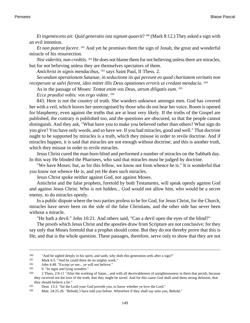<span id="page-152-3"></span>*Et ingemiscens ait: Quid generatio ista signum quaerit*? 200 ([Mark 8:12.](http://www.ccel.org/b/bible/asv/xml/asv.Mark.8.xml#Mark.8.12)) They asked a sign with an evil intention.

*Et non poterat facere*. <sup>201</sup> And yet he promises them the sign of Jonah, the great and wonderful miracle of his resurrection.

<span id="page-152-6"></span>*Nisi videritis, non creditis*. <sup>202</sup> He does not blame them for not believing unless there are miracles, but for not believing unless they are themselves spectators of them.

*Antichrist in signis mendacibus*, <sup>203</sup> says Saint Paul, [II Thess. 2.](http://www.ccel.org/b/bible/asv/xml/asv.iiThess..xml#iiThess..)

*Secundum operationem Satanae, in seductione iis qui pereunt eo quod charitatem veritatis non receperunt ut salvi fierent, ideo mittet illis Deus optationes erroris ut credant mendacio*. 204

As in the passage of Moses: *Tentat enim vos Deus, utrum diligatis eum*. 205

*Ecce praedixi vobis: vos ergo videte*. 206

843. Here is not the country of truth. She wanders unknown amongst men. God has covered her with a veil, which leaves her unrecognised by those who do not hear her voice. Room is opened for blasphemy, even against the truths that are at least very likely. If the truths of the Gospel are published, the contrary is published too, and the questions are obscured, so that the people cannot distinguish. And they ask, "What have you to make you believed rather than others? What sign do you give? You have only words, and so have we. If you had miracles, good and well." That doctrine ought to be supported by miracles is a truth, which they misuse in order to revile doctrine. And if miracles happen, it is said that miracles are not enough without doctrine; and this is another truth, which they misuse in order to revile miracles.

Jesus Christ cured the man born blind and performed a number of miracles on the Sabbath day. In this way He blinded the Pharisees, who said that miracles must be judged by doctrine.

"We have Moses: but, as for this fellow, we know not from whence he is." It is wonderful that you know not whence He is, and yet He does such miracles.

Jesus Christ spoke neither against God, nor against Moses.

Antichrist and the false prophets, foretold by both Testaments, will speak openly against God and against Jesus Christ. Who is not hidden... God would not allow him, who would be a secret enemy, to do miracles openly.

<span id="page-152-5"></span>In a public dispute where the two parties profess to be for God, for Jesus Christ, for the Church, miracles have never been on the side of the false Christians, and the other side has never been without a miracle.

"He hath a devil." [John 10:21.](http://www.ccel.org/b/bible/asv/xml/asv.John.10.xml#John.10.21) And others said, "Can a devil open the eyes of the blind?"

<span id="page-152-4"></span><span id="page-152-2"></span>The proofs which Jesus Christ and the apostles draw from Scripture are not conclusive; for they say only that Moses foretold that a prophet should come. But they do not thereby prove that this is He; and that is the whole question. These passages, therefore, serve only to show that they are not

<span id="page-152-7"></span><sup>&</sup>lt;sup>200</sup> "And he sighed deeply in his spirit, and saith, why doth this generation seek after a sign?"<br><sup>201</sup> Mark 6:5, "And he could there do no mighty work."

<span id="page-152-1"></span><span id="page-152-0"></span><sup>&</sup>lt;sup>201</sup> [Mark 6:5. "](http://www.ccel.org/b/bible/asv/xml/asv.Mark.6.xml#Mark.6.5)And he could there do no mighty work."<br> $\frac{202}{\pi}$  Lebn 4:48 "Executive see, we will not believe"

 $\frac{202}{203}$  [John 4:48.](http://www.ccel.org/b/bible/asv/xml/asv.John.4.xml#John.4.48) "Except ye see... ye will not believe."

<sup>9. &</sup>quot;In signs and lying wonders."

<sup>204</sup> [2 Thess. 2:9-11 "](http://www.ccel.org/b/bible/asv/xml/asv.iiThess.2.xml#iiThess.2.9)After the working of Satan... and with all deceivableness of unrighteousness in them that perish, because they received not the love of the truth, that they might be saved. And for this cause God shall send them strong delusion, that they should believe a lie."

<sup>205</sup> [Deut. 13:3.](http://www.ccel.org/b/bible/asv/xml/asv.Deut.13.xml#Deut.13.3) "for the Lord your God proveth you, to know whether ye love the Lord."

<sup>206</sup> [Matt. 24:25-26.](http://www.ccel.org/b/bible/asv/xml/asv.Matt.24.xml#Matt.24.25) "Behold, I have told you before. Wherefore if they shall say unto you, Behold."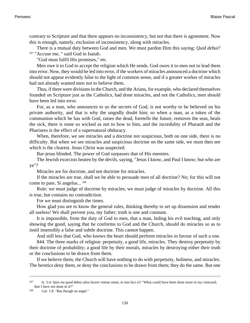contrary to Scripture and that there appears no inconsistency, but not that there is agreement. Now this is enough, namely, exclusion of inconsistency, along with miracles.

There is a mutual duty between God and men. We must pardon Him this saying: *Quid debui*? <sup>207</sup> "Accuse me, " said God in Isaiah.

"God must fulfil His promises," etc.

Men owe it to God to accept the religion which He sends. God owes it to men not to lead them into error. Now, they would be led into error, if the workers of miracles announced a doctrine which should not appear evidently false to the light of common sense, and if a greater worker of miracles had not already wamed men not to believe them.

Thus, if there were divisions in the Church, and the Arians, for example, who declared themselves founded on Scripture just as the Catholics, had done miracles, and not the Catholics, men should have been led into error.

For, as a man, who announces to us the secrets of God, is not worthy to be believed on his private authority, and that is why the ungodly doubt him; so when a man, as a token of the communion which he has with God, raises the dead, foretells the future, removes the seas, heals the sick, there is none so wicked as not to bow to him, and the incredulity of Pharaoh and the Pharisees is the effect of a supernatural obduracy.

When, therefore, we see miracles and a doctrine not suspicious, both on one side, there is no difficulty. But when we see miracles and suspicious doctrine on the same side, we must then see which is the clearest. Jesus Christ was suspected.

Bar-jesus blinded. The power of God surpasses that of His enemies.

The Jewish exorcists beaten by the devils, saying, "Jesus I know, and Paul I know; but who are ye"?

Miracles are for doctrine, and not doctrine for miracles.

If the miracles are true, shall we be able to persuade men of all doctrine? No; for this will not come to pass. Si angelus... <sup>208</sup>

Rule: we must judge of doctrine by miracles; we must judge of miracles by doctrine. All this is true, but contains no contradiction.

For we must distinguish the times.

How glad you are to know the general rules, thinking thereby to set up dissension and render all useless! We shall prevent you, my father; truth is one and constant.

It is impossible, from the duty of God to men, that a man, hiding his evil teaching, and only showing the good, saying that he conforms to God and the Church, should do miracles so as to instil insensibly a false and subtle doctrine. This cannot happen.

And still less that God, who knows the heart should perform miracles in favour of such a one.

844. The three marks of religion: perpetuity, a good life, miracles. They destroy perpetuity by their doctrine of probability; a good life by their morals, miracles by destroying either their truth or the conclusions to be drawn from them.

<span id="page-153-1"></span><span id="page-153-0"></span>If we believe them, the Church will have nothing to do with perpetuity, holiness, and miracles. The heretics deny them, or deny the conclusions to be drawn from them; they do the same. But one

<sup>207</sup> [Is. 5:4.](http://www.ccel.org/b/bible/asv/xml/asv.Isa.5.xml#Isa.5.4) Quis est quod debui ultra facere vineae meae, et non faci ei? "What could have been done more to my vineyard, that I have not done in it?"

<sup>208</sup> [Gal. 1:8. "](http://www.ccel.org/b/bible/asv/xml/asv.Gal.1.xml#Gal.1.8)But though an angel."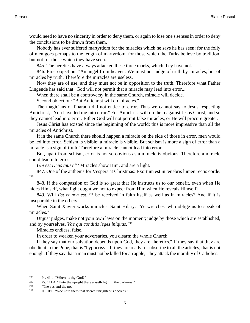would need to have no sincerity in order to deny them, or again to lose one's senses in order to deny the conclusions to be drawn from them.

Nobody has ever suffered martyrdom for the miracles which he says he has seen; for the folly of men goes perhaps to the length of martyrdom, for those which the Turks believe by tradition, but not for those which they have seen.

845. The heretics have always attacked these three marks, which they have not.

846. First objection: "An angel from heaven. We must not judge of truth by miracles, but of miracles by truth. Therefore the miracles are useless.

Now they are of use, and they must not be in opposition to the truth. Therefore what Father Lingende has said that "God will not permit that a miracle may lead into error..."

When there shall be a controversy in the same Church, miracle will decide.

Second objection: "But Antichrist will do miracles."

The magicians of Pharaoh did not entice to error. Thus we cannot say to Jesus respecting Antichrist, "You have led me into error." For Antichrist will do them against Jesus Christ, and so they cannot lead into error. Either God will not permit false miracles, or He will procure greater.

Jesus Christ has existed since the beginning of the world: this is more impressive than all the miracles of Antichrist.

If in the same Church there should happen a miracle on the side of those in error, men would be led into error. Schism is visible; a miracle is visible. But schism is more a sign of error than a miracle is a sign of truth. Therefore a miracle cannot lead into error.

But, apart from schism, error is not so obvious as a miracle is obvious. Therefore a miracle could lead into error.

*Ubi est Deus tuus*? <sup>209</sup> Miracles show Him, and are a light.

847. One of the anthems for Vespers at Christmas: Exortum est in tenebris lumen rectis corde. 210

848. If the compassion of God is so great that He instructs us to our benefit, even when He hides Himself, what light ought we not to expect from Him when He reveals Himself?

849. Will *Est et non est*. <sup>211</sup> be received in faith itself as well as in miracles? And if it is inseparable in the others...

When Saint Xavier works miracles. Saint Hilary. "Ye wretches, who oblige us to speak of miracles."

Unjust judges, make not your own laws on the moment; judge by those which are established, and by yourselves. *Vae qui conditis leges iniquas*. 212

Miracles endless, false.

In order to weaken your adversaries, you disarm the whole Church.

<span id="page-154-1"></span><span id="page-154-0"></span>If they say that our salvation depends upon God, they are "heretics." If they say that they are obedient to the Pope, that is "hypocrisy." If they are ready to subscribe to all the articles, that is not enough. If they say that a man must not be killed for an apple, "they attack the morality of Catholics."

<span id="page-154-2"></span><sup>&</sup>lt;sup>209</sup> [Ps. 41:4. "](http://www.ccel.org/b/bible/asv/xml/asv.Ps.41.xml#Ps.41.4)Where is thy God?"<br><sup>210</sup> Ps. 111:4. "Unto the unright the

[Ps. 111:4.](http://www.ccel.org/b/bible/asv/xml/asv.Ps.111.xml#Ps.111.4) "Unto the upright there ariseth light in the darkness."

<sup>211</sup> "The yes and the no."

<sup>212</sup> [Is. 10:1. "](http://www.ccel.org/b/bible/asv/xml/asv.Isa.10.xml#Isa.10.1)Woe unto them that decree unrighteous decrees."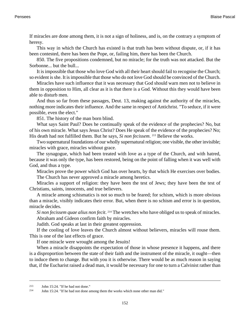If miracles are done among them, it is not a sign of holiness, and is, on the contrary a symptom of heresy.

This way in which the Church has existed is that truth has been without dispute, or, if it has been contested, there has been the Pope, or, failing him, there has been the Church.

850. The five propositions condemned, but no miracle; for the truth was not attacked. But the Sorbonne... but the bull...

It is impossible that those who love God with all their heart should fail to recognise the Church; so evident is she. It is impossible that those who do not love God should be convinced of the Church.

<span id="page-155-0"></span>Miracles have such influence that it was necessary that God should warn men not to believe in them in opposition to Him, all clear as it is that there is a God. Without this they would have been able to disturb men.

And thus so far from these passages, [Deut. 13](http://www.ccel.org/b/bible/asv/xml/asv.Deut..xml#Deut..), making against the authority of the miracles, nothing more indicates their influence. And the same in respect of Antichrist. "To seduce, if it were possible, even the elect."

851. The history of the man born blind.

What says Saint Paul? Does he continually speak of the evidence of the prophecies? No, but of his own miracle. What says Jesus Christ? Does He speak of the evidence of the prophecies? No; His death had not fulfilled them. But he says, *Si non fecissem*. <sup>213</sup> Believe the works.

Two supernatural foundations of our wholly supernatural religion; one visible, the other invisible; miracles with grace, miracles without grace.

The synagogue, which had been treated with love as a type of the Church, and with hatred, because it was only the type, has been restored, being on the point of falling when it was well with God, and thus a type.

Miracles prove the power which God has over hearts, by that which He exercises over bodies. The Church has never approved a miracle among heretics.

Miracles a support of religion: they have been the test of Jews; they have been the test of Christians, saints, innocents, and true believers.

A miracle among schismatics is not so much to be feared; for schism, which is more obvious than a miracle, visibly indicates their error. But, when there is no schism and error is in question, miracle decides.

*Si non fecissem quae alius non fecit*. <sup>214</sup> The wretches who have obliged us to speak of miracles. Abraham and Gideon confirm faith by miracles.

Judith. God speaks at last in their greatest oppression.

If the cooling of love leaves the Church almost without believers, miracles will rouse them. This is one of the last effects of grace.

If one miracle were wrought among the Jesuits!

<span id="page-155-2"></span><span id="page-155-1"></span>When a miracle disappoints the expectation of those in whose presence it happens, and there is a disproportion between the state of their faith and the instrument of the miracle, it ought—then to induce them to change. But with you it is otherwise. There would be as much reason in saying that, if the Eucharist raised a dead man, it would be necessary for one to turn a Calvinist rather than

<sup>213</sup> [John 15:24.](http://www.ccel.org/b/bible/asv/xml/asv.John.15.xml#John.15.24) "If he had not done."

<sup>214</sup> [John 15:24.](http://www.ccel.org/b/bible/asv/xml/asv.John.15.xml#John.15.24) "If he had not done among them the works which none other man did."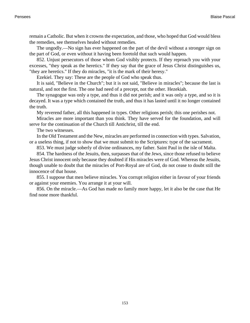remain a Catholic. But when it crowns the expectation, and those, who hoped that God would bless the remedies, see themselves healed without remedies.

The ungodly.—No sign has ever happened on the part of the devil without a stronger sign on the part of God, or even without it having been foretold that such would happen.

852. Unjust persecutors of those whom God visibly protects. If they reproach you with your excesses, "they speak as the heretics." If they say that the grace of Jesus Christ distinguishes us, "they are heretics." If they do miracles, "it is the mark of their heresy."

Ezekiel. They say: These are the people of God who speak thus.

It is said, "Believe in the Church"; but it is not said, "Believe in miracles"; because the last is natural, and not the first. The one had need of a precept, not the other. Hezekiah.

The synagogue was only a type, and thus it did not perish; and it was only a type, and so it is decayed. It was a type which contained the truth, and thus it has lasted until it no longer contained the truth.

My reverend father, all this happened in types. Other religions perish; this one perishes not.

Miracles are more important than you think. They have served for the foundation, and will serve for the continuation of the Church till Antichrist, till the end.

The two witnesses.

In the Old Testament and the New, miracles are performed in connection with types. Salvation, or a useless thing, if not to show that we must submit to the Scriptures: type of the sacrament.

853. We must judge soberly of divine ordinances, my father. Saint Paul in the isle of Malta.

854. The hardness of the Jesuits, then, surpasses that of the Jews, since those refused to believe Jesus Christ innocent only because they doubted if His miracles were of God. Whereas the Jesuits, though unable to doubt that the miracles of Port-Royal are of God, do not cease to doubt still the innocence of that house.

855. I suppose that men believe miracles. You corrupt religion either in favour of your friends or against your enemies. You arrange it at your will.

856. On the miracle.—As God has made no family more happy, let it also be the case that He find none more thankful.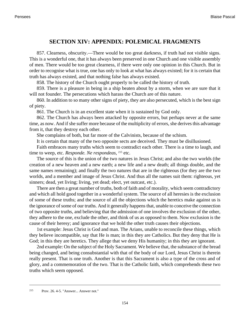## **SECTION XIV: APPENDIX: POLEMICAL FRAGMENTS**

857. Clearness, obscurity.—There would be too great darkness, if truth had not visible signs. This is a wonderful one, that it has always been preserved in one Church and one visible assembly of men. There would be too great clearness, if there were only one opinion in this Church. But in order to recognise what is true, one has only to look at what has always existed; for it is certain that truth has always existed, and that nothing false has always existed.

858. The history of the Church ought properly to be called the history of truth.

859. There is a pleasure in being in a ship beaten about by a storm, when we are sure that it will not founder. The persecutions which harass the Church are of this nature.

860. In addition to so many other signs of piety, they are also persecuted, which is the best sign of piety.

861. The Church is in an excellent state when it is sustained by God only.

862. The Church has always been attacked by opposite errors, but perhaps never at the same time, as now. And if she suffer more because of the multiplicity of errors, she derives this advantage from it, that they destroy each other.

She complains of both, but far more of the Calvinists, because of the schism.

It is certain that many of the two opposite sects are deceived. They must be disillusioned.

Faith embraces many truths which seem to contradict each other. There is a time to laugh, and time to weep, etc. *Responde. Ne respondeas*, <sup>215</sup> etc.

The source of this is the union of the two natures in Jesus Christ; and also the two worlds (the creation of a new heaven and a new earth; a new life and a new death; all things double, and the same names remaining); and finally the two natures that are in the righteous (for they are the two worlds, and a member and image of Jesus Christ. And thus all the names suit them: righteous, yet sinners; dead, yet living; living, yet dead; elect, yet outcast, etc.).

There are then a great number of truths, both of faith and of morality, which seem contradictory and which all hold good together in a wonderful system. The source of all heresies is the exclusion of some of these truths; and the source of all the objections which the heretics make against us is the ignorance of some of our truths. And it generally happens that, unable to conceive the connection of two opposite truths, and believing that the admission of one involves the exclusion of the other, they adhere to the one, exclude the other, and think of us as opposed to them. Now exclusion is the cause of their heresy; and ignorance that we hold the other truth causes their objections.

1st example: Jesus Christ is God and man. The Arians, unable to reconcile these things, which they believe incompatible, say that He is man; in this they are Catholics. But they deny that He is God; in this they are heretics. They allege that we deny His humanity; in this they are ignorant.

<span id="page-157-0"></span>2nd example: On the subject of the Holy Sacrament. We believe that, the substance of the bread being changed, and being consubstantial with that of the body of our Lord, Jesus Christ is therein really present. That is one truth. Another is that this Sacrament is also a type of the cross and of glory, and a commemoration of the two. That is the Catholic faith, which comprehends these two truths which seem opposed.

<sup>215</sup> [Prov. 26. 4-5. "](http://www.ccel.org/b/bible/asv/xml/asv.Prov.26.xml#Prov.26.4 Bible:Prov.26.5)Answer... Answer not."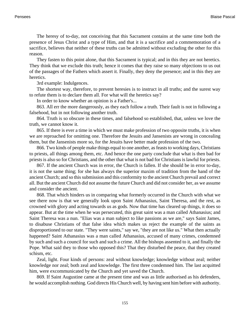The heresy of to-day, not conceiving that this Sacrament contains at the same time both the presence of Jesus Christ and a type of Him, and that it is a sacrifice and a commemoration of a sacrifice, believes that neither of these truths can be admitted without excluding the other for this reason.

They fasten to this point alone, that this Sacrament is typical; and in this they are not heretics. They think that we exclude this truth; hence it comes that they raise so many objections to us out of the passages of the Fathers which assert it. Finally, they deny the presence; and in this they are heretics.

3rd example: Indulgences.

The shortest way, therefore, to prevent heresies is to instruct in all truths; and the surest way to refute them is to declare them all. For what will the heretics say?

In order to know whether an opinion is a Father's...

863. All err the more dangerously, as they each follow a truth. Their fault is not in following a falsehood, but in not following another truth.

864. Truth is so obscure in these times, and falsehood so established, that, unless we love the truth, we cannot know it.

865. If there is ever a time in which we must make profession of two opposite truths, it is when we are reproached for omitting one. Therefore the Jesuits and Jansenists are wrong in concealing them, but the Jansenists more so, for the Jesuits have better made profession of the two.

866. Two kinds of people make things equal to one another, as feasts to working days, Christians to priests, all things among them, etc. And hence the one party conclude that what is then bad for priests is also so for Christians, and the other that what is not bad for Christians is lawful for priests.

867. If the ancient Church was in error, the Church is fallen. If she should be in error to-day, it is not the same thing; for she has always the superior maxim of tradition from the hand of the ancient Church; and so this submission and this conformity to the ancient Church prevail and correct all. But the ancient Church did not assume the future Church and did not consider her, as we assume and consider the ancient.

868. That which hinders us in comparing what formerly occurred in the Church with what we see there now is that we generally look upon Saint Athanasius, Saint Theresa, and the rest, as crowned with glory and acting towards us as gods. Now that time has cleared up things, it does so appear. But at the time when he was persecuted, this great saint was a man called Athanasius; and Saint Theresa was a nun. "Elias was a man subject to like passions as we are," says Saint James, to disabuse Christians of that false idea which makes us reject the example of the saints as disproportioned to our state. "They were saints," say we, "they are not like us." What then actually happened? Saint Athanasius was a man called Athanasius, accused of many crimes, condemned by such and such a council for such and such a crime. All the bishops assented to it, and finally the Pope. What said they to those who opposed this? That they disturbed the peace, that they created schism, etc.

Zeal, light. Four kinds of persons: zeal without knowledge; knowledge without zeal; neither knowledge nor zeal; both zeal and knowledge. The first three condemned him. The last acquitted him, were excommunicated by the Church and yet saved the Church.

869. If Saint Augustine came at the present time and was as little authorised as his defenders, he would accomplish nothing. God directs His Church well, by having sent him before with authority.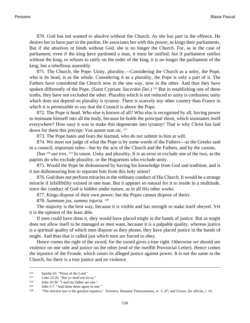870. God has not wanted to absolve without the Church. As she has part in the offence, He desires her to have part in the pardon. He associates her with this power, as kings their parliaments. But if she absolves or binds without God, she is no longer the Church. For, as in the case of parliament, even if the king have pardoned a man, it must be ratified; but if parliament ratifies without the king, or refuses to ratify on the order of the king, it is no longer the parliament of the king, but a rebellious assembly.

871. The Church, the Pope. Unity, plurality.—Considering the Church as a unity, the Pope, who is its head, is as the whole. Considering it as a plurality, the Pope is only a part of it. The Fathers have considered the Church now in the one way, now in the other. And thus they have spoken differently of the Pope. (Saint Cyprian: *Sacerdos Dei*.) 216 But in establishing one of these truths, they have not excluded the other. Plurality which is not reduced to unity is confusion; unity which does not depend on plurality is tyranny. There is scarcely any other country than France in which it is permissible to say that the Council is above the Pope.

872. The Pope is head. Who else is known of all? Who else is recognised by all, having power to insinuate himself into all the body, because he holds the principal shoot, which insinuates itself everywhere? How easy it was to make this degenerate into tyranny! That is why Christ has laid down for them this precept: Vos autem non sic. <sup>217</sup>

873. The Pope hates and fears the learned, who do not submit to him at will.

874. We must not judge of what the Pope is by some words of the Fathers—as the Greeks said in a council, important rules—but by the acts of the Church and the Fathers, and by the canons.

*Duo* <sup>218</sup> *aut tres*. <sup>219</sup> In unum. Unity and plurality. It is an error to exclude one of the two, as the papists do who exclude plurality, or the Huguenots who exclude unity.

875. Would the Pope be dishonoured by having his knowledge from God and tradition; and is it not dishonouring him to separate him from this holy union?

876. God does not perform miracles in the ordinary conduct of His Church. It would be a strange miracle if infallibility existed in one man. But it appears so natural for it to reside in a multitude, since the conduct of God is hidden under nature, as in all His other works.

877. Kings dispose of their own power; but the Popes cannot dispose of theirs.

878. *Summum jus, summa injuria*. 220

The majority is the best way, because it is visible and has strength to make itself obeyed. Yet it is the opinion of the least able.

If men could have done it, they would have placed might in the hands of justice. But as might does not allow itself to be managed as men want, because it is a palpable quality, whereas justice is a spiritual quality of which men dispose as they please, they have placed justice in the hands of might. And thus that is called just which men are forced to obey.

<span id="page-159-2"></span><span id="page-159-0"></span>Hence comes the right of the sword, for the sword gives a true right. Otherwise we should see violence on one side and justice on the other (end of the twelfth Provincial Letter). Hence comes the injustice of the Fronde, which raises its alleged justice against power. It is not the same in the Church, for there is a true justice and no violence.

<span id="page-159-1"></span><sup>216</sup> Epistle 63. "Priest of the Lord."

<sup>&</sup>lt;sup>217</sup> [Luke 22:26. "](http://www.ccel.org/b/bible/asv/xml/asv.Luke.22.xml#Luke.22.26)But ye shall not be so."<br><sup>218</sup> Lohn 10:30. "I and my father are one

[John 10:30.](http://www.ccel.org/b/bible/asv/xml/asv.John.10.xml#John.10.30) "I and my father are one."

<sup>219</sup> [John 5:7.](http://www.ccel.org/b/bible/asv/xml/asv.John.5.xml#John.5.7) "And these three agree in one."

<sup>220</sup> "The strictest law is the greatest injustice." Terrence, Heauton Timorumenus, iv. 5. 47; and Cicero, De officiis, i. 10.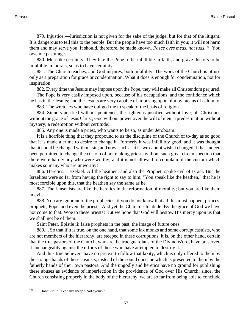879. Injustice.—Jurisdiction is not given for the sake of the judge, but for that of the litigant. It is dangerous to tell this to the people. But the people have too much faith in you; it will not harm them and may serve you. It should, therefore, be made known. *Pasce oves meas, not tuas*. <sup>221</sup> You owe me pasturage.

880. Men like certainty. They like the Pope to be infallible in faith, and grave doctors to be infallible in morals, so as to have certainty.

881. The Church teaches, and God inspires, both infallibly. The work of the Church is of use only as a preparation for grace or condemnation. What it does is enough for condemnation, not for inspiration.

882. Every time the Jesuits may impose upon the Pope, they will make all Christendom perjured.

The Pope is very easily imposed upon, because of his occupations, and the confidence which he has in the Jesuits; and the Jesuits are very capable of imposing upon him by means of calumny.

883. The wretches who have obliged me to speak of the basis of religion.

884. Sinners purified without penitence; the righteous justified without love; all Christians without the grace of Jesus Christ; God without power over the will of men; a predestination without mystery; a redemption without certitude!

885. Any one is made a priest, who wants to be so, as under Jeroboam.

It is a horrible thing that they propound to us the discipline of the Church of to-day as so good that it is made a crime to desire to change it. Formerly it was infallibly good, and it was thought that it could be changed without sin; and now, such as it is, we cannot wish it changed! It has indeed been permitted to change the custom of not making priests without such great circumspection that there were hardly any who were worthy; and it is not allowed to complain of the custom which makes so many who are unworthy!

886. Heretics.—Ezekiel. All the heathen, and also the Prophet, spoke evil of Israel. But the Israelites were so far from having the right to say to him, "You speak like the heathen," that he is most forcible upon this, that the heathen say the same as he.

887. The Jansenists are like the heretics in the reformation of morality; but you are like them in evil.

888. You are ignorant of the prophecies, if you do not know that all this must happen; princes, prophets, Pope, and even the priests. And yet the Church is to abide. By the grace of God we have not come to that. Woe to these priests! But we hope that God will bestow His mercy upon us that we shall not be of them.

Saint Peter, Epistle ii: false prophets in the past, the image of future ones.

889.... So that if it is true, on the one hand, that some lax monks and some corrupt casuists, who are not members of the hierarchy, are steeped in these corruptions, it is, on the other hand, certain that the true pastors of the Church, who are the true guardians of the Divine Word, have preserved it unchangeably against the efforts of those who have attempted to destroy it.

<span id="page-160-0"></span>And thus true believers have no pretext to follow that laxity, which is only offered to them by the strange hands of these casuists, instead of the sound doctrine which is presented to them by the fatherly hands of their own pastors. And the ungodly and heretics have no ground for publishing these abuses as evidence of imperfection in the providence of God over His Church; since, the Church consisting properly in the body of the hierarchy, we are so far from being able to conclude

<sup>221</sup> [John 21:17.](http://www.ccel.org/b/bible/asv/xml/asv.John.21.xml#John.21.17) "Feed my sheep." Not "yours."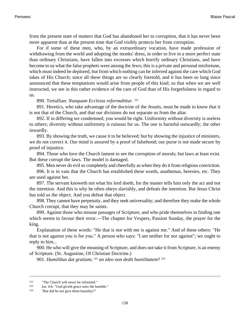from the present state of matters that God has abandoned her to corruption, that it has never been more apparent than at the present time that God visibly protects her from corruption.

For if some of these men, who, by an extraordinary vocation, have made profession of withdrawing from the world and adopting the monks' dress, in order to live in a more perfect state than ordinary Christians, have fallen into excesses which horrify ordinary Christians, and have become to us what the false prophets were among the Jews; this is a private and personal misfortune, which must indeed be deplored, but from which nothing can be inferred against the care which God takes of His Church; since all these things are so clearly foretold, and it has been so long since announced that these temptations would arise from people of this kind; so that when we are well instructed, we see in this rather evidence of the care of God than of His forgetfulness in regard to us.

890. Tertullian: *Nunquam Ecclesia reformabitur*. 222

891. Heretics, who take advantage of the doctrine of the Jesuits, must be made to know that it is not that of the Church, and that our divisions do not separate us from the altar.

892. If in differing we condemned, you would be right. Uniformity without diversity is useless to others; diversity without uniformity is ruinous for us. The one is harmful outwardly; the other inwardly.

893. By showing the truth, we cause it to be believed; but by showing the injustice of ministers, we do not correct it. Our mind is assured by a proof of falsehood; our purse is not made secure by proof of injustice.

894. Those who love the Church lament to see the corruption of morals; but laws at least exist. But these corrupt the laws. The model is damaged.

895. Men never do evil so completely and cheerfully as when they do it from religious conviction.

896. It is in vain that the Church has established these words, anathemas, heresies, etc. They are used against her.

897. The servant knoweth not what his lord doeth, for the master tells him only the act and not the intention. And this is why he often obeys slavishly, and defeats the intention. But Jesus Christ has told us the object. And you defeat that object.

898. They cannot have perpetuity, and they seek universality; and therefore they make the whole Church corrupt, that they may be saints.

899. Against those who misuse passages of Scripture, and who pride themselves in finding one which seems to favour their error.—The chapter for Vespers, Passion Sunday, the prayer for the king.

Explanation of these words: "He that is not with me is against me." And of these others: "He that is not against you is for you." A person who says: "I am neither for nor against"; we ought to reply to him...

900. He who will give the meaning of Scripture, and does not take it from Scripture, is an enemy of Scripture. (St. Augustine, Of Christian Doctrine.)

<span id="page-161-0"></span>901. *Humilibus dat gratiam*; <sup>223</sup> *an ideo non dedit humilitatem*? <sup>224</sup>

<sup>222</sup> "The Church will never be reformed."

<sup>223</sup> [Jas. 4:6](http://www.ccel.org/b/bible/asv/xml/asv.Jas.4.xml#Jas.4.6). "God giveth grace unto the humble."

<sup>224</sup> "But did he not give them humility?"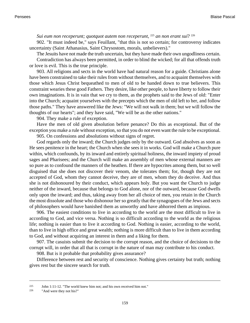#### *Sui eum non receperunt; quotquot autem non receperunt*, <sup>225</sup> *an non erant sui*? <sup>226</sup>

902. "It must indeed be," says Feuillant, "that this is not so certain; for controversy indicates uncertainty (Saint Athanasius, Saint Chrysostom, morals, unbelievers)."

The Jesuits have not made the truth uncertain, but they have made their own ungodliness certain. Contradiction has always been permitted, in order to blind the wicked; for all that offends truth or love is evil. This is the true principle.

903. All religions and sects in the world have had natural reason for a guide. Christians alone have been constrained to take their rules from without themselves, and to acquaint themselves with those which Jesus Christ bequeathed to men of old to be handed down to true believers. This constraint wearies these good Fathers. They desire, like other people, to have liberty to follow their own imaginations. It is in vain that we cry to them, as the prophets said to the Jews of old: "Enter into the Church; acquaint yourselves with the precepts which the men of old left to her, and follow those paths." They have answered like the Jews: "We will not walk in them; but we will follow the thoughts of our hearts"; and they have said, "We will be as the other nations."

904. They make a rule of exception.

Have the men of old given absolution before penance? Do this as exceptional. But of the exception you make a rule without exception, so that you do not even want the rule to be exceptional.

905. On confessions and absolutions without signs of regret.

God regards only the inward; the Church judges only by the outward. God absolves as soon as He sees penitence in the heart; the Church when she sees it in works. God will make a Church pure within, which confounds, by its inward and entirely spiritual holiness, the inward impiety of proud sages and Pharisees; and the Church will make an assembly of men whose external manners are so pure as to confound the manners of the heathen. If there are hypocrites among them, but so well disguised that she does not discover their venom, she tolerates them; for, though they are not accepted of God, whom they cannot deceive, they are of men, whom they do deceive. And thus she is not dishonoured by their conduct, which appears holy. But you want the Church to judge neither of the inward, because that belongs to God alone, nor of the outward, because God dwells only upon the inward; and thus, taking away from her all choice of men, you retain in the Church the most dissolute and those who dishonour her so greatly that the synagogues of the Jews and sects of philosophers would have banished them as unworthy and have abhorred them as impious.

906. The easiest conditions to live in according to the world are the most difficult to live in according to God, and vice versa. Nothing is so difficult according to the world as the religious life; nothing is easier than to live it according to God. Nothing is easier, according to the world, than to live in high office and great wealth; nothing is more difficult than to live in them according to God, and without acquiring an interest in them and a liking for them.

907. The casuists submit the decision to the corrupt reason, and the choice of decisions to the corrupt will, in order that all that is corrupt in the nature of man may contribute to his conduct.

908. But is it probable that probability gives assurance?

<span id="page-162-0"></span>Difference between rest and security of conscience. Nothing gives certainty but truth; nothing gives rest but the sincere search for truth.

<sup>225</sup> [John 1:11-12. "](http://www.ccel.org/b/bible/asv/xml/asv.John.1.xml#John.1.11)The world knew him not; and his own received him not."

<sup>226</sup> "And were they not his?"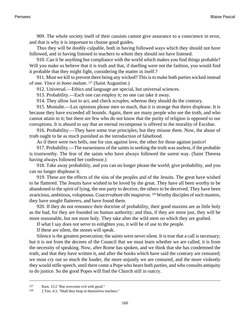909. The whole society itself of their casuists cannot give assurance to a conscience in error, and that is why it is important to choose good guides.

Thus they will be doubly culpable, both in having followed ways which they should not have followed, and in having listened to teachers to whom they should not have listened.

910. Can it be anything but compliance with the world which makes you find things probable? Will you make us believe that it is truth and that, if duelling were not the fashion, you would find it probable that they might fight, considering the matter in itself.?

911. Must we kill to prevent there being any wicked? This is to make both parties wicked instead of one. *Vince in bono malum*. <sup>227</sup> (Saint Augustine.)

912. Universal.—Ethics and language are special, but universal sciences.

913. Probability.—Each one can employ it; no one can take it away.

914. They allow lust to act, and check scruples; whereas they should do the contrary.

915. Montalte.—Lax opinions please men so much, that it is strange that theirs displease. It is because they have exceeded all bounds. Again, there are many people who see the truth, and who cannot attain to it; but there are few who do not know that the purity of religion is opposed to our corruptions. It is absurd to say that an eternal recompense is offered to the morality of Escobar.

916. Probability.—They have some true principles; but they misuse them. Now, the abuse of truth ought to be as much punished as the introduction of falsehood.

As if there were two hells, one for sins against love, the other for those against justice!

917. Probability.—The earnestness of the saints in seeking the truth was useless, if the probable is trustworthy. The fear of the saints who have always followed the surest way. (Saint Theresa having always followed her confessor.)

918. Take away probability, and you can no longer please the world; give probability, and you can no longer displease it.

919. These are the effects of the sins of the peoples and of the Jesuits. The great have wished to be flattered. The Jesuits have wished to be loved by the great. They have all been worthy to be abandoned to the spirit of lying, the one party to deceive, the others to be deceived. They have been avaricious, ambitious, voluptuous. *Coacervabunt tibi magistros*. <sup>228</sup> Worthy disciples of such masters, they have sought flatterers, and have found them.

920. If they do not renounce their doctrine of probability, their good maxims are as little holy as the bad, for they are founded on human authority; and thus, if they are more just, they will be more reasonable, but not more holy. They take after the wild stem on which they are grafted.

If what I say does not serve to enlighten you, it will be of use to the people.

If these are silent, the stones will speak.

<span id="page-163-0"></span>Silence is the greatest persecution; the saints were never silent. It is true that a call is necessary; but it is not from the decrees of the Council that we must learn whether we are called, it is from the necessity of speaking. Now, after Rome has spoken, and we think that she has condemned the truth, and that they have written it, and after the books which have said the contrary are censured; we must cry out so much the louder, the more unjustly we are censured, and the more violently they would stifle speech, until there come a Pope who hears both parties, and who consults antiquity to do justice. So the good Popes will find the Church still in outcry.

<span id="page-163-1"></span><sup>227</sup> [Rom. 12:2](http://www.ccel.org/b/bible/asv/xml/asv.Rom.12.xml#Rom.12.2) "But overcome evil with good."

<sup>228</sup> [2 Tim. 4:3.](http://www.ccel.org/b/bible/asv/xml/asv.iiTim.4.xml#iiTim.4.3) "Shall they heap to themselves teachers."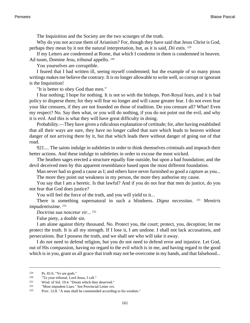The Inquisition and the Society are the two scourges of the truth.

Why do you not accuse them of Arianism? For, though they have said that Jesus Christ is God, perhaps they mean by it not the natural interpretation, but, as it is said, *Dii estis*. 229

If my Letters are condemned at Rome, that which I condemn in them is condemned in heaven. Ad tuum, Domine Jesu, tribunal appello. <sup>230</sup>

You yourselves are corruptible.

I feared that I had written ill, seeing myself condemned; but the example of so many pious writings makes me believe the contrary. It is no longer allowable to write well, so corrupt or ignorant is the Inquisition!

"It is better to obey God than men."

I fear nothing; I hope for nothing. It is not so with the bishops. Port-Royal fears, and it is bad policy to disperse them; for they will fear no longer and will cause greater fear. I do not even fear your like censures, if they are not founded on those of tradition. Do you censure all? What! Even my respect? No. Say then what, or you will do nothing, if you do not point out the evil, and why it is evil. And this is what they will have great difficulty in doing.

Probability.—They have given a ridiculous explanation of certitude; for, after having established that all their ways are sure, they have no longer called that sure which leads to heaven without danger of not arriving there by it, but that which leads there without danger of going out of that road.

921.... The saints indulge in subtleties in order to think themselves criminals and impeach their better actions. And these indulge in subtleties in order to excuse the most wicked.

The heathen sages erected a structure equally fine outside, but upon a bad foundation; and the devil deceived men by this apparent resemblance based upon the most different foundation.

Man never had so good a cause as I; and others have never furnished so good a capture as you... The more they point out weakness in my person, the more they authorise my cause.

You say that I am a heretic. Is that lawful? And if you do not fear that men do justice, do you not fear that God does justice?

You will feel the force of the truth, and you will yield to it...

There is something supernatural in such a blindness. *Digna necessitas*. <sup>231</sup> *Mentiris impudentissime*. 232

*Doctrina sua noscetur vir*... 233

False piety, a double sin.

I am alone against thirty thousand. No. Protect you, the court; protect, you, deception; let me protect the truth. It is all my strength. If I lose it, I am undone. I shall not lack accusations, and persecutions. But I possess the truth, and we shall see who will take it away.

<span id="page-164-2"></span><span id="page-164-0"></span>I do not need to defend religion, but you do not need to defend error and injustice. Let God, out of His compassion, having no regard to the evil which is in me, and having regard to the good which is in you, grant us all grace that truth may not be overcome in my hands, and that falsehood...

<span id="page-164-1"></span><sup>229</sup> [Ps. 81:6. "](http://www.ccel.org/b/bible/asv/xml/asv.Ps.81.xml#Ps.81.6)Ye are gods."

<sup>&</sup>lt;sup>230</sup> "To your tribunal, Lord Jesus, I call."<br><sup>231</sup> Wisd of Sol. 19:4 "Doom which the

[Wisd. of Sol. 19:4.](http://www.ccel.org/b/bible/asv/xml/asv.Wis.19.xml#Wis.19.4) "Doom which they deserved."

<sup>232</sup> "Most impudent Liars." See Provincial Letter xvi.

<sup>233</sup> [Prov. 12:8.](http://www.ccel.org/b/bible/asv/xml/asv.Prov.12.xml#Prov.12.8) "A man shall be commended according to his wisdom."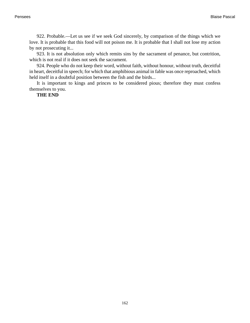922. Probable.—Let us see if we seek God sincerely, by comparison of the things which we love. It is probable that this food will not poison me. It is probable that I shall not lose my action by not prosecuting it...

923. It is not absolution only which remits sins by the sacrament of penance, but contrition, which is not real if it does not seek the sacrament.

924. People who do not keep their word, without faith, without honour, without truth, deceitful in heart, deceitful in speech; for which that amphibious animal in fable was once reproached, which held itself in a doubtful position between the fish and the birds...

It is important to kings and princes to be considered pious; therefore they must confess themselves to you.

**THE END**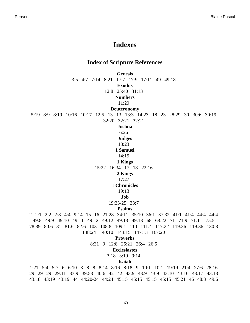# **Indexes**

### **Index of Scripture References**

**Genesis**

[3:5](#page-90-0) [4:7](#page-82-0) [7:14](#page-21-0) [8:21](#page-75-0) [17:7](#page-103-0) [17:9](#page-103-1) [17:11](#page-101-0) [49](#page-132-0) [49:18](#page-103-2)

**Exodus**

[12:8](#page-113-0) [25:40](#page-115-0) [31:13](#page-101-1)

**Numbers**

[11:29](#page-107-0)

**Deuteronomy**

[5:19](#page-101-1) [8:9](#page-113-1) [8:19](#page-101-2) [10:16](#page-101-3) [10:17](#page-101-4) [12:5](#page-133-0) [13](#page-145-0) [13](#page-155-0) [13:3](#page-152-0) [14:23](#page-133-0) [18](#page-145-1) [23](#page-125-0) [28:29](#page-135-0) [30](#page-118-0) [30:6](#page-102-0) [30:19](#page-102-1)

[32:20](#page-102-2) [32:21](#page-125-1) [32:21](#page-126-0)

**Joshua**

[6:26](#page-125-0)

**Judges**

[13:23](#page-148-0)

**1 Samuel**

[14:15](#page-147-0)

**1 Kings**

[15:22](#page-102-3) [16:34](#page-125-0) [17](#page-148-1) [18](#page-148-2) [22:16](#page-125-2)

**2 Kings**

[17:27](#page-108-0)

### **1 Chronicles**

[19:13](#page-103-3)

## **Job**

[19:23-25](#page-136-0) [33:7](#page-147-1)

#### **Psalms**

[2](#page-133-1) [2:1](#page-141-0) [2:2](#page-141-0) [2:8](#page-139-0) [4:4](#page-75-1) [9:14](#page-102-4) [15](#page-133-2) [16](#page-76-0) [21:28](#page-139-1) [34:11](#page-139-2) [35:10](#page-75-2) [36:1](#page-75-3) [37:32](#page-75-4) [41:1](#page-76-1) [41:4](#page-154-0) [44:4](#page-138-0) [44:4](#page-113-2) [49:8](#page-102-5) [49:9](#page-102-5) [49:10](#page-102-5) [49:11](#page-102-5) [49:12](#page-73-0) [49:12](#page-102-5) [49:13](#page-73-0) [49:13](#page-102-5) [68](#page-133-3) [68:22](#page-139-3) [71](#page-138-1) [71:9](#page-113-3) [71:11](#page-139-4) [75:5](#page-113-4) [78:39](#page-76-2) [80:6](#page-137-0) [81](#page-133-4) [81:6](#page-164-0) [82:6](#page-73-1) [103](#page-76-3) [108:8](#page-133-5) [109:1](#page-118-1) [110](#page-133-6) [111:4](#page-154-1) [117:22](#page-132-1) [119:36](#page-46-0) [119:36](#page-50-0) [130:8](#page-134-0) [138:24](#page-151-0) [140:10](#page-113-5) [143:15](#page-102-6) [147:13](#page-118-2) [167:20](#page-139-5)

**Proverbs**

[8:31](#page-73-2) [9](#page-75-5) [12:8](#page-164-1) [25:21](#page-75-6) [26:4](#page-157-0) [26:5](#page-157-0)

#### **Ecclesiastes**

[3:18](#page-73-3) [3:19](#page-58-0) [9:14](#page-76-4)

#### **Isaiah**

[1:21](#page-116-0) [5:4](#page-153-0) [5:7](#page-102-7) [6](#page-132-2) [6:10](#page-137-1) [8](#page-122-0) [8](#page-132-2) [8](#page-132-3) [8:14](#page-143-0) [8:16](#page-96-0) [8:18](#page-147-2) [9](#page-132-4) [10:1](#page-116-0) [10:1](#page-154-2) [19:19](#page-129-0) [21:4](#page-147-1) [27:6](#page-126-1) [28:16](#page-132-5) [29](#page-122-1) [29](#page-132-2) [29](#page-132-6) [29:11](#page-135-1) [33:9](#page-116-1) [39:53](#page-132-7) [40:6](#page-73-4) [42](#page-123-0) [42](#page-124-0) [43:9](#page-99-0) [43:9](#page-109-0) [43:9](#page-125-2) [43:10](#page-133-7) [43:16](#page-126-2) [43:17](#page-126-2) [43:18](#page-102-8) [43:18](#page-126-2) [43:19](#page-102-8) [43:19](#page-126-2) [44](#page-123-1) [44:20-24](#page-117-0) [44:24](#page-117-1) [45:15](#page-34-0) [45:15](#page-45-0) [45:15](#page-85-0) [45:15](#page-97-0) [45:21](#page-123-2) [46](#page-124-1) [48:3](#page-124-2) [49:6](#page-139-6)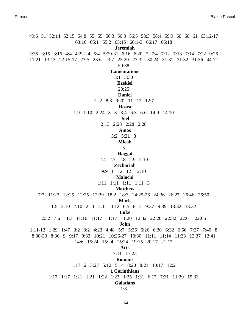[49:6](#page-139-7) [51](#page-110-0) [52:14](#page-132-8) [52:15](#page-133-4) [54:8](#page-117-0) [55](#page-75-7) [55](#page-132-9) [56:3](#page-101-5) [56:3](#page-125-3) [56:5](#page-102-9) [58:3](#page-102-10) [58:4](#page-102-10) [59:9](#page-125-4) [60](#page-138-1) [60](#page-133-8) [61](#page-132-10) [63:12-17](#page-117-0) [63:16](#page-101-6) [65:1](#page-102-11) [65:2](#page-134-1) [65:15](#page-102-12) [66:1-3](#page-102-13) [66:17](#page-117-0) [66:18](#page-125-5) **Jeremiah** [2:35](#page-117-0) [3:15](#page-102-14) [3:16](#page-102-14) [4:4](#page-101-3) [4:22-24](#page-117-0) [5:4](#page-117-0) [5:29-31](#page-117-0) [6:16](#page-117-0) [6:20](#page-102-13) [7](#page-125-6) [7:4](#page-125-7) [7:12](#page-102-15) [7:13](#page-102-15) [7:14](#page-102-15) [7:22](#page-125-8) [9:26](#page-102-16) [11:21](#page-117-2) [13:13](#page-126-3) [22:15-17](#page-117-0) [23:5](#page-133-7) [23:6](#page-126-2) [23:7](#page-126-2) [23:20](#page-126-4) [23:32](#page-147-3) [30:24](#page-112-0) [31:31](#page-102-17) [31:32](#page-126-1) [31:36](#page-102-18) [44:12](#page-147-1) [50:38](#page-147-2) **Lamentations** [3:1](#page-64-0) [3:30](#page-139-8) **Ezekiel** [20:25](#page-102-19) **Daniel** [2](#page-126-5) [2](#page-132-11) [8:8](#page-127-0) [9:20](#page-127-1) [11](#page-128-0) [12](#page-132-12) [12:7](#page-131-0) **Hosea** [1:9](#page-133-9) [1:10](#page-102-2) [2:24](#page-126-0) [3](#page-126-6) [3](#page-133-10) [3:4](#page-126-7) [6:3](#page-133-2) [6:6](#page-102-20) [14:9](#page-96-1) [14:10](#page-132-12) **Joel** [2:13](#page-102-21) [2:28](#page-73-5) [2:28](#page-139-9) [2:28](#page-126-0) **Amos** [3:2](#page-131-1) [5:21](#page-102-22) [8](#page-131-2) **Micah** [5](#page-132-13) **Haggai** [2:4](#page-131-3) [2:7](#page-126-8) [2:8](#page-126-8) [2:9](#page-126-8) [2:10](#page-126-8) **Zechariah** [9:9](#page-132-14) [11:12](#page-133-5) [12](#page-133-3) [12:10](#page-134-2) **Malachi** [1:11](#page-102-23) [1:11](#page-102-24) [1:11](#page-125-9) [1:11](#page-126-0) [3](#page-132-15) **Matthew** [7:7](#page-84-0) [11:27](#page-45-1) [12:25](#page-147-4) [12:25](#page-147-4) [12:39](#page-151-1) [18:2](#page-89-0) [18:3](#page-48-0) [24:25-26](#page-152-1) [24:36](#page-111-0) [26:27](#page-140-0) [26:46](#page-89-1) [26:50](#page-140-1) **Mark** [1:5](#page-140-2) [2:10](#page-110-1) [2:10](#page-115-1) [2:11](#page-110-1) [2:11](#page-115-1) [4:12](#page-140-3) [6:5](#page-152-2) [8:12](#page-152-3) [9:37](#page-140-4) [9:39](#page-150-0) [13:32](#page-111-0) [13:32](#page-140-5) **Luke** [2:32](#page-139-10) [7:6](#page-84-1) [11:3](#page-113-6) [11:16](#page-151-2) [11:17](#page-147-4) [11:17](#page-147-4) [11:20](#page-147-5) [12:32](#page-140-6) [22:26](#page-159-0) [22:32](#page-136-1) [22:61](#page-136-1) [22:66](#page-151-3) **John** [1:11-12](#page-162-0) [1:29](#page-116-2) [1:47](#page-94-0) [3:2](#page-145-2) [3:2](#page-151-4) [4:23](#page-116-3) [4:48](#page-152-4) [5:7](#page-159-1) [5:36](#page-151-5) [6:26](#page-149-0) [6:30](#page-151-6) [6:32](#page-94-0) [6:56](#page-94-0) [7:27](#page-96-2) [7:40](#page-149-1) [8](#page-85-1) [8:30-33](#page-85-2) [8:36](#page-94-0) [9](#page-149-2) [9:17](#page-150-1) [9:33](#page-150-1) [10:21](#page-152-5) [10:26-27](#page-151-5) [10:30](#page-159-2) [11:11](#page-137-2) [11:14](#page-137-2) [11:33](#page-88-0) [12:37](#page-148-3) [12:41](#page-148-4) [14:6](#page-78-0) [15:24](#page-145-3) [15:24](#page-155-1) [15:24](#page-155-2) [19:15](#page-126-9) [20:17](#page-90-1) [21:17](#page-160-0) **Acts** [17:11](#page-120-0) [17:23](#page-71-0) **Romans** [1:17](#page-46-1) [2](#page-86-0) [3:27](#page-85-3) [5:12](#page-140-7) [5:14](#page-112-1) [8:20](#page-58-1) [8:21](#page-58-1) [10:17](#page-46-2) [12:2](#page-163-0) **1 Corinthians** [1:17](#page-45-2) [1:17](#page-98-0) [1:21](#page-42-0) [1:21](#page-87-0) [1:22](#page-148-5) [1:23](#page-148-5) [1:25](#page-75-8) [1:31](#page-77-0) [6:17](#page-80-0) [7:31](#page-113-7) [11:29](#page-84-2) [15:33](#page-86-1) **Galatians** [1:8](#page-153-1)